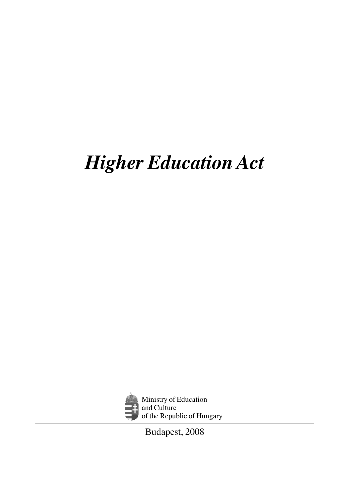# *Higher Education Act*



Ministry of Education and Culture of the Republic of Hungary

Budapest, 2008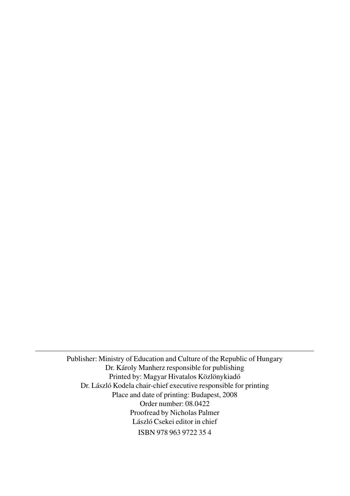Publisher: Ministry of Education and Culture of the Republic of Hungary Dr. Károly Manherz responsible for publishing Printed by: Magyar Hivatalos Közlönykiadó Dr. László Kodela chair-chief executive responsible for printing Place and date of printing: Budapest, 2008 Order number: 08.0422 Proofread by Nicholas Palmer László Csekei editor in chief ISBN 978 963 9722 35 4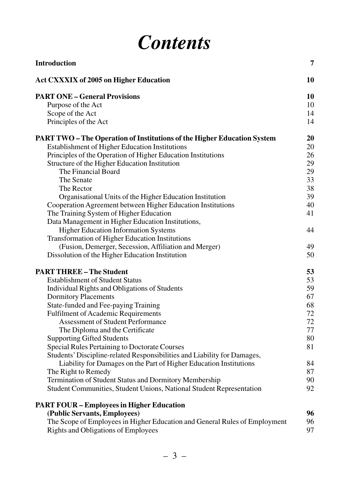### *Contents*

| Introduction                                                                   | 7  |
|--------------------------------------------------------------------------------|----|
| <b>Act CXXXIX of 2005 on Higher Education</b>                                  | 10 |
| <b>PART ONE – General Provisions</b>                                           | 10 |
| Purpose of the Act                                                             | 10 |
| Scope of the Act                                                               | 14 |
| Principles of the Act                                                          | 14 |
| <b>PART TWO – The Operation of Institutions of the Higher Education System</b> | 20 |
| Establishment of Higher Education Institutions                                 | 20 |
| Principles of the Operation of Higher Education Institutions                   | 26 |
| Structure of the Higher Education Institution                                  | 29 |
| The Financial Board                                                            | 29 |
| The Senate                                                                     | 33 |
| The Rector                                                                     | 38 |
| Organisational Units of the Higher Education Institution                       | 39 |
| Cooperation Agreement between Higher Education Institutions                    | 40 |
| The Training System of Higher Education                                        | 41 |
| Data Management in Higher Education Institutions,                              |    |
| <b>Higher Education Information Systems</b>                                    | 44 |
| Transformation of Higher Education Institutions                                |    |
| (Fusion, Demerger, Secession, Affiliation and Merger)                          | 49 |
| Dissolution of the Higher Education Institution                                | 50 |
| <b>PART THREE - The Student</b>                                                | 53 |
| <b>Establishment of Student Status</b>                                         | 53 |
| Individual Rights and Obligations of Students                                  | 59 |
| <b>Dormitory Placements</b>                                                    | 67 |
| State-funded and Fee-paying Training                                           | 68 |
| <b>Fulfilment of Academic Requirements</b>                                     | 72 |
| Assessment of Student Performance                                              | 72 |
| The Diploma and the Certificate                                                | 77 |
| <b>Supporting Gifted Students</b>                                              | 80 |
| Special Rules Pertaining to Doctorate Courses                                  | 81 |
| Students' Discipline-related Responsibilities and Liability for Damages,       |    |
| Liability for Damages on the Part of Higher Education Institutions             | 84 |
| The Right to Remedy                                                            | 87 |
| Termination of Student Status and Dormitory Membership                         | 90 |
| Student Communities, Student Unions, National Student Representation           | 92 |
| <b>PART FOUR - Employees in Higher Education</b>                               |    |
| (Public Servants, Employees)                                                   | 96 |
| The Scope of Employees in Higher Education and General Rules of Employment     | 96 |
| Rights and Obligations of Employees                                            | 97 |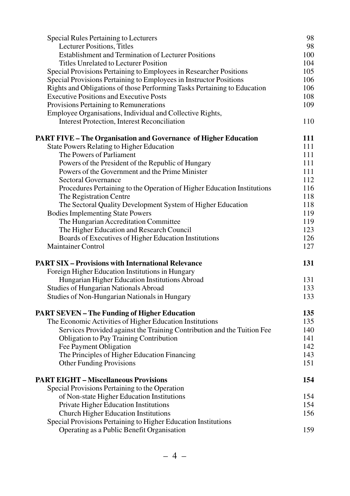| Special Rules Pertaining to Lecturers                                    | 98  |
|--------------------------------------------------------------------------|-----|
| <b>Lecturer Positions, Titles</b>                                        | 98  |
| <b>Establishment and Termination of Lecturer Positions</b>               | 100 |
| Titles Unrelated to Lecturer Position                                    | 104 |
| Special Provisions Pertaining to Employees in Researcher Positions       | 105 |
| Special Provisions Pertaining to Employees in Instructor Positions       | 106 |
| Rights and Obligations of those Performing Tasks Pertaining to Education | 106 |
| <b>Executive Positions and Executive Posts</b>                           | 108 |
| Provisions Pertaining to Remunerations                                   | 109 |
| Employee Organisations, Individual and Collective Rights,                |     |
| <b>Interest Protection, Interest Reconciliation</b>                      | 110 |
| <b>PART FIVE – The Organisation and Governance of Higher Education</b>   | 111 |
| <b>State Powers Relating to Higher Education</b>                         | 111 |
| The Powers of Parliament                                                 | 111 |
| Powers of the President of the Republic of Hungary                       | 111 |
| Powers of the Government and the Prime Minister                          | 111 |
| Sectoral Governance                                                      | 112 |
| Procedures Pertaining to the Operation of Higher Education Institutions  | 116 |
| The Registration Centre                                                  | 118 |
| The Sectoral Quality Development System of Higher Education              | 118 |
| <b>Bodies Implementing State Powers</b>                                  | 119 |
| The Hungarian Accreditation Committee                                    | 119 |
| The Higher Education and Research Council                                | 123 |
| Boards of Executives of Higher Education Institutions                    | 126 |
| <b>Maintainer Control</b>                                                | 127 |
| <b>PART SIX – Provisions with International Relevance</b>                | 131 |
| Foreign Higher Education Institutions in Hungary                         |     |
| Hungarian Higher Education Institutions Abroad                           | 131 |
| Studies of Hungarian Nationals Abroad                                    | 133 |
| Studies of Non-Hungarian Nationals in Hungary                            | 133 |
| <b>PART SEVEN - The Funding of Higher Education</b>                      | 135 |
| The Economic Activities of Higher Education Institutions                 | 135 |
| Services Provided against the Training Contribution and the Tuition Fee  | 140 |
| Obligation to Pay Training Contribution                                  | 141 |
| Fee Payment Obligation                                                   | 142 |
| The Principles of Higher Education Financing                             | 143 |
| Other Funding Provisions                                                 | 151 |
| <b>PART EIGHT - Miscellaneous Provisions</b>                             | 154 |
| Special Provisions Pertaining to the Operation                           |     |
| of Non-state Higher Education Institutions                               | 154 |
| Private Higher Education Institutions                                    | 154 |
| Church Higher Education Institutions                                     | 156 |
| Special Provisions Pertaining to Higher Education Institutions           |     |
| Operating as a Public Benefit Organisation                               | 159 |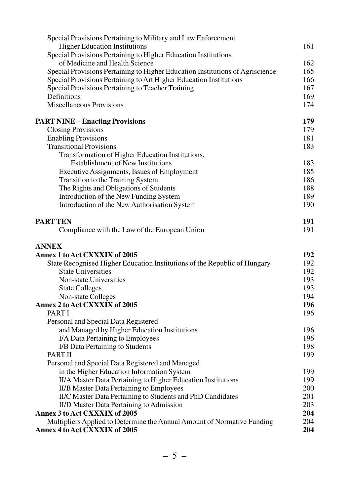| Special Provisions Pertaining to Military and Law Enforcement                                            |     |
|----------------------------------------------------------------------------------------------------------|-----|
| <b>Higher Education Institutions</b>                                                                     | 161 |
| Special Provisions Pertaining to Higher Education Institutions                                           |     |
| of Medicine and Health Science                                                                           | 162 |
| Special Provisions Pertaining to Higher Education Institutions of Agriscience                            | 165 |
| Special Provisions Pertaining to Art Higher Education Institutions                                       | 166 |
| Special Provisions Pertaining to Teacher Training                                                        | 167 |
| Definitions                                                                                              | 169 |
| Miscellaneous Provisions                                                                                 | 174 |
| <b>PART NINE - Enacting Provisions</b>                                                                   | 179 |
| <b>Closing Provisions</b>                                                                                | 179 |
| <b>Enabling Provisions</b>                                                                               | 181 |
| <b>Transitional Provisions</b>                                                                           | 183 |
| Transformation of Higher Education Institutions,                                                         |     |
| <b>Establishment of New Institutions</b>                                                                 | 183 |
| Executive Assignments, Issues of Employment                                                              | 185 |
| Transition to the Training System                                                                        | 186 |
| The Rights and Obligations of Students                                                                   | 188 |
| Introduction of the New Funding System                                                                   | 189 |
| Introduction of the New Authorisation System                                                             | 190 |
| <b>PART TEN</b>                                                                                          | 191 |
| Compliance with the Law of the European Union                                                            | 191 |
| <b>ANNEX</b>                                                                                             |     |
| Annex 1 to Act CXXXIX of 2005                                                                            | 192 |
| State Recognised Higher Education Institutions of the Republic of Hungary                                | 192 |
| <b>State Universities</b>                                                                                | 192 |
| Non-state Universities                                                                                   | 193 |
| <b>State Colleges</b>                                                                                    | 193 |
| Non-state Colleges                                                                                       | 194 |
| Annex 2 to Act CXXXIX of 2005                                                                            | 196 |
| PART I                                                                                                   | 196 |
| Personal and Special Data Registered                                                                     |     |
| and Managed by Higher Education Institutions                                                             | 196 |
| I/A Data Pertaining to Employees                                                                         | 196 |
| I/B Data Pertaining to Students<br>PART II                                                               | 198 |
|                                                                                                          | 199 |
| Personal and Special Data Registered and Managed                                                         | 199 |
| in the Higher Education Information System                                                               | 199 |
| II/A Master Data Pertaining to Higher Education Institutions<br>II/B Master Data Pertaining to Employees | 200 |
| II/C Master Data Pertaining to Students and PhD Candidates                                               | 201 |
| II/D Master Data Pertaining to Admission                                                                 | 203 |
| Annex 3 to Act CXXXIX of 2005                                                                            | 204 |
| Multipliers Applied to Determine the Annual Amount of Normative Funding                                  | 204 |
| Annex 4 to Act CXXXIX of 2005                                                                            | 204 |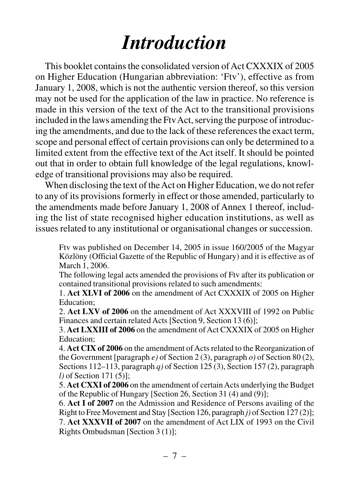# *Introduction*

This booklet contains the consolidated version of Act CXXXIX of 2005 on Higher Education (Hungarian abbreviation: 'Ftv'), effective as from January 1, 2008, which is not the authentic version thereof, so this version may not be used for the application of the law in practice. No reference is made in this version of the text of the Act to the transitional provisions included in the laws amending the Ftv Act, serving the purpose of introducing the amendments, and due to the lack of these references the exact term, scope and personal effect of certain provisions can only be determined to a limited extent from the effective text of the Act itself. It should be pointed out that in order to obtain full knowledge of the legal regulations, knowledge of transitional provisions may also be required.

When disclosing the text of the Act on Higher Education, we do not refer to any of its provisions formerly in effect or those amended, particularly to the amendments made before January 1, 2008 of Annex 1 thereof, including the list of state recognised higher education institutions, as well as issues related to any institutional or organisational changes or succession.

Ftv was published on December 14, 2005 in issue 160/2005 of the Magyar Közlöny (Official Gazette of the Republic of Hungary) and it is effective as of March 1, 2006.

The following legal acts amended the provisions of Ftv after its publication or contained transitional provisions related to such amendments:

1. **Act XLVI of 2006** on the amendment of Act CXXXIX of 2005 on Higher Education;

2. **Act LXV of 2006** on the amendment of Act XXXVIII of 1992 on Public Finances and certain related Acts [Section 9, Section 13 (6)];

3. **Act LXXIII of 2006** on the amendment of Act CXXXIX of 2005 on Higher Education;

4. **Act CIX of 2006** on the amendment of Acts related to the Reorganization of the Government [paragraph *e)* of Section 2 (3), paragraph *o)* of Section 80 (2), Sections 112–113, paragraph *q)* of Section 125 (3), Section 157 (2), paragraph *l)* of Section 171 (5)];

5. **Act CXXI of 2006** on the amendment of certain Acts underlying the Budget of the Republic of Hungary [Section 26, Section 31 (4) and (9)];

6. **Act I of 2007** on the Admission and Residence of Persons availing of the Right to Free Movement and Stay [Section 126, paragraph *j)* of Section 127 (2)]; 7. **Act XXXVII of 2007** on the amendment of Act LIX of 1993 on the Civil Rights Ombudsman [Section 3 (1)];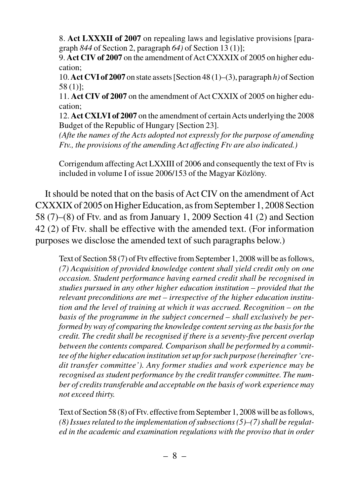8. **Act LXXXII of 2007** on repealing laws and legislative provisions [paragraph *844* of Section 2, paragraph *64)* of Section 13 (1)];

9. **Act CIV of 2007** on the amendment of Act CXXXIX of 2005 on higher education;

10. **Act CVI of 2007** on state assets [Section 48 (1)–(3), paragraph *h)* of Section 58 (1)];

11. **Act CIV of 2007** on the amendment of Act CXXIX of 2005 on higher education;

12. **Act CXLVI of 2007** on the amendment of certain Acts underlying the 2008 Budget of the Republic of Hungary [Section 23].

*(Afte the names of the Acts adopted not expressly for the purpose of amending Ftv., the provisions of the amending Act affecting Ftv are also indicated.)*

Corrigendum affecting Act LXXIII of 2006 and consequently the text of Ftv is included in volume I of issue 2006/153 of the Magyar Közlöny.

It should be noted that on the basis of Act CIV on the amendment of Act CXXXIX of 2005 on Higher Education, as from September 1, 2008 Section 58 (7)–(8) of Ftv. and as from January 1, 2009 Section 41 (2) and Section 42 (2) of Ftv. shall be effective with the amended text. (For information purposes we disclose the amended text of such paragraphs below.)

Text of Section 58 (7) of Ftv effective from September 1, 2008 will be as follows, *(7) Acquisition of provided knowledge content shall yield credit only on one occasion. Student performance having earned credit shall be recognised in studies pursued in any other higher education institution – provided that the relevant preconditions are met – irrespective of the higher education institution and the level of training at which it was accrued. Recognition – on the basis of the programme in the subject concerned – shall exclusively be performed by way of comparing the knowledge content serving as the basis for the credit. The credit shall be recognised if there is a seventy-five percent overlap between the contents compared. Comparison shall be performed by a committee of the higher education institution set up for such purpose (hereinafter 'credit transfer committee'). Any former studies and work experience may be recognised as student performance by the credit transfer committee. The number of credits transferable and acceptable on the basis of work experience may not exceed thirty.*

Text of Section 58 (8) of Ftv. effective from September 1, 2008 will be as follows, *(8) Issues related to the implementation of subsections (5)–(7) shall be regulated in the academic and examination regulations with the proviso that in order*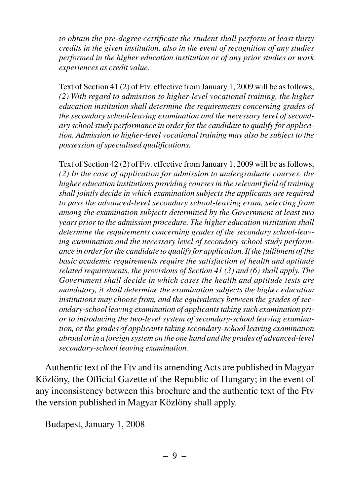*to obtain the pre-degree certificate the student shall perform at least thirty credits in the given institution, also in the event of recognition of any studies performed in the higher education institution or of any prior studies or work experiences as credit value.*

Text of Section 41 (2) of Ftv. effective from January 1, 2009 will be as follows, *(2) With regard to admission to higher-level vocational training, the higher education institution shall determine the requirements concerning grades of the secondary school-leaving examination and the necessary level of secondary school study performance in order for the candidate to qualify for application. Admission to higher-level vocational training may also be subject to the possession of specialised qualifications.*

Text of Section 42 (2) of Ftv. effective from January 1, 2009 will be as follows, *(2) In the case of application for admission to undergraduate courses, the higher education institutions providing courses in the relevant field of training shall jointly decide in which examination subjects the applicants are required to pass the advanced-level secondary school-leaving exam, selecting from among the examination subjects determined by the Government at least two years prior to the admission procedure. The higher education institution shall determine the requirements concerning grades of the secondary school-leaving examination and the necessary level of secondary school study performance in order for the candidate to qualify for application. If the fulfilment of the basic academic requirements require the satisfaction of health and aptitude related requirements, the provisions of Section 41 (3) and (6) shall apply. The Government shall decide in which cases the health and aptitude tests are mandatory, it shall determine the examination subjects the higher education institutions may choose from, and the equivalency between the grades of secondary-school leaving examination of applicants taking such examination prior to introducing the two-level system of secondary-school leaving examination, or the grades of applicants taking secondary-school leaving examination abroad or in a foreign system on the one hand and the grades of advanced-level secondary-school leaving examination.*

Authentic text of the Ftv and its amending Acts are published in Magyar Közlöny, the Official Gazette of the Republic of Hungary; in the event of any inconsistency between this brochure and the authentic text of the Ftv the version published in Magyar Közlöny shall apply.

Budapest, January 1, 2008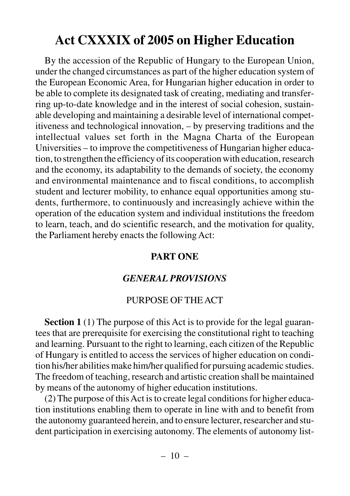### **Act CXXXIX of 2005 on Higher Education**

By the accession of the Republic of Hungary to the European Union, under the changed circumstances as part of the higher education system of the European Economic Area, for Hungarian higher education in order to be able to complete its designated task of creating, mediating and transferring up-to-date knowledge and in the interest of social cohesion, sustainable developing and maintaining a desirable level of international competitiveness and technological innovation, – by preserving traditions and the intellectual values set forth in the Magna Charta of the European Universities – to improve the competitiveness of Hungarian higher education, to strengthen the efficiency of its cooperation with education, research and the economy, its adaptability to the demands of society, the economy and environmental maintenance and to fiscal conditions, to accomplish student and lecturer mobility, to enhance equal opportunities among students, furthermore, to continuously and increasingly achieve within the operation of the education system and individual institutions the freedom to learn, teach, and do scientific research, and the motivation for quality, the Parliament hereby enacts the following Act:

#### **PART ONE**

#### *GENERAL PROVISIONS*

#### PURPOSE OF THE ACT

**Section 1** (1) The purpose of this Act is to provide for the legal guarantees that are prerequisite for exercising the constitutional right to teaching and learning. Pursuant to the right to learning, each citizen of the Republic of Hungary is entitled to access the services of higher education on condition his/her abilities make him/her qualified for pursuing academic studies. The freedom of teaching, research and artistic creation shall be maintained by means of the autonomy of higher education institutions.

(2) The purpose of this Act is to create legal conditions for higher education institutions enabling them to operate in line with and to benefit from the autonomy guaranteed herein, and to ensure lecturer, researcher and student participation in exercising autonomy. The elements of autonomy list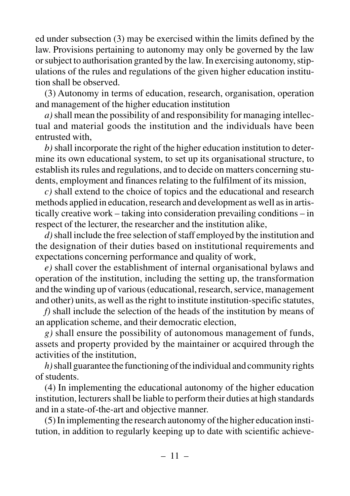ed under subsection (3) may be exercised within the limits defined by the law. Provisions pertaining to autonomy may only be governed by the law or subject to authorisation granted by the law. In exercising autonomy, stipulations of the rules and regulations of the given higher education institution shall be observed.

(3) Autonomy in terms of education, research, organisation, operation and management of the higher education institution

 $a)$  shall mean the possibility of and responsibility for managing intellectual and material goods the institution and the individuals have been entrusted with,

*b)*shall incorporate the right of the higher education institution to determine its own educational system, to set up its organisational structure, to establish its rules and regulations, and to decide on matters concerning students, employment and finances relating to the fulfilment of its mission,

*c)* shall extend to the choice of topics and the educational and research methods applied in education, research and development as well as in artistically creative work – taking into consideration prevailing conditions – in respect of the lecturer, the researcher and the institution alike,

*d)*shall include the free selection of staff employed by the institution and the designation of their duties based on institutional requirements and expectations concerning performance and quality of work,

*e)* shall cover the establishment of internal organisational bylaws and operation of the institution, including the setting up, the transformation and the winding up of various (educational, research, service, management and other) units, as well as the right to institute institution-specific statutes,

*f)* shall include the selection of the heads of the institution by means of an application scheme, and their democratic election,

*g)* shall ensure the possibility of autonomous management of funds, assets and property provided by the maintainer or acquired through the activities of the institution,

*h)*shall guarantee the functioning of the individual and community rights of students.

(4) In implementing the educational autonomy of the higher education institution, lecturers shall be liable to perform their duties at high standards and in a state-of-the-art and objective manner.

(5) In implementing the research autonomy of the higher education institution, in addition to regularly keeping up to date with scientific achieve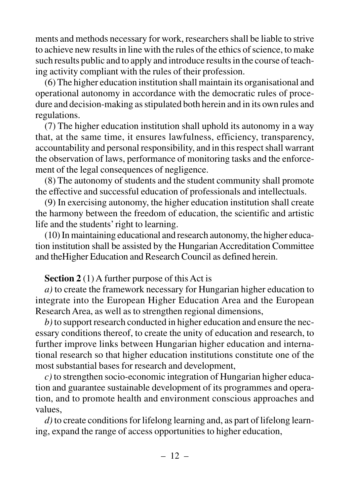ments and methods necessary for work, researchers shall be liable to strive to achieve new results in line with the rules of the ethics of science, to make such results public and to apply and introduce results in the course of teaching activity compliant with the rules of their profession.

(6) The higher education institution shall maintain its organisational and operational autonomy in accordance with the democratic rules of procedure and decision-making as stipulated both herein and in its own rules and regulations.

(7) The higher education institution shall uphold its autonomy in a way that, at the same time, it ensures lawfulness, efficiency, transparency, accountability and personal responsibility, and in this respect shall warrant the observation of laws, performance of monitoring tasks and the enforcement of the legal consequences of negligence.

(8) The autonomy of students and the student community shall promote the effective and successful education of professionals and intellectuals.

(9) In exercising autonomy, the higher education institution shall create the harmony between the freedom of education, the scientific and artistic life and the students' right to learning.

(10) In maintaining educational and research autonomy, the higher education institution shall be assisted by the Hungarian Accreditation Committee and theHigher Education and Research Council as defined herein.

#### **Section 2** (1) A further purpose of this Act is

*a)* to create the framework necessary for Hungarian higher education to integrate into the European Higher Education Area and the European Research Area, as well as to strengthen regional dimensions,

*b)* to support research conducted in higher education and ensure the necessary conditions thereof, to create the unity of education and research, to further improve links between Hungarian higher education and international research so that higher education institutions constitute one of the most substantial bases for research and development,

*c)* to strengthen socio-economic integration of Hungarian higher education and guarantee sustainable development of its programmes and operation, and to promote health and environment conscious approaches and values,

*d)* to create conditions for lifelong learning and, as part of lifelong learning, expand the range of access opportunities to higher education,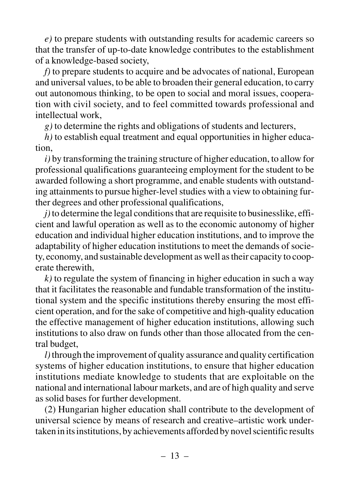*e)* to prepare students with outstanding results for academic careers so that the transfer of up-to-date knowledge contributes to the establishment of a knowledge-based society,

*f)* to prepare students to acquire and be advocates of national, European and universal values, to be able to broaden their general education, to carry out autonomous thinking, to be open to social and moral issues, cooperation with civil society, and to feel committed towards professional and intellectual work,

*g)* to determine the rights and obligations of students and lecturers,

*h)* to establish equal treatment and equal opportunities in higher education,

*i)* by transforming the training structure of higher education, to allow for professional qualifications guaranteeing employment for the student to be awarded following a short programme, and enable students with outstanding attainments to pursue higher-level studies with a view to obtaining further degrees and other professional qualifications,

*j*) to determine the legal conditions that are requisite to businesslike, efficient and lawful operation as well as to the economic autonomy of higher education and individual higher education institutions, and to improve the adaptability of higher education institutions to meet the demands of society, economy, and sustainable development as well as their capacity to cooperate therewith,

*k)* to regulate the system of financing in higher education in such a way that it facilitates the reasonable and fundable transformation of the institutional system and the specific institutions thereby ensuring the most efficient operation, and for the sake of competitive and high-quality education the effective management of higher education institutions, allowing such institutions to also draw on funds other than those allocated from the central budget,

*l)*through the improvement of quality assurance and quality certification systems of higher education institutions, to ensure that higher education institutions mediate knowledge to students that are exploitable on the national and international labour markets, and are of high quality and serve as solid bases for further development.

(2) Hungarian higher education shall contribute to the development of universal science by means of research and creative–artistic work undertaken in its institutions, by achievements afforded by novel scientific results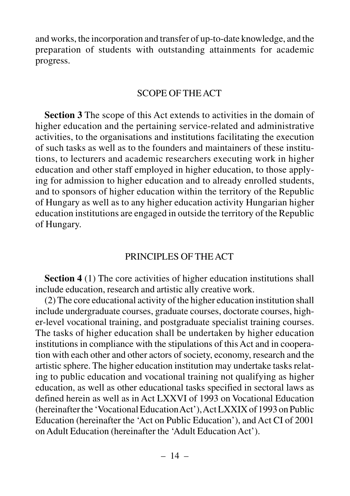and works, the incorporation and transfer of up-to-date knowledge, and the preparation of students with outstanding attainments for academic progress.

#### SCOPE OF THE ACT

**Section 3** The scope of this Act extends to activities in the domain of higher education and the pertaining service-related and administrative activities, to the organisations and institutions facilitating the execution of such tasks as well as to the founders and maintainers of these institutions, to lecturers and academic researchers executing work in higher education and other staff employed in higher education, to those applying for admission to higher education and to already enrolled students, and to sponsors of higher education within the territory of the Republic of Hungary as well as to any higher education activity Hungarian higher education institutions are engaged in outside the territory of the Republic of Hungary.

#### PRINCIPLES OF THE ACT

**Section 4** (1) The core activities of higher education institutions shall include education, research and artistic ally creative work.

(2) The core educational activity of the higher education institution shall include undergraduate courses, graduate courses, doctorate courses, higher-level vocational training, and postgraduate specialist training courses. The tasks of higher education shall be undertaken by higher education institutions in compliance with the stipulations of this Act and in cooperation with each other and other actors of society, economy, research and the artistic sphere. The higher education institution may undertake tasks relating to public education and vocational training not qualifying as higher education, as well as other educational tasks specified in sectoral laws as defined herein as well as in Act LXXVI of 1993 on Vocational Education (hereinafter the 'Vocational Education Act'), Act LXXIX of 1993 on Public Education (hereinafter the 'Act on Public Education'), and Act CI of 2001 on Adult Education (hereinafter the 'Adult Education Act').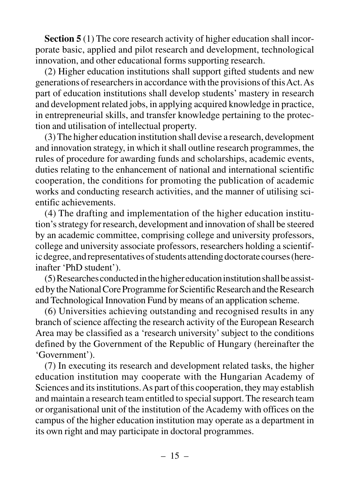**Section 5** (1) The core research activity of higher education shall incorporate basic, applied and pilot research and development, technological innovation, and other educational forms supporting research.

(2) Higher education institutions shall support gifted students and new generations of researchers in accordance with the provisions of this Act. As part of education institutions shall develop students' mastery in research and development related jobs, in applying acquired knowledge in practice, in entrepreneurial skills, and transfer knowledge pertaining to the protection and utilisation of intellectual property.

(3) The higher education institution shall devise a research, development and innovation strategy, in which it shall outline research programmes, the rules of procedure for awarding funds and scholarships, academic events, duties relating to the enhancement of national and international scientific cooperation, the conditions for promoting the publication of academic works and conducting research activities, and the manner of utilising scientific achievements.

(4) The drafting and implementation of the higher education institution's strategy for research, development and innovation of shall be steered by an academic committee, comprising college and university professors, college and university associate professors, researchers holding a scientific degree, and representatives of students attending doctorate courses (hereinafter 'PhD student').

(5) Researches conducted in the higher education institution shall be assisted by the National Core Programme for Scientific Research and the Research and Technological Innovation Fund by means of an application scheme.

(6) Universities achieving outstanding and recognised results in any branch of science affecting the research activity of the European Research Area may be classified as a 'research university' subject to the conditions defined by the Government of the Republic of Hungary (hereinafter the 'Government').

(7) In executing its research and development related tasks, the higher education institution may cooperate with the Hungarian Academy of Sciences and its institutions. As part of this cooperation, they may establish and maintain a research team entitled to special support. The research team or organisational unit of the institution of the Academy with offices on the campus of the higher education institution may operate as a department in its own right and may participate in doctoral programmes.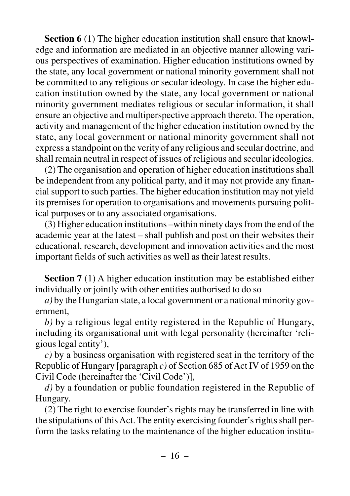**Section 6** (1) The higher education institution shall ensure that knowledge and information are mediated in an objective manner allowing various perspectives of examination. Higher education institutions owned by the state, any local government or national minority government shall not be committed to any religious or secular ideology. In case the higher education institution owned by the state, any local government or national minority government mediates religious or secular information, it shall ensure an objective and multiperspective approach thereto. The operation, activity and management of the higher education institution owned by the state, any local government or national minority government shall not express a standpoint on the verity of any religious and secular doctrine, and shall remain neutral in respect of issues of religious and secular ideologies.

(2) The organisation and operation of higher education institutions shall be independent from any political party, and it may not provide any financial support to such parties. The higher education institution may not yield its premises for operation to organisations and movements pursuing political purposes or to any associated organisations.

(3) Higher education institutions –within ninety days from the end of the academic year at the latest – shall publish and post on their websites their educational, research, development and innovation activities and the most important fields of such activities as well as their latest results.

**Section 7** (1) A higher education institution may be established either individually or jointly with other entities authorised to do so

*a)* by the Hungarian state, a local government or a national minority government,

*b)* by a religious legal entity registered in the Republic of Hungary, including its organisational unit with legal personality (hereinafter 'religious legal entity'),

*c)* by a business organisation with registered seat in the territory of the Republic of Hungary [paragraph *c)* of Section 685 of Act IV of 1959 on the Civil Code (hereinafter the 'Civil Code')],

*d)* by a foundation or public foundation registered in the Republic of Hungary.

(2) The right to exercise founder's rights may be transferred in line with the stipulations of this Act. The entity exercising founder's rights shall perform the tasks relating to the maintenance of the higher education institu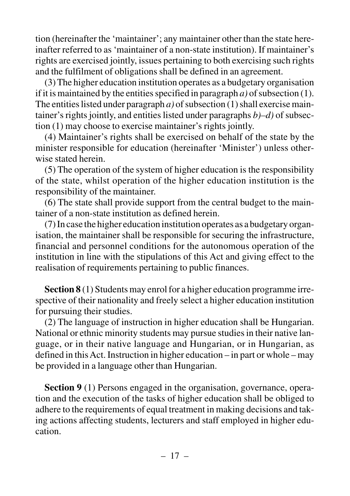tion (hereinafter the 'maintainer'; any maintainer other than the state hereinafter referred to as 'maintainer of a non-state institution). If maintainer's rights are exercised jointly, issues pertaining to both exercising such rights and the fulfilment of obligations shall be defined in an agreement.

(3) The higher education institution operates as a budgetary organisation if it is maintained by the entities specified in paragraph  $a$ ) of subsection (1). The entities listed under paragraph *a)* of subsection (1) shall exercise maintainer's rights jointly, and entities listed under paragraphs *b)–d)* of subsection (1) may choose to exercise maintainer's rights jointly.

(4) Maintainer's rights shall be exercised on behalf of the state by the minister responsible for education (hereinafter 'Minister') unless otherwise stated herein.

(5) The operation of the system of higher education is the responsibility of the state, whilst operation of the higher education institution is the responsibility of the maintainer.

(6) The state shall provide support from the central budget to the maintainer of a non-state institution as defined herein.

(7) In case the higher education institution operates as a budgetary organisation, the maintainer shall be responsible for securing the infrastructure, financial and personnel conditions for the autonomous operation of the institution in line with the stipulations of this Act and giving effect to the realisation of requirements pertaining to public finances.

**Section 8** (1) Students may enrol for a higher education programme irrespective of their nationality and freely select a higher education institution for pursuing their studies.

(2) The language of instruction in higher education shall be Hungarian. National or ethnic minority students may pursue studies in their native language, or in their native language and Hungarian, or in Hungarian, as defined in this Act. Instruction in higher education – in part or whole – may be provided in a language other than Hungarian.

**Section 9** (1) Persons engaged in the organisation, governance, operation and the execution of the tasks of higher education shall be obliged to adhere to the requirements of equal treatment in making decisions and taking actions affecting students, lecturers and staff employed in higher education.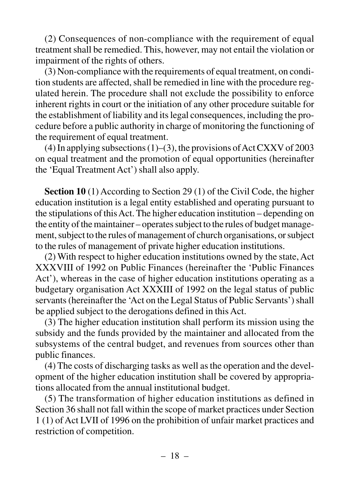(2) Consequences of non-compliance with the requirement of equal treatment shall be remedied. This, however, may not entail the violation or impairment of the rights of others.

(3) Non-compliance with the requirements of equal treatment, on condition students are affected, shall be remedied in line with the procedure regulated herein. The procedure shall not exclude the possibility to enforce inherent rights in court or the initiation of any other procedure suitable for the establishment of liability and its legal consequences, including the procedure before a public authority in charge of monitoring the functioning of the requirement of equal treatment.

(4) In applying subsections  $(1)$ – $(3)$ , the provisions of Act CXXV of 2003 on equal treatment and the promotion of equal opportunities (hereinafter the 'Equal Treatment Act') shall also apply.

**Section 10** (1) According to Section 29 (1) of the Civil Code, the higher education institution is a legal entity established and operating pursuant to the stipulations of this Act. The higher education institution – depending on the entity of the maintainer – operates subject to the rules of budget management, subject to the rules of management of church organisations, or subject to the rules of management of private higher education institutions.

(2) With respect to higher education institutions owned by the state, Act XXXVIII of 1992 on Public Finances (hereinafter the 'Public Finances Act'), whereas in the case of higher education institutions operating as a budgetary organisation Act XXXIII of 1992 on the legal status of public servants (hereinafter the 'Act on the Legal Status of Public Servants') shall be applied subject to the derogations defined in this Act.

(3) The higher education institution shall perform its mission using the subsidy and the funds provided by the maintainer and allocated from the subsystems of the central budget, and revenues from sources other than public finances.

(4) The costs of discharging tasks as well as the operation and the development of the higher education institution shall be covered by appropriations allocated from the annual institutional budget.

(5) The transformation of higher education institutions as defined in Section 36 shall not fall within the scope of market practices under Section 1 (1) of Act LVII of 1996 on the prohibition of unfair market practices and restriction of competition.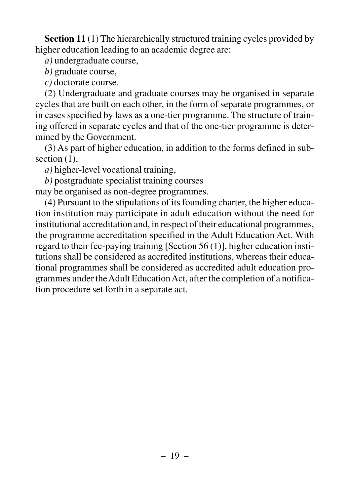**Section 11** (1) The hierarchically structured training cycles provided by higher education leading to an academic degree are:

*a)* undergraduate course,

*b)* graduate course,

*c)* doctorate course.

(2) Undergraduate and graduate courses may be organised in separate cycles that are built on each other, in the form of separate programmes, or in cases specified by laws as a one-tier programme. The structure of training offered in separate cycles and that of the one-tier programme is determined by the Government.

(3) As part of higher education, in addition to the forms defined in subsection  $(1)$ ,

*a)* higher-level vocational training,

*b)* postgraduate specialist training courses

may be organised as non-degree programmes.

(4) Pursuant to the stipulations of its founding charter, the higher education institution may participate in adult education without the need for institutional accreditation and, in respect of their educational programmes, the programme accreditation specified in the Adult Education Act. With regard to their fee-paying training [Section 56 (1)], higher education institutions shall be considered as accredited institutions, whereas their educational programmes shall be considered as accredited adult education programmes under the Adult Education Act, after the completion of a notification procedure set forth in a separate act.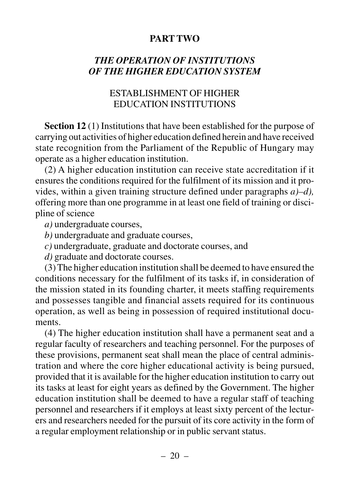#### **PART TWO**

#### *THE OPERATION OF INSTITUTIONS OF THE HIGHER EDUCATION SYSTEM*

#### ESTABLISHMENT OF HIGHER EDUCATION INSTITUTIONS

**Section 12** (1) Institutions that have been established for the purpose of carrying out activities of higher education defined herein and have received state recognition from the Parliament of the Republic of Hungary may operate as a higher education institution.

(2) A higher education institution can receive state accreditation if it ensures the conditions required for the fulfilment of its mission and it provides, within a given training structure defined under paragraphs *a)–d),* offering more than one programme in at least one field of training or discipline of science

*a)* undergraduate courses,

*b)* undergraduate and graduate courses,

*c)* undergraduate, graduate and doctorate courses, and

*d)* graduate and doctorate courses.

(3) The higher education institution shall be deemed to have ensured the conditions necessary for the fulfilment of its tasks if, in consideration of the mission stated in its founding charter, it meets staffing requirements and possesses tangible and financial assets required for its continuous operation, as well as being in possession of required institutional documents.

(4) The higher education institution shall have a permanent seat and a regular faculty of researchers and teaching personnel. For the purposes of these provisions, permanent seat shall mean the place of central administration and where the core higher educational activity is being pursued, provided that it is available for the higher education institution to carry out its tasks at least for eight years as defined by the Government. The higher education institution shall be deemed to have a regular staff of teaching personnel and researchers if it employs at least sixty percent of the lecturers and researchers needed for the pursuit of its core activity in the form of a regular employment relationship or in public servant status.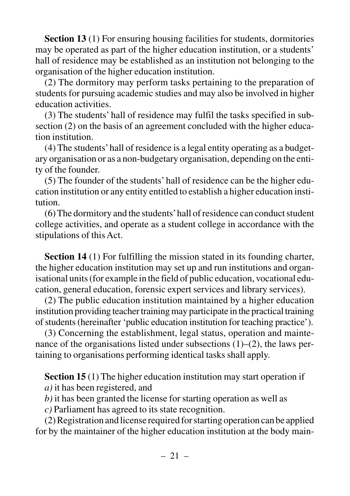**Section 13** (1) For ensuring housing facilities for students, dormitories may be operated as part of the higher education institution, or a students' hall of residence may be established as an institution not belonging to the organisation of the higher education institution.

(2) The dormitory may perform tasks pertaining to the preparation of students for pursuing academic studies and may also be involved in higher education activities.

(3) The students' hall of residence may fulfil the tasks specified in subsection (2) on the basis of an agreement concluded with the higher education institution.

(4) The students'hall of residence is a legal entity operating as a budgetary organisation or as a non-budgetary organisation, depending on the entity of the founder.

(5) The founder of the students' hall of residence can be the higher education institution or any entity entitled to establish a higher education institution.

(6) The dormitory and the students'hall of residence can conduct student college activities, and operate as a student college in accordance with the stipulations of this Act.

**Section 14** (1) For fulfilling the mission stated in its founding charter, the higher education institution may set up and run institutions and organisational units (for example in the field of public education, vocational education, general education, forensic expert services and library services).

(2) The public education institution maintained by a higher education institution providing teacher training may participate in the practical training of students (hereinafter 'public education institution for teaching practice').

(3) Concerning the establishment, legal status, operation and maintenance of the organisations listed under subsections  $(1)$ – $(2)$ , the laws pertaining to organisations performing identical tasks shall apply.

**Section 15** (1) The higher education institution may start operation if *a)* it has been registered, and

*b)* it has been granted the license for starting operation as well as

*c)* Parliament has agreed to its state recognition.

(2) Registration and license required for starting operation can be applied for by the maintainer of the higher education institution at the body main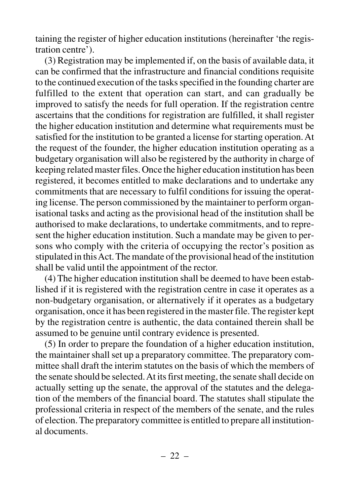taining the register of higher education institutions (hereinafter 'the registration centre').

(3) Registration may be implemented if, on the basis of available data, it can be confirmed that the infrastructure and financial conditions requisite to the continued execution of the tasks specified in the founding charter are fulfilled to the extent that operation can start, and can gradually be improved to satisfy the needs for full operation. If the registration centre ascertains that the conditions for registration are fulfilled, it shall register the higher education institution and determine what requirements must be satisfied for the institution to be granted a license for starting operation. At the request of the founder, the higher education institution operating as a budgetary organisation will also be registered by the authority in charge of keeping related master files. Once the higher education institution has been registered, it becomes entitled to make declarations and to undertake any commitments that are necessary to fulfil conditions for issuing the operating license. The person commissioned by the maintainer to perform organisational tasks and acting as the provisional head of the institution shall be authorised to make declarations, to undertake commitments, and to represent the higher education institution. Such a mandate may be given to persons who comply with the criteria of occupying the rector's position as stipulated in this Act. The mandate of the provisional head of the institution shall be valid until the appointment of the rector.

(4) The higher education institution shall be deemed to have been established if it is registered with the registration centre in case it operates as a non-budgetary organisation, or alternatively if it operates as a budgetary organisation, once it has been registered in the master file. The register kept by the registration centre is authentic, the data contained therein shall be assumed to be genuine until contrary evidence is presented.

(5) In order to prepare the foundation of a higher education institution, the maintainer shall set up a preparatory committee. The preparatory committee shall draft the interim statutes on the basis of which the members of the senate should be selected. At its first meeting, the senate shall decide on actually setting up the senate, the approval of the statutes and the delegation of the members of the financial board. The statutes shall stipulate the professional criteria in respect of the members of the senate, and the rules of election. The preparatory committee is entitled to prepare all institutional documents.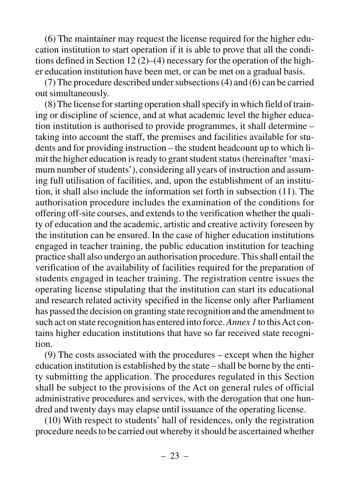(6) The maintainer may request the license required for the higher education institution to start operation if it is able to prove that all the conditions defined in Section 12 (2)–(4) necessary for the operation of the higher education institution have been met, or can be met on a gradual basis.

(7) The procedure described under subsections (4) and (6) can be carried out simultaneously.

(8) The license for starting operation shall specify in which field of training or discipline of science, and at what academic level the higher education institution is authorised to provide programmes, it shall determine – taking into account the staff, the premises and facilities available for students and for providing instruction – the student headcount up to which limit the higher education is ready to grant student status (hereinafter 'maximum number of students'), considering all years of instruction and assuming full utilisation of facilities, and, upon the establishment of an institution, it shall also include the information set forth in subsection (11). The authorisation procedure includes the examination of the conditions for offering off-site courses, and extends to the verification whether the quality of education and the academic, artistic and creative activity foreseen by the institution can be ensured. In the case of higher education institutions engaged in teacher training, the public education institution for teaching practice shall also undergo an authorisation procedure. This shall entail the verification of the availability of facilities required for the preparation of students engaged in teacher training. The registration centre issues the operating license stipulating that the institution can start its educational and research related activity specified in the license only after Parliament has passed the decision on granting state recognition and the amendment to such act on state recognition has entered into force. *Annex 1* to this Act contains higher education institutions that have so far received state recognition.

(9) The costs associated with the procedures – except when the higher education institution is established by the state – shall be borne by the entity submitting the application. The procedures regulated in this Section shall be subject to the provisions of the Act on general rules of official administrative procedures and services, with the derogation that one hundred and twenty days may elapse until issuance of the operating license.

(10) With respect to students' hall of residences, only the registration procedure needs to be carried out whereby it should be ascertained whether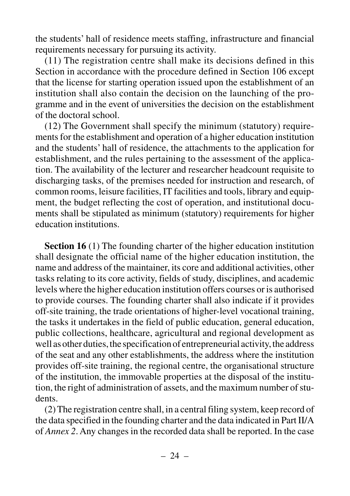the students' hall of residence meets staffing, infrastructure and financial requirements necessary for pursuing its activity.

(11) The registration centre shall make its decisions defined in this Section in accordance with the procedure defined in Section 106 except that the license for starting operation issued upon the establishment of an institution shall also contain the decision on the launching of the programme and in the event of universities the decision on the establishment of the doctoral school.

(12) The Government shall specify the minimum (statutory) requirements for the establishment and operation of a higher education institution and the students' hall of residence, the attachments to the application for establishment, and the rules pertaining to the assessment of the application. The availability of the lecturer and researcher headcount requisite to discharging tasks, of the premises needed for instruction and research, of common rooms, leisure facilities, IT facilities and tools, library and equipment, the budget reflecting the cost of operation, and institutional documents shall be stipulated as minimum (statutory) requirements for higher education institutions.

**Section 16** (1) The founding charter of the higher education institution shall designate the official name of the higher education institution, the name and address of the maintainer, its core and additional activities, other tasks relating to its core activity, fields of study, disciplines, and academic levels where the higher education institution offers courses or is authorised to provide courses. The founding charter shall also indicate if it provides off-site training, the trade orientations of higher-level vocational training, the tasks it undertakes in the field of public education, general education, public collections, healthcare, agricultural and regional development as well as other duties, the specification of entrepreneurial activity, the address of the seat and any other establishments, the address where the institution provides off-site training, the regional centre, the organisational structure of the institution, the immovable properties at the disposal of the institution, the right of administration of assets, and the maximum number of students.

(2) The registration centre shall, in a central filing system, keep record of the data specified in the founding charter and the data indicated in Part II/A of *Annex 2*. Any changes in the recorded data shall be reported. In the case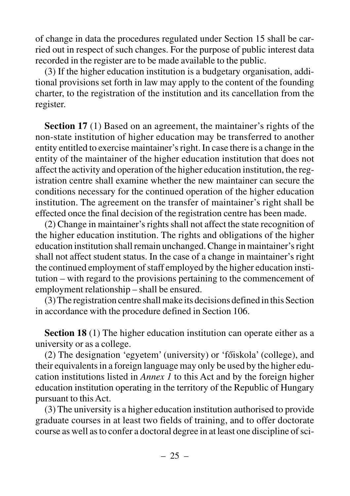of change in data the procedures regulated under Section 15 shall be carried out in respect of such changes. For the purpose of public interest data recorded in the register are to be made available to the public.

(3) If the higher education institution is a budgetary organisation, additional provisions set forth in law may apply to the content of the founding charter, to the registration of the institution and its cancellation from the register.

**Section 17** (1) Based on an agreement, the maintainer's rights of the non-state institution of higher education may be transferred to another entity entitled to exercise maintainer's right. In case there is a change in the entity of the maintainer of the higher education institution that does not affect the activity and operation of the higher education institution, the registration centre shall examine whether the new maintainer can secure the conditions necessary for the continued operation of the higher education institution. The agreement on the transfer of maintainer's right shall be effected once the final decision of the registration centre has been made.

(2) Change in maintainer's rights shall not affect the state recognition of the higher education institution. The rights and obligations of the higher education institution shall remain unchanged. Change in maintainer's right shall not affect student status. In the case of a change in maintainer's right the continued employment of staff employed by the higher education institution – with regard to the provisions pertaining to the commencement of employment relationship – shall be ensured.

(3) The registration centre shall make its decisions defined in this Section in accordance with the procedure defined in Section 106.

**Section 18** (1) The higher education institution can operate either as a university or as a college.

(2) The designation 'egyetem' (university) or 'fõiskola' (college), and their equivalents in a foreign language may only be used by the higher education institutions listed in *Annex 1* to this Act and by the foreign higher education institution operating in the territory of the Republic of Hungary pursuant to this Act.

(3) The university is a higher education institution authorised to provide graduate courses in at least two fields of training, and to offer doctorate course as well as to confer a doctoral degree in at least one discipline of sci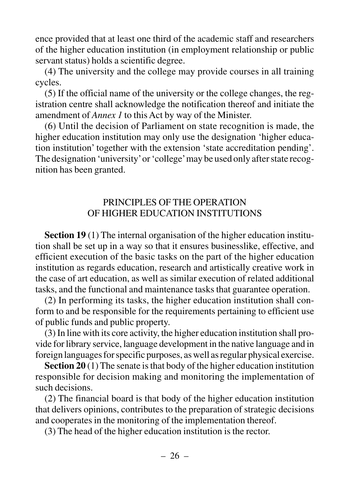ence provided that at least one third of the academic staff and researchers of the higher education institution (in employment relationship or public servant status) holds a scientific degree.

(4) The university and the college may provide courses in all training cycles.

(5) If the official name of the university or the college changes, the registration centre shall acknowledge the notification thereof and initiate the amendment of *Annex 1* to this Act by way of the Minister.

(6) Until the decision of Parliament on state recognition is made, the higher education institution may only use the designation 'higher education institution' together with the extension 'state accreditation pending'. The designation 'university'or 'college'may be used only after state recognition has been granted.

#### PRINCIPLES OF THE OPERATION OF HIGHER EDUCATION INSTITUTIONS

**Section 19** (1) The internal organisation of the higher education institution shall be set up in a way so that it ensures businesslike, effective, and efficient execution of the basic tasks on the part of the higher education institution as regards education, research and artistically creative work in the case of art education, as well as similar execution of related additional tasks, and the functional and maintenance tasks that guarantee operation.

(2) In performing its tasks, the higher education institution shall conform to and be responsible for the requirements pertaining to efficient use of public funds and public property.

(3) In line with its core activity, the higher education institution shall provide for library service, language development in the native language and in foreign languages for specific purposes, as well as regular physical exercise.

**Section 20** (1) The senate is that body of the higher education institution responsible for decision making and monitoring the implementation of such decisions.

(2) The financial board is that body of the higher education institution that delivers opinions, contributes to the preparation of strategic decisions and cooperates in the monitoring of the implementation thereof.

(3) The head of the higher education institution is the rector.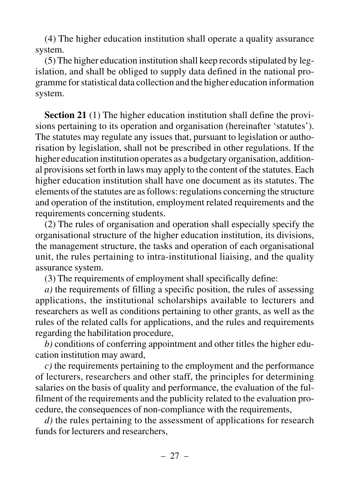(4) The higher education institution shall operate a quality assurance system.

(5) The higher education institution shall keep records stipulated by legislation, and shall be obliged to supply data defined in the national programme for statistical data collection and the higher education information system.

**Section 21** (1) The higher education institution shall define the provisions pertaining to its operation and organisation (hereinafter 'statutes'). The statutes may regulate any issues that, pursuant to legislation or authorisation by legislation, shall not be prescribed in other regulations. If the higher education institution operates as a budgetary organisation, additional provisions set forth in laws may apply to the content of the statutes. Each higher education institution shall have one document as its statutes. The elements of the statutes are as follows: regulations concerning the structure and operation of the institution, employment related requirements and the requirements concerning students.

(2) The rules of organisation and operation shall especially specify the organisational structure of the higher education institution, its divisions, the management structure, the tasks and operation of each organisational unit, the rules pertaining to intra-institutional liaising, and the quality assurance system.

(3) The requirements of employment shall specifically define:

*a)* the requirements of filling a specific position, the rules of assessing applications, the institutional scholarships available to lecturers and researchers as well as conditions pertaining to other grants, as well as the rules of the related calls for applications, and the rules and requirements regarding the habilitation procedure,

*b)* conditions of conferring appointment and other titles the higher education institution may award,

*c)* the requirements pertaining to the employment and the performance of lecturers, researchers and other staff, the principles for determining salaries on the basis of quality and performance, the evaluation of the fulfilment of the requirements and the publicity related to the evaluation procedure, the consequences of non-compliance with the requirements,

*d)* the rules pertaining to the assessment of applications for research funds for lecturers and researchers,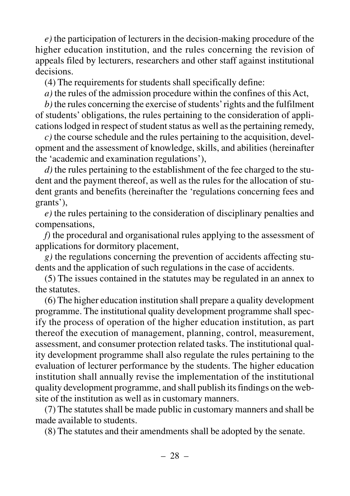*e)* the participation of lecturers in the decision-making procedure of the higher education institution, and the rules concerning the revision of appeals filed by lecturers, researchers and other staff against institutional decisions.

(4) The requirements for students shall specifically define:

*a)* the rules of the admission procedure within the confines of this Act,

*b)* the rules concerning the exercise of students'rights and the fulfilment of students' obligations, the rules pertaining to the consideration of applications lodged in respect of student status as well as the pertaining remedy,

*c)* the course schedule and the rules pertaining to the acquisition, development and the assessment of knowledge, skills, and abilities (hereinafter the 'academic and examination regulations'),

*d)* the rules pertaining to the establishment of the fee charged to the student and the payment thereof, as well as the rules for the allocation of student grants and benefits (hereinafter the 'regulations concerning fees and grants'),

*e)* the rules pertaining to the consideration of disciplinary penalties and compensations,

*f)* the procedural and organisational rules applying to the assessment of applications for dormitory placement,

*g)* the regulations concerning the prevention of accidents affecting students and the application of such regulations in the case of accidents.

(5) The issues contained in the statutes may be regulated in an annex to the statutes.

(6) The higher education institution shall prepare a quality development programme. The institutional quality development programme shall specify the process of operation of the higher education institution, as part thereof the execution of management, planning, control, measurement, assessment, and consumer protection related tasks. The institutional quality development programme shall also regulate the rules pertaining to the evaluation of lecturer performance by the students. The higher education institution shall annually revise the implementation of the institutional quality development programme, and shall publish its findings on the website of the institution as well as in customary manners.

(7) The statutes shall be made public in customary manners and shall be made available to students.

(8) The statutes and their amendments shall be adopted by the senate.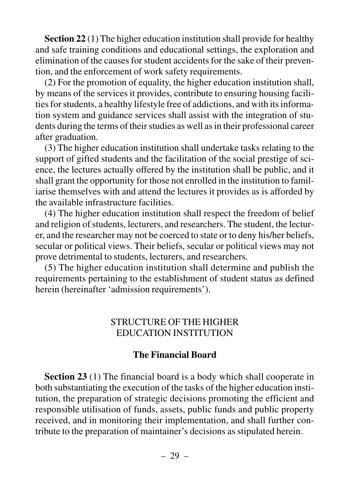**Section 22** (1) The higher education institution shall provide for healthy and safe training conditions and educational settings, the exploration and elimination of the causes for student accidents for the sake of their prevention, and the enforcement of work safety requirements.

(2) For the promotion of equality, the higher education institution shall, by means of the services it provides, contribute to ensuring housing facilities for students, a healthy lifestyle free of addictions, and with its information system and guidance services shall assist with the integration of students during the terms of their studies as well as in their professional career after graduation.

(3) The higher education institution shall undertake tasks relating to the support of gifted students and the facilitation of the social prestige of science, the lectures actually offered by the institution shall be public, and it shall grant the opportunity for those not enrolled in the institution to familiarise themselves with and attend the lectures it provides as is afforded by the available infrastructure facilities.

(4) The higher education institution shall respect the freedom of belief and religion of students, lecturers, and researchers. The student, the lecturer, and the researcher may not be coerced to state or to deny his/her beliefs, secular or political views. Their beliefs, secular or political views may not prove detrimental to students, lecturers, and researchers.

(5) The higher education institution shall determine and publish the requirements pertaining to the establishment of student status as defined herein (hereinafter 'admission requirements').

#### STRUCTURE OF THE HIGHER EDUCATION INSTITUTION

#### **The Financial Board**

**Section 23** (1) The financial board is a body which shall cooperate in both substantiating the execution of the tasks of the higher education institution, the preparation of strategic decisions promoting the efficient and responsible utilisation of funds, assets, public funds and public property received, and in monitoring their implementation, and shall further contribute to the preparation of maintainer's decisions as stipulated herein.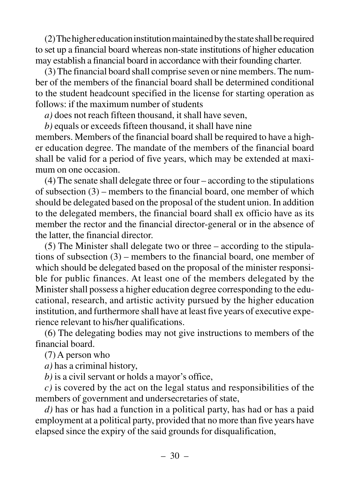(2) The higher education institution maintained by the state shall be required to set up a financial board whereas non-state institutions of higher education may establish a financial board in accordance with their founding charter.

(3) The financial board shall comprise seven or nine members. The number of the members of the financial board shall be determined conditional to the student headcount specified in the license for starting operation as follows: if the maximum number of students

*a)* does not reach fifteen thousand, it shall have seven,

*b)* equals or exceeds fifteen thousand, it shall have nine members. Members of the financial board shall be required to have a higher education degree. The mandate of the members of the financial board shall be valid for a period of five years, which may be extended at maximum on one occasion.

(4) The senate shall delegate three or four – according to the stipulations of subsection (3) – members to the financial board, one member of which should be delegated based on the proposal of the student union. In addition to the delegated members, the financial board shall ex officio have as its member the rector and the financial director-general or in the absence of the latter, the financial director.

(5) The Minister shall delegate two or three – according to the stipulations of subsection (3) – members to the financial board, one member of which should be delegated based on the proposal of the minister responsible for public finances. At least one of the members delegated by the Minister shall possess a higher education degree corresponding to the educational, research, and artistic activity pursued by the higher education institution, and furthermore shall have at least five years of executive experience relevant to his/her qualifications.

(6) The delegating bodies may not give instructions to members of the financial board.

(7) A person who

*a)* has a criminal history,

*b)* is a civil servant or holds a mayor's office,

*c)* is covered by the act on the legal status and responsibilities of the members of government and undersecretaries of state,

*d)* has or has had a function in a political party, has had or has a paid employment at a political party, provided that no more than five years have elapsed since the expiry of the said grounds for disqualification,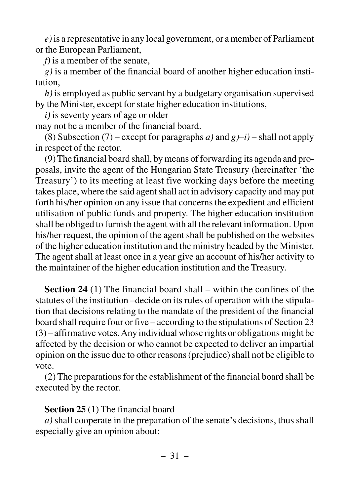*e)*is a representative in any local government, or a member of Parliament or the European Parliament,

*f)* is a member of the senate,

*g)* is a member of the financial board of another higher education institution,

*h)* is employed as public servant by a budgetary organisation supervised by the Minister, except for state higher education institutions,

*i)* is seventy years of age or older

may not be a member of the financial board.

(8) Subsection (7) – except for paragraphs *a*) and  $g$ )–*i*) – shall not apply in respect of the rector.

(9) The financial board shall, by means of forwarding its agenda and proposals, invite the agent of the Hungarian State Treasury (hereinafter 'the Treasury') to its meeting at least five working days before the meeting takes place, where the said agent shall act in advisory capacity and may put forth his/her opinion on any issue that concerns the expedient and efficient utilisation of public funds and property. The higher education institution shall be obliged to furnish the agent with all the relevant information. Upon his/her request, the opinion of the agent shall be published on the websites of the higher education institution and the ministry headed by the Minister. The agent shall at least once in a year give an account of his/her activity to the maintainer of the higher education institution and the Treasury.

**Section 24** (1) The financial board shall – within the confines of the statutes of the institution –decide on its rules of operation with the stipulation that decisions relating to the mandate of the president of the financial board shall require four or five – according to the stipulations of Section 23 (3) – affirmative votes. Any individual whose rights or obligations might be affected by the decision or who cannot be expected to deliver an impartial opinion on the issue due to other reasons (prejudice) shall not be eligible to vote.

(2) The preparations for the establishment of the financial board shall be executed by the rector.

#### **Section 25** (1) The financial board

*a)* shall cooperate in the preparation of the senate's decisions, thus shall especially give an opinion about: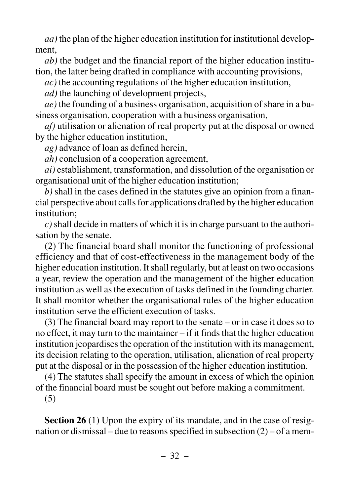*aa)* the plan of the higher education institution for institutional development,

*ab)* the budget and the financial report of the higher education institution, the latter being drafted in compliance with accounting provisions,

*ac)* the accounting regulations of the higher education institution,

*ad)* the launching of development projects,

*ae)* the founding of a business organisation, acquisition of share in a business organisation, cooperation with a business organisation,

*af)* utilisation or alienation of real property put at the disposal or owned by the higher education institution,

*ag)* advance of loan as defined herein,

*ah)* conclusion of a cooperation agreement,

*ai)* establishment, transformation, and dissolution of the organisation or organisational unit of the higher education institution;

*b)* shall in the cases defined in the statutes give an opinion from a financial perspective about calls for applications drafted by the higher education institution;

*c)*shall decide in matters of which it is in charge pursuant to the authorisation by the senate.

(2) The financial board shall monitor the functioning of professional efficiency and that of cost-effectiveness in the management body of the higher education institution. It shall regularly, but at least on two occasions a year, review the operation and the management of the higher education institution as well as the execution of tasks defined in the founding charter. It shall monitor whether the organisational rules of the higher education institution serve the efficient execution of tasks.

(3) The financial board may report to the senate – or in case it does so to no effect, it may turn to the maintainer – if it finds that the higher education institution jeopardises the operation of the institution with its management, its decision relating to the operation, utilisation, alienation of real property put at the disposal or in the possession of the higher education institution.

(4) The statutes shall specify the amount in excess of which the opinion of the financial board must be sought out before making a commitment.

(5)

**Section 26** (1) Upon the expiry of its mandate, and in the case of resignation or dismissal – due to reasons specified in subsection (2) – of a mem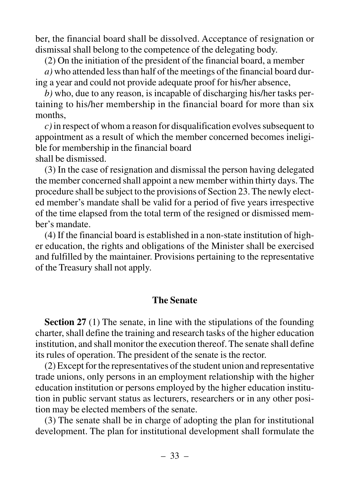ber, the financial board shall be dissolved. Acceptance of resignation or dismissal shall belong to the competence of the delegating body.

(2) On the initiation of the president of the financial board, a member

*a)* who attended less than half of the meetings of the financial board during a year and could not provide adequate proof for his/her absence,

*b)* who, due to any reason, is incapable of discharging his/her tasks pertaining to his/her membership in the financial board for more than six months,

*c)*in respect of whom a reason for disqualification evolves subsequent to appointment as a result of which the member concerned becomes ineligible for membership in the financial board shall be dismissed.

(3) In the case of resignation and dismissal the person having delegated the member concerned shall appoint a new member within thirty days. The procedure shall be subject to the provisions of Section 23. The newly elected member's mandate shall be valid for a period of five years irrespective of the time elapsed from the total term of the resigned or dismissed member's mandate.

(4) If the financial board is established in a non-state institution of higher education, the rights and obligations of the Minister shall be exercised and fulfilled by the maintainer. Provisions pertaining to the representative of the Treasury shall not apply.

#### **The Senate**

**Section 27** (1) The senate, in line with the stipulations of the founding charter, shall define the training and research tasks of the higher education institution, and shall monitor the execution thereof. The senate shall define its rules of operation. The president of the senate is the rector.

(2) Except for the representatives of the student union and representative trade unions, only persons in an employment relationship with the higher education institution or persons employed by the higher education institution in public servant status as lecturers, researchers or in any other position may be elected members of the senate.

(3) The senate shall be in charge of adopting the plan for institutional development. The plan for institutional development shall formulate the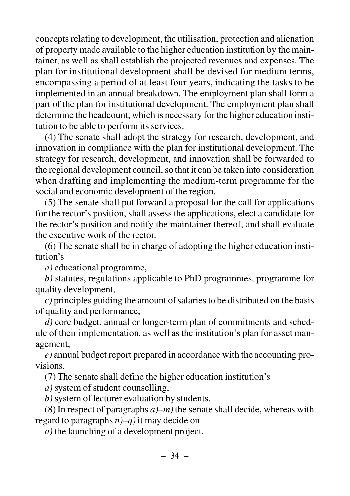concepts relating to development, the utilisation, protection and alienation of property made available to the higher education institution by the maintainer, as well as shall establish the projected revenues and expenses. The plan for institutional development shall be devised for medium terms, encompassing a period of at least four years, indicating the tasks to be implemented in an annual breakdown. The employment plan shall form a part of the plan for institutional development. The employment plan shall determine the headcount, which is necessary for the higher education institution to be able to perform its services.

(4) The senate shall adopt the strategy for research, development, and innovation in compliance with the plan for institutional development. The strategy for research, development, and innovation shall be forwarded to the regional development council, so that it can be taken into consideration when drafting and implementing the medium-term programme for the social and economic development of the region.

(5) The senate shall put forward a proposal for the call for applications for the rector's position, shall assess the applications, elect a candidate for the rector's position and notify the maintainer thereof, and shall evaluate the executive work of the rector.

(6) The senate shall be in charge of adopting the higher education institution's

*a)* educational programme,

*b)* statutes, regulations applicable to PhD programmes, programme for quality development,

*c)* principles guiding the amount of salaries to be distributed on the basis of quality and performance,

*d)* core budget, annual or longer-term plan of commitments and schedule of their implementation, as well as the institution's plan for asset management,

*e)* annual budget report prepared in accordance with the accounting provisions.

(7) The senate shall define the higher education institution's

*a)* system of student counselling,

*b)* system of lecturer evaluation by students.

(8) In respect of paragraphs *a)–m)* the senate shall decide, whereas with regard to paragraphs *n)–q)* it may decide on

*a)* the launching of a development project,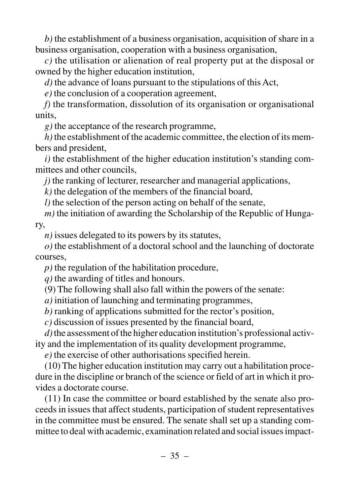*b)* the establishment of a business organisation, acquisition of share in a business organisation, cooperation with a business organisation,

*c)* the utilisation or alienation of real property put at the disposal or owned by the higher education institution,

*d)* the advance of loans pursuant to the stipulations of this Act,

*e)* the conclusion of a cooperation agreement,

*f)* the transformation, dissolution of its organisation or organisational units,

*g)* the acceptance of the research programme,

*h)*the establishment of the academic committee, the election of its members and president,

*i)* the establishment of the higher education institution's standing committees and other councils,

*j*) the ranking of lecturer, researcher and managerial applications,

*k)* the delegation of the members of the financial board,

*l)* the selection of the person acting on behalf of the senate,

*m)* the initiation of awarding the Scholarship of the Republic of Hungary,

*n)* issues delegated to its powers by its statutes,

*o)* the establishment of a doctoral school and the launching of doctorate courses,

*p)* the regulation of the habilitation procedure,

*q)* the awarding of titles and honours.

(9) The following shall also fall within the powers of the senate:

*a)* initiation of launching and terminating programmes,

*b)* ranking of applications submitted for the rector's position,

*c)* discussion of issues presented by the financial board,

*d)*the assessment of the higher education institution's professional activity and the implementation of its quality development programme,

*e)* the exercise of other authorisations specified herein.

(10) The higher education institution may carry out a habilitation procedure in the discipline or branch of the science or field of art in which it provides a doctorate course.

(11) In case the committee or board established by the senate also proceeds in issues that affect students, participation of student representatives in the committee must be ensured. The senate shall set up a standing committee to deal with academic, examination related and social issues impact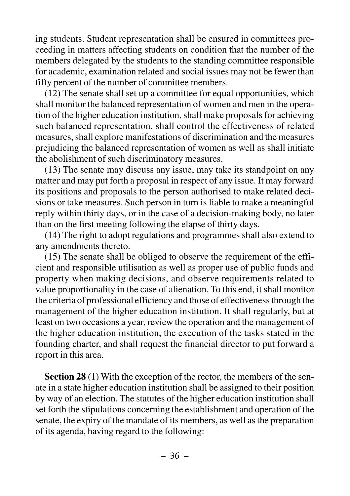ing students. Student representation shall be ensured in committees proceeding in matters affecting students on condition that the number of the members delegated by the students to the standing committee responsible for academic, examination related and social issues may not be fewer than fifty percent of the number of committee members.

(12) The senate shall set up a committee for equal opportunities, which shall monitor the balanced representation of women and men in the operation of the higher education institution, shall make proposals for achieving such balanced representation, shall control the effectiveness of related measures, shall explore manifestations of discrimination and the measures prejudicing the balanced representation of women as well as shall initiate the abolishment of such discriminatory measures.

(13) The senate may discuss any issue, may take its standpoint on any matter and may put forth a proposal in respect of any issue. It may forward its positions and proposals to the person authorised to make related decisions or take measures. Such person in turn is liable to make a meaningful reply within thirty days, or in the case of a decision-making body, no later than on the first meeting following the elapse of thirty days.

(14) The right to adopt regulations and programmes shall also extend to any amendments thereto.

(15) The senate shall be obliged to observe the requirement of the efficient and responsible utilisation as well as proper use of public funds and property when making decisions, and observe requirements related to value proportionality in the case of alienation. To this end, it shall monitor the criteria of professional efficiency and those of effectiveness through the management of the higher education institution. It shall regularly, but at least on two occasions a year, review the operation and the management of the higher education institution, the execution of the tasks stated in the founding charter, and shall request the financial director to put forward a report in this area.

**Section 28** (1) With the exception of the rector, the members of the senate in a state higher education institution shall be assigned to their position by way of an election. The statutes of the higher education institution shall set forth the stipulations concerning the establishment and operation of the senate, the expiry of the mandate of its members, as well as the preparation of its agenda, having regard to the following: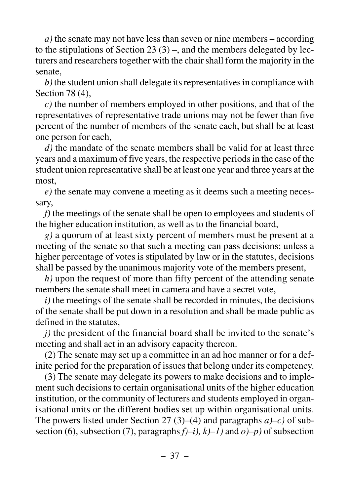*a)* the senate may not have less than seven or nine members – according to the stipulations of Section 23  $(3)$  –, and the members delegated by lecturers and researchers together with the chair shall form the majority in the senate,

*b)*the student union shall delegate its representatives in compliance with Section 78 (4),

*c)* the number of members employed in other positions, and that of the representatives of representative trade unions may not be fewer than five percent of the number of members of the senate each, but shall be at least one person for each,

*d)* the mandate of the senate members shall be valid for at least three years and a maximum of five years, the respective periods in the case of the student union representative shall be at least one year and three years at the most,

*e)* the senate may convene a meeting as it deems such a meeting necessary,

*f)* the meetings of the senate shall be open to employees and students of the higher education institution, as well as to the financial board,

*g)* a quorum of at least sixty percent of members must be present at a meeting of the senate so that such a meeting can pass decisions; unless a higher percentage of votes is stipulated by law or in the statutes, decisions shall be passed by the unanimous majority vote of the members present,

*h)* upon the request of more than fifty percent of the attending senate members the senate shall meet in camera and have a secret vote,

*i)* the meetings of the senate shall be recorded in minutes, the decisions of the senate shall be put down in a resolution and shall be made public as defined in the statutes,

*j*) the president of the financial board shall be invited to the senate's meeting and shall act in an advisory capacity thereon.

(2) The senate may set up a committee in an ad hoc manner or for a definite period for the preparation of issues that belong under its competency.

(3) The senate may delegate its powers to make decisions and to implement such decisions to certain organisational units of the higher education institution, or the community of lecturers and students employed in organisational units or the different bodies set up within organisational units. The powers listed under Section 27 (3)–(4) and paragraphs *a)–c)* of subsection (6), subsection (7), paragraphs  $f$  $\rightarrow$ *i*),  $k$  $\rightarrow$ *l*) and  $o$  $\rightarrow$ *p*) of subsection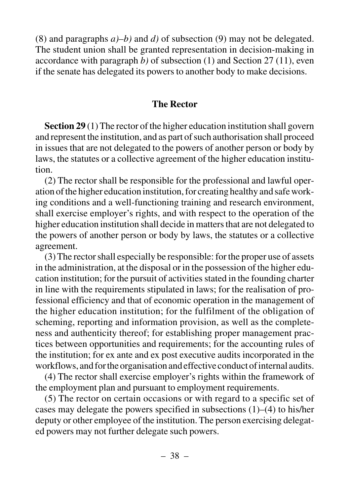(8) and paragraphs *a)–b)* and *d)* of subsection (9) may not be delegated. The student union shall be granted representation in decision-making in accordance with paragraph *b)* of subsection (1) and Section 27 (11), even if the senate has delegated its powers to another body to make decisions.

#### **The Rector**

**Section 29** (1) The rector of the higher education institution shall govern and represent the institution, and as part of such authorisation shall proceed in issues that are not delegated to the powers of another person or body by laws, the statutes or a collective agreement of the higher education institution.

(2) The rector shall be responsible for the professional and lawful operation of the higher education institution, for creating healthy and safe working conditions and a well-functioning training and research environment, shall exercise employer's rights, and with respect to the operation of the higher education institution shall decide in matters that are not delegated to the powers of another person or body by laws, the statutes or a collective agreement.

(3) The rector shall especially be responsible: for the proper use of assets in the administration, at the disposal or in the possession of the higher education institution; for the pursuit of activities stated in the founding charter in line with the requirements stipulated in laws; for the realisation of professional efficiency and that of economic operation in the management of the higher education institution; for the fulfilment of the obligation of scheming, reporting and information provision, as well as the completeness and authenticity thereof; for establishing proper management practices between opportunities and requirements; for the accounting rules of the institution; for ex ante and ex post executive audits incorporated in the workflows, and for the organisation and effective conduct of internal audits.

(4) The rector shall exercise employer's rights within the framework of the employment plan and pursuant to employment requirements.

(5) The rector on certain occasions or with regard to a specific set of cases may delegate the powers specified in subsections (1)–(4) to his/her deputy or other employee of the institution. The person exercising delegated powers may not further delegate such powers.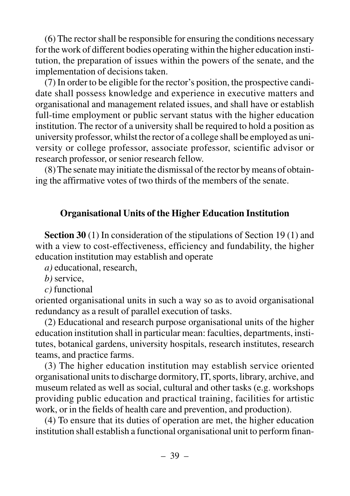(6) The rector shall be responsible for ensuring the conditions necessary for the work of different bodies operating within the higher education institution, the preparation of issues within the powers of the senate, and the implementation of decisions taken.

(7) In order to be eligible for the rector's position, the prospective candidate shall possess knowledge and experience in executive matters and organisational and management related issues, and shall have or establish full-time employment or public servant status with the higher education institution. The rector of a university shall be required to hold a position as university professor, whilst the rector of a college shall be employed as university or college professor, associate professor, scientific advisor or research professor, or senior research fellow.

(8) The senate may initiate the dismissal of the rector by means of obtaining the affirmative votes of two thirds of the members of the senate.

### **Organisational Units of the Higher Education Institution**

**Section 30** (1) In consideration of the stipulations of Section 19 (1) and with a view to cost-effectiveness, efficiency and fundability, the higher education institution may establish and operate

*a)* educational, research,

*b)* service,

*c)* functional

oriented organisational units in such a way so as to avoid organisational redundancy as a result of parallel execution of tasks.

(2) Educational and research purpose organisational units of the higher education institution shall in particular mean: faculties, departments, institutes, botanical gardens, university hospitals, research institutes, research teams, and practice farms.

(3) The higher education institution may establish service oriented organisational units to discharge dormitory, IT, sports, library, archive, and museum related as well as social, cultural and other tasks (e.g. workshops providing public education and practical training, facilities for artistic work, or in the fields of health care and prevention, and production).

(4) To ensure that its duties of operation are met, the higher education institution shall establish a functional organisational unit to perform finan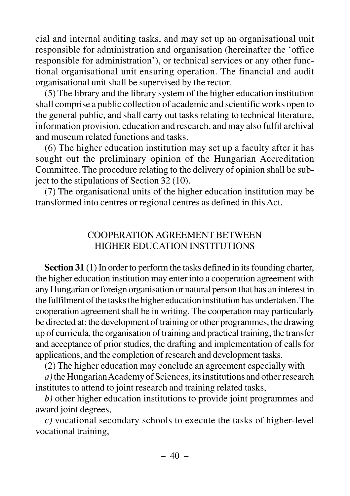cial and internal auditing tasks, and may set up an organisational unit responsible for administration and organisation (hereinafter the 'office responsible for administration'), or technical services or any other functional organisational unit ensuring operation. The financial and audit organisational unit shall be supervised by the rector.

(5) The library and the library system of the higher education institution shall comprise a public collection of academic and scientific works open to the general public, and shall carry out tasks relating to technical literature, information provision, education and research, and may also fulfil archival and museum related functions and tasks.

(6) The higher education institution may set up a faculty after it has sought out the preliminary opinion of the Hungarian Accreditation Committee. The procedure relating to the delivery of opinion shall be subject to the stipulations of Section 32 (10).

(7) The organisational units of the higher education institution may be transformed into centres or regional centres as defined in this Act.

# COOPERATION AGREEMENT BETWEEN HIGHER EDUCATION INSTITUTIONS

**Section 31** (1) In order to perform the tasks defined in its founding charter, the higher education institution may enter into a cooperation agreement with any Hungarian or foreign organisation or natural person that has an interest in the fulfilment of the tasks the higher education institution has undertaken. The cooperation agreement shall be in writing. The cooperation may particularly be directed at: the development of training or other programmes, the drawing up of curricula, the organisation of training and practical training, the transfer and acceptance of prior studies, the drafting and implementation of calls for applications, and the completion of research and development tasks.

(2) The higher education may conclude an agreement especially with

*a)*the Hungarian Academy of Sciences, its institutions and other research institutes to attend to joint research and training related tasks,

*b)* other higher education institutions to provide joint programmes and award joint degrees,

*c)* vocational secondary schools to execute the tasks of higher-level vocational training,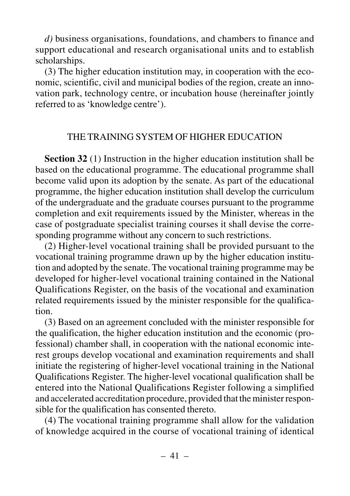*d)* business organisations, foundations, and chambers to finance and support educational and research organisational units and to establish scholarships.

(3) The higher education institution may, in cooperation with the economic, scientific, civil and municipal bodies of the region, create an innovation park, technology centre, or incubation house (hereinafter jointly referred to as 'knowledge centre').

### THE TRAINING SYSTEM OF HIGHER EDUCATION

**Section 32** (1) Instruction in the higher education institution shall be based on the educational programme. The educational programme shall become valid upon its adoption by the senate. As part of the educational programme, the higher education institution shall develop the curriculum of the undergraduate and the graduate courses pursuant to the programme completion and exit requirements issued by the Minister, whereas in the case of postgraduate specialist training courses it shall devise the corresponding programme without any concern to such restrictions.

(2) Higher-level vocational training shall be provided pursuant to the vocational training programme drawn up by the higher education institution and adopted by the senate. The vocational training programme may be developed for higher-level vocational training contained in the National Qualifications Register, on the basis of the vocational and examination related requirements issued by the minister responsible for the qualification.

(3) Based on an agreement concluded with the minister responsible for the qualification, the higher education institution and the economic (professional) chamber shall, in cooperation with the national economic interest groups develop vocational and examination requirements and shall initiate the registering of higher-level vocational training in the National Qualifications Register. The higher-level vocational qualification shall be entered into the National Qualifications Register following a simplified and accelerated accreditation procedure, provided that the minister responsible for the qualification has consented thereto.

(4) The vocational training programme shall allow for the validation of knowledge acquired in the course of vocational training of identical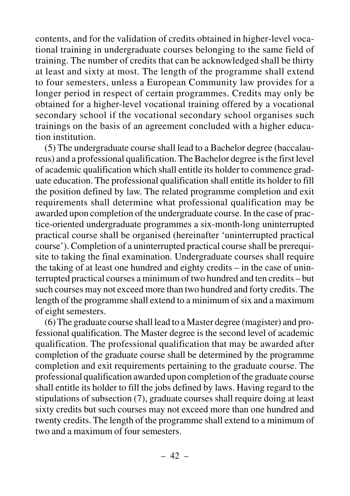contents, and for the validation of credits obtained in higher-level vocational training in undergraduate courses belonging to the same field of training. The number of credits that can be acknowledged shall be thirty at least and sixty at most. The length of the programme shall extend to four semesters, unless a European Community law provides for a longer period in respect of certain programmes. Credits may only be obtained for a higher-level vocational training offered by a vocational secondary school if the vocational secondary school organises such trainings on the basis of an agreement concluded with a higher education institution.

(5) The undergraduate course shall lead to a Bachelor degree (baccalaureus) and a professional qualification. The Bachelor degree is the first level of academic qualification which shall entitle its holder to commence graduate education. The professional qualification shall entitle its holder to fill the position defined by law. The related programme completion and exit requirements shall determine what professional qualification may be awarded upon completion of the undergraduate course. In the case of practice-oriented undergraduate programmes a six-month-long uninterrupted practical course shall be organised (hereinafter 'uninterrupted practical course'). Completion of a uninterrupted practical course shall be prerequisite to taking the final examination. Undergraduate courses shall require the taking of at least one hundred and eighty credits – in the case of uninterrupted practical courses a minimum of two hundred and ten credits – but such courses may not exceed more than two hundred and forty credits. The length of the programme shall extend to a minimum of six and a maximum of eight semesters.

(6) The graduate course shall lead to a Master degree (magister) and professional qualification. The Master degree is the second level of academic qualification. The professional qualification that may be awarded after completion of the graduate course shall be determined by the programme completion and exit requirements pertaining to the graduate course. The professional qualification awarded upon completion of the graduate course shall entitle its holder to fill the jobs defined by laws. Having regard to the stipulations of subsection (7), graduate courses shall require doing at least sixty credits but such courses may not exceed more than one hundred and twenty credits. The length of the programme shall extend to a minimum of two and a maximum of four semesters.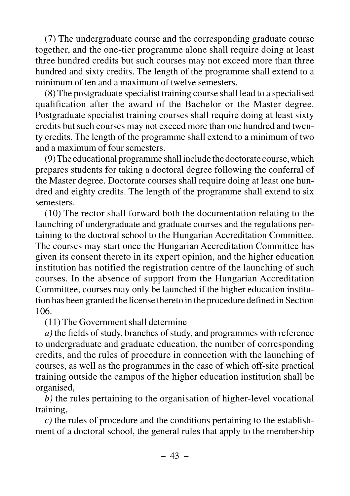(7) The undergraduate course and the corresponding graduate course together, and the one-tier programme alone shall require doing at least three hundred credits but such courses may not exceed more than three hundred and sixty credits. The length of the programme shall extend to a minimum of ten and a maximum of twelve semesters.

(8) The postgraduate specialist training course shall lead to a specialised qualification after the award of the Bachelor or the Master degree. Postgraduate specialist training courses shall require doing at least sixty credits but such courses may not exceed more than one hundred and twenty credits. The length of the programme shall extend to a minimum of two and a maximum of four semesters.

(9) The educational programme shall include the doctorate course, which prepares students for taking a doctoral degree following the conferral of the Master degree. Doctorate courses shall require doing at least one hundred and eighty credits. The length of the programme shall extend to six semesters.

(10) The rector shall forward both the documentation relating to the launching of undergraduate and graduate courses and the regulations pertaining to the doctoral school to the Hungarian Accreditation Committee. The courses may start once the Hungarian Accreditation Committee has given its consent thereto in its expert opinion, and the higher education institution has notified the registration centre of the launching of such courses. In the absence of support from the Hungarian Accreditation Committee, courses may only be launched if the higher education institution has been granted the license thereto in the procedure defined in Section 106.

(11) The Government shall determine

*a)* the fields of study, branches of study, and programmes with reference to undergraduate and graduate education, the number of corresponding credits, and the rules of procedure in connection with the launching of courses, as well as the programmes in the case of which off-site practical training outside the campus of the higher education institution shall be organised,

*b)* the rules pertaining to the organisation of higher-level vocational training,

*c)* the rules of procedure and the conditions pertaining to the establishment of a doctoral school, the general rules that apply to the membership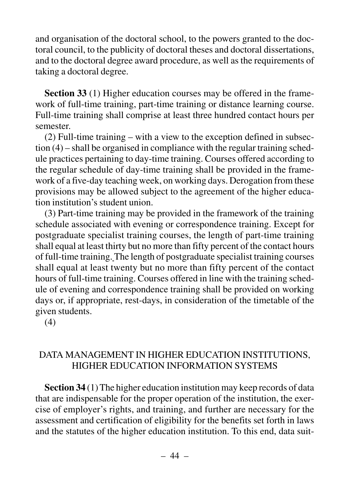and organisation of the doctoral school, to the powers granted to the doctoral council, to the publicity of doctoral theses and doctoral dissertations, and to the doctoral degree award procedure, as well as the requirements of taking a doctoral degree.

**Section 33** (1) Higher education courses may be offered in the framework of full-time training, part-time training or distance learning course. Full-time training shall comprise at least three hundred contact hours per semester.

(2) Full-time training – with a view to the exception defined in subsection (4) – shall be organised in compliance with the regular training schedule practices pertaining to day-time training. Courses offered according to the regular schedule of day-time training shall be provided in the framework of a five-day teaching week, on working days. Derogation from these provisions may be allowed subject to the agreement of the higher education institution's student union.

(3) Part-time training may be provided in the framework of the training schedule associated with evening or correspondence training. Except for postgraduate specialist training courses, the length of part-time training shall equal at least thirty but no more than fifty percent of the contact hours of full-time training. The length of postgraduate specialist training courses shall equal at least twenty but no more than fifty percent of the contact hours of full-time training. Courses offered in line with the training schedule of evening and correspondence training shall be provided on working days or, if appropriate, rest-days, in consideration of the timetable of the given students.

(4)

# DATA MANAGEMENT IN HIGHER EDUCATION INSTITUTIONS, HIGHER EDUCATION INFORMATION SYSTEMS

**Section 34** (1) The higher education institution may keep records of data that are indispensable for the proper operation of the institution, the exercise of employer's rights, and training, and further are necessary for the assessment and certification of eligibility for the benefits set forth in laws and the statutes of the higher education institution. To this end, data suit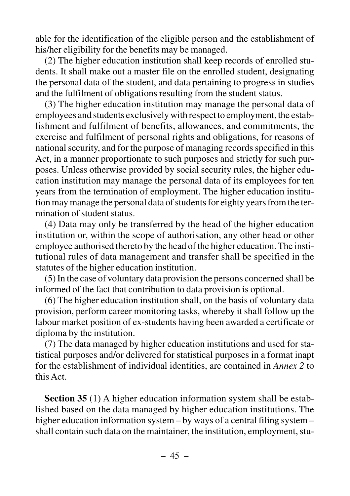able for the identification of the eligible person and the establishment of his/her eligibility for the benefits may be managed.

(2) The higher education institution shall keep records of enrolled students. It shall make out a master file on the enrolled student, designating the personal data of the student, and data pertaining to progress in studies and the fulfilment of obligations resulting from the student status.

(3) The higher education institution may manage the personal data of employees and students exclusively with respect to employment, the establishment and fulfilment of benefits, allowances, and commitments, the exercise and fulfilment of personal rights and obligations, for reasons of national security, and for the purpose of managing records specified in this Act, in a manner proportionate to such purposes and strictly for such purposes. Unless otherwise provided by social security rules, the higher education institution may manage the personal data of its employees for ten years from the termination of employment. The higher education institution may manage the personal data of students for eighty years from the termination of student status.

(4) Data may only be transferred by the head of the higher education institution or, within the scope of authorisation, any other head or other employee authorised thereto by the head of the higher education. The institutional rules of data management and transfer shall be specified in the statutes of the higher education institution.

(5) In the case of voluntary data provision the persons concerned shall be informed of the fact that contribution to data provision is optional.

(6) The higher education institution shall, on the basis of voluntary data provision, perform career monitoring tasks, whereby it shall follow up the labour market position of ex-students having been awarded a certificate or diploma by the institution.

(7) The data managed by higher education institutions and used for statistical purposes and/or delivered for statistical purposes in a format inapt for the establishment of individual identities, are contained in *Annex 2* to this Act.

**Section 35** (1) A higher education information system shall be established based on the data managed by higher education institutions. The higher education information system – by ways of a central filing system – shall contain such data on the maintainer, the institution, employment, stu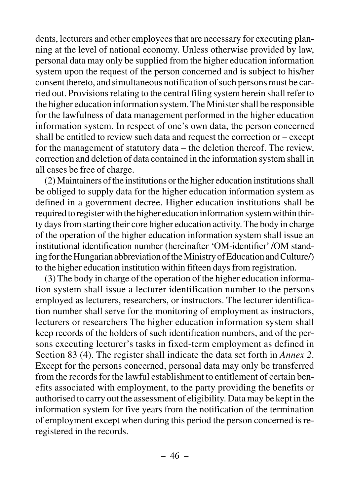dents, lecturers and other employees that are necessary for executing planning at the level of national economy. Unless otherwise provided by law, personal data may only be supplied from the higher education information system upon the request of the person concerned and is subject to his/her consent thereto, and simultaneous notification of such persons must be carried out. Provisions relating to the central filing system herein shall refer to the higher education information system. The Minister shall be responsible for the lawfulness of data management performed in the higher education information system. In respect of one's own data, the person concerned shall be entitled to review such data and request the correction or – except for the management of statutory data – the deletion thereof. The review, correction and deletion of data contained in the information system shall in all cases be free of charge.

(2) Maintainers of the institutions or the higher education institutions shall be obliged to supply data for the higher education information system as defined in a government decree. Higher education institutions shall be required to register with the higher education information system within thirty days from starting their core higher education activity. The body in charge of the operation of the higher education information system shall issue an institutional identification number (hereinafter 'OM-identifier' /OM standing for the Hungarian abbreviation of the Ministry of Education and Culture/) to the higher education institution within fifteen days from registration.

(3) The body in charge of the operation of the higher education information system shall issue a lecturer identification number to the persons employed as lecturers, researchers, or instructors. The lecturer identification number shall serve for the monitoring of employment as instructors, lecturers or researchers The higher education information system shall keep records of the holders of such identification numbers, and of the persons executing lecturer's tasks in fixed-term employment as defined in Section 83 (4). The register shall indicate the data set forth in *Annex 2*. Except for the persons concerned, personal data may only be transferred from the records for the lawful establishment to entitlement of certain benefits associated with employment, to the party providing the benefits or authorised to carry out the assessment of eligibility. Data may be kept in the information system for five years from the notification of the termination of employment except when during this period the person concerned is reregistered in the records.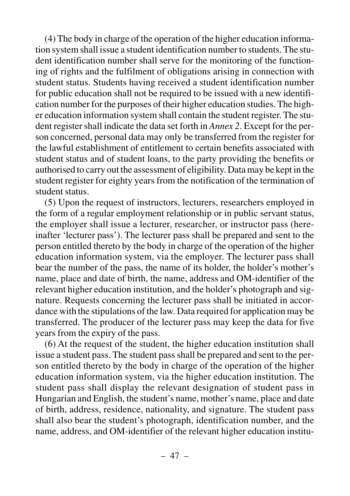(4) The body in charge of the operation of the higher education information system shall issue a student identification number to students. The student identification number shall serve for the monitoring of the functioning of rights and the fulfilment of obligations arising in connection with student status. Students having received a student identification number for public education shall not be required to be issued with a new identification number for the purposes of their higher education studies. The higher education information system shall contain the student register. The student register shall indicate the data set forth in *Annex 2*. Except for the person concerned, personal data may only be transferred from the register for the lawful establishment of entitlement to certain benefits associated with student status and of student loans, to the party providing the benefits or authorised to carry out the assessment of eligibility. Data may be kept in the student register for eighty years from the notification of the termination of student status.

(5) Upon the request of instructors, lecturers, researchers employed in the form of a regular employment relationship or in public servant status, the employer shall issue a lecturer, researcher, or instructor pass (hereinafter 'lecturer pass'). The lecturer pass shall be prepared and sent to the person entitled thereto by the body in charge of the operation of the higher education information system, via the employer. The lecturer pass shall bear the number of the pass, the name of its holder, the holder's mother's name, place and date of birth, the name, address and OM-identifier of the relevant higher education institution, and the holder's photograph and signature. Requests concerning the lecturer pass shall be initiated in accordance with the stipulations of the law. Data required for application may be transferred. The producer of the lecturer pass may keep the data for five years from the expiry of the pass.

(6) At the request of the student, the higher education institution shall issue a student pass. The student pass shall be prepared and sent to the person entitled thereto by the body in charge of the operation of the higher education information system, via the higher education institution. The student pass shall display the relevant designation of student pass in Hungarian and English, the student's name, mother's name, place and date of birth, address, residence, nationality, and signature. The student pass shall also bear the student's photograph, identification number, and the name, address, and OM-identifier of the relevant higher education institu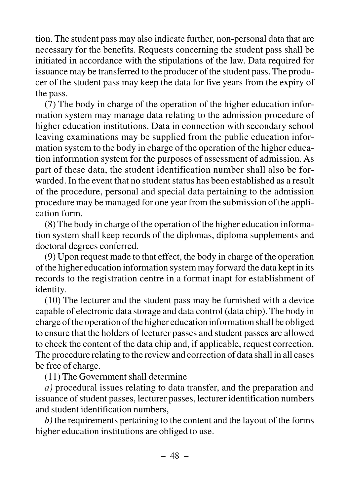tion. The student pass may also indicate further, non-personal data that are necessary for the benefits. Requests concerning the student pass shall be initiated in accordance with the stipulations of the law. Data required for issuance may be transferred to the producer of the student pass. The producer of the student pass may keep the data for five years from the expiry of the pass.

(7) The body in charge of the operation of the higher education information system may manage data relating to the admission procedure of higher education institutions. Data in connection with secondary school leaving examinations may be supplied from the public education information system to the body in charge of the operation of the higher education information system for the purposes of assessment of admission. As part of these data, the student identification number shall also be forwarded. In the event that no student status has been established as a result of the procedure, personal and special data pertaining to the admission procedure may be managed for one year from the submission of the application form.

(8) The body in charge of the operation of the higher education information system shall keep records of the diplomas, diploma supplements and doctoral degrees conferred.

(9) Upon request made to that effect, the body in charge of the operation of the higher education information system may forward the data kept in its records to the registration centre in a format inapt for establishment of identity.

(10) The lecturer and the student pass may be furnished with a device capable of electronic data storage and data control (data chip). The body in charge of the operation of the higher education information shall be obliged to ensure that the holders of lecturer passes and student passes are allowed to check the content of the data chip and, if applicable, request correction. The procedure relating to the review and correction of data shall in all cases be free of charge.

(11) The Government shall determine

*a)* procedural issues relating to data transfer, and the preparation and issuance of student passes, lecturer passes, lecturer identification numbers and student identification numbers,

*b)* the requirements pertaining to the content and the layout of the forms higher education institutions are obliged to use.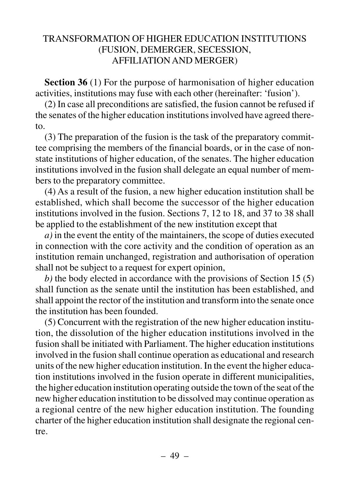## TRANSFORMATION OF HIGHER EDUCATION INSTITUTIONS (FUSION, DEMERGER, SECESSION, AFFILIATION AND MERGER)

**Section 36** (1) For the purpose of harmonisation of higher education activities, institutions may fuse with each other (hereinafter: 'fusion').

(2) In case all preconditions are satisfied, the fusion cannot be refused if the senates of the higher education institutions involved have agreed thereto.

(3) The preparation of the fusion is the task of the preparatory committee comprising the members of the financial boards, or in the case of nonstate institutions of higher education, of the senates. The higher education institutions involved in the fusion shall delegate an equal number of members to the preparatory committee.

(4) As a result of the fusion, a new higher education institution shall be established, which shall become the successor of the higher education institutions involved in the fusion. Sections 7, 12 to 18, and 37 to 38 shall be applied to the establishment of the new institution except that

*a)* in the event the entity of the maintainers, the scope of duties executed in connection with the core activity and the condition of operation as an institution remain unchanged, registration and authorisation of operation shall not be subject to a request for expert opinion,

*b)* the body elected in accordance with the provisions of Section 15 (5) shall function as the senate until the institution has been established, and shall appoint the rector of the institution and transform into the senate once the institution has been founded.

(5) Concurrent with the registration of the new higher education institution, the dissolution of the higher education institutions involved in the fusion shall be initiated with Parliament. The higher education institutions involved in the fusion shall continue operation as educational and research units of the new higher education institution. In the event the higher education institutions involved in the fusion operate in different municipalities, the higher education institution operating outside the town of the seat of the new higher education institution to be dissolved may continue operation as a regional centre of the new higher education institution. The founding charter of the higher education institution shall designate the regional centre.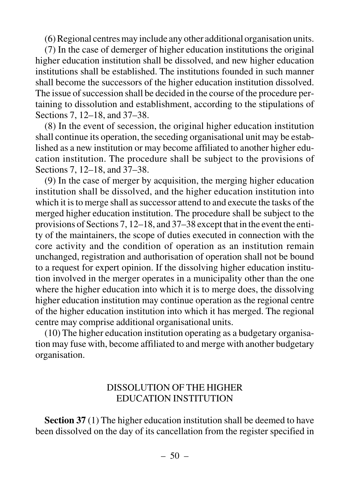(6) Regional centres may include any other additional organisation units.

(7) In the case of demerger of higher education institutions the original higher education institution shall be dissolved, and new higher education institutions shall be established. The institutions founded in such manner shall become the successors of the higher education institution dissolved. The issue of succession shall be decided in the course of the procedure pertaining to dissolution and establishment, according to the stipulations of Sections 7, 12–18, and 37–38.

(8) In the event of secession, the original higher education institution shall continue its operation, the seceding organisational unit may be established as a new institution or may become affiliated to another higher education institution. The procedure shall be subject to the provisions of Sections 7, 12–18, and 37–38.

(9) In the case of merger by acquisition, the merging higher education institution shall be dissolved, and the higher education institution into which it is to merge shall as successor attend to and execute the tasks of the merged higher education institution. The procedure shall be subject to the provisions of Sections 7, 12–18, and 37–38 except that in the event the entity of the maintainers, the scope of duties executed in connection with the core activity and the condition of operation as an institution remain unchanged, registration and authorisation of operation shall not be bound to a request for expert opinion. If the dissolving higher education institution involved in the merger operates in a municipality other than the one where the higher education into which it is to merge does, the dissolving higher education institution may continue operation as the regional centre of the higher education institution into which it has merged. The regional centre may comprise additional organisational units.

(10) The higher education institution operating as a budgetary organisation may fuse with, become affiliated to and merge with another budgetary organisation.

### DISSOLUTION OF THE HIGHER EDUCATION INSTITUTION

**Section 37** (1) The higher education institution shall be deemed to have been dissolved on the day of its cancellation from the register specified in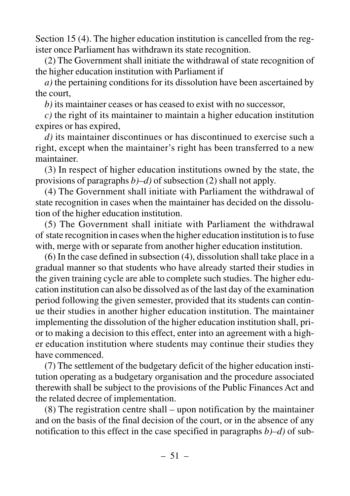Section 15 (4). The higher education institution is cancelled from the register once Parliament has withdrawn its state recognition.

(2) The Government shall initiate the withdrawal of state recognition of the higher education institution with Parliament if

*a)* the pertaining conditions for its dissolution have been ascertained by the court,

*b)* its maintainer ceases or has ceased to exist with no successor,

*c)* the right of its maintainer to maintain a higher education institution expires or has expired,

*d)* its maintainer discontinues or has discontinued to exercise such a right, except when the maintainer's right has been transferred to a new maintainer.

(3) In respect of higher education institutions owned by the state, the provisions of paragraphs *b)–d)* of subsection (2) shall not apply.

(4) The Government shall initiate with Parliament the withdrawal of state recognition in cases when the maintainer has decided on the dissolution of the higher education institution.

(5) The Government shall initiate with Parliament the withdrawal of state recognition in cases when the higher education institution is to fuse with, merge with or separate from another higher education institution.

(6) In the case defined in subsection (4), dissolution shall take place in a gradual manner so that students who have already started their studies in the given training cycle are able to complete such studies. The higher education institution can also be dissolved as of the last day of the examination period following the given semester, provided that its students can continue their studies in another higher education institution. The maintainer implementing the dissolution of the higher education institution shall, prior to making a decision to this effect, enter into an agreement with a higher education institution where students may continue their studies they have commenced.

(7) The settlement of the budgetary deficit of the higher education institution operating as a budgetary organisation and the procedure associated therewith shall be subject to the provisions of the Public Finances Act and the related decree of implementation.

(8) The registration centre shall – upon notification by the maintainer and on the basis of the final decision of the court, or in the absence of any notification to this effect in the case specified in paragraphs *b)–d)* of sub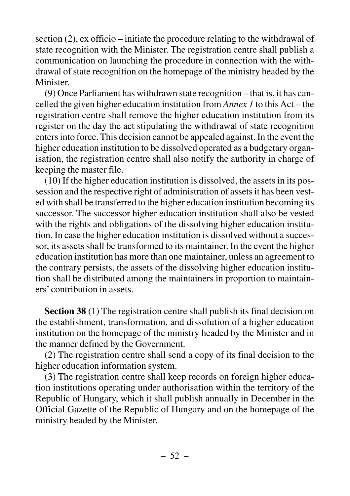section (2), ex officio – initiate the procedure relating to the withdrawal of state recognition with the Minister. The registration centre shall publish a communication on launching the procedure in connection with the withdrawal of state recognition on the homepage of the ministry headed by the **Minister** 

(9) Once Parliament has withdrawn state recognition – that is, it has cancelled the given higher education institution from *Annex 1* to this Act – the registration centre shall remove the higher education institution from its register on the day the act stipulating the withdrawal of state recognition enters into force. This decision cannot be appealed against. In the event the higher education institution to be dissolved operated as a budgetary organisation, the registration centre shall also notify the authority in charge of keeping the master file.

(10) If the higher education institution is dissolved, the assets in its possession and the respective right of administration of assets it has been vested with shall be transferred to the higher education institution becoming its successor. The successor higher education institution shall also be vested with the rights and obligations of the dissolving higher education institution. In case the higher education institution is dissolved without a successor, its assets shall be transformed to its maintainer. In the event the higher education institution has more than one maintainer, unless an agreement to the contrary persists, the assets of the dissolving higher education institution shall be distributed among the maintainers in proportion to maintainers' contribution in assets.

**Section 38** (1) The registration centre shall publish its final decision on the establishment, transformation, and dissolution of a higher education institution on the homepage of the ministry headed by the Minister and in the manner defined by the Government.

(2) The registration centre shall send a copy of its final decision to the higher education information system.

(3) The registration centre shall keep records on foreign higher education institutions operating under authorisation within the territory of the Republic of Hungary, which it shall publish annually in December in the Official Gazette of the Republic of Hungary and on the homepage of the ministry headed by the Minister.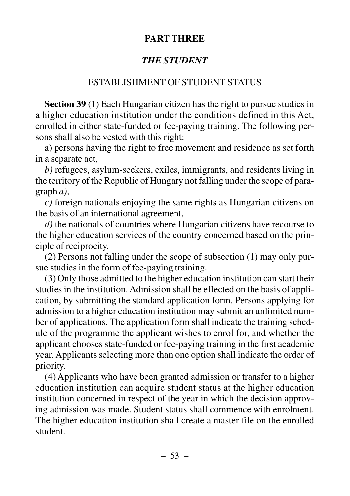## **PART THREE**

# *THE STUDENT*

## ESTABLISHMENT OF STUDENT STATUS

**Section 39** (1) Each Hungarian citizen has the right to pursue studies in a higher education institution under the conditions defined in this Act, enrolled in either state-funded or fee-paying training. The following persons shall also be vested with this right:

a) persons having the right to free movement and residence as set forth in a separate act,

*b)* refugees, asylum-seekers, exiles, immigrants, and residents living in the territory of the Republic of Hungary not falling under the scope of paragraph *a)*,

*c)* foreign nationals enjoying the same rights as Hungarian citizens on the basis of an international agreement,

*d)* the nationals of countries where Hungarian citizens have recourse to the higher education services of the country concerned based on the principle of reciprocity.

(2) Persons not falling under the scope of subsection (1) may only pursue studies in the form of fee-paying training.

(3) Only those admitted to the higher education institution can start their studies in the institution. Admission shall be effected on the basis of application, by submitting the standard application form. Persons applying for admission to a higher education institution may submit an unlimited number of applications. The application form shall indicate the training schedule of the programme the applicant wishes to enrol for, and whether the applicant chooses state-funded or fee-paying training in the first academic year. Applicants selecting more than one option shall indicate the order of priority.

(4) Applicants who have been granted admission or transfer to a higher education institution can acquire student status at the higher education institution concerned in respect of the year in which the decision approving admission was made. Student status shall commence with enrolment. The higher education institution shall create a master file on the enrolled student.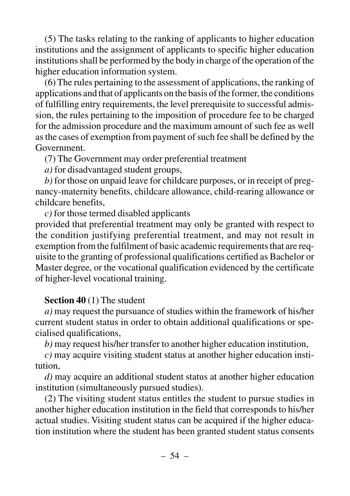(5) The tasks relating to the ranking of applicants to higher education institutions and the assignment of applicants to specific higher education institutions shall be performed by the body in charge of the operation of the higher education information system.

(6) The rules pertaining to the assessment of applications, the ranking of applications and that of applicants on the basis of the former, the conditions of fulfilling entry requirements, the level prerequisite to successful admission, the rules pertaining to the imposition of procedure fee to be charged for the admission procedure and the maximum amount of such fee as well as the cases of exemption from payment of such fee shall be defined by the Government.

(7) The Government may order preferential treatment

*a)* for disadvantaged student groups,

*b)* for those on unpaid leave for childcare purposes, or in receipt of pregnancy-maternity benefits, childcare allowance, child-rearing allowance or childcare benefits,

*c)* for those termed disabled applicants

provided that preferential treatment may only be granted with respect to the condition justifying preferential treatment, and may not result in exemption from the fulfilment of basic academic requirements that are requisite to the granting of professional qualifications certified as Bachelor or Master degree, or the vocational qualification evidenced by the certificate of higher-level vocational training.

### **Section 40** (1) The student

*a)* may request the pursuance of studies within the framework of his/her current student status in order to obtain additional qualifications or specialised qualifications,

*b)* may request his/her transfer to another higher education institution,

*c)* may acquire visiting student status at another higher education institution,

*d)* may acquire an additional student status at another higher education institution (simultaneously pursued studies).

(2) The visiting student status entitles the student to pursue studies in another higher education institution in the field that corresponds to his/her actual studies. Visiting student status can be acquired if the higher education institution where the student has been granted student status consents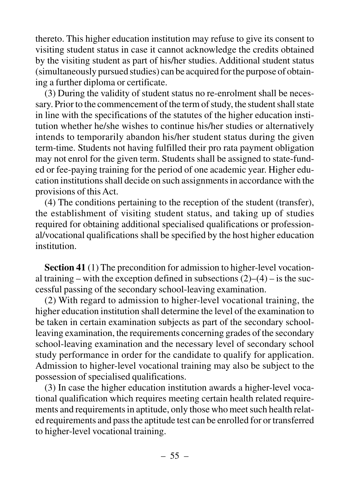thereto. This higher education institution may refuse to give its consent to visiting student status in case it cannot acknowledge the credits obtained by the visiting student as part of his/her studies. Additional student status (simultaneously pursued studies) can be acquired for the purpose of obtaining a further diploma or certificate.

(3) During the validity of student status no re-enrolment shall be necessary. Prior to the commencement of the term of study, the student shall state in line with the specifications of the statutes of the higher education institution whether he/she wishes to continue his/her studies or alternatively intends to temporarily abandon his/her student status during the given term-time. Students not having fulfilled their pro rata payment obligation may not enrol for the given term. Students shall be assigned to state-funded or fee-paying training for the period of one academic year. Higher education institutions shall decide on such assignments in accordance with the provisions of this Act.

(4) The conditions pertaining to the reception of the student (transfer), the establishment of visiting student status, and taking up of studies required for obtaining additional specialised qualifications or professional/vocational qualifications shall be specified by the host higher education institution.

**Section 41** (1) The precondition for admission to higher-level vocational training – with the exception defined in subsections  $(2)$ – $(4)$  – is the successful passing of the secondary school-leaving examination.

(2) With regard to admission to higher-level vocational training, the higher education institution shall determine the level of the examination to be taken in certain examination subjects as part of the secondary schoolleaving examination, the requirements concerning grades of the secondary school-leaving examination and the necessary level of secondary school study performance in order for the candidate to qualify for application. Admission to higher-level vocational training may also be subject to the possession of specialised qualifications.

(3) In case the higher education institution awards a higher-level vocational qualification which requires meeting certain health related requirements and requirements in aptitude, only those who meet such health related requirements and pass the aptitude test can be enrolled for or transferred to higher-level vocational training.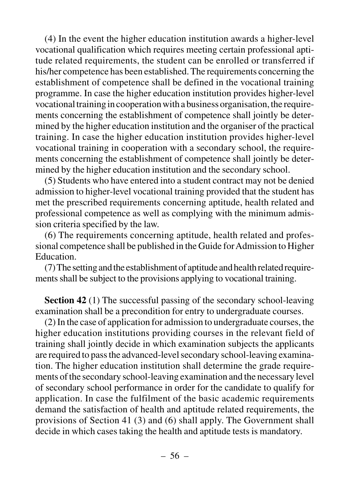(4) In the event the higher education institution awards a higher-level vocational qualification which requires meeting certain professional aptitude related requirements, the student can be enrolled or transferred if his/her competence has been established. The requirements concerning the establishment of competence shall be defined in the vocational training programme. In case the higher education institution provides higher-level vocational training in cooperation with a business organisation, the requirements concerning the establishment of competence shall jointly be determined by the higher education institution and the organiser of the practical training. In case the higher education institution provides higher-level vocational training in cooperation with a secondary school, the requirements concerning the establishment of competence shall jointly be determined by the higher education institution and the secondary school.

(5) Students who have entered into a student contract may not be denied admission to higher-level vocational training provided that the student has met the prescribed requirements concerning aptitude, health related and professional competence as well as complying with the minimum admission criteria specified by the law.

(6) The requirements concerning aptitude, health related and professional competence shall be published in the Guide for Admission to Higher Education.

(7) The setting and the establishment of aptitude and health related requirements shall be subject to the provisions applying to vocational training.

**Section 42** (1) The successful passing of the secondary school-leaving examination shall be a precondition for entry to undergraduate courses.

(2) In the case of application for admission to undergraduate courses, the higher education institutions providing courses in the relevant field of training shall jointly decide in which examination subjects the applicants are required to pass the advanced-level secondary school-leaving examination. The higher education institution shall determine the grade requirements of the secondary school-leaving examination and the necessary level of secondary school performance in order for the candidate to qualify for application. In case the fulfilment of the basic academic requirements demand the satisfaction of health and aptitude related requirements, the provisions of Section 41 (3) and (6) shall apply. The Government shall decide in which cases taking the health and aptitude tests is mandatory.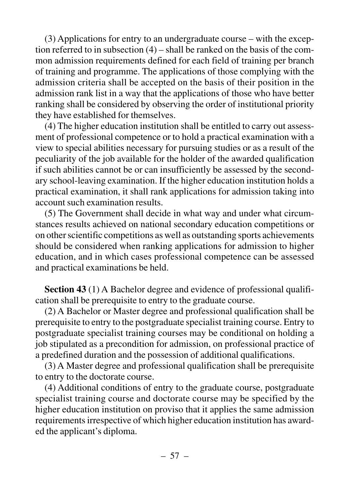(3) Applications for entry to an undergraduate course – with the exception referred to in subsection (4) – shall be ranked on the basis of the common admission requirements defined for each field of training per branch of training and programme. The applications of those complying with the admission criteria shall be accepted on the basis of their position in the admission rank list in a way that the applications of those who have better ranking shall be considered by observing the order of institutional priority they have established for themselves.

(4) The higher education institution shall be entitled to carry out assessment of professional competence or to hold a practical examination with a view to special abilities necessary for pursuing studies or as a result of the peculiarity of the job available for the holder of the awarded qualification if such abilities cannot be or can insufficiently be assessed by the secondary school-leaving examination. If the higher education institution holds a practical examination, it shall rank applications for admission taking into account such examination results.

(5) The Government shall decide in what way and under what circumstances results achieved on national secondary education competitions or on other scientific competitions as well as outstanding sports achievements should be considered when ranking applications for admission to higher education, and in which cases professional competence can be assessed and practical examinations be held.

**Section 43** (1) A Bachelor degree and evidence of professional qualification shall be prerequisite to entry to the graduate course.

(2) A Bachelor or Master degree and professional qualification shall be prerequisite to entry to the postgraduate specialist training course. Entry to postgraduate specialist training courses may be conditional on holding a job stipulated as a precondition for admission, on professional practice of a predefined duration and the possession of additional qualifications.

(3) A Master degree and professional qualification shall be prerequisite to entry to the doctorate course.

(4) Additional conditions of entry to the graduate course, postgraduate specialist training course and doctorate course may be specified by the higher education institution on proviso that it applies the same admission requirements irrespective of which higher education institution has awarded the applicant's diploma.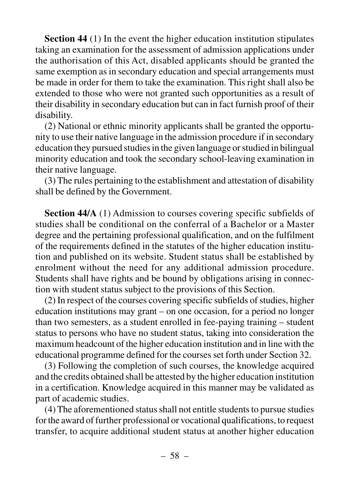**Section 44** (1) In the event the higher education institution stipulates taking an examination for the assessment of admission applications under the authorisation of this Act, disabled applicants should be granted the same exemption as in secondary education and special arrangements must be made in order for them to take the examination. This right shall also be extended to those who were not granted such opportunities as a result of their disability in secondary education but can in fact furnish proof of their disability.

(2) National or ethnic minority applicants shall be granted the opportunity to use their native language in the admission procedure if in secondary education they pursued studies in the given language or studied in bilingual minority education and took the secondary school-leaving examination in their native language.

(3) The rules pertaining to the establishment and attestation of disability shall be defined by the Government.

**Section 44/A** (1) Admission to courses covering specific subfields of studies shall be conditional on the conferral of a Bachelor or a Master degree and the pertaining professional qualification, and on the fulfilment of the requirements defined in the statutes of the higher education institution and published on its website. Student status shall be established by enrolment without the need for any additional admission procedure. Students shall have rights and be bound by obligations arising in connection with student status subject to the provisions of this Section.

(2) In respect of the courses covering specific subfields of studies, higher education institutions may grant – on one occasion, for a period no longer than two semesters, as a student enrolled in fee-paying training – student status to persons who have no student status, taking into consideration the maximum headcount of the higher education institution and in line with the educational programme defined for the courses set forth under Section 32.

(3) Following the completion of such courses, the knowledge acquired and the credits obtained shall be attested by the higher education institution in a certification. Knowledge acquired in this manner may be validated as part of academic studies.

(4) The aforementioned status shall not entitle students to pursue studies for the award of further professional or vocational qualifications, to request transfer, to acquire additional student status at another higher education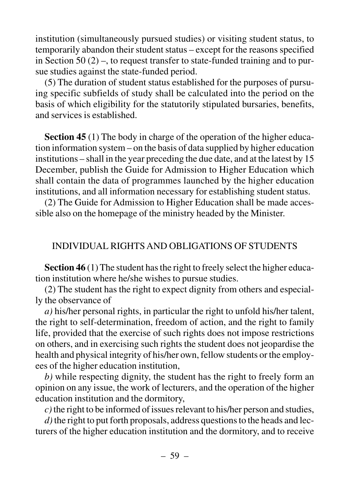institution (simultaneously pursued studies) or visiting student status, to temporarily abandon their student status – except for the reasons specified in Section 50  $(2)$  –, to request transfer to state-funded training and to pursue studies against the state-funded period.

(5) The duration of student status established for the purposes of pursuing specific subfields of study shall be calculated into the period on the basis of which eligibility for the statutorily stipulated bursaries, benefits, and services is established.

**Section 45** (1) The body in charge of the operation of the higher education information system – on the basis of data supplied by higher education institutions – shall in the year preceding the due date, and at the latest by 15 December, publish the Guide for Admission to Higher Education which shall contain the data of programmes launched by the higher education institutions, and all information necessary for establishing student status.

(2) The Guide for Admission to Higher Education shall be made accessible also on the homepage of the ministry headed by the Minister.

### INDIVIDUAL RIGHTS AND OBLIGATIONS OF STUDENTS

**Section 46** (1) The student has the right to freely select the higher education institution where he/she wishes to pursue studies.

(2) The student has the right to expect dignity from others and especially the observance of

*a)* his/her personal rights, in particular the right to unfold his/her talent, the right to self-determination, freedom of action, and the right to family life, provided that the exercise of such rights does not impose restrictions on others, and in exercising such rights the student does not jeopardise the health and physical integrity of his/her own, fellow students or the employees of the higher education institution,

*b)* while respecting dignity, the student has the right to freely form an opinion on any issue, the work of lecturers, and the operation of the higher education institution and the dormitory,

*c)*the right to be informed of issues relevant to his/her person and studies,

*d)*the right to put forth proposals, address questions to the heads and lecturers of the higher education institution and the dormitory, and to receive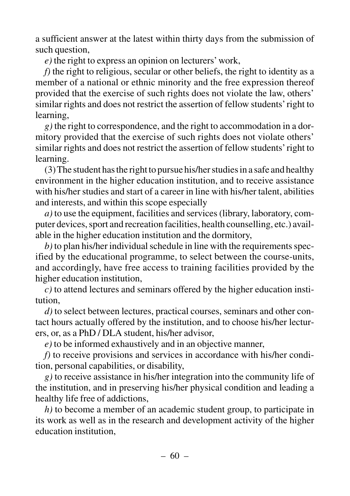a sufficient answer at the latest within thirty days from the submission of such question,

*e)* the right to express an opinion on lecturers' work,

*f)* the right to religious, secular or other beliefs, the right to identity as a member of a national or ethnic minority and the free expression thereof provided that the exercise of such rights does not violate the law, others' similar rights and does not restrict the assertion of fellow students' right to learning,

*g)* the right to correspondence, and the right to accommodation in a dormitory provided that the exercise of such rights does not violate others' similar rights and does not restrict the assertion of fellow students'right to learning.

(3) The student has the right to pursue his/her studies in a safe and healthy environment in the higher education institution, and to receive assistance with his/her studies and start of a career in line with his/her talent, abilities and interests, and within this scope especially

*a)* to use the equipment, facilities and services (library, laboratory, computer devices, sport and recreation facilities, health counselling, etc.) available in the higher education institution and the dormitory,

*b)* to plan his/her individual schedule in line with the requirements specified by the educational programme, to select between the course-units, and accordingly, have free access to training facilities provided by the higher education institution,

*c)* to attend lectures and seminars offered by the higher education institution,

*d)* to select between lectures, practical courses, seminars and other contact hours actually offered by the institution, and to choose his/her lecturers, or, as a PhD / DLA student, his/her advisor,

*e)* to be informed exhaustively and in an objective manner,

*f)* to receive provisions and services in accordance with his/her condition, personal capabilities, or disability,

*g)* to receive assistance in his/her integration into the community life of the institution, and in preserving his/her physical condition and leading a healthy life free of addictions,

*h)* to become a member of an academic student group, to participate in its work as well as in the research and development activity of the higher education institution,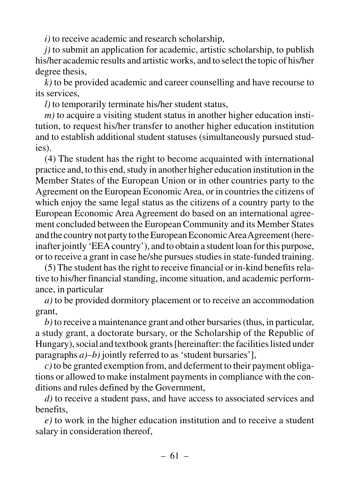*i)* to receive academic and research scholarship,

*j)* to submit an application for academic, artistic scholarship, to publish his/her academic results and artistic works, and to select the topic of his/her degree thesis,

*k)* to be provided academic and career counselling and have recourse to its services,

*l)* to temporarily terminate his/her student status,

*m)* to acquire a visiting student status in another higher education institution, to request his/her transfer to another higher education institution and to establish additional student statuses (simultaneously pursued studies).

(4) The student has the right to become acquainted with international practice and, to this end, study in another higher education institution in the Member States of the European Union or in other countries party to the Agreement on the European Economic Area, or in countries the citizens of which enjoy the same legal status as the citizens of a country party to the European Economic Area Agreement do based on an international agreement concluded between the European Community and its Member States and the country not party to the European Economic Area Agreement (hereinafter jointly 'EEA country'), and to obtain a student loan for this purpose, or to receive a grant in case he/she pursues studies in state-funded training.

(5) The student has the right to receive financial or in-kind benefits relative to his/her financial standing, income situation, and academic performance, in particular

*a)* to be provided dormitory placement or to receive an accommodation grant,

*b)* to receive a maintenance grant and other bursaries (thus, in particular, a study grant, a doctorate bursary, or the Scholarship of the Republic of Hungary), social and textbook grants [hereinafter: the facilities listed under paragraphs *a)–b)* jointly referred to as 'student bursaries'],

*c)* to be granted exemption from, and deferment to their payment obligations or allowed to make instalment payments in compliance with the conditions and rules defined by the Government,

*d)* to receive a student pass, and have access to associated services and benefits,

*e)* to work in the higher education institution and to receive a student salary in consideration thereof,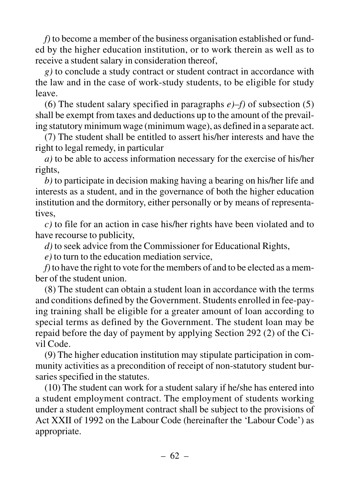*f)* to become a member of the business organisation established or funded by the higher education institution, or to work therein as well as to receive a student salary in consideration thereof,

*g)* to conclude a study contract or student contract in accordance with the law and in the case of work-study students, to be eligible for study leave.

(6) The student salary specified in paragraphs *e)–f)* of subsection (5) shall be exempt from taxes and deductions up to the amount of the prevailing statutory minimum wage (minimum wage), as defined in a separate act.

(7) The student shall be entitled to assert his/her interests and have the right to legal remedy, in particular

*a)* to be able to access information necessary for the exercise of his/her rights,

*b)* to participate in decision making having a bearing on his/her life and interests as a student, and in the governance of both the higher education institution and the dormitory, either personally or by means of representatives,

*c)* to file for an action in case his/her rights have been violated and to have recourse to publicity,

*d)* to seek advice from the Commissioner for Educational Rights,

*e)* to turn to the education mediation service,

*f)*to have the right to vote for the members of and to be elected as a member of the student union.

(8) The student can obtain a student loan in accordance with the terms and conditions defined by the Government. Students enrolled in fee-paying training shall be eligible for a greater amount of loan according to special terms as defined by the Government. The student loan may be repaid before the day of payment by applying Section 292 (2) of the Civil Code.

(9) The higher education institution may stipulate participation in community activities as a precondition of receipt of non-statutory student bursaries specified in the statutes.

(10) The student can work for a student salary if he/she has entered into a student employment contract. The employment of students working under a student employment contract shall be subject to the provisions of Act XXII of 1992 on the Labour Code (hereinafter the 'Labour Code') as appropriate.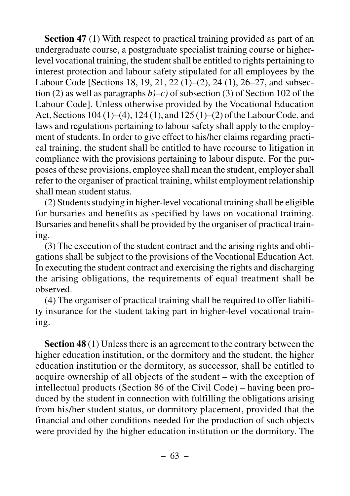**Section 47** (1) With respect to practical training provided as part of an undergraduate course, a postgraduate specialist training course or higherlevel vocational training, the student shall be entitled to rights pertaining to interest protection and labour safety stipulated for all employees by the Labour Code [Sections 18, 19, 21, 22 (1)–(2), 24 (1), 26–27, and subsection (2) as well as paragraphs *b)–c)* of subsection (3) of Section 102 of the Labour Code]. Unless otherwise provided by the Vocational Education Act, Sections 104 (1)–(4), 124 (1), and 125 (1)–(2) of the Labour Code, and laws and regulations pertaining to labour safety shall apply to the employment of students. In order to give effect to his/her claims regarding practical training, the student shall be entitled to have recourse to litigation in compliance with the provisions pertaining to labour dispute. For the purposes of these provisions, employee shall mean the student, employer shall refer to the organiser of practical training, whilst employment relationship shall mean student status.

(2) Students studying in higher-level vocational training shall be eligible for bursaries and benefits as specified by laws on vocational training. Bursaries and benefits shall be provided by the organiser of practical training.

(3) The execution of the student contract and the arising rights and obligations shall be subject to the provisions of the Vocational Education Act. In executing the student contract and exercising the rights and discharging the arising obligations, the requirements of equal treatment shall be observed.

(4) The organiser of practical training shall be required to offer liability insurance for the student taking part in higher-level vocational training.

**Section 48** (1) Unless there is an agreement to the contrary between the higher education institution, or the dormitory and the student, the higher education institution or the dormitory, as successor, shall be entitled to acquire ownership of all objects of the student – with the exception of intellectual products (Section 86 of the Civil Code) – having been produced by the student in connection with fulfilling the obligations arising from his/her student status, or dormitory placement, provided that the financial and other conditions needed for the production of such objects were provided by the higher education institution or the dormitory. The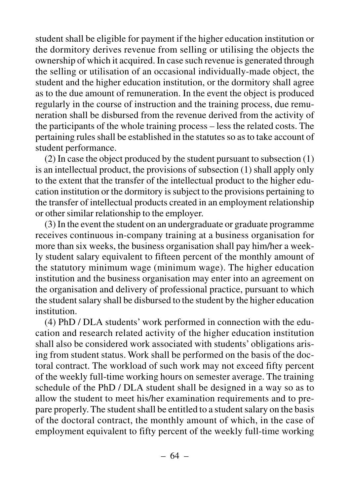student shall be eligible for payment if the higher education institution or the dormitory derives revenue from selling or utilising the objects the ownership of which it acquired. In case such revenue is generated through the selling or utilisation of an occasional individually-made object, the student and the higher education institution, or the dormitory shall agree as to the due amount of remuneration. In the event the object is produced regularly in the course of instruction and the training process, due remuneration shall be disbursed from the revenue derived from the activity of the participants of the whole training process – less the related costs. The pertaining rules shall be established in the statutes so as to take account of student performance.

(2) In case the object produced by the student pursuant to subsection (1) is an intellectual product, the provisions of subsection (1) shall apply only to the extent that the transfer of the intellectual product to the higher education institution or the dormitory is subject to the provisions pertaining to the transfer of intellectual products created in an employment relationship or other similar relationship to the employer.

(3) In the event the student on an undergraduate or graduate programme receives continuous in-company training at a business organisation for more than six weeks, the business organisation shall pay him/her a weekly student salary equivalent to fifteen percent of the monthly amount of the statutory minimum wage (minimum wage). The higher education institution and the business organisation may enter into an agreement on the organisation and delivery of professional practice, pursuant to which the student salary shall be disbursed to the student by the higher education institution.

(4) PhD / DLA students' work performed in connection with the education and research related activity of the higher education institution shall also be considered work associated with students' obligations arising from student status. Work shall be performed on the basis of the doctoral contract. The workload of such work may not exceed fifty percent of the weekly full-time working hours on semester average. The training schedule of the PhD / DLA student shall be designed in a way so as to allow the student to meet his/her examination requirements and to prepare properly. The student shall be entitled to a student salary on the basis of the doctoral contract, the monthly amount of which, in the case of employment equivalent to fifty percent of the weekly full-time working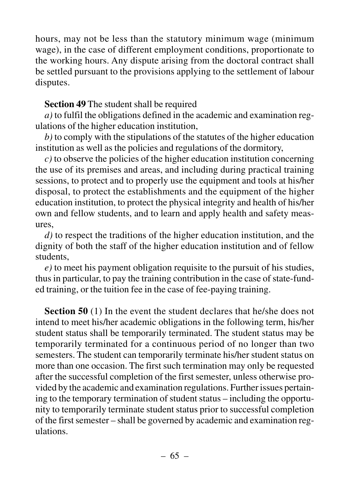hours, may not be less than the statutory minimum wage (minimum wage), in the case of different employment conditions, proportionate to the working hours. Any dispute arising from the doctoral contract shall be settled pursuant to the provisions applying to the settlement of labour disputes.

## **Section 49** The student shall be required

*a)* to fulfil the obligations defined in the academic and examination regulations of the higher education institution,

*b)* to comply with the stipulations of the statutes of the higher education institution as well as the policies and regulations of the dormitory,

*c)* to observe the policies of the higher education institution concerning the use of its premises and areas, and including during practical training sessions, to protect and to properly use the equipment and tools at his/her disposal, to protect the establishments and the equipment of the higher education institution, to protect the physical integrity and health of his/her own and fellow students, and to learn and apply health and safety measures,

*d)* to respect the traditions of the higher education institution, and the dignity of both the staff of the higher education institution and of fellow students,

*e)* to meet his payment obligation requisite to the pursuit of his studies, thus in particular, to pay the training contribution in the case of state-funded training, or the tuition fee in the case of fee-paying training.

**Section 50** (1) In the event the student declares that he/she does not intend to meet his/her academic obligations in the following term, his/her student status shall be temporarily terminated. The student status may be temporarily terminated for a continuous period of no longer than two semesters. The student can temporarily terminate his/her student status on more than one occasion. The first such termination may only be requested after the successful completion of the first semester, unless otherwise provided by the academic and examination regulations. Further issues pertaining to the temporary termination of student status – including the opportunity to temporarily terminate student status prior to successful completion of the first semester – shall be governed by academic and examination regulations.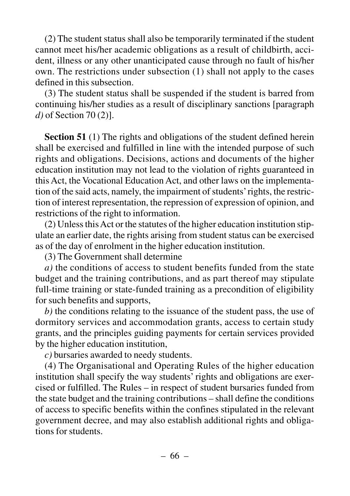(2) The student status shall also be temporarily terminated if the student cannot meet his/her academic obligations as a result of childbirth, accident, illness or any other unanticipated cause through no fault of his/her own. The restrictions under subsection (1) shall not apply to the cases defined in this subsection.

(3) The student status shall be suspended if the student is barred from continuing his/her studies as a result of disciplinary sanctions [paragraph *d)* of Section 70 (2)].

**Section 51** (1) The rights and obligations of the student defined herein shall be exercised and fulfilled in line with the intended purpose of such rights and obligations. Decisions, actions and documents of the higher education institution may not lead to the violation of rights guaranteed in this Act, the Vocational Education Act, and other laws on the implementation of the said acts, namely, the impairment of students'rights, the restriction of interest representation, the repression of expression of opinion, and restrictions of the right to information.

(2) Unless this Act or the statutes of the higher education institution stipulate an earlier date, the rights arising from student status can be exercised as of the day of enrolment in the higher education institution.

(3) The Government shall determine

*a)* the conditions of access to student benefits funded from the state budget and the training contributions, and as part thereof may stipulate full-time training or state-funded training as a precondition of eligibility for such benefits and supports,

*b)* the conditions relating to the issuance of the student pass, the use of dormitory services and accommodation grants, access to certain study grants, and the principles guiding payments for certain services provided by the higher education institution,

*c)* bursaries awarded to needy students.

(4) The Organisational and Operating Rules of the higher education institution shall specify the way students' rights and obligations are exercised or fulfilled. The Rules – in respect of student bursaries funded from the state budget and the training contributions – shall define the conditions of access to specific benefits within the confines stipulated in the relevant government decree, and may also establish additional rights and obligations for students.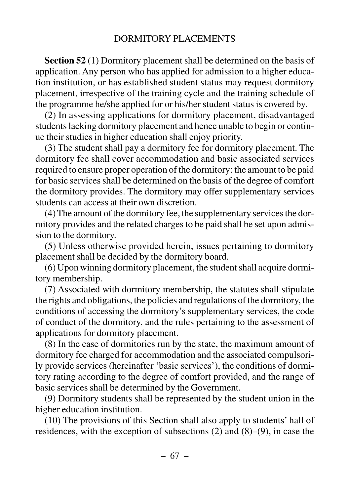**Section 52** (1) Dormitory placement shall be determined on the basis of application. Any person who has applied for admission to a higher education institution, or has established student status may request dormitory placement, irrespective of the training cycle and the training schedule of the programme he/she applied for or his/her student status is covered by.

(2) In assessing applications for dormitory placement, disadvantaged students lacking dormitory placement and hence unable to begin or continue their studies in higher education shall enjoy priority.

(3) The student shall pay a dormitory fee for dormitory placement. The dormitory fee shall cover accommodation and basic associated services required to ensure proper operation of the dormitory: the amount to be paid for basic services shall be determined on the basis of the degree of comfort the dormitory provides. The dormitory may offer supplementary services students can access at their own discretion.

(4) The amount of the dormitory fee, the supplementary services the dormitory provides and the related charges to be paid shall be set upon admission to the dormitory.

(5) Unless otherwise provided herein, issues pertaining to dormitory placement shall be decided by the dormitory board.

(6) Upon winning dormitory placement, the student shall acquire dormitory membership.

(7) Associated with dormitory membership, the statutes shall stipulate the rights and obligations, the policies and regulations of the dormitory, the conditions of accessing the dormitory's supplementary services, the code of conduct of the dormitory, and the rules pertaining to the assessment of applications for dormitory placement.

(8) In the case of dormitories run by the state, the maximum amount of dormitory fee charged for accommodation and the associated compulsorily provide services (hereinafter 'basic services'), the conditions of dormitory rating according to the degree of comfort provided, and the range of basic services shall be determined by the Government.

(9) Dormitory students shall be represented by the student union in the higher education institution.

(10) The provisions of this Section shall also apply to students' hall of residences, with the exception of subsections (2) and (8)–(9), in case the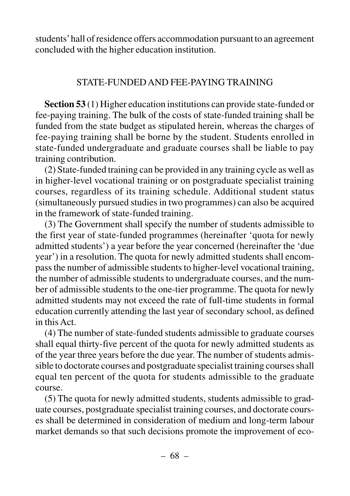students'hall of residence offers accommodation pursuant to an agreement concluded with the higher education institution.

## STATE-FUNDED AND FEE-PAYING TRAINING

**Section 53** (1) Higher education institutions can provide state-funded or fee-paying training. The bulk of the costs of state-funded training shall be funded from the state budget as stipulated herein, whereas the charges of fee-paying training shall be borne by the student. Students enrolled in state-funded undergraduate and graduate courses shall be liable to pay training contribution.

(2) State-funded training can be provided in any training cycle as well as in higher-level vocational training or on postgraduate specialist training courses, regardless of its training schedule. Additional student status (simultaneously pursued studies in two programmes) can also be acquired in the framework of state-funded training.

(3) The Government shall specify the number of students admissible to the first year of state-funded programmes (hereinafter 'quota for newly admitted students') a year before the year concerned (hereinafter the 'due year') in a resolution. The quota for newly admitted students shall encompass the number of admissible students to higher-level vocational training, the number of admissible students to undergraduate courses, and the number of admissible students to the one-tier programme. The quota for newly admitted students may not exceed the rate of full-time students in formal education currently attending the last year of secondary school, as defined in this Act.

(4) The number of state-funded students admissible to graduate courses shall equal thirty-five percent of the quota for newly admitted students as of the year three years before the due year. The number of students admissible to doctorate courses and postgraduate specialist training courses shall equal ten percent of the quota for students admissible to the graduate course.

(5) The quota for newly admitted students, students admissible to graduate courses, postgraduate specialist training courses, and doctorate courses shall be determined in consideration of medium and long-term labour market demands so that such decisions promote the improvement of eco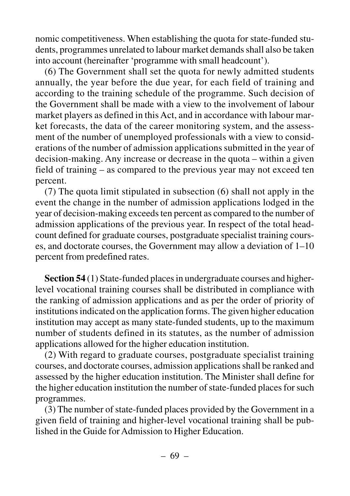nomic competitiveness. When establishing the quota for state-funded students, programmes unrelated to labour market demands shall also be taken into account (hereinafter 'programme with small headcount').

(6) The Government shall set the quota for newly admitted students annually, the year before the due year, for each field of training and according to the training schedule of the programme. Such decision of the Government shall be made with a view to the involvement of labour market players as defined in this Act, and in accordance with labour market forecasts, the data of the career monitoring system, and the assessment of the number of unemployed professionals with a view to considerations of the number of admission applications submitted in the year of decision-making. Any increase or decrease in the quota – within a given field of training – as compared to the previous year may not exceed ten percent.

(7) The quota limit stipulated in subsection (6) shall not apply in the event the change in the number of admission applications lodged in the year of decision-making exceeds ten percent as compared to the number of admission applications of the previous year. In respect of the total headcount defined for graduate courses, postgraduate specialist training courses, and doctorate courses, the Government may allow a deviation of 1–10 percent from predefined rates.

**Section 54** (1) State-funded places in undergraduate courses and higherlevel vocational training courses shall be distributed in compliance with the ranking of admission applications and as per the order of priority of institutions indicated on the application forms. The given higher education institution may accept as many state-funded students, up to the maximum number of students defined in its statutes, as the number of admission applications allowed for the higher education institution.

(2) With regard to graduate courses, postgraduate specialist training courses, and doctorate courses, admission applications shall be ranked and assessed by the higher education institution. The Minister shall define for the higher education institution the number of state-funded places for such programmes.

(3) The number of state-funded places provided by the Government in a given field of training and higher-level vocational training shall be published in the Guide for Admission to Higher Education.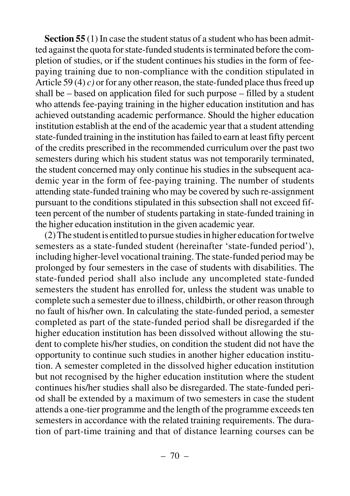**Section 55** (1) In case the student status of a student who has been admitted against the quota for state-funded students is terminated before the completion of studies, or if the student continues his studies in the form of feepaying training due to non-compliance with the condition stipulated in Article 59 (4) *c)* or for any other reason, the state-funded place thus freed up shall be – based on application filed for such purpose – filled by a student who attends fee-paying training in the higher education institution and has achieved outstanding academic performance. Should the higher education institution establish at the end of the academic year that a student attending state-funded training in the institution has failed to earn at least fifty percent of the credits prescribed in the recommended curriculum over the past two semesters during which his student status was not temporarily terminated, the student concerned may only continue his studies in the subsequent academic year in the form of fee-paying training. The number of students attending state-funded training who may be covered by such re-assignment pursuant to the conditions stipulated in this subsection shall not exceed fifteen percent of the number of students partaking in state-funded training in the higher education institution in the given academic year.

(2) The student is entitled to pursue studies in higher education for twelve semesters as a state-funded student (hereinafter 'state-funded period'), including higher-level vocational training. The state-funded period may be prolonged by four semesters in the case of students with disabilities. The state-funded period shall also include any uncompleted state-funded semesters the student has enrolled for, unless the student was unable to complete such a semester due to illness, childbirth, or other reason through no fault of his/her own. In calculating the state-funded period, a semester completed as part of the state-funded period shall be disregarded if the higher education institution has been dissolved without allowing the student to complete his/her studies, on condition the student did not have the opportunity to continue such studies in another higher education institution. A semester completed in the dissolved higher education institution but not recognised by the higher education institution where the student continues his/her studies shall also be disregarded. The state-funded period shall be extended by a maximum of two semesters in case the student attends a one-tier programme and the length of the programme exceeds ten semesters in accordance with the related training requirements. The duration of part-time training and that of distance learning courses can be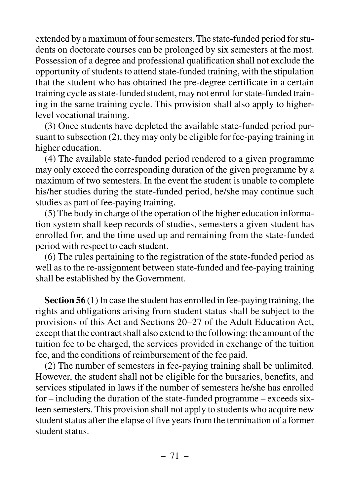extended by a maximum of four semesters. The state-funded period for students on doctorate courses can be prolonged by six semesters at the most. Possession of a degree and professional qualification shall not exclude the opportunity of students to attend state-funded training, with the stipulation that the student who has obtained the pre-degree certificate in a certain training cycle as state-funded student, may not enrol for state-funded training in the same training cycle. This provision shall also apply to higherlevel vocational training.

(3) Once students have depleted the available state-funded period pursuant to subsection (2), they may only be eligible for fee-paying training in higher education.

(4) The available state-funded period rendered to a given programme may only exceed the corresponding duration of the given programme by a maximum of two semesters. In the event the student is unable to complete his/her studies during the state-funded period, he/she may continue such studies as part of fee-paying training.

(5) The body in charge of the operation of the higher education information system shall keep records of studies, semesters a given student has enrolled for, and the time used up and remaining from the state-funded period with respect to each student.

(6) The rules pertaining to the registration of the state-funded period as well as to the re-assignment between state-funded and fee-paying training shall be established by the Government.

**Section 56** (1) In case the student has enrolled in fee-paying training, the rights and obligations arising from student status shall be subject to the provisions of this Act and Sections 20–27 of the Adult Education Act, except that the contract shall also extend to the following: the amount of the tuition fee to be charged, the services provided in exchange of the tuition fee, and the conditions of reimbursement of the fee paid.

(2) The number of semesters in fee-paying training shall be unlimited. However, the student shall not be eligible for the bursaries, benefits, and services stipulated in laws if the number of semesters he/she has enrolled for – including the duration of the state-funded programme – exceeds sixteen semesters. This provision shall not apply to students who acquire new student status after the elapse of five years from the termination of a former student status.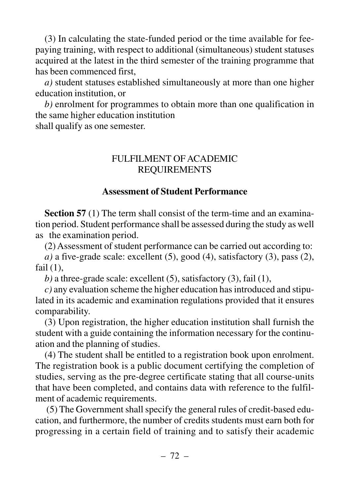(3) In calculating the state-funded period or the time available for feepaying training, with respect to additional (simultaneous) student statuses acquired at the latest in the third semester of the training programme that has been commenced first,

*a)* student statuses established simultaneously at more than one higher education institution, or

*b)* enrolment for programmes to obtain more than one qualification in the same higher education institution

shall qualify as one semester.

## FULFILMENT OF ACADEMIC REQUIREMENTS

## **Assessment of Student Performance**

**Section 57** (1) The term shall consist of the term-time and an examination period. Student performance shall be assessed during the study as well as the examination period.

(2) Assessment of student performance can be carried out according to:

 $a)$  a five-grade scale: excellent  $(5)$ , good  $(4)$ , satisfactory  $(3)$ , pass  $(2)$ , fail  $(1)$ ,

*) a three-grade scale: excellent (5), satisfactory (3), fail (1),* 

*c)* any evaluation scheme the higher education has introduced and stipulated in its academic and examination regulations provided that it ensures comparability.

(3) Upon registration, the higher education institution shall furnish the student with a guide containing the information necessary for the continuation and the planning of studies.

(4) The student shall be entitled to a registration book upon enrolment. The registration book is a public document certifying the completion of studies, serving as the pre-degree certificate stating that all course-units that have been completed, and contains data with reference to the fulfilment of academic requirements.

(5) The Government shall specify the general rules of credit-based education, and furthermore, the number of credits students must earn both for progressing in a certain field of training and to satisfy their academic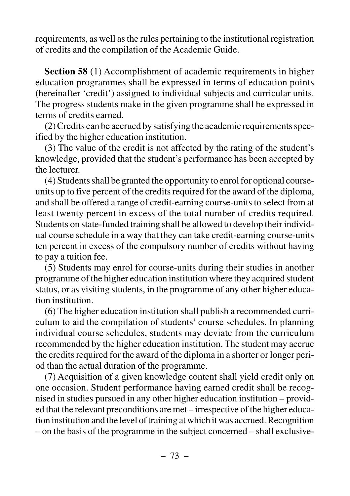requirements, as well as the rules pertaining to the institutional registration of credits and the compilation of the Academic Guide.

**Section 58** (1) Accomplishment of academic requirements in higher education programmes shall be expressed in terms of education points (hereinafter 'credit') assigned to individual subjects and curricular units. The progress students make in the given programme shall be expressed in terms of credits earned.

(2) Credits can be accrued by satisfying the academic requirements specified by the higher education institution.

(3) The value of the credit is not affected by the rating of the student's knowledge, provided that the student's performance has been accepted by the lecturer.

(4) Students shall be granted the opportunity to enrol for optional courseunits up to five percent of the credits required for the award of the diploma, and shall be offered a range of credit-earning course-units to select from at least twenty percent in excess of the total number of credits required. Students on state-funded training shall be allowed to develop their individual course schedule in a way that they can take credit-earning course-units ten percent in excess of the compulsory number of credits without having to pay a tuition fee.

(5) Students may enrol for course-units during their studies in another programme of the higher education institution where they acquired student status, or as visiting students, in the programme of any other higher education institution.

(6) The higher education institution shall publish a recommended curriculum to aid the compilation of students' course schedules. In planning individual course schedules, students may deviate from the curriculum recommended by the higher education institution. The student may accrue the credits required for the award of the diploma in a shorter or longer period than the actual duration of the programme.

(7) Acquisition of a given knowledge content shall yield credit only on one occasion. Student performance having earned credit shall be recognised in studies pursued in any other higher education institution – provided that the relevant preconditions are met – irrespective of the higher education institution and the level of training at which it was accrued. Recognition – on the basis of the programme in the subject concerned – shall exclusive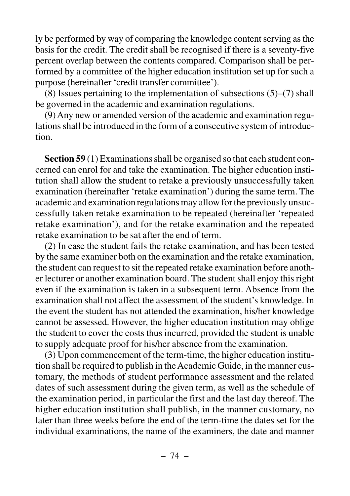ly be performed by way of comparing the knowledge content serving as the basis for the credit. The credit shall be recognised if there is a seventy-five percent overlap between the contents compared. Comparison shall be performed by a committee of the higher education institution set up for such a purpose (hereinafter 'credit transfer committee').

(8) Issues pertaining to the implementation of subsections (5)–(7) shall be governed in the academic and examination regulations.

(9) Any new or amended version of the academic and examination regulations shall be introduced in the form of a consecutive system of introduction.

**Section 59** (1) Examinations shall be organised so that each student concerned can enrol for and take the examination. The higher education institution shall allow the student to retake a previously unsuccessfully taken examination (hereinafter 'retake examination') during the same term. The academic and examination regulations may allow for the previously unsuccessfully taken retake examination to be repeated (hereinafter 'repeated retake examination'), and for the retake examination and the repeated retake examination to be sat after the end of term.

(2) In case the student fails the retake examination, and has been tested by the same examiner both on the examination and the retake examination, the student can request to sit the repeated retake examination before another lecturer or another examination board. The student shall enjoy this right even if the examination is taken in a subsequent term. Absence from the examination shall not affect the assessment of the student's knowledge. In the event the student has not attended the examination, his/her knowledge cannot be assessed. However, the higher education institution may oblige the student to cover the costs thus incurred, provided the student is unable to supply adequate proof for his/her absence from the examination.

(3) Upon commencement of the term-time, the higher education institution shall be required to publish in the Academic Guide, in the manner customary, the methods of student performance assessment and the related dates of such assessment during the given term, as well as the schedule of the examination period, in particular the first and the last day thereof. The higher education institution shall publish, in the manner customary, no later than three weeks before the end of the term-time the dates set for the individual examinations, the name of the examiners, the date and manner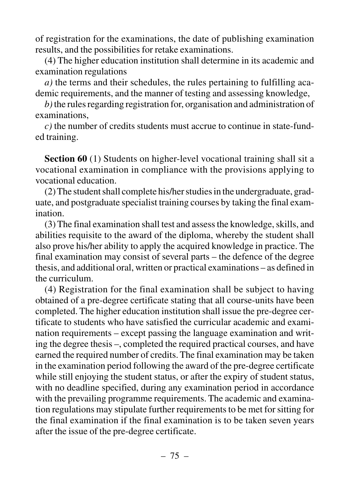of registration for the examinations, the date of publishing examination results, and the possibilities for retake examinations.

(4) The higher education institution shall determine in its academic and examination regulations

*a)* the terms and their schedules, the rules pertaining to fulfilling academic requirements, and the manner of testing and assessing knowledge,

*b)*the rules regarding registration for, organisation and administration of examinations,

*c)* the number of credits students must accrue to continue in state-funded training.

**Section 60** (1) Students on higher-level vocational training shall sit a vocational examination in compliance with the provisions applying to vocational education.

(2) The student shall complete his/her studies in the undergraduate, graduate, and postgraduate specialist training courses by taking the final examination.

(3) The final examination shall test and assess the knowledge, skills, and abilities requisite to the award of the diploma, whereby the student shall also prove his/her ability to apply the acquired knowledge in practice. The final examination may consist of several parts – the defence of the degree thesis, and additional oral, written or practical examinations – as defined in the curriculum.

(4) Registration for the final examination shall be subject to having obtained of a pre-degree certificate stating that all course-units have been completed. The higher education institution shall issue the pre-degree certificate to students who have satisfied the curricular academic and examination requirements – except passing the language examination and writing the degree thesis –, completed the required practical courses, and have earned the required number of credits. The final examination may be taken in the examination period following the award of the pre-degree certificate while still enjoying the student status, or after the expiry of student status, with no deadline specified, during any examination period in accordance with the prevailing programme requirements. The academic and examination regulations may stipulate further requirements to be met for sitting for the final examination if the final examination is to be taken seven years after the issue of the pre-degree certificate.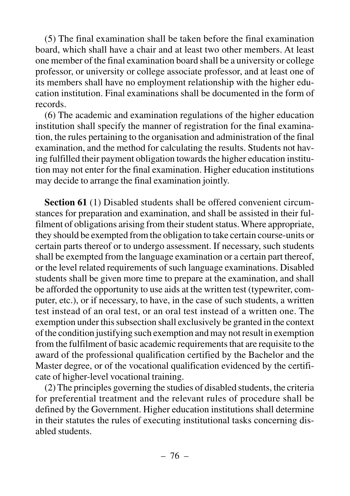(5) The final examination shall be taken before the final examination board, which shall have a chair and at least two other members. At least one member of the final examination board shall be a university or college professor, or university or college associate professor, and at least one of its members shall have no employment relationship with the higher education institution. Final examinations shall be documented in the form of records.

(6) The academic and examination regulations of the higher education institution shall specify the manner of registration for the final examination, the rules pertaining to the organisation and administration of the final examination, and the method for calculating the results. Students not having fulfilled their payment obligation towards the higher education institution may not enter for the final examination. Higher education institutions may decide to arrange the final examination jointly.

**Section 61** (1) Disabled students shall be offered convenient circumstances for preparation and examination, and shall be assisted in their fulfilment of obligations arising from their student status. Where appropriate, they should be exempted from the obligation to take certain course-units or certain parts thereof or to undergo assessment. If necessary, such students shall be exempted from the language examination or a certain part thereof, or the level related requirements of such language examinations. Disabled students shall be given more time to prepare at the examination, and shall be afforded the opportunity to use aids at the written test (typewriter, computer, etc.), or if necessary, to have, in the case of such students, a written test instead of an oral test, or an oral test instead of a written one. The exemption under this subsection shall exclusively be granted in the context of the condition justifying such exemption and may not result in exemption from the fulfilment of basic academic requirements that are requisite to the award of the professional qualification certified by the Bachelor and the Master degree, or of the vocational qualification evidenced by the certificate of higher-level vocational training.

(2) The principles governing the studies of disabled students, the criteria for preferential treatment and the relevant rules of procedure shall be defined by the Government. Higher education institutions shall determine in their statutes the rules of executing institutional tasks concerning disabled students.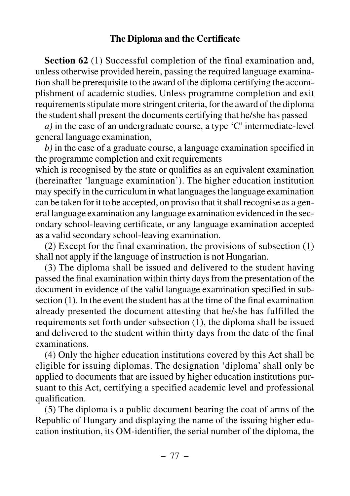#### **The Diploma and the Certificate**

**Section 62** (1) Successful completion of the final examination and, unless otherwise provided herein, passing the required language examination shall be prerequisite to the award of the diploma certifying the accomplishment of academic studies. Unless programme completion and exit requirements stipulate more stringent criteria, for the award of the diploma the student shall present the documents certifying that he/she has passed

*a)* in the case of an undergraduate course, a type 'C' intermediate-level general language examination,

*b)* in the case of a graduate course, a language examination specified in the programme completion and exit requirements

which is recognised by the state or qualifies as an equivalent examination (hereinafter 'language examination'). The higher education institution may specify in the curriculum in what languages the language examination can be taken for it to be accepted, on proviso that it shall recognise as a general language examination any language examination evidenced in the secondary school-leaving certificate, or any language examination accepted as a valid secondary school-leaving examination.

(2) Except for the final examination, the provisions of subsection (1) shall not apply if the language of instruction is not Hungarian.

(3) The diploma shall be issued and delivered to the student having passed the final examination within thirty days from the presentation of the document in evidence of the valid language examination specified in subsection (1). In the event the student has at the time of the final examination already presented the document attesting that he/she has fulfilled the requirements set forth under subsection (1), the diploma shall be issued and delivered to the student within thirty days from the date of the final examinations.

(4) Only the higher education institutions covered by this Act shall be eligible for issuing diplomas. The designation 'diploma' shall only be applied to documents that are issued by higher education institutions pursuant to this Act, certifying a specified academic level and professional qualification.

(5) The diploma is a public document bearing the coat of arms of the Republic of Hungary and displaying the name of the issuing higher education institution, its OM-identifier, the serial number of the diploma, the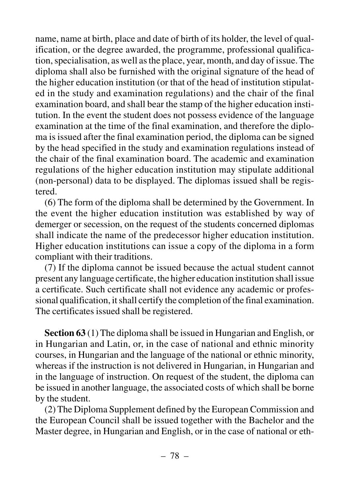name, name at birth, place and date of birth of its holder, the level of qualification, or the degree awarded, the programme, professional qualification, specialisation, as well as the place, year, month, and day of issue. The diploma shall also be furnished with the original signature of the head of the higher education institution (or that of the head of institution stipulated in the study and examination regulations) and the chair of the final examination board, and shall bear the stamp of the higher education institution. In the event the student does not possess evidence of the language examination at the time of the final examination, and therefore the diploma is issued after the final examination period, the diploma can be signed by the head specified in the study and examination regulations instead of the chair of the final examination board. The academic and examination regulations of the higher education institution may stipulate additional (non-personal) data to be displayed. The diplomas issued shall be registered.

(6) The form of the diploma shall be determined by the Government. In the event the higher education institution was established by way of demerger or secession, on the request of the students concerned diplomas shall indicate the name of the predecessor higher education institution. Higher education institutions can issue a copy of the diploma in a form compliant with their traditions.

(7) If the diploma cannot be issued because the actual student cannot present any language certificate, the higher education institution shall issue a certificate. Such certificate shall not evidence any academic or professional qualification, it shall certify the completion of the final examination. The certificates issued shall be registered.

**Section 63** (1) The diploma shall be issued in Hungarian and English, or in Hungarian and Latin, or, in the case of national and ethnic minority courses, in Hungarian and the language of the national or ethnic minority, whereas if the instruction is not delivered in Hungarian, in Hungarian and in the language of instruction. On request of the student, the diploma can be issued in another language, the associated costs of which shall be borne by the student.

(2) The Diploma Supplement defined by the European Commission and the European Council shall be issued together with the Bachelor and the Master degree, in Hungarian and English, or in the case of national or eth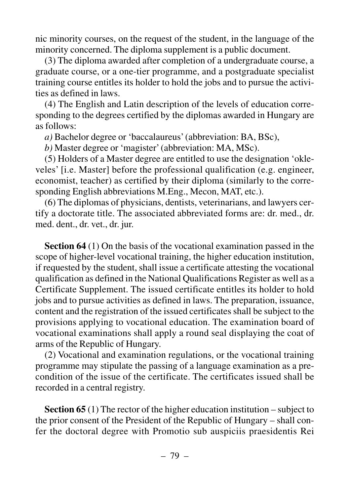nic minority courses, on the request of the student, in the language of the minority concerned. The diploma supplement is a public document.

(3) The diploma awarded after completion of a undergraduate course, a graduate course, or a one-tier programme, and a postgraduate specialist training course entitles its holder to hold the jobs and to pursue the activities as defined in laws.

(4) The English and Latin description of the levels of education corresponding to the degrees certified by the diplomas awarded in Hungary are as follows:

*a)* Bachelor degree or 'baccalaureus' (abbreviation: BA, BSc),

*b)* Master degree or 'magister' (abbreviation: MA, MSc).

(5) Holders of a Master degree are entitled to use the designation 'okleveles' [i.e. Master] before the professional qualification (e.g. engineer, economist, teacher) as certified by their diploma (similarly to the corresponding English abbreviations M.Eng., Mecon, MAT, etc.).

(6) The diplomas of physicians, dentists, veterinarians, and lawyers certify a doctorate title. The associated abbreviated forms are: dr. med., dr. med. dent., dr. vet., dr. jur.

**Section 64** (1) On the basis of the vocational examination passed in the scope of higher-level vocational training, the higher education institution, if requested by the student, shall issue a certificate attesting the vocational qualification as defined in the National Qualifications Register as well as a Certificate Supplement. The issued certificate entitles its holder to hold jobs and to pursue activities as defined in laws. The preparation, issuance, content and the registration of the issued certificates shall be subject to the provisions applying to vocational education. The examination board of vocational examinations shall apply a round seal displaying the coat of arms of the Republic of Hungary.

(2) Vocational and examination regulations, or the vocational training programme may stipulate the passing of a language examination as a precondition of the issue of the certificate. The certificates issued shall be recorded in a central registry.

**Section 65** (1) The rector of the higher education institution – subject to the prior consent of the President of the Republic of Hungary – shall confer the doctoral degree with Promotio sub auspiciis praesidentis Rei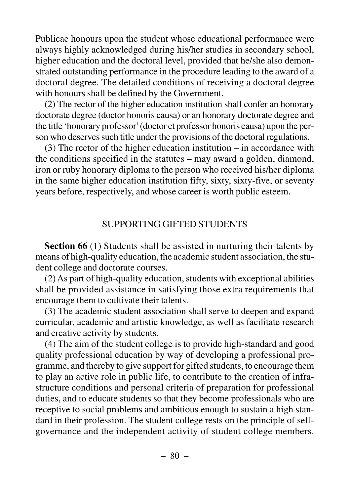Publicae honours upon the student whose educational performance were always highly acknowledged during his/her studies in secondary school, higher education and the doctoral level, provided that he/she also demonstrated outstanding performance in the procedure leading to the award of a doctoral degree. The detailed conditions of receiving a doctoral degree with honours shall be defined by the Government.

(2) The rector of the higher education institution shall confer an honorary doctorate degree (doctor honoris causa) or an honorary doctorate degree and the title 'honorary professor'(doctor et professor honoris causa) upon the person who deserves such title under the provisions of the doctoral regulations.

(3) The rector of the higher education institution – in accordance with the conditions specified in the statutes – may award a golden, diamond, iron or ruby honorary diploma to the person who received his/her diploma in the same higher education institution fifty, sixty, sixty-five, or seventy years before, respectively, and whose career is worth public esteem.

#### SUPPORTING GIFTED STUDENTS

**Section 66** (1) Students shall be assisted in nurturing their talents by means of high-quality education, the academic student association, the student college and doctorate courses.

(2) As part of high-quality education, students with exceptional abilities shall be provided assistance in satisfying those extra requirements that encourage them to cultivate their talents.

(3) The academic student association shall serve to deepen and expand curricular, academic and artistic knowledge, as well as facilitate research and creative activity by students.

(4) The aim of the student college is to provide high-standard and good quality professional education by way of developing a professional programme, and thereby to give support for gifted students, to encourage them to play an active role in public life, to contribute to the creation of infrastructure conditions and personal criteria of preparation for professional duties, and to educate students so that they become professionals who are receptive to social problems and ambitious enough to sustain a high standard in their profession. The student college rests on the principle of selfgovernance and the independent activity of student college members.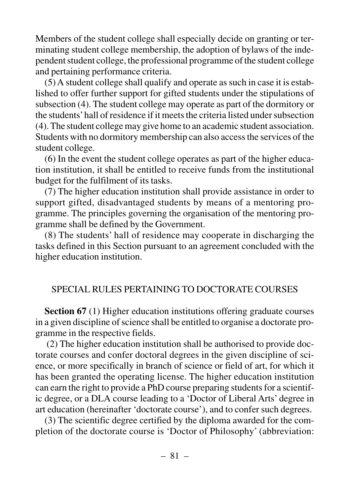Members of the student college shall especially decide on granting or terminating student college membership, the adoption of bylaws of the independent student college, the professional programme of the student college and pertaining performance criteria.

(5) A student college shall qualify and operate as such in case it is established to offer further support for gifted students under the stipulations of subsection (4). The student college may operate as part of the dormitory or the students'hall of residence if it meets the criteria listed under subsection (4). The student college may give home to an academic student association. Students with no dormitory membership can also access the services of the student college.

(6) In the event the student college operates as part of the higher education institution, it shall be entitled to receive funds from the institutional budget for the fulfilment of its tasks.

(7) The higher education institution shall provide assistance in order to support gifted, disadvantaged students by means of a mentoring programme. The principles governing the organisation of the mentoring programme shall be defined by the Government.

(8) The students' hall of residence may cooperate in discharging the tasks defined in this Section pursuant to an agreement concluded with the higher education institution.

#### SPECIAL RULES PERTAINING TO DOCTORATE COURSES

**Section 67** (1) Higher education institutions offering graduate courses in a given discipline of science shall be entitled to organise a doctorate programme in the respective fields.

(2) The higher education institution shall be authorised to provide doctorate courses and confer doctoral degrees in the given discipline of science, or more specifically in branch of science or field of art, for which it has been granted the operating license. The higher education institution can earn the right to provide a PhD course preparing students for a scientific degree, or a DLA course leading to a 'Doctor of Liberal Arts' degree in art education (hereinafter 'doctorate course'), and to confer such degrees.

(3) The scientific degree certified by the diploma awarded for the completion of the doctorate course is 'Doctor of Philosophy' (abbreviation: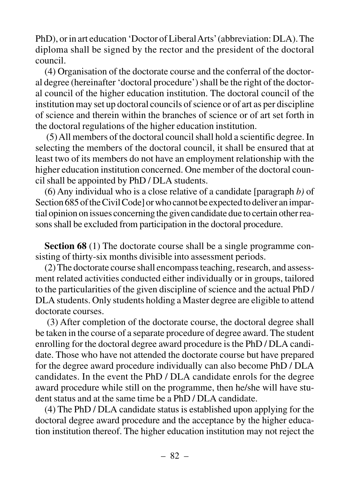PhD), or in art education 'Doctor of Liberal Arts'(abbreviation: DLA). The diploma shall be signed by the rector and the president of the doctoral council.

(4) Organisation of the doctorate course and the conferral of the doctoral degree (hereinafter 'doctoral procedure') shall be the right of the doctoral council of the higher education institution. The doctoral council of the institution may set up doctoral councils of science or of art as per discipline of science and therein within the branches of science or of art set forth in the doctoral regulations of the higher education institution.

(5) All members of the doctoral council shall hold a scientific degree. In selecting the members of the doctoral council, it shall be ensured that at least two of its members do not have an employment relationship with the higher education institution concerned. One member of the doctoral council shall be appointed by PhD / DLA students.

(6) Any individual who is a close relative of a candidate [paragraph *b)* of Section 685 of the Civil Code] or who cannot be expected to deliver an impartial opinion on issues concerning the given candidate due to certain other reasons shall be excluded from participation in the doctoral procedure.

**Section 68** (1) The doctorate course shall be a single programme consisting of thirty-six months divisible into assessment periods.

(2) The doctorate course shall encompass teaching, research, and assessment related activities conducted either individually or in groups, tailored to the particularities of the given discipline of science and the actual PhD / DLA students. Only students holding a Master degree are eligible to attend doctorate courses.

(3) After completion of the doctorate course, the doctoral degree shall be taken in the course of a separate procedure of degree award. The student enrolling for the doctoral degree award procedure is the PhD / DLA candidate. Those who have not attended the doctorate course but have prepared for the degree award procedure individually can also become PhD / DLA candidates. In the event the PhD / DLA candidate enrols for the degree award procedure while still on the programme, then he/she will have student status and at the same time be a PhD / DLA candidate.

(4) The PhD / DLA candidate status is established upon applying for the doctoral degree award procedure and the acceptance by the higher education institution thereof. The higher education institution may not reject the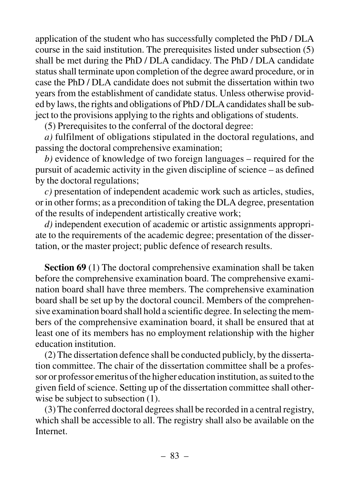application of the student who has successfully completed the PhD / DLA course in the said institution. The prerequisites listed under subsection (5) shall be met during the PhD / DLA candidacy. The PhD / DLA candidate status shall terminate upon completion of the degree award procedure, or in case the PhD / DLA candidate does not submit the dissertation within two years from the establishment of candidate status. Unless otherwise provided by laws, the rights and obligations of PhD / DLA candidates shall be subject to the provisions applying to the rights and obligations of students.

(5) Prerequisites to the conferral of the doctoral degree:

*a)* fulfilment of obligations stipulated in the doctoral regulations, and passing the doctoral comprehensive examination;

*b)* evidence of knowledge of two foreign languages – required for the pursuit of academic activity in the given discipline of science – as defined by the doctoral regulations;

*c)* presentation of independent academic work such as articles, studies, or in other forms; as a precondition of taking the DLA degree, presentation of the results of independent artistically creative work;

*d)* independent execution of academic or artistic assignments appropriate to the requirements of the academic degree; presentation of the dissertation, or the master project; public defence of research results.

**Section 69** (1) The doctoral comprehensive examination shall be taken before the comprehensive examination board. The comprehensive examination board shall have three members. The comprehensive examination board shall be set up by the doctoral council. Members of the comprehensive examination board shall hold a scientific degree. In selecting the members of the comprehensive examination board, it shall be ensured that at least one of its members has no employment relationship with the higher education institution.

(2) The dissertation defence shall be conducted publicly, by the dissertation committee. The chair of the dissertation committee shall be a professor or professor emeritus of the higher education institution, as suited to the given field of science. Setting up of the dissertation committee shall otherwise be subject to subsection  $(1)$ .

(3) The conferred doctoral degrees shall be recorded in a central registry, which shall be accessible to all. The registry shall also be available on the Internet.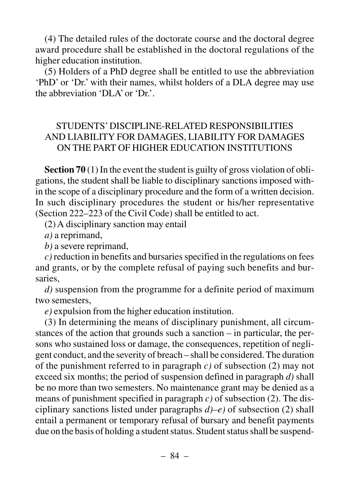(4) The detailed rules of the doctorate course and the doctoral degree award procedure shall be established in the doctoral regulations of the higher education institution.

(5) Holders of a PhD degree shall be entitled to use the abbreviation 'PhD' or 'Dr.' with their names, whilst holders of a DLA degree may use the abbreviation 'DLA' or 'Dr'

#### STUDENTS' DISCIPLINE-RELATED RESPONSIBILITIES AND LIABILITY FOR DAMAGES, LIABILITY FOR DAMAGES ON THE PART OF HIGHER EDUCATION INSTITUTIONS

**Section 70** (1) In the event the student is guilty of gross violation of obligations, the student shall be liable to disciplinary sanctions imposed within the scope of a disciplinary procedure and the form of a written decision. In such disciplinary procedures the student or his/her representative (Section 222–223 of the Civil Code) shall be entitled to act.

(2) A disciplinary sanction may entail

*a)* a reprimand,

*b)* a severe reprimand,

*c)* reduction in benefits and bursaries specified in the regulations on fees and grants, or by the complete refusal of paying such benefits and bursaries,

*d)* suspension from the programme for a definite period of maximum two semesters,

*e)* expulsion from the higher education institution.

(3) In determining the means of disciplinary punishment, all circumstances of the action that grounds such a sanction – in particular, the persons who sustained loss or damage, the consequences, repetition of negligent conduct, and the severity of breach – shall be considered. The duration of the punishment referred to in paragraph *c)* of subsection (2) may not exceed six months; the period of suspension defined in paragraph *d)* shall be no more than two semesters. No maintenance grant may be denied as a means of punishment specified in paragraph *c)* of subsection (2). The disciplinary sanctions listed under paragraphs *d)–e)* of subsection (2) shall entail a permanent or temporary refusal of bursary and benefit payments due on the basis of holding a student status. Student status shall be suspend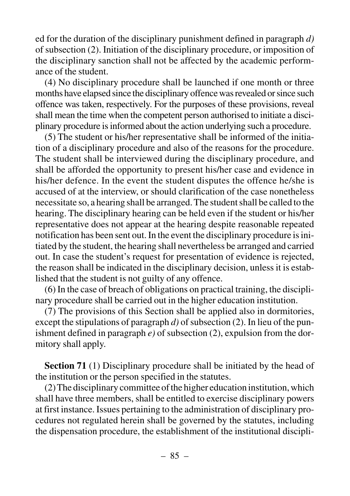ed for the duration of the disciplinary punishment defined in paragraph *d)* of subsection (2). Initiation of the disciplinary procedure, or imposition of the disciplinary sanction shall not be affected by the academic performance of the student.

(4) No disciplinary procedure shall be launched if one month or three months have elapsed since the disciplinary offence was revealed or since such offence was taken, respectively. For the purposes of these provisions, reveal shall mean the time when the competent person authorised to initiate a disciplinary procedure is informed about the action underlying such a procedure.

(5) The student or his/her representative shall be informed of the initiation of a disciplinary procedure and also of the reasons for the procedure. The student shall be interviewed during the disciplinary procedure, and shall be afforded the opportunity to present his/her case and evidence in his/her defence. In the event the student disputes the offence he/she is accused of at the interview, or should clarification of the case nonetheless necessitate so, a hearing shall be arranged. The student shall be called to the hearing. The disciplinary hearing can be held even if the student or his/her representative does not appear at the hearing despite reasonable repeated notification has been sent out. In the event the disciplinary procedure is initiated by the student, the hearing shall nevertheless be arranged and carried out. In case the student's request for presentation of evidence is rejected, the reason shall be indicated in the disciplinary decision, unless it is established that the student is not guilty of any offence.

(6) In the case of breach of obligations on practical training, the disciplinary procedure shall be carried out in the higher education institution.

(7) The provisions of this Section shall be applied also in dormitories, except the stipulations of paragraph *d)* of subsection (2). In lieu of the punishment defined in paragraph  $e$ ) of subsection  $(2)$ , expulsion from the dormitory shall apply.

**Section 71** (1) Disciplinary procedure shall be initiated by the head of the institution or the person specified in the statutes.

(2) The disciplinary committee of the higher education institution, which shall have three members, shall be entitled to exercise disciplinary powers at first instance. Issues pertaining to the administration of disciplinary procedures not regulated herein shall be governed by the statutes, including the dispensation procedure, the establishment of the institutional discipli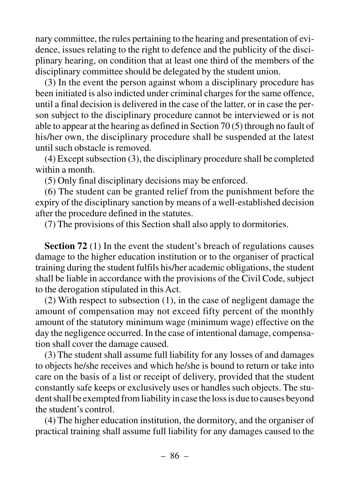nary committee, the rules pertaining to the hearing and presentation of evidence, issues relating to the right to defence and the publicity of the disciplinary hearing, on condition that at least one third of the members of the disciplinary committee should be delegated by the student union.

(3) In the event the person against whom a disciplinary procedure has been initiated is also indicted under criminal charges for the same offence, until a final decision is delivered in the case of the latter, or in case the person subject to the disciplinary procedure cannot be interviewed or is not able to appear at the hearing as defined in Section 70 (5) through no fault of his/her own, the disciplinary procedure shall be suspended at the latest until such obstacle is removed.

(4) Except subsection (3), the disciplinary procedure shall be completed within a month.

(5) Only final disciplinary decisions may be enforced.

(6) The student can be granted relief from the punishment before the expiry of the disciplinary sanction by means of a well-established decision after the procedure defined in the statutes.

(7) The provisions of this Section shall also apply to dormitories.

**Section 72** (1) In the event the student's breach of regulations causes damage to the higher education institution or to the organiser of practical training during the student fulfils his/her academic obligations, the student shall be liable in accordance with the provisions of the Civil Code, subject to the derogation stipulated in this Act.

(2) With respect to subsection (1), in the case of negligent damage the amount of compensation may not exceed fifty percent of the monthly amount of the statutory minimum wage (minimum wage) effective on the day the negligence occurred. In the case of intentional damage, compensation shall cover the damage caused.

(3) The student shall assume full liability for any losses of and damages to objects he/she receives and which he/she is bound to return or take into care on the basis of a list or receipt of delivery, provided that the student constantly safe keeps or exclusively uses or handles such objects. The student shall be exempted from liability in case the loss is due to causes beyond the student's control.

(4) The higher education institution, the dormitory, and the organiser of practical training shall assume full liability for any damages caused to the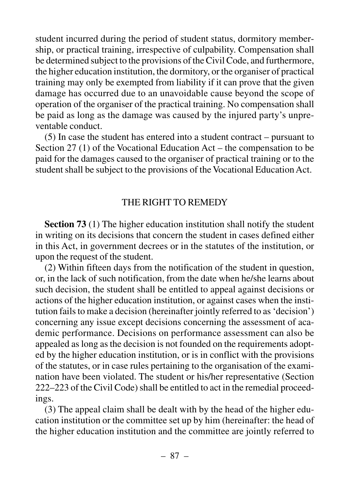student incurred during the period of student status, dormitory membership, or practical training, irrespective of culpability. Compensation shall be determined subject to the provisions of the Civil Code, and furthermore, the higher education institution, the dormitory, or the organiser of practical training may only be exempted from liability if it can prove that the given damage has occurred due to an unavoidable cause beyond the scope of operation of the organiser of the practical training. No compensation shall be paid as long as the damage was caused by the injured party's unpreventable conduct.

(5) In case the student has entered into a student contract – pursuant to Section 27 (1) of the Vocational Education Act – the compensation to be paid for the damages caused to the organiser of practical training or to the student shall be subject to the provisions of the Vocational Education Act.

#### THE RIGHT TO REMEDY

**Section 73** (1) The higher education institution shall notify the student in writing on its decisions that concern the student in cases defined either in this Act, in government decrees or in the statutes of the institution, or upon the request of the student.

(2) Within fifteen days from the notification of the student in question, or, in the lack of such notification, from the date when he/she learns about such decision, the student shall be entitled to appeal against decisions or actions of the higher education institution, or against cases when the institution fails to make a decision (hereinafter jointly referred to as 'decision') concerning any issue except decisions concerning the assessment of academic performance. Decisions on performance assessment can also be appealed as long as the decision is not founded on the requirements adopted by the higher education institution, or is in conflict with the provisions of the statutes, or in case rules pertaining to the organisation of the examination have been violated. The student or his/her representative (Section 222–223 of the Civil Code) shall be entitled to act in the remedial proceedings.

(3) The appeal claim shall be dealt with by the head of the higher education institution or the committee set up by him (hereinafter: the head of the higher education institution and the committee are jointly referred to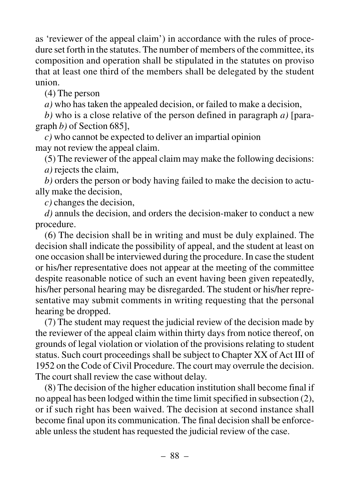as 'reviewer of the appeal claim') in accordance with the rules of procedure set forth in the statutes. The number of members of the committee, its composition and operation shall be stipulated in the statutes on proviso that at least one third of the members shall be delegated by the student union.

(4) The person

*a)* who has taken the appealed decision, or failed to make a decision,

*b)* who is a close relative of the person defined in paragraph *a)* [paragraph *b)* of Section 685],

*c)* who cannot be expected to deliver an impartial opinion may not review the appeal claim.

(5) The reviewer of the appeal claim may make the following decisions:

*a)* rejects the claim,

*b)* orders the person or body having failed to make the decision to actually make the decision,

*c)* changes the decision,

*d)* annuls the decision, and orders the decision-maker to conduct a new procedure.

(6) The decision shall be in writing and must be duly explained. The decision shall indicate the possibility of appeal, and the student at least on one occasion shall be interviewed during the procedure. In case the student or his/her representative does not appear at the meeting of the committee despite reasonable notice of such an event having been given repeatedly, his/her personal hearing may be disregarded. The student or his/her representative may submit comments in writing requesting that the personal hearing be dropped.

(7) The student may request the judicial review of the decision made by the reviewer of the appeal claim within thirty days from notice thereof, on grounds of legal violation or violation of the provisions relating to student status. Such court proceedings shall be subject to Chapter XX of Act III of 1952 on the Code of Civil Procedure. The court may overrule the decision. The court shall review the case without delay.

(8) The decision of the higher education institution shall become final if no appeal has been lodged within the time limit specified in subsection (2), or if such right has been waived. The decision at second instance shall become final upon its communication. The final decision shall be enforceable unless the student has requested the judicial review of the case.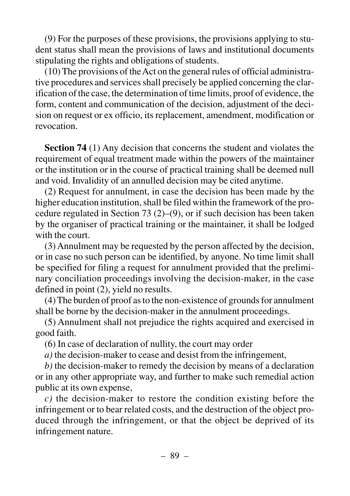(9) For the purposes of these provisions, the provisions applying to student status shall mean the provisions of laws and institutional documents stipulating the rights and obligations of students.

(10) The provisions of the Act on the general rules of official administrative procedures and services shall precisely be applied concerning the clarification of the case, the determination of time limits, proof of evidence, the form, content and communication of the decision, adjustment of the decision on request or ex officio, its replacement, amendment, modification or revocation.

**Section 74** (1) Any decision that concerns the student and violates the requirement of equal treatment made within the powers of the maintainer or the institution or in the course of practical training shall be deemed null and void. Invalidity of an annulled decision may be cited anytime.

(2) Request for annulment, in case the decision has been made by the higher education institution, shall be filed within the framework of the procedure regulated in Section 73 (2)–(9), or if such decision has been taken by the organiser of practical training or the maintainer, it shall be lodged with the court.

(3) Annulment may be requested by the person affected by the decision, or in case no such person can be identified, by anyone. No time limit shall be specified for filing a request for annulment provided that the preliminary conciliation proceedings involving the decision-maker, in the case defined in point (2), yield no results.

(4) The burden of proof as to the non-existence of grounds for annulment shall be borne by the decision-maker in the annulment proceedings.

(5) Annulment shall not prejudice the rights acquired and exercised in good faith.

(6) In case of declaration of nullity, the court may order

*a)* the decision-maker to cease and desist from the infringement,

*b)* the decision-maker to remedy the decision by means of a declaration or in any other appropriate way, and further to make such remedial action public at its own expense,

*c)* the decision-maker to restore the condition existing before the infringement or to bear related costs, and the destruction of the object produced through the infringement, or that the object be deprived of its infringement nature.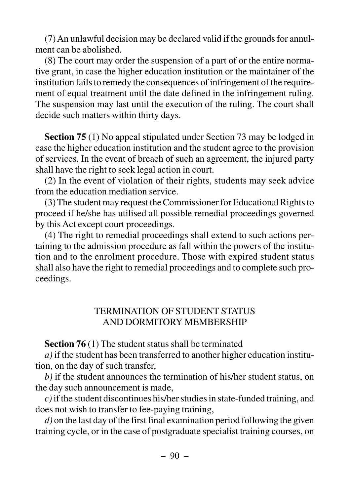(7) An unlawful decision may be declared valid if the grounds for annulment can be abolished.

(8) The court may order the suspension of a part of or the entire normative grant, in case the higher education institution or the maintainer of the institution fails to remedy the consequences of infringement of the requirement of equal treatment until the date defined in the infringement ruling. The suspension may last until the execution of the ruling. The court shall decide such matters within thirty days.

**Section 75** (1) No appeal stipulated under Section 73 may be lodged in case the higher education institution and the student agree to the provision of services. In the event of breach of such an agreement, the injured party shall have the right to seek legal action in court.

(2) In the event of violation of their rights, students may seek advice from the education mediation service.

(3) The student may request the Commissioner for Educational Rights to proceed if he/she has utilised all possible remedial proceedings governed by this Act except court proceedings.

(4) The right to remedial proceedings shall extend to such actions pertaining to the admission procedure as fall within the powers of the institution and to the enrolment procedure. Those with expired student status shall also have the right to remedial proceedings and to complete such proceedings.

## TERMINATION OF STUDENT STATUS AND DORMITORY MEMBERSHIP

**Section 76** (1) The student status shall be terminated

*a)* if the student has been transferred to another higher education institution, on the day of such transfer,

*b)* if the student announces the termination of his/her student status, on the day such announcement is made,

*c)*if the student discontinues his/her studies in state-funded training, and does not wish to transfer to fee-paying training,

*d)* on the last day of the first final examination period following the given training cycle, or in the case of postgraduate specialist training courses, on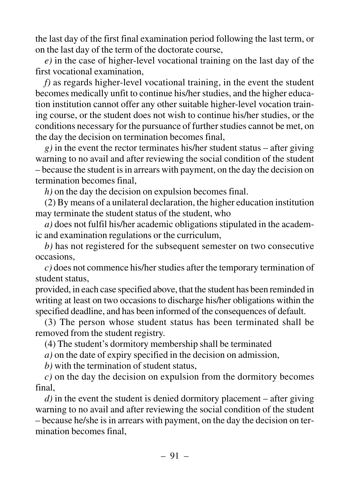the last day of the first final examination period following the last term, or on the last day of the term of the doctorate course,

*e)* in the case of higher-level vocational training on the last day of the first vocational examination,

*f)* as regards higher-level vocational training, in the event the student becomes medically unfit to continue his/her studies, and the higher education institution cannot offer any other suitable higher-level vocation training course, or the student does not wish to continue his/her studies, or the conditions necessary for the pursuance of further studies cannot be met, on the day the decision on termination becomes final,

*g)* in the event the rector terminates his/her student status – after giving warning to no avail and after reviewing the social condition of the student – because the student is in arrears with payment, on the day the decision on termination becomes final,

*h)* on the day the decision on expulsion becomes final.

(2) By means of a unilateral declaration, the higher education institution may terminate the student status of the student, who

*a)* does not fulfil his/her academic obligations stipulated in the academic and examination regulations or the curriculum,

*b)* has not registered for the subsequent semester on two consecutive occasions,

*c)* does not commence his/her studies after the temporary termination of student status,

provided, in each case specified above, that the student has been reminded in writing at least on two occasions to discharge his/her obligations within the specified deadline, and has been informed of the consequences of default.

(3) The person whose student status has been terminated shall be removed from the student registry.

(4) The student's dormitory membership shall be terminated

*a)* on the date of expiry specified in the decision on admission,

*b)* with the termination of student status,

*c)* on the day the decision on expulsion from the dormitory becomes final,

*d)* in the event the student is denied dormitory placement – after giving warning to no avail and after reviewing the social condition of the student – because he/she is in arrears with payment, on the day the decision on termination becomes final,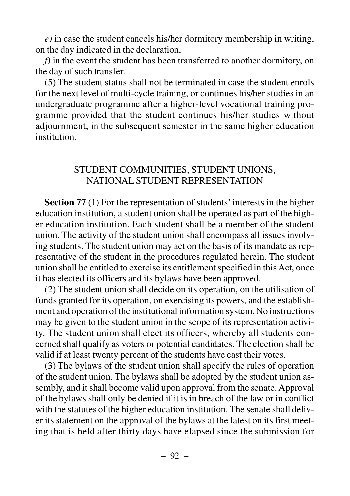*e)* in case the student cancels his/her dormitory membership in writing, on the day indicated in the declaration,

*f)* in the event the student has been transferred to another dormitory, on the day of such transfer.

(5) The student status shall not be terminated in case the student enrols for the next level of multi-cycle training, or continues his/her studies in an undergraduate programme after a higher-level vocational training programme provided that the student continues his/her studies without adjournment, in the subsequent semester in the same higher education institution.

#### STUDENT COMMUNITIES, STUDENT UNIONS, NATIONAL STUDENT REPRESENTATION

**Section 77** (1) For the representation of students' interests in the higher education institution, a student union shall be operated as part of the higher education institution. Each student shall be a member of the student union. The activity of the student union shall encompass all issues involving students. The student union may act on the basis of its mandate as representative of the student in the procedures regulated herein. The student union shall be entitled to exercise its entitlement specified in this Act, once it has elected its officers and its bylaws have been approved.

(2) The student union shall decide on its operation, on the utilisation of funds granted for its operation, on exercising its powers, and the establishment and operation of the institutional information system. No instructions may be given to the student union in the scope of its representation activity. The student union shall elect its officers, whereby all students concerned shall qualify as voters or potential candidates. The election shall be valid if at least twenty percent of the students have cast their votes.

(3) The bylaws of the student union shall specify the rules of operation of the student union. The bylaws shall be adopted by the student union assembly, and it shall become valid upon approval from the senate. Approval of the bylaws shall only be denied if it is in breach of the law or in conflict with the statutes of the higher education institution. The senate shall deliver its statement on the approval of the bylaws at the latest on its first meeting that is held after thirty days have elapsed since the submission for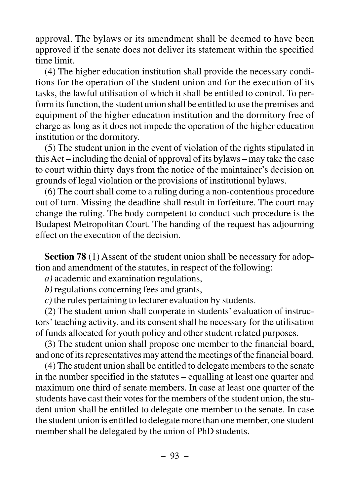approval. The bylaws or its amendment shall be deemed to have been approved if the senate does not deliver its statement within the specified time limit.

(4) The higher education institution shall provide the necessary conditions for the operation of the student union and for the execution of its tasks, the lawful utilisation of which it shall be entitled to control. To perform its function, the student union shall be entitled to use the premises and equipment of the higher education institution and the dormitory free of charge as long as it does not impede the operation of the higher education institution or the dormitory.

(5) The student union in the event of violation of the rights stipulated in this Act – including the denial of approval of its bylaws – may take the case to court within thirty days from the notice of the maintainer's decision on grounds of legal violation or the provisions of institutional bylaws.

(6) The court shall come to a ruling during a non-contentious procedure out of turn. Missing the deadline shall result in forfeiture. The court may change the ruling. The body competent to conduct such procedure is the Budapest Metropolitan Court. The handing of the request has adjourning effect on the execution of the decision.

**Section 78** (1) Assent of the student union shall be necessary for adoption and amendment of the statutes, in respect of the following:

*a)* academic and examination regulations,

*b)* regulations concerning fees and grants,

*c)* the rules pertaining to lecturer evaluation by students.

(2) The student union shall cooperate in students' evaluation of instructors' teaching activity, and its consent shall be necessary for the utilisation of funds allocated for youth policy and other student related purposes.

(3) The student union shall propose one member to the financial board, and one of its representatives may attend the meetings of the financial board.

(4) The student union shall be entitled to delegate members to the senate in the number specified in the statutes – equalling at least one quarter and maximum one third of senate members. In case at least one quarter of the students have cast their votes for the members of the student union, the student union shall be entitled to delegate one member to the senate. In case the student union is entitled to delegate more than one member, one student member shall be delegated by the union of PhD students.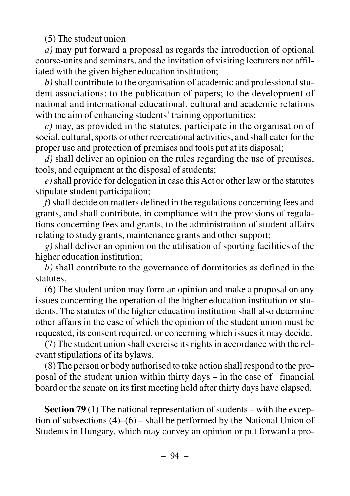(5) The student union

*a)* may put forward a proposal as regards the introduction of optional course-units and seminars, and the invitation of visiting lecturers not affiliated with the given higher education institution;

*b)* shall contribute to the organisation of academic and professional student associations; to the publication of papers; to the development of national and international educational, cultural and academic relations with the aim of enhancing students' training opportunities;

*c)* may, as provided in the statutes, participate in the organisation of social, cultural, sports or other recreational activities, and shall cater for the proper use and protection of premises and tools put at its disposal;

*d)* shall deliver an opinion on the rules regarding the use of premises, tools, and equipment at the disposal of students;

*e)*shall provide for delegation in case this Act or other law or the statutes stipulate student participation;

*f)* shall decide on matters defined in the regulations concerning fees and grants, and shall contribute, in compliance with the provisions of regulations concerning fees and grants, to the administration of student affairs relating to study grants, maintenance grants and other support;

*g)* shall deliver an opinion on the utilisation of sporting facilities of the higher education institution;

*h)* shall contribute to the governance of dormitories as defined in the statutes.

(6) The student union may form an opinion and make a proposal on any issues concerning the operation of the higher education institution or students. The statutes of the higher education institution shall also determine other affairs in the case of which the opinion of the student union must be requested, its consent required, or concerning which issues it may decide.

(7) The student union shall exercise its rights in accordance with the relevant stipulations of its bylaws.

(8) The person or body authorised to take action shall respond to the proposal of the student union within thirty days  $-$  in the case of financial board or the senate on its first meeting held after thirty days have elapsed.

**Section 79** (1) The national representation of students – with the exception of subsections (4)–(6) – shall be performed by the National Union of Students in Hungary, which may convey an opinion or put forward a pro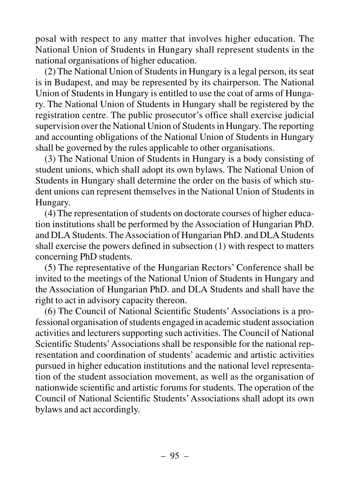posal with respect to any matter that involves higher education. The National Union of Students in Hungary shall represent students in the national organisations of higher education.

(2) The National Union of Students in Hungary is a legal person, its seat is in Budapest, and may be represented by its chairperson. The National Union of Students in Hungary is entitled to use the coat of arms of Hungary. The National Union of Students in Hungary shall be registered by the registration centre. The public prosecutor's office shall exercise judicial supervision over the National Union of Students in Hungary. The reporting and accounting obligations of the National Union of Students in Hungary shall be governed by the rules applicable to other organisations.

(3) The National Union of Students in Hungary is a body consisting of student unions, which shall adopt its own bylaws. The National Union of Students in Hungary shall determine the order on the basis of which student unions can represent themselves in the National Union of Students in Hungary.

(4) The representation of students on doctorate courses of higher education institutions shall be performed by the Association of Hungarian PhD. and DLA Students. The Association of Hungarian PhD. and DLA Students shall exercise the powers defined in subsection (1) with respect to matters concerning PhD students.

(5) The representative of the Hungarian Rectors' Conference shall be invited to the meetings of the National Union of Students in Hungary and the Association of Hungarian PhD. and DLA Students and shall have the right to act in advisory capacity thereon.

(6) The Council of National Scientific Students'Associations is a professional organisation of students engaged in academic student association activities and lecturers supporting such activities. The Council of National Scientific Students'Associations shall be responsible for the national representation and coordination of students' academic and artistic activities pursued in higher education institutions and the national level representation of the student association movement, as well as the organisation of nationwide scientific and artistic forums for students. The operation of the Council of National Scientific Students'Associations shall adopt its own bylaws and act accordingly.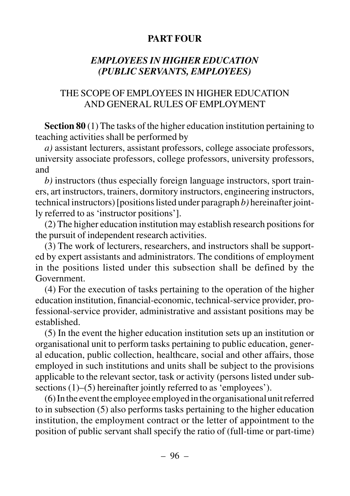#### **PART FOUR**

## *EMPLOYEES IN HIGHER EDUCATION (PUBLIC SERVANTS, EMPLOYEES)*

## THE SCOPE OF EMPLOYEES IN HIGHER EDUCATION AND GENERAL RULES OF EMPLOYMENT

**Section 80** (1) The tasks of the higher education institution pertaining to teaching activities shall be performed by

*a)* assistant lecturers, assistant professors, college associate professors, university associate professors, college professors, university professors, and

*b)* instructors (thus especially foreign language instructors, sport trainers, art instructors, trainers, dormitory instructors, engineering instructors, technical instructors) [positions listed under paragraph *b)* hereinafter jointly referred to as 'instructor positions'].

(2) The higher education institution may establish research positions for the pursuit of independent research activities.

(3) The work of lecturers, researchers, and instructors shall be supported by expert assistants and administrators. The conditions of employment in the positions listed under this subsection shall be defined by the Government.

(4) For the execution of tasks pertaining to the operation of the higher education institution, financial-economic, technical-service provider, professional-service provider, administrative and assistant positions may be established.

(5) In the event the higher education institution sets up an institution or organisational unit to perform tasks pertaining to public education, general education, public collection, healthcare, social and other affairs, those employed in such institutions and units shall be subject to the provisions applicable to the relevant sector, task or activity (persons listed under subsections (1)–(5) hereinafter jointly referred to as 'employees').

(6) In the event the employee employed in the organisational unit referred to in subsection (5) also performs tasks pertaining to the higher education institution, the employment contract or the letter of appointment to the position of public servant shall specify the ratio of (full-time or part-time)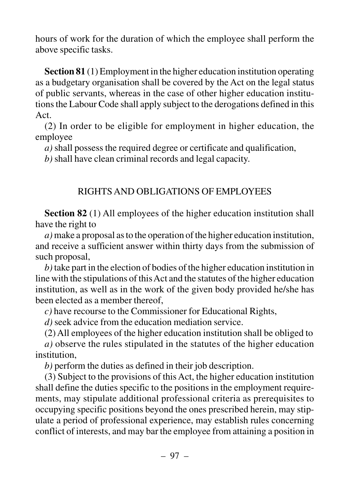hours of work for the duration of which the employee shall perform the above specific tasks.

**Section 81** (1) Employment in the higher education institution operating as a budgetary organisation shall be covered by the Act on the legal status of public servants, whereas in the case of other higher education institutions the Labour Code shall apply subject to the derogations defined in this Act.

(2) In order to be eligible for employment in higher education, the employee

*a)* shall possess the required degree or certificate and qualification,

*b)* shall have clean criminal records and legal capacity.

## RIGHTS AND OBLIGATIONS OF EMPLOYEES

**Section 82** (1) All employees of the higher education institution shall have the right to

*a)*make a proposal as to the operation of the higher education institution, and receive a sufficient answer within thirty days from the submission of such proposal,

*b)*take part in the election of bodies of the higher education institution in line with the stipulations of this Act and the statutes of the higher education institution, as well as in the work of the given body provided he/she has been elected as a member thereof,

*c)* have recourse to the Commissioner for Educational Rights,

*d)* seek advice from the education mediation service.

(2) All employees of the higher education institution shall be obliged to *a)* observe the rules stipulated in the statutes of the higher education

institution,

*b)* perform the duties as defined in their job description.

(3) Subject to the provisions of this Act, the higher education institution shall define the duties specific to the positions in the employment requirements, may stipulate additional professional criteria as prerequisites to occupying specific positions beyond the ones prescribed herein, may stipulate a period of professional experience, may establish rules concerning conflict of interests, and may bar the employee from attaining a position in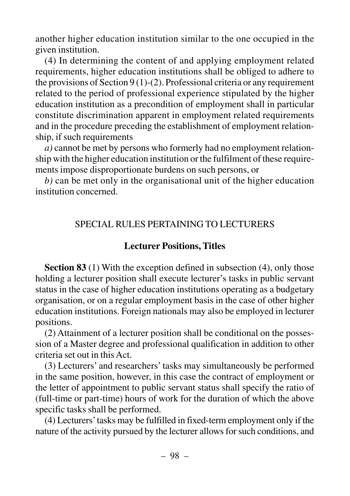another higher education institution similar to the one occupied in the given institution.

(4) In determining the content of and applying employment related requirements, higher education institutions shall be obliged to adhere to the provisions of Section  $9(1)-(2)$ . Professional criteria or any requirement related to the period of professional experience stipulated by the higher education institution as a precondition of employment shall in particular constitute discrimination apparent in employment related requirements and in the procedure preceding the establishment of employment relationship, if such requirements

*a)* cannot be met by persons who formerly had no employment relationship with the higher education institution or the fulfilment of these requirements impose disproportionate burdens on such persons, or

*b)* can be met only in the organisational unit of the higher education institution concerned.

## SPECIAL RULES PERTAINING TO LECTURERS

# **Lecturer Positions, Titles**

**Section 83** (1) With the exception defined in subsection (4), only those holding a lecturer position shall execute lecturer's tasks in public servant status in the case of higher education institutions operating as a budgetary organisation, or on a regular employment basis in the case of other higher education institutions. Foreign nationals may also be employed in lecturer positions.

(2) Attainment of a lecturer position shall be conditional on the possession of a Master degree and professional qualification in addition to other criteria set out in this Act.

(3) Lecturers' and researchers' tasks may simultaneously be performed in the same position, however, in this case the contract of employment or the letter of appointment to public servant status shall specify the ratio of (full-time or part-time) hours of work for the duration of which the above specific tasks shall be performed.

(4) Lecturers'tasks may be fulfilled in fixed-term employment only if the nature of the activity pursued by the lecturer allows for such conditions, and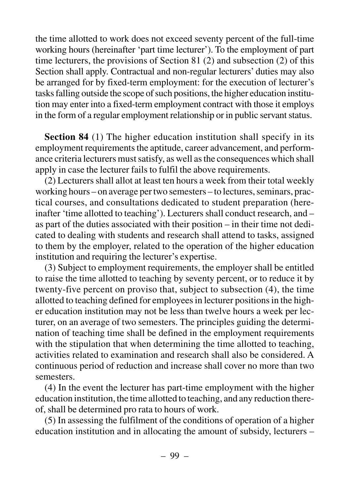the time allotted to work does not exceed seventy percent of the full-time working hours (hereinafter 'part time lecturer'). To the employment of part time lecturers, the provisions of Section 81 (2) and subsection (2) of this Section shall apply. Contractual and non-regular lecturers' duties may also be arranged for by fixed-term employment: for the execution of lecturer's tasks falling outside the scope of such positions, the higher education institution may enter into a fixed-term employment contract with those it employs in the form of a regular employment relationship or in public servant status.

**Section 84** (1) The higher education institution shall specify in its employment requirements the aptitude, career advancement, and performance criteria lecturers must satisfy, as well as the consequences which shall apply in case the lecturer fails to fulfil the above requirements.

(2) Lecturers shall allot at least ten hours a week from their total weekly working hours – on average per two semesters – to lectures, seminars, practical courses, and consultations dedicated to student preparation (hereinafter 'time allotted to teaching'). Lecturers shall conduct research, and – as part of the duties associated with their position – in their time not dedicated to dealing with students and research shall attend to tasks, assigned to them by the employer, related to the operation of the higher education institution and requiring the lecturer's expertise.

(3) Subject to employment requirements, the employer shall be entitled to raise the time allotted to teaching by seventy percent, or to reduce it by twenty-five percent on proviso that, subject to subsection (4), the time allotted to teaching defined for employees in lecturer positions in the higher education institution may not be less than twelve hours a week per lecturer, on an average of two semesters. The principles guiding the determination of teaching time shall be defined in the employment requirements with the stipulation that when determining the time allotted to teaching, activities related to examination and research shall also be considered. A continuous period of reduction and increase shall cover no more than two semesters.

(4) In the event the lecturer has part-time employment with the higher education institution, the time allotted to teaching, and any reduction thereof, shall be determined pro rata to hours of work.

(5) In assessing the fulfilment of the conditions of operation of a higher education institution and in allocating the amount of subsidy, lecturers –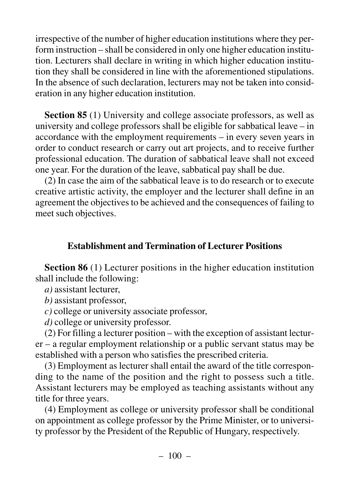irrespective of the number of higher education institutions where they perform instruction – shall be considered in only one higher education institution. Lecturers shall declare in writing in which higher education institution they shall be considered in line with the aforementioned stipulations. In the absence of such declaration, lecturers may not be taken into consideration in any higher education institution.

**Section 85** (1) University and college associate professors, as well as university and college professors shall be eligible for sabbatical leave – in accordance with the employment requirements – in every seven years in order to conduct research or carry out art projects, and to receive further professional education. The duration of sabbatical leave shall not exceed one year. For the duration of the leave, sabbatical pay shall be due.

(2) In case the aim of the sabbatical leave is to do research or to execute creative artistic activity, the employer and the lecturer shall define in an agreement the objectives to be achieved and the consequences of failing to meet such objectives.

## **Establishment and Termination of Lecturer Positions**

**Section 86** (1) Lecturer positions in the higher education institution shall include the following:

*a)* assistant lecturer,

*b)* assistant professor,

*c)* college or university associate professor,

*d)* college or university professor.

(2) For filling a lecturer position – with the exception of assistant lecturer – a regular employment relationship or a public servant status may be established with a person who satisfies the prescribed criteria.

(3) Employment as lecturer shall entail the award of the title corresponding to the name of the position and the right to possess such a title. Assistant lecturers may be employed as teaching assistants without any title for three years.

(4) Employment as college or university professor shall be conditional on appointment as college professor by the Prime Minister, or to university professor by the President of the Republic of Hungary, respectively.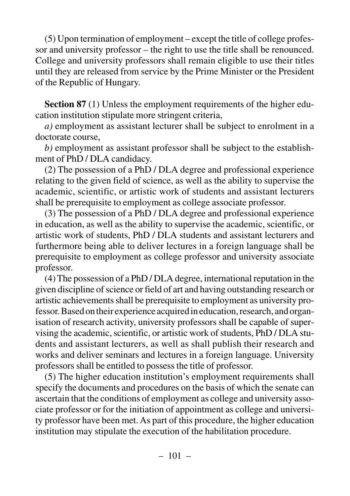(5) Upon termination of employment – except the title of college professor and university professor – the right to use the title shall be renounced. College and university professors shall remain eligible to use their titles until they are released from service by the Prime Minister or the President of the Republic of Hungary.

**Section 87** (1) Unless the employment requirements of the higher education institution stipulate more stringent criteria,

*a)* employment as assistant lecturer shall be subject to enrolment in a doctorate course,

*b)* employment as assistant professor shall be subject to the establishment of PhD / DLA candidacy.

(2) The possession of a PhD / DLA degree and professional experience relating to the given field of science, as well as the ability to supervise the academic, scientific, or artistic work of students and assistant lecturers shall be prerequisite to employment as college associate professor.

(3) The possession of a PhD / DLA degree and professional experience in education, as well as the ability to supervise the academic, scientific, or artistic work of students, PhD / DLA students and assistant lecturers and furthermore being able to deliver lectures in a foreign language shall be prerequisite to employment as college professor and university associate professor.

(4) The possession of a PhD / DLA degree, international reputation in the given discipline of science or field of art and having outstanding research or artistic achievements shall be prerequisite to employment as university professor. Based on their experience acquired in education, research, and organisation of research activity, university professors shall be capable of supervising the academic, scientific, or artistic work of students, PhD / DLA students and assistant lecturers, as well as shall publish their research and works and deliver seminars and lectures in a foreign language. University professors shall be entitled to possess the title of professor.

(5) The higher education institution's employment requirements shall specify the documents and procedures on the basis of which the senate can ascertain that the conditions of employment as college and university associate professor or for the initiation of appointment as college and university professor have been met. As part of this procedure, the higher education institution may stipulate the execution of the habilitation procedure.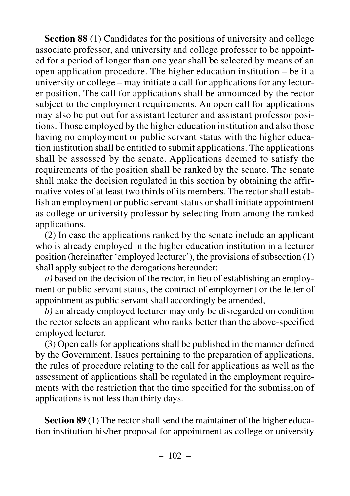**Section 88** (1) Candidates for the positions of university and college associate professor, and university and college professor to be appointed for a period of longer than one year shall be selected by means of an open application procedure. The higher education institution – be it a university or college – may initiate a call for applications for any lecturer position. The call for applications shall be announced by the rector subject to the employment requirements. An open call for applications may also be put out for assistant lecturer and assistant professor positions. Those employed by the higher education institution and also those having no employment or public servant status with the higher education institution shall be entitled to submit applications. The applications shall be assessed by the senate. Applications deemed to satisfy the requirements of the position shall be ranked by the senate. The senate shall make the decision regulated in this section by obtaining the affirmative votes of at least two thirds of its members. The rector shall establish an employment or public servant status or shall initiate appointment as college or university professor by selecting from among the ranked applications.

(2) In case the applications ranked by the senate include an applicant who is already employed in the higher education institution in a lecturer position (hereinafter 'employed lecturer'), the provisions of subsection (1) shall apply subject to the derogations hereunder:

*a)* based on the decision of the rector, in lieu of establishing an employment or public servant status, the contract of employment or the letter of appointment as public servant shall accordingly be amended,

*b)* an already employed lecturer may only be disregarded on condition the rector selects an applicant who ranks better than the above-specified employed lecturer.

(3) Open calls for applications shall be published in the manner defined by the Government. Issues pertaining to the preparation of applications, the rules of procedure relating to the call for applications as well as the assessment of applications shall be regulated in the employment requirements with the restriction that the time specified for the submission of applications is not less than thirty days.

**Section 89** (1) The rector shall send the maintainer of the higher education institution his/her proposal for appointment as college or university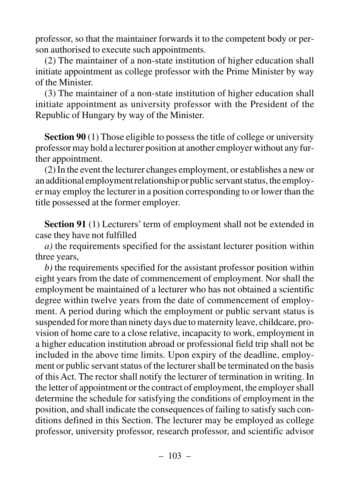professor, so that the maintainer forwards it to the competent body or person authorised to execute such appointments.

(2) The maintainer of a non-state institution of higher education shall initiate appointment as college professor with the Prime Minister by way of the Minister.

(3) The maintainer of a non-state institution of higher education shall initiate appointment as university professor with the President of the Republic of Hungary by way of the Minister.

**Section 90** (1) Those eligible to possess the title of college or university professor may hold a lecturer position at another employer without any further appointment.

(2) In the event the lecturer changes employment, or establishes a new or an additional employment relationship or public servant status, the employer may employ the lecturer in a position corresponding to or lower than the title possessed at the former employer.

**Section 91** (1) Lecturers' term of employment shall not be extended in case they have not fulfilled

*a)* the requirements specified for the assistant lecturer position within three years,

*b)* the requirements specified for the assistant professor position within eight years from the date of commencement of employment. Nor shall the employment be maintained of a lecturer who has not obtained a scientific degree within twelve years from the date of commencement of employment. A period during which the employment or public servant status is suspended for more than ninety days due to maternity leave, childcare, provision of home care to a close relative, incapacity to work, employment in a higher education institution abroad or professional field trip shall not be included in the above time limits. Upon expiry of the deadline, employment or public servant status of the lecturer shall be terminated on the basis of this Act. The rector shall notify the lecturer of termination in writing. In the letter of appointment or the contract of employment, the employer shall determine the schedule for satisfying the conditions of employment in the position, and shall indicate the consequences of failing to satisfy such conditions defined in this Section. The lecturer may be employed as college professor, university professor, research professor, and scientific advisor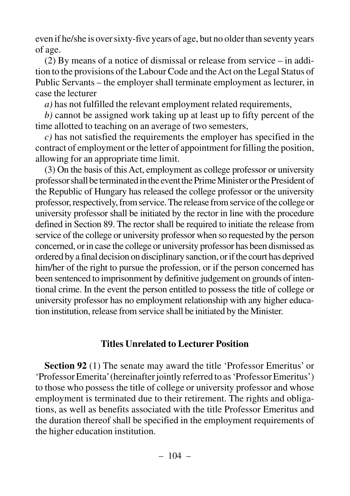even if he/she is over sixty-five years of age, but no older than seventy years of age.

(2) By means of a notice of dismissal or release from service – in addition to the provisions of the Labour Code and the Act on the Legal Status of Public Servants – the employer shall terminate employment as lecturer, in case the lecturer

*a)* has not fulfilled the relevant employment related requirements,

*b)* cannot be assigned work taking up at least up to fifty percent of the time allotted to teaching on an average of two semesters,

*c)* has not satisfied the requirements the employer has specified in the contract of employment or the letter of appointment for filling the position, allowing for an appropriate time limit.

(3) On the basis of this Act, employment as college professor or university professor shall be terminated in the event the Prime Minister or the President of the Republic of Hungary has released the college professor or the university professor, respectively, from service. The release from service of the college or university professor shall be initiated by the rector in line with the procedure defined in Section 89. The rector shall be required to initiate the release from service of the college or university professor when so requested by the person concerned, or in case the college or university professor has been dismissed as ordered by a final decision on disciplinary sanction, or if the court has deprived him/her of the right to pursue the profession, or if the person concerned has been sentenced to imprisonment by definitive judgement on grounds of intentional crime. In the event the person entitled to possess the title of college or university professor has no employment relationship with any higher education institution, release from service shall be initiated by the Minister.

## **Titles Unrelated to Lecturer Position**

**Section 92** (1) The senate may award the title 'Professor Emeritus' or 'Professor Emerita'(hereinafter jointly referred to as 'Professor Emeritus') to those who possess the title of college or university professor and whose employment is terminated due to their retirement. The rights and obligations, as well as benefits associated with the title Professor Emeritus and the duration thereof shall be specified in the employment requirements of the higher education institution.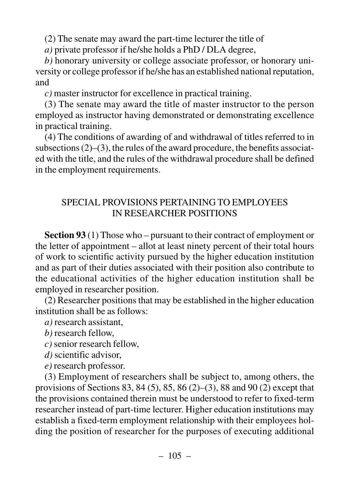(2) The senate may award the part-time lecturer the title of

*a)* private professor if he/she holds a PhD / DLA degree,

*b)* honorary university or college associate professor, or honorary university or college professor if he/she has an established national reputation, and

*c)* master instructor for excellence in practical training.

(3) The senate may award the title of master instructor to the person employed as instructor having demonstrated or demonstrating excellence in practical training.

(4) The conditions of awarding of and withdrawal of titles referred to in subsections  $(2)$ – $(3)$ , the rules of the award procedure, the benefits associated with the title, and the rules of the withdrawal procedure shall be defined in the employment requirements.

## SPECIAL PROVISIONS PERTAINING TO EMPLOYEES IN RESEARCHER POSITIONS

**Section 93** (1) Those who – pursuant to their contract of employment or the letter of appointment – allot at least ninety percent of their total hours of work to scientific activity pursued by the higher education institution and as part of their duties associated with their position also contribute to the educational activities of the higher education institution shall be employed in researcher position.

(2) Researcher positions that may be established in the higher education institution shall be as follows:

*a)* research assistant,

*b)* research fellow,

*c)* senior research fellow,

*d)* scientific advisor,

*e)* research professor.

(3) Employment of researchers shall be subject to, among others, the provisions of Sections 83, 84 (5), 85, 86 (2)–(3), 88 and 90 (2) except that the provisions contained therein must be understood to refer to fixed-term researcher instead of part-time lecturer. Higher education institutions may establish a fixed-term employment relationship with their employees holding the position of researcher for the purposes of executing additional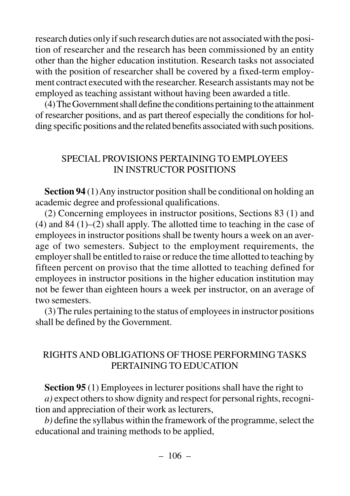research duties only if such research duties are not associated with the position of researcher and the research has been commissioned by an entity other than the higher education institution. Research tasks not associated with the position of researcher shall be covered by a fixed-term employment contract executed with the researcher. Research assistants may not be employed as teaching assistant without having been awarded a title.

(4) The Government shall define the conditions pertaining to the attainment of researcher positions, and as part thereof especially the conditions for holding specific positions and the related benefits associated with such positions.

#### SPECIAL PROVISIONS PERTAINING TO EMPLOYEES IN INSTRUCTOR POSITIONS

**Section 94** (1) Any instructor position shall be conditional on holding an academic degree and professional qualifications.

(2) Concerning employees in instructor positions, Sections 83 (1) and (4) and 84 (1)–(2) shall apply. The allotted time to teaching in the case of employees in instructor positions shall be twenty hours a week on an average of two semesters. Subject to the employment requirements, the employer shall be entitled to raise or reduce the time allotted to teaching by fifteen percent on proviso that the time allotted to teaching defined for employees in instructor positions in the higher education institution may not be fewer than eighteen hours a week per instructor, on an average of two semesters.

(3) The rules pertaining to the status of employees in instructor positions shall be defined by the Government.

#### RIGHTS AND OBLIGATIONS OF THOSE PERFORMING TASKS PERTAINING TO EDUCATION

**Section 95** (1) Employees in lecturer positions shall have the right to *a)* expect others to show dignity and respect for personal rights, recognition and appreciation of their work as lecturers,

*b)* define the syllabus within the framework of the programme, select the educational and training methods to be applied,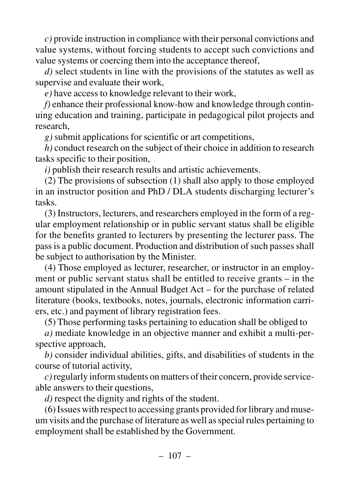*c)* provide instruction in compliance with their personal convictions and value systems, without forcing students to accept such convictions and value systems or coercing them into the acceptance thereof,

*d)* select students in line with the provisions of the statutes as well as supervise and evaluate their work,

*e)* have access to knowledge relevant to their work,

*f)* enhance their professional know-how and knowledge through continuing education and training, participate in pedagogical pilot projects and research,

*g)* submit applications for scientific or art competitions,

*h)* conduct research on the subject of their choice in addition to research tasks specific to their position,

*i)* publish their research results and artistic achievements.

(2) The provisions of subsection (1) shall also apply to those employed in an instructor position and PhD / DLA students discharging lecturer's tasks.

(3) Instructors, lecturers, and researchers employed in the form of a regular employment relationship or in public servant status shall be eligible for the benefits granted to lecturers by presenting the lecturer pass. The pass is a public document. Production and distribution of such passes shall be subject to authorisation by the Minister.

(4) Those employed as lecturer, researcher, or instructor in an employment or public servant status shall be entitled to receive grants – in the amount stipulated in the Annual Budget Act – for the purchase of related literature (books, textbooks, notes, journals, electronic information carriers, etc.) and payment of library registration fees.

(5) Those performing tasks pertaining to education shall be obliged to

*a)* mediate knowledge in an objective manner and exhibit a multi-perspective approach,

*b)* consider individual abilities, gifts, and disabilities of students in the course of tutorial activity,

*c)*regularly inform students on matters of their concern, provide serviceable answers to their questions,

*d)* respect the dignity and rights of the student.

(6) Issues with respect to accessing grants provided for library and museum visits and the purchase of literature as well as special rules pertaining to employment shall be established by the Government.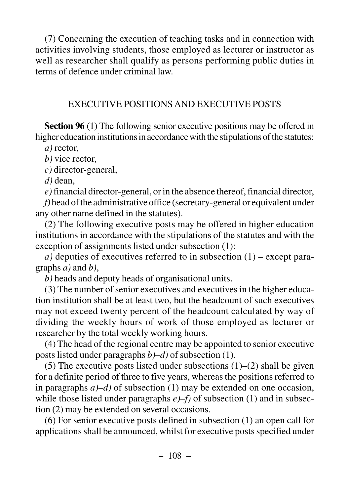(7) Concerning the execution of teaching tasks and in connection with activities involving students, those employed as lecturer or instructor as well as researcher shall qualify as persons performing public duties in terms of defence under criminal law.

## EXECUTIVE POSITIONS AND EXECUTIVE POSTS

**Section 96** (1) The following senior executive positions may be offered in higher education institutions in accordance with the stipulations of the statutes:

*a)* rector,

*b)* vice rector,

*c)* director-general,

*d)* dean,

*e)*financial director-general, or in the absence thereof, financial director,

*f)* head of the administrative office (secretary-general or equivalent under any other name defined in the statutes).

(2) The following executive posts may be offered in higher education institutions in accordance with the stipulations of the statutes and with the exception of assignments listed under subsection (1):

 $a)$  deputies of executives referred to in subsection  $(1)$  – except paragraphs *a)* and *b)*,

*b)* heads and deputy heads of organisational units.

(3) The number of senior executives and executives in the higher education institution shall be at least two, but the headcount of such executives may not exceed twenty percent of the headcount calculated by way of dividing the weekly hours of work of those employed as lecturer or researcher by the total weekly working hours.

(4) The head of the regional centre may be appointed to senior executive posts listed under paragraphs *b)–d)* of subsection (1).

(5) The executive posts listed under subsections  $(1)$ – $(2)$  shall be given for a definite period of three to five years, whereas the positions referred to in paragraphs *a)–d)* of subsection (1) may be extended on one occasion, while those listed under paragraphs  $e$ )–f) of subsection (1) and in subsection (2) may be extended on several occasions.

(6) For senior executive posts defined in subsection (1) an open call for applications shall be announced, whilst for executive posts specified under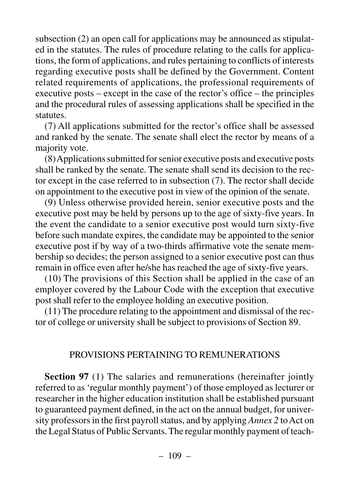subsection (2) an open call for applications may be announced as stipulated in the statutes. The rules of procedure relating to the calls for applications, the form of applications, and rules pertaining to conflicts of interests regarding executive posts shall be defined by the Government. Content related requirements of applications, the professional requirements of executive posts – except in the case of the rector's office – the principles and the procedural rules of assessing applications shall be specified in the statutes.

(7) All applications submitted for the rector's office shall be assessed and ranked by the senate. The senate shall elect the rector by means of a majority vote.

(8) Applications submitted for senior executive posts and executive posts shall be ranked by the senate. The senate shall send its decision to the rector except in the case referred to in subsection (7). The rector shall decide on appointment to the executive post in view of the opinion of the senate.

(9) Unless otherwise provided herein, senior executive posts and the executive post may be held by persons up to the age of sixty-five years. In the event the candidate to a senior executive post would turn sixty-five before such mandate expires, the candidate may be appointed to the senior executive post if by way of a two-thirds affirmative vote the senate membership so decides; the person assigned to a senior executive post can thus remain in office even after he/she has reached the age of sixty-five years.

(10) The provisions of this Section shall be applied in the case of an employer covered by the Labour Code with the exception that executive post shall refer to the employee holding an executive position.

(11) The procedure relating to the appointment and dismissal of the rector of college or university shall be subject to provisions of Section 89.

## PROVISIONS PERTAINING TO REMUNERATIONS

**Section 97** (1) The salaries and remunerations (hereinafter jointly referred to as 'regular monthly payment') of those employed as lecturer or researcher in the higher education institution shall be established pursuant to guaranteed payment defined, in the act on the annual budget, for university professors in the first payroll status, and by applying *Annex 2* to Act on the Legal Status of Public Servants. The regular monthly payment of teach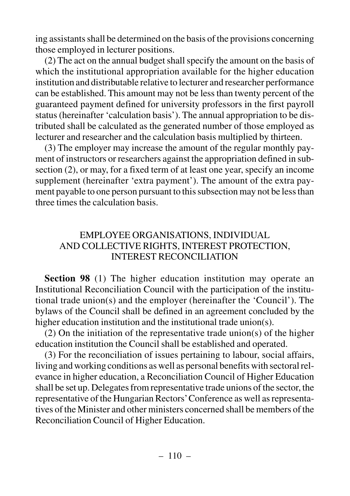ing assistants shall be determined on the basis of the provisions concerning those employed in lecturer positions.

(2) The act on the annual budget shall specify the amount on the basis of which the institutional appropriation available for the higher education institution and distributable relative to lecturer and researcher performance can be established. This amount may not be less than twenty percent of the guaranteed payment defined for university professors in the first payroll status (hereinafter 'calculation basis'). The annual appropriation to be distributed shall be calculated as the generated number of those employed as lecturer and researcher and the calculation basis multiplied by thirteen.

(3) The employer may increase the amount of the regular monthly payment of instructors or researchers against the appropriation defined in subsection (2), or may, for a fixed term of at least one year, specify an income supplement (hereinafter 'extra payment'). The amount of the extra payment payable to one person pursuant to this subsection may not be less than three times the calculation basis.

## EMPLOYEE ORGANISATIONS, INDIVIDUAL AND COLLECTIVE RIGHTS, INTEREST PROTECTION, INTEREST RECONCILIATION

**Section 98** (1) The higher education institution may operate an Institutional Reconciliation Council with the participation of the institutional trade union(s) and the employer (hereinafter the 'Council'). The bylaws of the Council shall be defined in an agreement concluded by the higher education institution and the institutional trade union(s).

(2) On the initiation of the representative trade union(s) of the higher education institution the Council shall be established and operated.

(3) For the reconciliation of issues pertaining to labour, social affairs, living and working conditions as well as personal benefits with sectoral relevance in higher education, a Reconciliation Council of Higher Education shall be set up. Delegates from representative trade unions of the sector, the representative of the Hungarian Rectors'Conference as well as representatives of the Minister and other ministers concerned shall be members of the Reconciliation Council of Higher Education.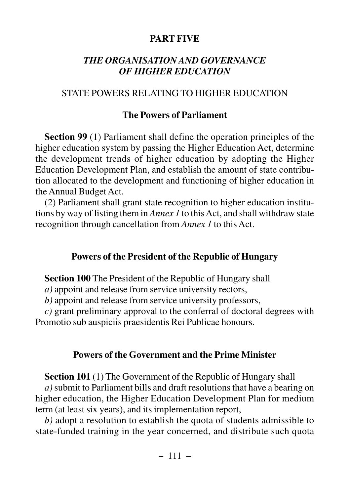## **PART FIVE**

### *THE ORGANISATION AND GOVERNANCE OF HIGHER EDUCATION*

#### STATE POWERS RELATING TO HIGHER EDUCATION

### **The Powers of Parliament**

**Section 99** (1) Parliament shall define the operation principles of the higher education system by passing the Higher Education Act, determine the development trends of higher education by adopting the Higher Education Development Plan, and establish the amount of state contribution allocated to the development and functioning of higher education in the Annual Budget Act.

(2) Parliament shall grant state recognition to higher education institutions by way of listing them in *Annex 1* to this Act, and shall withdraw state recognition through cancellation from *Annex 1* to this Act.

#### **Powers of the President of the Republic of Hungary**

**Section 100** The President of the Republic of Hungary shall

*a)* appoint and release from service university rectors,

*b)* appoint and release from service university professors,

*c)* grant preliminary approval to the conferral of doctoral degrees with Promotio sub auspiciis praesidentis Rei Publicae honours.

#### **Powers of the Government and the Prime Minister**

**Section 101** (1) The Government of the Republic of Hungary shall *a)*submit to Parliament bills and draft resolutions that have a bearing on higher education, the Higher Education Development Plan for medium term (at least six years), and its implementation report,

*b)* adopt a resolution to establish the quota of students admissible to state-funded training in the year concerned, and distribute such quota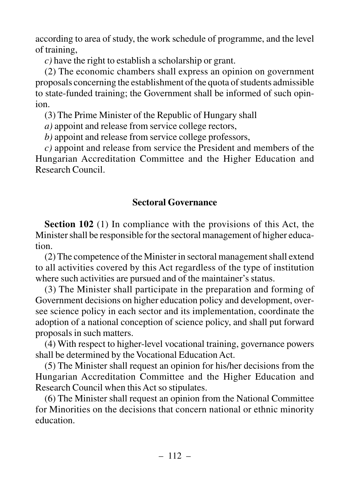according to area of study, the work schedule of programme, and the level of training,

*c)* have the right to establish a scholarship or grant.

(2) The economic chambers shall express an opinion on government proposals concerning the establishment of the quota of students admissible to state-funded training; the Government shall be informed of such opinion.

(3) The Prime Minister of the Republic of Hungary shall

*a)* appoint and release from service college rectors,

*b)* appoint and release from service college professors,

*c)* appoint and release from service the President and members of the Hungarian Accreditation Committee and the Higher Education and Research Council.

# **Sectoral Governance**

**Section 102** (1) In compliance with the provisions of this Act, the Minister shall be responsible for the sectoral management of higher education.

(2) The competence of the Minister in sectoral management shall extend to all activities covered by this Act regardless of the type of institution where such activities are pursued and of the maintainer's status.

(3) The Minister shall participate in the preparation and forming of Government decisions on higher education policy and development, oversee science policy in each sector and its implementation, coordinate the adoption of a national conception of science policy, and shall put forward proposals in such matters.

(4) With respect to higher-level vocational training, governance powers shall be determined by the Vocational Education Act.

(5) The Minister shall request an opinion for his/her decisions from the Hungarian Accreditation Committee and the Higher Education and Research Council when this Act so stipulates.

(6) The Minister shall request an opinion from the National Committee for Minorities on the decisions that concern national or ethnic minority education.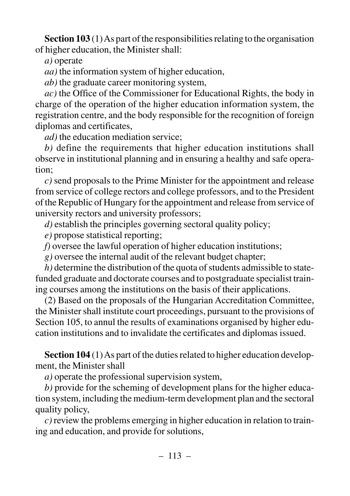**Section 103** (1) As part of the responsibilities relating to the organisation of higher education, the Minister shall:

*a)* operate

*aa)* the information system of higher education,

*ab)* the graduate career monitoring system,

*ac)* the Office of the Commissioner for Educational Rights, the body in charge of the operation of the higher education information system, the registration centre, and the body responsible for the recognition of foreign diplomas and certificates,

*ad)* the education mediation service;

*b)* define the requirements that higher education institutions shall observe in institutional planning and in ensuring a healthy and safe operation;

*c)* send proposals to the Prime Minister for the appointment and release from service of college rectors and college professors, and to the President of the Republic of Hungary for the appointment and release from service of university rectors and university professors;

*d)* establish the principles governing sectoral quality policy;

*e)* propose statistical reporting;

*f)* oversee the lawful operation of higher education institutions;

*g)* oversee the internal audit of the relevant budget chapter;

*h)* determine the distribution of the quota of students admissible to statefunded graduate and doctorate courses and to postgraduate specialist training courses among the institutions on the basis of their applications.

(2) Based on the proposals of the Hungarian Accreditation Committee, the Minister shall institute court proceedings, pursuant to the provisions of Section 105, to annul the results of examinations organised by higher education institutions and to invalidate the certificates and diplomas issued.

**Section 104** (1) As part of the duties related to higher education development, the Minister shall

*a)* operate the professional supervision system,

*b)* provide for the scheming of development plans for the higher education system, including the medium-term development plan and the sectoral quality policy,

*c)* review the problems emerging in higher education in relation to training and education, and provide for solutions,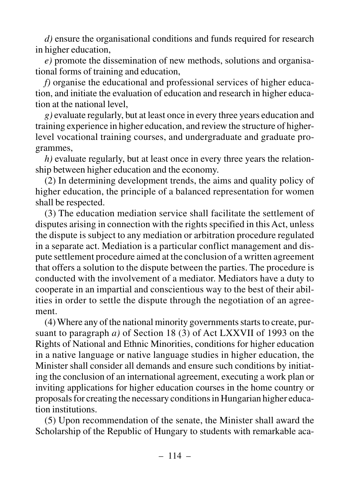*d)* ensure the organisational conditions and funds required for research in higher education,

*e)* promote the dissemination of new methods, solutions and organisational forms of training and education,

*f)* organise the educational and professional services of higher education, and initiate the evaluation of education and research in higher education at the national level,

*g)* evaluate regularly, but at least once in every three years education and training experience in higher education, and review the structure of higherlevel vocational training courses, and undergraduate and graduate programmes,

*h)* evaluate regularly, but at least once in every three years the relationship between higher education and the economy.

(2) In determining development trends, the aims and quality policy of higher education, the principle of a balanced representation for women shall be respected.

(3) The education mediation service shall facilitate the settlement of disputes arising in connection with the rights specified in this Act, unless the dispute is subject to any mediation or arbitration procedure regulated in a separate act. Mediation is a particular conflict management and dispute settlement procedure aimed at the conclusion of a written agreement that offers a solution to the dispute between the parties. The procedure is conducted with the involvement of a mediator. Mediators have a duty to cooperate in an impartial and conscientious way to the best of their abilities in order to settle the dispute through the negotiation of an agreement.

(4) Where any of the national minority governments starts to create, pursuant to paragraph *a)* of Section 18 (3) of Act LXXVII of 1993 on the Rights of National and Ethnic Minorities, conditions for higher education in a native language or native language studies in higher education, the Minister shall consider all demands and ensure such conditions by initiating the conclusion of an international agreement, executing a work plan or inviting applications for higher education courses in the home country or proposals for creating the necessary conditions in Hungarian higher education institutions.

(5) Upon recommendation of the senate, the Minister shall award the Scholarship of the Republic of Hungary to students with remarkable aca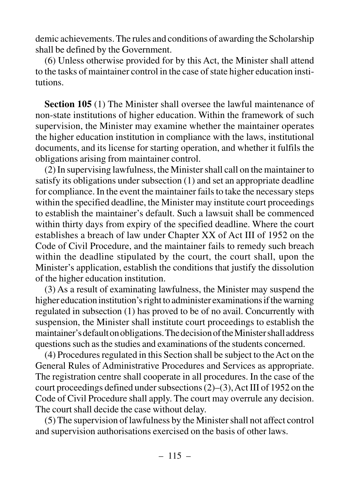demic achievements. The rules and conditions of awarding the Scholarship shall be defined by the Government.

(6) Unless otherwise provided for by this Act, the Minister shall attend to the tasks of maintainer control in the case of state higher education institutions.

**Section 105** (1) The Minister shall oversee the lawful maintenance of non-state institutions of higher education. Within the framework of such supervision, the Minister may examine whether the maintainer operates the higher education institution in compliance with the laws, institutional documents, and its license for starting operation, and whether it fulfils the obligations arising from maintainer control.

(2) In supervising lawfulness, the Minister shall call on the maintainer to satisfy its obligations under subsection (1) and set an appropriate deadline for compliance. In the event the maintainer fails to take the necessary steps within the specified deadline, the Minister may institute court proceedings to establish the maintainer's default. Such a lawsuit shall be commenced within thirty days from expiry of the specified deadline. Where the court establishes a breach of law under Chapter XX of Act III of 1952 on the Code of Civil Procedure, and the maintainer fails to remedy such breach within the deadline stipulated by the court, the court shall, upon the Minister's application, establish the conditions that justify the dissolution of the higher education institution.

(3) As a result of examinating lawfulness, the Minister may suspend the higher education institution's right to administer examinations if the warning regulated in subsection (1) has proved to be of no avail. Concurrently with suspension, the Minister shall institute court proceedings to establish the maintainer's default on obligations. The decision of the Minister shall address questions such as the studies and examinations of the students concerned.

(4) Procedures regulated in this Section shall be subject to the Act on the General Rules of Administrative Procedures and Services as appropriate. The registration centre shall cooperate in all procedures. In the case of the court proceedings defined under subsections (2)–(3), Act III of 1952 on the Code of Civil Procedure shall apply. The court may overrule any decision. The court shall decide the case without delay.

(5) The supervision of lawfulness by the Minister shall not affect control and supervision authorisations exercised on the basis of other laws.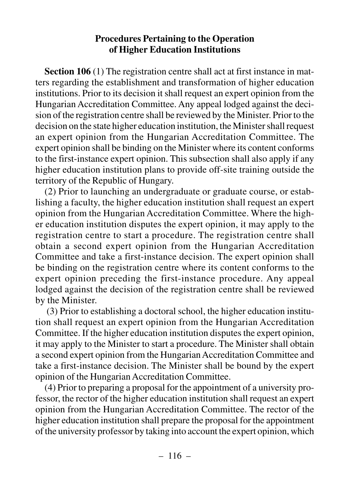## **Procedures Pertaining to the Operation of Higher Education Institutions**

**Section 106** (1) The registration centre shall act at first instance in matters regarding the establishment and transformation of higher education institutions. Prior to its decision it shall request an expert opinion from the Hungarian Accreditation Committee. Any appeal lodged against the decision of the registration centre shall be reviewed by the Minister. Prior to the decision on the state higher education institution, the Minister shall request an expert opinion from the Hungarian Accreditation Committee. The expert opinion shall be binding on the Minister where its content conforms to the first-instance expert opinion. This subsection shall also apply if any higher education institution plans to provide off-site training outside the territory of the Republic of Hungary.

(2) Prior to launching an undergraduate or graduate course, or establishing a faculty, the higher education institution shall request an expert opinion from the Hungarian Accreditation Committee. Where the higher education institution disputes the expert opinion, it may apply to the registration centre to start a procedure. The registration centre shall obtain a second expert opinion from the Hungarian Accreditation Committee and take a first-instance decision. The expert opinion shall be binding on the registration centre where its content conforms to the expert opinion preceding the first-instance procedure. Any appeal lodged against the decision of the registration centre shall be reviewed by the Minister.

(3) Prior to establishing a doctoral school, the higher education institution shall request an expert opinion from the Hungarian Accreditation Committee. If the higher education institution disputes the expert opinion, it may apply to the Minister to start a procedure. The Minister shall obtain a second expert opinion from the Hungarian Accreditation Committee and take a first-instance decision. The Minister shall be bound by the expert opinion of the Hungarian Accreditation Committee.

(4) Prior to preparing a proposal for the appointment of a university professor, the rector of the higher education institution shall request an expert opinion from the Hungarian Accreditation Committee. The rector of the higher education institution shall prepare the proposal for the appointment of the university professor by taking into account the expert opinion, which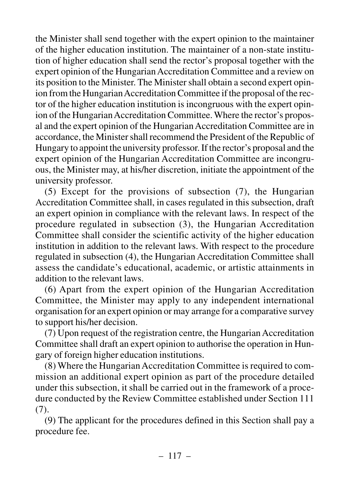the Minister shall send together with the expert opinion to the maintainer of the higher education institution. The maintainer of a non-state institution of higher education shall send the rector's proposal together with the expert opinion of the Hungarian Accreditation Committee and a review on its position to the Minister. The Minister shall obtain a second expert opinion from the Hungarian Accreditation Committee if the proposal of the rector of the higher education institution is incongruous with the expert opinion of the Hungarian Accreditation Committee. Where the rector's proposal and the expert opinion of the Hungarian Accreditation Committee are in accordance, the Minister shall recommend the President of the Republic of Hungary to appoint the university professor. If the rector's proposal and the expert opinion of the Hungarian Accreditation Committee are incongruous, the Minister may, at his/her discretion, initiate the appointment of the university professor.

(5) Except for the provisions of subsection (7), the Hungarian Accreditation Committee shall, in cases regulated in this subsection, draft an expert opinion in compliance with the relevant laws. In respect of the procedure regulated in subsection (3), the Hungarian Accreditation Committee shall consider the scientific activity of the higher education institution in addition to the relevant laws. With respect to the procedure regulated in subsection (4), the Hungarian Accreditation Committee shall assess the candidate's educational, academic, or artistic attainments in addition to the relevant laws.

(6) Apart from the expert opinion of the Hungarian Accreditation Committee, the Minister may apply to any independent international organisation for an expert opinion or may arrange for a comparative survey to support his/her decision.

(7) Upon request of the registration centre, the Hungarian Accreditation Committee shall draft an expert opinion to authorise the operation in Hungary of foreign higher education institutions.

(8) Where the Hungarian Accreditation Committee is required to commission an additional expert opinion as part of the procedure detailed under this subsection, it shall be carried out in the framework of a procedure conducted by the Review Committee established under Section 111 (7).

(9) The applicant for the procedures defined in this Section shall pay a procedure fee.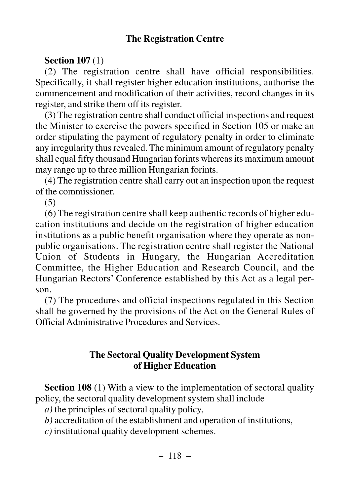## **The Registration Centre**

## **Section 107** (1)

(2) The registration centre shall have official responsibilities. Specifically, it shall register higher education institutions, authorise the commencement and modification of their activities, record changes in its register, and strike them off its register.

(3) The registration centre shall conduct official inspections and request the Minister to exercise the powers specified in Section 105 or make an order stipulating the payment of regulatory penalty in order to eliminate any irregularity thus revealed. The minimum amount of regulatory penalty shall equal fifty thousand Hungarian forints whereas its maximum amount may range up to three million Hungarian forints.

(4) The registration centre shall carry out an inspection upon the request of the commissioner.

(5)

(6) The registration centre shall keep authentic records of higher education institutions and decide on the registration of higher education institutions as a public benefit organisation where they operate as nonpublic organisations. The registration centre shall register the National Union of Students in Hungary, the Hungarian Accreditation Committee, the Higher Education and Research Council, and the Hungarian Rectors' Conference established by this Act as a legal person.

(7) The procedures and official inspections regulated in this Section shall be governed by the provisions of the Act on the General Rules of Official Administrative Procedures and Services.

## **The Sectoral Quality Development System of Higher Education**

**Section 108** (1) With a view to the implementation of sectoral quality policy, the sectoral quality development system shall include

*a)* the principles of sectoral quality policy,

*b)* accreditation of the establishment and operation of institutions,

*c)* institutional quality development schemes.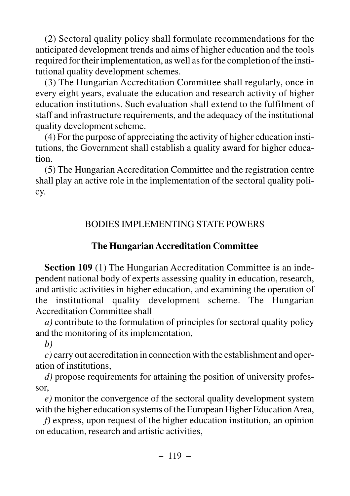(2) Sectoral quality policy shall formulate recommendations for the anticipated development trends and aims of higher education and the tools required for their implementation, as well as for the completion of the institutional quality development schemes.

(3) The Hungarian Accreditation Committee shall regularly, once in every eight years, evaluate the education and research activity of higher education institutions. Such evaluation shall extend to the fulfilment of staff and infrastructure requirements, and the adequacy of the institutional quality development scheme.

(4) For the purpose of appreciating the activity of higher education institutions, the Government shall establish a quality award for higher education.

(5) The Hungarian Accreditation Committee and the registration centre shall play an active role in the implementation of the sectoral quality policy.

# BODIES IMPLEMENTING STATE POWERS

# **The Hungarian Accreditation Committee**

**Section 109** (1) The Hungarian Accreditation Committee is an independent national body of experts assessing quality in education, research, and artistic activities in higher education, and examining the operation of the institutional quality development scheme. The Hungarian Accreditation Committee shall

*a)* contribute to the formulation of principles for sectoral quality policy and the monitoring of its implementation,

*b)*

*c)* carry out accreditation in connection with the establishment and operation of institutions,

*d)* propose requirements for attaining the position of university professor,

*e)* monitor the convergence of the sectoral quality development system with the higher education systems of the European Higher Education Area,

*f)* express, upon request of the higher education institution, an opinion on education, research and artistic activities,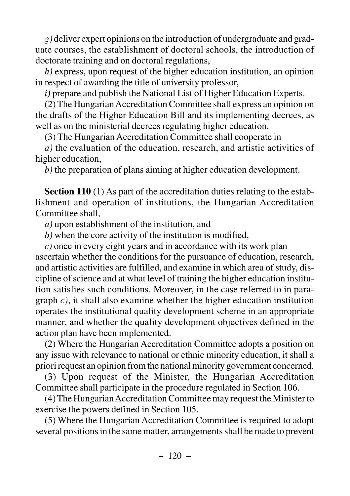*g)* deliver expert opinions on the introduction of undergraduate and graduate courses, the establishment of doctoral schools, the introduction of doctorate training and on doctoral regulations,

*h)* express, upon request of the higher education institution, an opinion in respect of awarding the title of university professor,

*i)* prepare and publish the National List of Higher Education Experts.

(2) The Hungarian Accreditation Committee shall express an opinion on the drafts of the Higher Education Bill and its implementing decrees, as well as on the ministerial decrees regulating higher education.

(3) The Hungarian Accreditation Committee shall cooperate in

*a)* the evaluation of the education, research, and artistic activities of higher education,

*b)* the preparation of plans aiming at higher education development.

**Section 110** (1) As part of the accreditation duties relating to the establishment and operation of institutions, the Hungarian Accreditation Committee shall,

*a)* upon establishment of the institution, and

*b)* when the core activity of the institution is modified,

*c)* once in every eight years and in accordance with its work plan ascertain whether the conditions for the pursuance of education, research, and artistic activities are fulfilled, and examine in which area of study, discipline of science and at what level of training the higher education institution satisfies such conditions. Moreover, in the case referred to in paragraph *c)*, it shall also examine whether the higher education institution operates the institutional quality development scheme in an appropriate manner, and whether the quality development objectives defined in the action plan have been implemented.

(2) Where the Hungarian Accreditation Committee adopts a position on any issue with relevance to national or ethnic minority education, it shall a priori request an opinion from the national minority government concerned.

(3) Upon request of the Minister, the Hungarian Accreditation Committee shall participate in the procedure regulated in Section 106.

(4) The Hungarian Accreditation Committee may request the Minister to exercise the powers defined in Section 105.

(5) Where the Hungarian Accreditation Committee is required to adopt several positions in the same matter, arrangements shall be made to prevent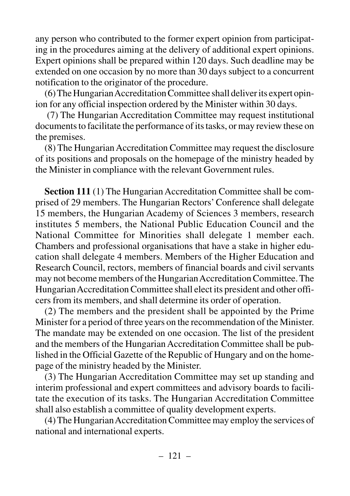any person who contributed to the former expert opinion from participating in the procedures aiming at the delivery of additional expert opinions. Expert opinions shall be prepared within 120 days. Such deadline may be extended on one occasion by no more than 30 days subject to a concurrent notification to the originator of the procedure.

(6) The Hungarian Accreditation Committee shall deliver its expert opinion for any official inspection ordered by the Minister within 30 days.

(7) The Hungarian Accreditation Committee may request institutional documents to facilitate the performance of its tasks, or may review these on the premises.

(8) The Hungarian Accreditation Committee may request the disclosure of its positions and proposals on the homepage of the ministry headed by the Minister in compliance with the relevant Government rules.

**Section 111** (1) The Hungarian Accreditation Committee shall be comprised of 29 members. The Hungarian Rectors' Conference shall delegate 15 members, the Hungarian Academy of Sciences 3 members, research institutes 5 members, the National Public Education Council and the National Committee for Minorities shall delegate 1 member each. Chambers and professional organisations that have a stake in higher education shall delegate 4 members. Members of the Higher Education and Research Council, rectors, members of financial boards and civil servants may not become members of the Hungarian Accreditation Committee. The Hungarian Accreditation Committee shall elect its president and other officers from its members, and shall determine its order of operation.

(2) The members and the president shall be appointed by the Prime Minister for a period of three years on the recommendation of the Minister. The mandate may be extended on one occasion. The list of the president and the members of the Hungarian Accreditation Committee shall be published in the Official Gazette of the Republic of Hungary and on the homepage of the ministry headed by the Minister.

(3) The Hungarian Accreditation Committee may set up standing and interim professional and expert committees and advisory boards to facilitate the execution of its tasks. The Hungarian Accreditation Committee shall also establish a committee of quality development experts.

(4) The Hungarian Accreditation Committee may employ the services of national and international experts.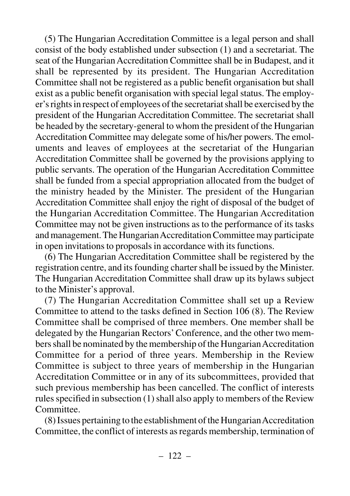(5) The Hungarian Accreditation Committee is a legal person and shall consist of the body established under subsection (1) and a secretariat. The seat of the Hungarian Accreditation Committee shall be in Budapest, and it shall be represented by its president. The Hungarian Accreditation Committee shall not be registered as a public benefit organisation but shall exist as a public benefit organisation with special legal status. The employer's rights in respect of employees of the secretariat shall be exercised by the president of the Hungarian Accreditation Committee. The secretariat shall be headed by the secretary-general to whom the president of the Hungarian Accreditation Committee may delegate some of his/her powers. The emoluments and leaves of employees at the secretariat of the Hungarian Accreditation Committee shall be governed by the provisions applying to public servants. The operation of the Hungarian Accreditation Committee shall be funded from a special appropriation allocated from the budget of the ministry headed by the Minister. The president of the Hungarian Accreditation Committee shall enjoy the right of disposal of the budget of the Hungarian Accreditation Committee. The Hungarian Accreditation Committee may not be given instructions as to the performance of its tasks and management. The Hungarian Accreditation Committee may participate in open invitations to proposals in accordance with its functions.

(6) The Hungarian Accreditation Committee shall be registered by the registration centre, and its founding charter shall be issued by the Minister. The Hungarian Accreditation Committee shall draw up its bylaws subject to the Minister's approval.

(7) The Hungarian Accreditation Committee shall set up a Review Committee to attend to the tasks defined in Section 106 (8). The Review Committee shall be comprised of three members. One member shall be delegated by the Hungarian Rectors' Conference, and the other two members shall be nominated by the membership of the Hungarian Accreditation Committee for a period of three years. Membership in the Review Committee is subject to three years of membership in the Hungarian Accreditation Committee or in any of its subcommittees, provided that such previous membership has been cancelled. The conflict of interests rules specified in subsection (1) shall also apply to members of the Review Committee.

(8) Issues pertaining to the establishment of the Hungarian Accreditation Committee, the conflict of interests as regards membership, termination of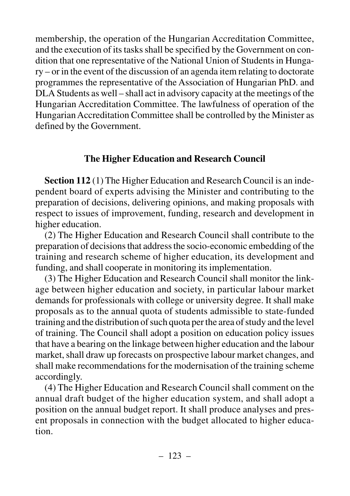membership, the operation of the Hungarian Accreditation Committee, and the execution of its tasks shall be specified by the Government on condition that one representative of the National Union of Students in Hungary – or in the event of the discussion of an agenda item relating to doctorate programmes the representative of the Association of Hungarian PhD. and DLA Students as well – shall act in advisory capacity at the meetings of the Hungarian Accreditation Committee. The lawfulness of operation of the Hungarian Accreditation Committee shall be controlled by the Minister as defined by the Government.

# **The Higher Education and Research Council**

**Section 112** (1) The Higher Education and Research Council is an independent board of experts advising the Minister and contributing to the preparation of decisions, delivering opinions, and making proposals with respect to issues of improvement, funding, research and development in higher education.

(2) The Higher Education and Research Council shall contribute to the preparation of decisions that address the socio-economic embedding of the training and research scheme of higher education, its development and funding, and shall cooperate in monitoring its implementation.

(3) The Higher Education and Research Council shall monitor the linkage between higher education and society, in particular labour market demands for professionals with college or university degree. It shall make proposals as to the annual quota of students admissible to state-funded training and the distribution of such quota per the area of study and the level of training. The Council shall adopt a position on education policy issues that have a bearing on the linkage between higher education and the labour market, shall draw up forecasts on prospective labour market changes, and shall make recommendations for the modernisation of the training scheme accordingly.

(4) The Higher Education and Research Council shall comment on the annual draft budget of the higher education system, and shall adopt a position on the annual budget report. It shall produce analyses and present proposals in connection with the budget allocated to higher education.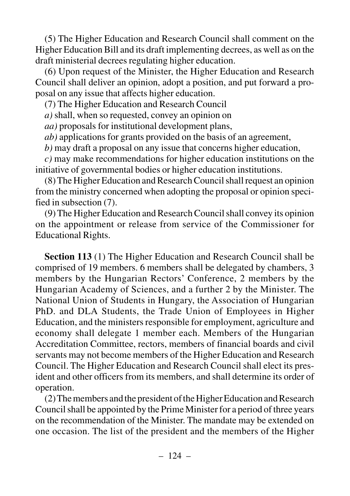(5) The Higher Education and Research Council shall comment on the Higher Education Bill and its draft implementing decrees, as well as on the draft ministerial decrees regulating higher education.

(6) Upon request of the Minister, the Higher Education and Research Council shall deliver an opinion, adopt a position, and put forward a proposal on any issue that affects higher education.

(7) The Higher Education and Research Council

*a)* shall, when so requested, convey an opinion on

*aa)* proposals for institutional development plans,

*ab)* applications for grants provided on the basis of an agreement,

*b)* may draft a proposal on any issue that concerns higher education,

*c)* may make recommendations for higher education institutions on the initiative of governmental bodies or higher education institutions.

(8) The Higher Education and Research Council shall request an opinion from the ministry concerned when adopting the proposal or opinion specified in subsection (7).

(9) The Higher Education and Research Council shall convey its opinion on the appointment or release from service of the Commissioner for Educational Rights.

**Section 113** (1) The Higher Education and Research Council shall be comprised of 19 members. 6 members shall be delegated by chambers, 3 members by the Hungarian Rectors' Conference, 2 members by the Hungarian Academy of Sciences, and a further 2 by the Minister. The National Union of Students in Hungary, the Association of Hungarian PhD. and DLA Students, the Trade Union of Employees in Higher Education, and the ministers responsible for employment, agriculture and economy shall delegate 1 member each. Members of the Hungarian Accreditation Committee, rectors, members of financial boards and civil servants may not become members of the Higher Education and Research Council. The Higher Education and Research Council shall elect its president and other officers from its members, and shall determine its order of operation.

(2) The members and the president of the Higher Education and Research Council shall be appointed by the Prime Minister for a period of three years on the recommendation of the Minister. The mandate may be extended on one occasion. The list of the president and the members of the Higher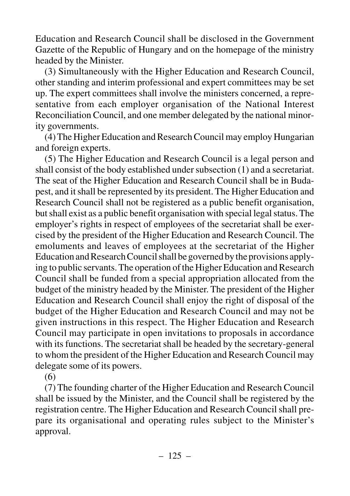Education and Research Council shall be disclosed in the Government Gazette of the Republic of Hungary and on the homepage of the ministry headed by the Minister.

(3) Simultaneously with the Higher Education and Research Council, other standing and interim professional and expert committees may be set up. The expert committees shall involve the ministers concerned, a representative from each employer organisation of the National Interest Reconciliation Council, and one member delegated by the national minority governments.

(4) The Higher Education and Research Council may employ Hungarian and foreign experts.

(5) The Higher Education and Research Council is a legal person and shall consist of the body established under subsection (1) and a secretariat. The seat of the Higher Education and Research Council shall be in Budapest, and it shall be represented by its president. The Higher Education and Research Council shall not be registered as a public benefit organisation, but shall exist as a public benefit organisation with special legal status. The employer's rights in respect of employees of the secretariat shall be exercised by the president of the Higher Education and Research Council. The emoluments and leaves of employees at the secretariat of the Higher Education and Research Council shall be governed by the provisions applying to public servants. The operation of the Higher Education and Research Council shall be funded from a special appropriation allocated from the budget of the ministry headed by the Minister. The president of the Higher Education and Research Council shall enjoy the right of disposal of the budget of the Higher Education and Research Council and may not be given instructions in this respect. The Higher Education and Research Council may participate in open invitations to proposals in accordance with its functions. The secretariat shall be headed by the secretary-general to whom the president of the Higher Education and Research Council may delegate some of its powers.

(6)

(7) The founding charter of the Higher Education and Research Council shall be issued by the Minister, and the Council shall be registered by the registration centre. The Higher Education and Research Council shall prepare its organisational and operating rules subject to the Minister's approval.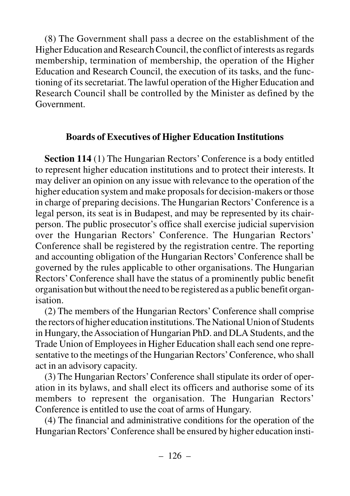(8) The Government shall pass a decree on the establishment of the Higher Education and Research Council, the conflict of interests as regards membership, termination of membership, the operation of the Higher Education and Research Council, the execution of its tasks, and the functioning of its secretariat. The lawful operation of the Higher Education and Research Council shall be controlled by the Minister as defined by the Government.

## **Boards of Executives of Higher Education Institutions**

**Section 114** (1) The Hungarian Rectors' Conference is a body entitled to represent higher education institutions and to protect their interests. It may deliver an opinion on any issue with relevance to the operation of the higher education system and make proposals for decision-makers or those in charge of preparing decisions. The Hungarian Rectors'Conference is a legal person, its seat is in Budapest, and may be represented by its chairperson. The public prosecutor's office shall exercise judicial supervision over the Hungarian Rectors' Conference. The Hungarian Rectors' Conference shall be registered by the registration centre. The reporting and accounting obligation of the Hungarian Rectors' Conference shall be governed by the rules applicable to other organisations. The Hungarian Rectors' Conference shall have the status of a prominently public benefit organisation but without the need to be registered as a public benefit organisation.

(2) The members of the Hungarian Rectors' Conference shall comprise the rectors of higher education institutions. The National Union of Students in Hungary, the Association of Hungarian PhD. and DLA Students, and the Trade Union of Employees in Higher Education shall each send one representative to the meetings of the Hungarian Rectors'Conference, who shall act in an advisory capacity.

(3) The Hungarian Rectors' Conference shall stipulate its order of operation in its bylaws, and shall elect its officers and authorise some of its members to represent the organisation. The Hungarian Rectors' Conference is entitled to use the coat of arms of Hungary.

(4) The financial and administrative conditions for the operation of the Hungarian Rectors'Conference shall be ensured by higher education insti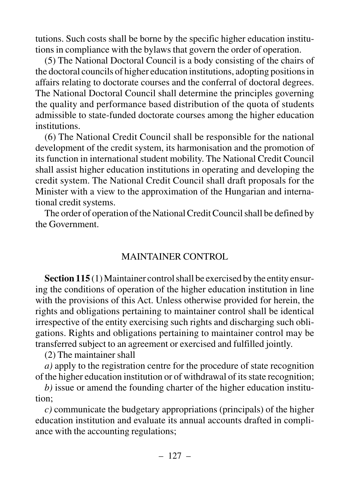tutions. Such costs shall be borne by the specific higher education institutions in compliance with the bylaws that govern the order of operation.

(5) The National Doctoral Council is a body consisting of the chairs of the doctoral councils of higher education institutions, adopting positions in affairs relating to doctorate courses and the conferral of doctoral degrees. The National Doctoral Council shall determine the principles governing the quality and performance based distribution of the quota of students admissible to state-funded doctorate courses among the higher education institutions.

(6) The National Credit Council shall be responsible for the national development of the credit system, its harmonisation and the promotion of its function in international student mobility. The National Credit Council shall assist higher education institutions in operating and developing the credit system. The National Credit Council shall draft proposals for the Minister with a view to the approximation of the Hungarian and international credit systems.

The order of operation of the National Credit Council shall be defined by the Government.

#### MAINTAINER CONTROL

**Section 115** (1) Maintainer control shall be exercised by the entity ensuring the conditions of operation of the higher education institution in line with the provisions of this Act. Unless otherwise provided for herein, the rights and obligations pertaining to maintainer control shall be identical irrespective of the entity exercising such rights and discharging such obligations. Rights and obligations pertaining to maintainer control may be transferred subject to an agreement or exercised and fulfilled jointly.

(2) The maintainer shall

*a)* apply to the registration centre for the procedure of state recognition of the higher education institution or of withdrawal of its state recognition;

*b)* issue or amend the founding charter of the higher education institution;

*c)* communicate the budgetary appropriations (principals) of the higher education institution and evaluate its annual accounts drafted in compliance with the accounting regulations;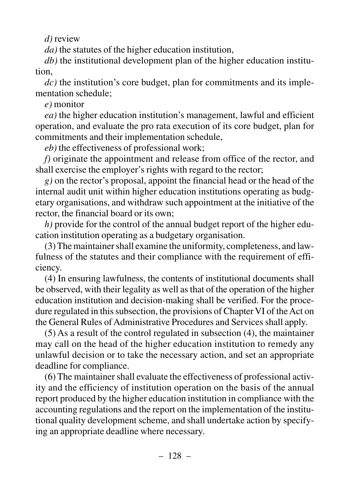*d)* review

*da)* the statutes of the higher education institution,

*db)* the institutional development plan of the higher education institution,

*dc)* the institution's core budget, plan for commitments and its implementation schedule;

*e)* monitor

*ea)* the higher education institution's management, lawful and efficient operation, and evaluate the pro rata execution of its core budget, plan for commitments and their implementation schedule,

*eb)* the effectiveness of professional work;

*f)* originate the appointment and release from office of the rector, and shall exercise the employer's rights with regard to the rector;

*g)* on the rector's proposal, appoint the financial head or the head of the internal audit unit within higher education institutions operating as budgetary organisations, and withdraw such appointment at the initiative of the rector, the financial board or its own;

*h)* provide for the control of the annual budget report of the higher education institution operating as a budgetary organisation.

(3) The maintainer shall examine the uniformity, completeness, and lawfulness of the statutes and their compliance with the requirement of efficiency.

(4) In ensuring lawfulness, the contents of institutional documents shall be observed, with their legality as well as that of the operation of the higher education institution and decision-making shall be verified. For the procedure regulated in this subsection, the provisions of Chapter VI of the Act on the General Rules of Administrative Procedures and Services shall apply.

(5) As a result of the control regulated in subsection (4), the maintainer may call on the head of the higher education institution to remedy any unlawful decision or to take the necessary action, and set an appropriate deadline for compliance.

(6) The maintainer shall evaluate the effectiveness of professional activity and the efficiency of institution operation on the basis of the annual report produced by the higher education institution in compliance with the accounting regulations and the report on the implementation of the institutional quality development scheme, and shall undertake action by specifying an appropriate deadline where necessary.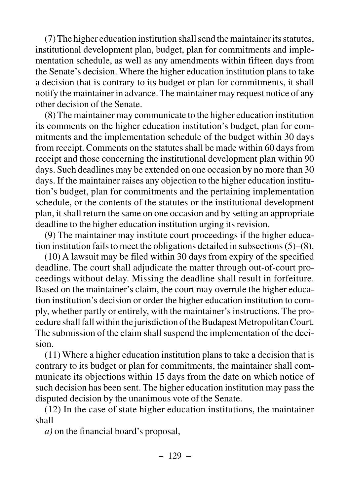(7) The higher education institution shall send the maintainer its statutes, institutional development plan, budget, plan for commitments and implementation schedule, as well as any amendments within fifteen days from the Senate's decision. Where the higher education institution plans to take a decision that is contrary to its budget or plan for commitments, it shall notify the maintainer in advance. The maintainer may request notice of any other decision of the Senate.

(8) The maintainer may communicate to the higher education institution its comments on the higher education institution's budget, plan for commitments and the implementation schedule of the budget within 30 days from receipt. Comments on the statutes shall be made within 60 days from receipt and those concerning the institutional development plan within 90 days. Such deadlines may be extended on one occasion by no more than 30 days. If the maintainer raises any objection to the higher education institution's budget, plan for commitments and the pertaining implementation schedule, or the contents of the statutes or the institutional development plan, it shall return the same on one occasion and by setting an appropriate deadline to the higher education institution urging its revision.

(9) The maintainer may institute court proceedings if the higher education institution fails to meet the obligations detailed in subsections (5)–(8).

(10) A lawsuit may be filed within 30 days from expiry of the specified deadline. The court shall adjudicate the matter through out-of-court proceedings without delay. Missing the deadline shall result in forfeiture. Based on the maintainer's claim, the court may overrule the higher education institution's decision or order the higher education institution to comply, whether partly or entirely, with the maintainer's instructions. The procedure shall fall within the jurisdiction of the Budapest Metropolitan Court. The submission of the claim shall suspend the implementation of the decision.

(11) Where a higher education institution plans to take a decision that is contrary to its budget or plan for commitments, the maintainer shall communicate its objections within 15 days from the date on which notice of such decision has been sent. The higher education institution may pass the disputed decision by the unanimous vote of the Senate.

(12) In the case of state higher education institutions, the maintainer shall

*a)* on the financial board's proposal,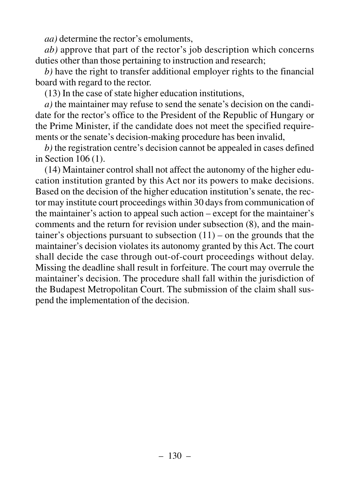*aa)* determine the rector's emoluments,

*ab)* approve that part of the rector's job description which concerns duties other than those pertaining to instruction and research;

*b)* have the right to transfer additional employer rights to the financial board with regard to the rector.

(13) In the case of state higher education institutions,

*a)* the maintainer may refuse to send the senate's decision on the candidate for the rector's office to the President of the Republic of Hungary or the Prime Minister, if the candidate does not meet the specified requirements or the senate's decision-making procedure has been invalid,

*b)* the registration centre's decision cannot be appealed in cases defined in Section 106 (1).

(14) Maintainer control shall not affect the autonomy of the higher education institution granted by this Act nor its powers to make decisions. Based on the decision of the higher education institution's senate, the rector may institute court proceedings within 30 days from communication of the maintainer's action to appeal such action – except for the maintainer's comments and the return for revision under subsection (8), and the maintainer's objections pursuant to subsection  $(11)$  – on the grounds that the maintainer's decision violates its autonomy granted by this Act. The court shall decide the case through out-of-court proceedings without delay. Missing the deadline shall result in forfeiture. The court may overrule the maintainer's decision. The procedure shall fall within the jurisdiction of the Budapest Metropolitan Court. The submission of the claim shall suspend the implementation of the decision.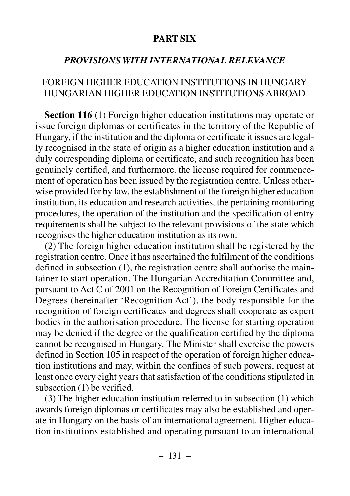## **PART SIX**

## *PROVISIONS WITH INTERNATIONAL RELEVANCE*

### FOREIGN HIGHER EDUCATION INSTITUTIONS IN HUNGARY HUNGARIAN HIGHER EDUCATION INSTITUTIONS ABROAD

**Section 116** (1) Foreign higher education institutions may operate or issue foreign diplomas or certificates in the territory of the Republic of Hungary, if the institution and the diploma or certificate it issues are legally recognised in the state of origin as a higher education institution and a duly corresponding diploma or certificate, and such recognition has been genuinely certified, and furthermore, the license required for commencement of operation has been issued by the registration centre. Unless otherwise provided for by law, the establishment of the foreign higher education institution, its education and research activities, the pertaining monitoring procedures, the operation of the institution and the specification of entry requirements shall be subject to the relevant provisions of the state which recognises the higher education institution as its own.

(2) The foreign higher education institution shall be registered by the registration centre. Once it has ascertained the fulfilment of the conditions defined in subsection (1), the registration centre shall authorise the maintainer to start operation. The Hungarian Accreditation Committee and, pursuant to Act C of 2001 on the Recognition of Foreign Certificates and Degrees (hereinafter 'Recognition Act'), the body responsible for the recognition of foreign certificates and degrees shall cooperate as expert bodies in the authorisation procedure. The license for starting operation may be denied if the degree or the qualification certified by the diploma cannot be recognised in Hungary. The Minister shall exercise the powers defined in Section 105 in respect of the operation of foreign higher education institutions and may, within the confines of such powers, request at least once every eight years that satisfaction of the conditions stipulated in subsection (1) be verified.

(3) The higher education institution referred to in subsection (1) which awards foreign diplomas or certificates may also be established and operate in Hungary on the basis of an international agreement. Higher education institutions established and operating pursuant to an international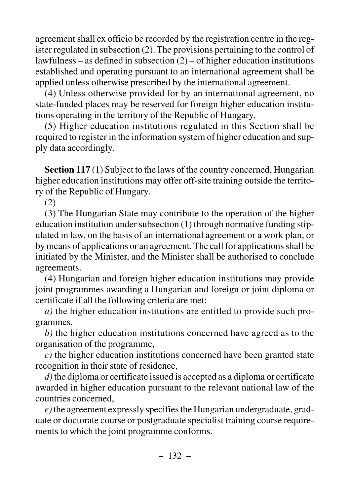agreement shall ex officio be recorded by the registration centre in the register regulated in subsection (2). The provisions pertaining to the control of lawfulness – as defined in subsection  $(2)$  – of higher education institutions established and operating pursuant to an international agreement shall be applied unless otherwise prescribed by the international agreement.

(4) Unless otherwise provided for by an international agreement, no state-funded places may be reserved for foreign higher education institutions operating in the territory of the Republic of Hungary.

(5) Higher education institutions regulated in this Section shall be required to register in the information system of higher education and supply data accordingly.

**Section 117** (1) Subject to the laws of the country concerned, Hungarian higher education institutions may offer off-site training outside the territory of the Republic of Hungary.

(2)

(3) The Hungarian State may contribute to the operation of the higher education institution under subsection (1) through normative funding stipulated in law, on the basis of an international agreement or a work plan, or by means of applications or an agreement. The call for applications shall be initiated by the Minister, and the Minister shall be authorised to conclude agreements.

(4) Hungarian and foreign higher education institutions may provide joint programmes awarding a Hungarian and foreign or joint diploma or certificate if all the following criteria are met:

*a)* the higher education institutions are entitled to provide such programmes,

*b)* the higher education institutions concerned have agreed as to the organisation of the programme,

*c)* the higher education institutions concerned have been granted state recognition in their state of residence,

*d)*the diploma or certificate issued is accepted as a diploma or certificate awarded in higher education pursuant to the relevant national law of the countries concerned,

*e)*the agreement expressly specifies the Hungarian undergraduate, graduate or doctorate course or postgraduate specialist training course requirements to which the joint programme conforms.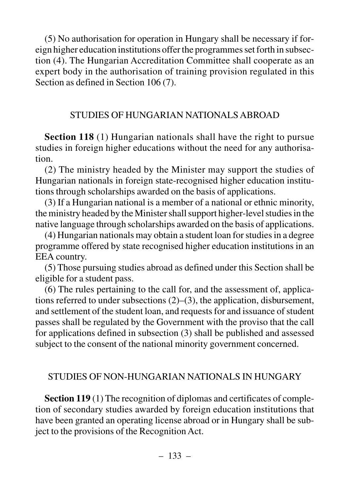(5) No authorisation for operation in Hungary shall be necessary if foreign higher education institutions offer the programmes set forth in subsection (4). The Hungarian Accreditation Committee shall cooperate as an expert body in the authorisation of training provision regulated in this Section as defined in Section 106 (7).

## STUDIES OF HUNGARIAN NATIONALS ABROAD

**Section 118** (1) Hungarian nationals shall have the right to pursue studies in foreign higher educations without the need for any authorisation.

(2) The ministry headed by the Minister may support the studies of Hungarian nationals in foreign state-recognised higher education institutions through scholarships awarded on the basis of applications.

(3) If a Hungarian national is a member of a national or ethnic minority, the ministry headed by the Minister shall support higher-level studies in the native language through scholarships awarded on the basis of applications.

(4) Hungarian nationals may obtain a student loan for studies in a degree programme offered by state recognised higher education institutions in an EEA country.

(5) Those pursuing studies abroad as defined under this Section shall be eligible for a student pass.

(6) The rules pertaining to the call for, and the assessment of, applications referred to under subsections (2)–(3), the application, disbursement, and settlement of the student loan, and requests for and issuance of student passes shall be regulated by the Government with the proviso that the call for applications defined in subsection (3) shall be published and assessed subject to the consent of the national minority government concerned.

## STUDIES OF NON-HUNGARIAN NATIONALS IN HUNGARY

**Section 119** (1) The recognition of diplomas and certificates of completion of secondary studies awarded by foreign education institutions that have been granted an operating license abroad or in Hungary shall be subject to the provisions of the Recognition Act.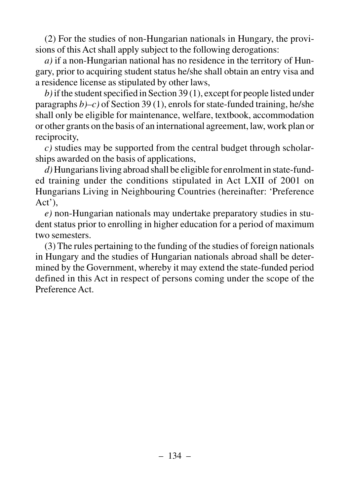(2) For the studies of non-Hungarian nationals in Hungary, the provisions of this Act shall apply subject to the following derogations:

*a)* if a non-Hungarian national has no residence in the territory of Hungary, prior to acquiring student status he/she shall obtain an entry visa and a residence license as stipulated by other laws,

*b)*if the student specified in Section 39 (1), except for people listed under paragraphs *b)–c)* of Section 39 (1), enrols for state-funded training, he/she shall only be eligible for maintenance, welfare, textbook, accommodation or other grants on the basis of an international agreement, law, work plan or reciprocity,

*c)* studies may be supported from the central budget through scholarships awarded on the basis of applications,

*d)* Hungarians living abroad shall be eligible for enrolment in state-funded training under the conditions stipulated in Act LXII of 2001 on Hungarians Living in Neighbouring Countries (hereinafter: 'Preference Act'),

*e)* non-Hungarian nationals may undertake preparatory studies in student status prior to enrolling in higher education for a period of maximum two semesters.

(3) The rules pertaining to the funding of the studies of foreign nationals in Hungary and the studies of Hungarian nationals abroad shall be determined by the Government, whereby it may extend the state-funded period defined in this Act in respect of persons coming under the scope of the Preference Act.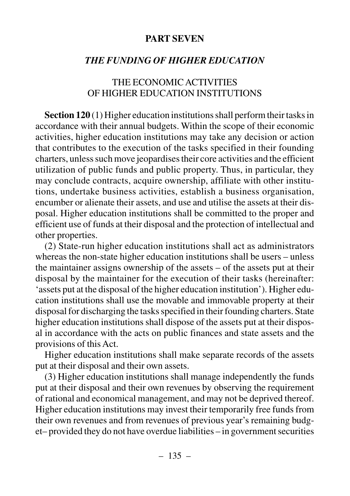#### **PART SEVEN**

### *THE FUNDING OF HIGHER EDUCATION*

### THE ECONOMIC ACTIVITIES OF HIGHER EDUCATION INSTITUTIONS

**Section 120** (1) Higher education institutions shall perform their tasks in accordance with their annual budgets. Within the scope of their economic activities, higher education institutions may take any decision or action that contributes to the execution of the tasks specified in their founding charters, unless such move jeopardises their core activities and the efficient utilization of public funds and public property. Thus, in particular, they may conclude contracts, acquire ownership, affiliate with other institutions, undertake business activities, establish a business organisation, encumber or alienate their assets, and use and utilise the assets at their disposal. Higher education institutions shall be committed to the proper and efficient use of funds at their disposal and the protection of intellectual and other properties.

(2) State-run higher education institutions shall act as administrators whereas the non-state higher education institutions shall be users – unless the maintainer assigns ownership of the assets – of the assets put at their disposal by the maintainer for the execution of their tasks (hereinafter: 'assets put at the disposal of the higher education institution'). Higher education institutions shall use the movable and immovable property at their disposal for discharging the tasks specified in their founding charters. State higher education institutions shall dispose of the assets put at their disposal in accordance with the acts on public finances and state assets and the provisions of this Act.

Higher education institutions shall make separate records of the assets put at their disposal and their own assets.

(3) Higher education institutions shall manage independently the funds put at their disposal and their own revenues by observing the requirement of rational and economical management, and may not be deprived thereof. Higher education institutions may invest their temporarily free funds from their own revenues and from revenues of previous year's remaining budget– provided they do not have overdue liabilities – in government securities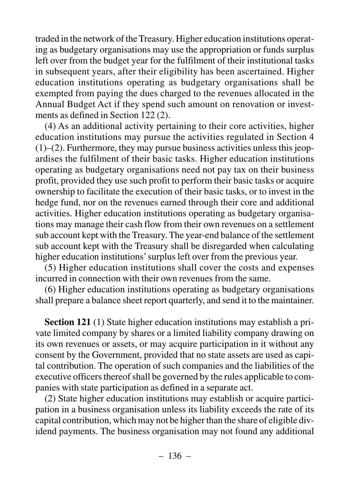traded in the network of the Treasury. Higher education institutions operating as budgetary organisations may use the appropriation or funds surplus left over from the budget year for the fulfilment of their institutional tasks in subsequent years, after their eligibility has been ascertained. Higher education institutions operating as budgetary organisations shall be exempted from paying the dues charged to the revenues allocated in the Annual Budget Act if they spend such amount on renovation or investments as defined in Section 122 (2).

(4) As an additional activity pertaining to their core activities, higher education institutions may pursue the activities regulated in Section 4  $(1)$ – $(2)$ . Furthermore, they may pursue business activities unless this jeopardises the fulfilment of their basic tasks. Higher education institutions operating as budgetary organisations need not pay tax on their business profit, provided they use such profit to perform their basic tasks or acquire ownership to facilitate the execution of their basic tasks, or to invest in the hedge fund, nor on the revenues earned through their core and additional activities. Higher education institutions operating as budgetary organisations may manage their cash flow from their own revenues on a settlement sub account kept with the Treasury. The year-end balance of the settlement sub account kept with the Treasury shall be disregarded when calculating higher education institutions' surplus left over from the previous year.

(5) Higher education institutions shall cover the costs and expenses incurred in connection with their own revenues from the same.

(6) Higher education institutions operating as budgetary organisations shall prepare a balance sheet report quarterly, and send it to the maintainer.

**Section 121** (1) State higher education institutions may establish a private limited company by shares or a limited liability company drawing on its own revenues or assets, or may acquire participation in it without any consent by the Government, provided that no state assets are used as capital contribution. The operation of such companies and the liabilities of the executive officers thereof shall be governed by the rules applicable to companies with state participation as defined in a separate act.

(2) State higher education institutions may establish or acquire participation in a business organisation unless its liability exceeds the rate of its capital contribution, which may not be higher than the share of eligible dividend payments. The business organisation may not found any additional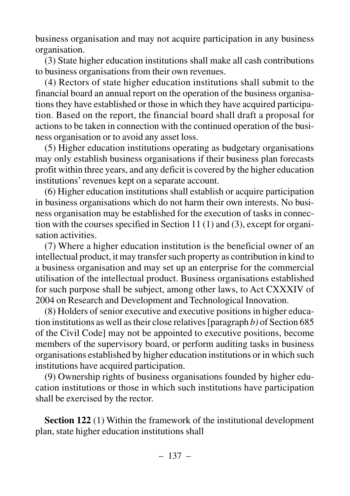business organisation and may not acquire participation in any business organisation.

(3) State higher education institutions shall make all cash contributions to business organisations from their own revenues.

(4) Rectors of state higher education institutions shall submit to the financial board an annual report on the operation of the business organisations they have established or those in which they have acquired participation. Based on the report, the financial board shall draft a proposal for actions to be taken in connection with the continued operation of the business organisation or to avoid any asset loss.

(5) Higher education institutions operating as budgetary organisations may only establish business organisations if their business plan forecasts profit within three years, and any deficit is covered by the higher education institutions' revenues kept on a separate account.

(6) Higher education institutions shall establish or acquire participation in business organisations which do not harm their own interests. No business organisation may be established for the execution of tasks in connection with the courses specified in Section 11 (1) and (3), except for organisation activities.

(7) Where a higher education institution is the beneficial owner of an intellectual product, it may transfer such property as contribution in kind to a business organisation and may set up an enterprise for the commercial utilisation of the intellectual product. Business organisations established for such purpose shall be subject, among other laws, to Act CXXXIV of 2004 on Research and Development and Technological Innovation.

(8) Holders of senior executive and executive positions in higher education institutions as well as their close relatives [paragraph *b)* of Section 685 of the Civil Code] may not be appointed to executive positions, become members of the supervisory board, or perform auditing tasks in business organisations established by higher education institutions or in which such institutions have acquired participation.

(9) Ownership rights of business organisations founded by higher education institutions or those in which such institutions have participation shall be exercised by the rector.

**Section 122** (1) Within the framework of the institutional development plan, state higher education institutions shall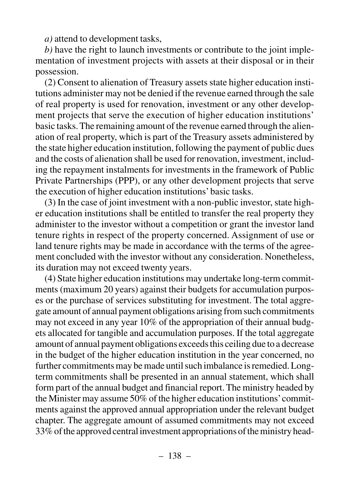*a)* attend to development tasks,

*b)* have the right to launch investments or contribute to the joint implementation of investment projects with assets at their disposal or in their possession.

(2) Consent to alienation of Treasury assets state higher education institutions administer may not be denied if the revenue earned through the sale of real property is used for renovation, investment or any other development projects that serve the execution of higher education institutions' basic tasks. The remaining amount of the revenue earned through the alienation of real property, which is part of the Treasury assets administered by the state higher education institution, following the payment of public dues and the costs of alienation shall be used for renovation, investment, including the repayment instalments for investments in the framework of Public Private Partnerships (PPP), or any other development projects that serve the execution of higher education institutions' basic tasks.

(3) In the case of joint investment with a non-public investor, state higher education institutions shall be entitled to transfer the real property they administer to the investor without a competition or grant the investor land tenure rights in respect of the property concerned. Assignment of use or land tenure rights may be made in accordance with the terms of the agreement concluded with the investor without any consideration. Nonetheless, its duration may not exceed twenty years.

(4) State higher education institutions may undertake long-term commitments (maximum 20 years) against their budgets for accumulation purposes or the purchase of services substituting for investment. The total aggregate amount of annual payment obligations arising from such commitments may not exceed in any year 10% of the appropriation of their annual budgets allocated for tangible and accumulation purposes. If the total aggregate amount of annual payment obligations exceeds this ceiling due to a decrease in the budget of the higher education institution in the year concerned, no further commitments may be made until such imbalance is remedied. Longterm commitments shall be presented in an annual statement, which shall form part of the annual budget and financial report. The ministry headed by the Minister may assume 50% of the higher education institutions'commitments against the approved annual appropriation under the relevant budget chapter. The aggregate amount of assumed commitments may not exceed 33% of the approved central investment appropriations of the ministry head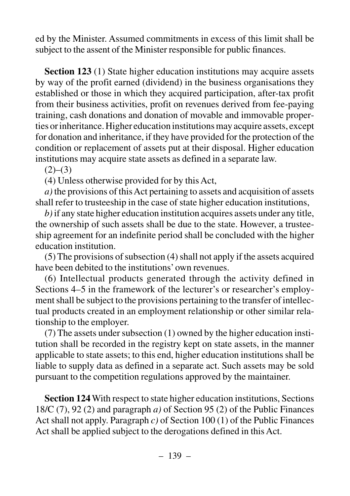ed by the Minister. Assumed commitments in excess of this limit shall be subject to the assent of the Minister responsible for public finances.

**Section 123** (1) State higher education institutions may acquire assets by way of the profit earned (dividend) in the business organisations they established or those in which they acquired participation, after-tax profit from their business activities, profit on revenues derived from fee-paying training, cash donations and donation of movable and immovable properties or inheritance. Higher education institutions may acquire assets, except for donation and inheritance, if they have provided for the protection of the condition or replacement of assets put at their disposal. Higher education institutions may acquire state assets as defined in a separate law.

 $(2)–(3)$ 

(4) Unless otherwise provided for by this Act,

*a)* the provisions of this Act pertaining to assets and acquisition of assets shall refer to trusteeship in the case of state higher education institutions,

*b)*if any state higher education institution acquires assets under any title, the ownership of such assets shall be due to the state. However, a trusteeship agreement for an indefinite period shall be concluded with the higher education institution.

(5) The provisions of subsection (4) shall not apply if the assets acquired have been debited to the institutions' own revenues.

(6) Intellectual products generated through the activity defined in Sections 4–5 in the framework of the lecturer's or researcher's employment shall be subject to the provisions pertaining to the transfer of intellectual products created in an employment relationship or other similar relationship to the employer.

(7) The assets under subsection (1) owned by the higher education institution shall be recorded in the registry kept on state assets, in the manner applicable to state assets; to this end, higher education institutions shall be liable to supply data as defined in a separate act. Such assets may be sold pursuant to the competition regulations approved by the maintainer.

**Section 124**With respect to state higher education institutions, Sections 18/C (7), 92 (2) and paragraph *a)* of Section 95 (2) of the Public Finances Act shall not apply. Paragraph *c)* of Section 100 (1) of the Public Finances Act shall be applied subject to the derogations defined in this Act.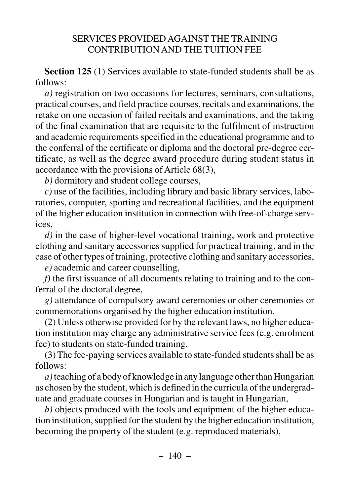## SERVICES PROVIDED AGAINST THE TRAINING CONTRIBUTION AND THE TUITION FEE

**Section 125** (1) Services available to state-funded students shall be as follows:

*a)* registration on two occasions for lectures, seminars, consultations, practical courses, and field practice courses, recitals and examinations, the retake on one occasion of failed recitals and examinations, and the taking of the final examination that are requisite to the fulfilment of instruction and academic requirements specified in the educational programme and to the conferral of the certificate or diploma and the doctoral pre-degree certificate, as well as the degree award procedure during student status in accordance with the provisions of Article 68(3),

*b)* dormitory and student college courses,

*c)* use of the facilities, including library and basic library services, laboratories, computer, sporting and recreational facilities, and the equipment of the higher education institution in connection with free-of-charge services,

*d)* in the case of higher-level vocational training, work and protective clothing and sanitary accessories supplied for practical training, and in the case of other types of training, protective clothing and sanitary accessories,

*e)* academic and career counselling,

*f)* the first issuance of all documents relating to training and to the conferral of the doctoral degree,

*g)* attendance of compulsory award ceremonies or other ceremonies or commemorations organised by the higher education institution.

(2) Unless otherwise provided for by the relevant laws, no higher education institution may charge any administrative service fees (e.g. enrolment fee) to students on state-funded training.

(3) The fee-paying services available to state-funded students shall be as follows:

*a)*teaching of a body of knowledge in any language other than Hungarian as chosen by the student, which is defined in the curricula of the undergraduate and graduate courses in Hungarian and is taught in Hungarian,

*b)* objects produced with the tools and equipment of the higher education institution, supplied for the student by the higher education institution, becoming the property of the student (e.g. reproduced materials),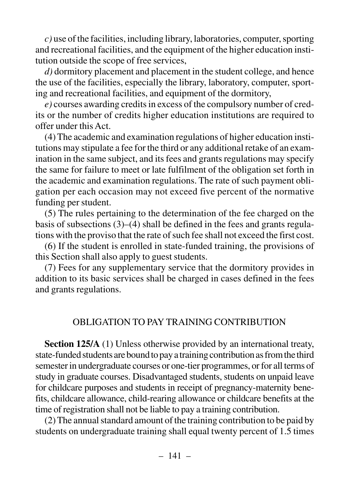*c)* use of the facilities, including library, laboratories, computer, sporting and recreational facilities, and the equipment of the higher education institution outside the scope of free services,

*d)* dormitory placement and placement in the student college, and hence the use of the facilities, especially the library, laboratory, computer, sporting and recreational facilities, and equipment of the dormitory,

*e)* courses awarding credits in excess of the compulsory number of credits or the number of credits higher education institutions are required to offer under this Act.

(4) The academic and examination regulations of higher education institutions may stipulate a fee for the third or any additional retake of an examination in the same subject, and its fees and grants regulations may specify the same for failure to meet or late fulfilment of the obligation set forth in the academic and examination regulations. The rate of such payment obligation per each occasion may not exceed five percent of the normative funding per student.

(5) The rules pertaining to the determination of the fee charged on the basis of subsections (3)–(4) shall be defined in the fees and grants regulations with the proviso that the rate of such fee shall not exceed the first cost.

(6) If the student is enrolled in state-funded training, the provisions of this Section shall also apply to guest students.

(7) Fees for any supplementary service that the dormitory provides in addition to its basic services shall be charged in cases defined in the fees and grants regulations.

## OBLIGATION TO PAY TRAINING CONTRIBUTION

**Section 125/A** (1) Unless otherwise provided by an international treaty, state-funded students are bound to pay a training contribution as from the third semester in undergraduate courses or one-tier programmes, or for all terms of study in graduate courses. Disadvantaged students, students on unpaid leave for childcare purposes and students in receipt of pregnancy-maternity benefits, childcare allowance, child-rearing allowance or childcare benefits at the time of registration shall not be liable to pay a training contribution.

(2) The annual standard amount of the training contribution to be paid by students on undergraduate training shall equal twenty percent of 1.5 times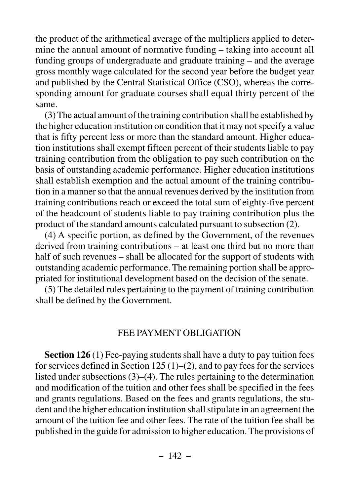the product of the arithmetical average of the multipliers applied to determine the annual amount of normative funding – taking into account all funding groups of undergraduate and graduate training – and the average gross monthly wage calculated for the second year before the budget year and published by the Central Statistical Office (CSO), whereas the corresponding amount for graduate courses shall equal thirty percent of the same.

(3) The actual amount of the training contribution shall be established by the higher education institution on condition that it may not specify a value that is fifty percent less or more than the standard amount. Higher education institutions shall exempt fifteen percent of their students liable to pay training contribution from the obligation to pay such contribution on the basis of outstanding academic performance. Higher education institutions shall establish exemption and the actual amount of the training contribution in a manner so that the annual revenues derived by the institution from training contributions reach or exceed the total sum of eighty-five percent of the headcount of students liable to pay training contribution plus the product of the standard amounts calculated pursuant to subsection (2).

(4) A specific portion, as defined by the Government, of the revenues derived from training contributions – at least one third but no more than half of such revenues – shall be allocated for the support of students with outstanding academic performance. The remaining portion shall be appropriated for institutional development based on the decision of the senate.

(5) The detailed rules pertaining to the payment of training contribution shall be defined by the Government.

#### FEE PAYMENT OBLIGATION

**Section 126** (1) Fee-paying students shall have a duty to pay tuition fees for services defined in Section 125  $(1)$ – $(2)$ , and to pay fees for the services listed under subsections (3)–(4). The rules pertaining to the determination and modification of the tuition and other fees shall be specified in the fees and grants regulations. Based on the fees and grants regulations, the student and the higher education institution shall stipulate in an agreement the amount of the tuition fee and other fees. The rate of the tuition fee shall be published in the guide for admission to higher education. The provisions of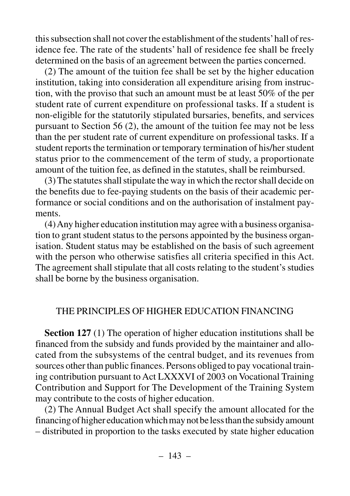this subsection shall not cover the establishment of the students'hall of residence fee. The rate of the students' hall of residence fee shall be freely determined on the basis of an agreement between the parties concerned.

(2) The amount of the tuition fee shall be set by the higher education institution, taking into consideration all expenditure arising from instruction, with the proviso that such an amount must be at least 50% of the per student rate of current expenditure on professional tasks. If a student is non-eligible for the statutorily stipulated bursaries, benefits, and services pursuant to Section 56 (2), the amount of the tuition fee may not be less than the per student rate of current expenditure on professional tasks. If a student reports the termination or temporary termination of his/her student status prior to the commencement of the term of study, a proportionate amount of the tuition fee, as defined in the statutes, shall be reimbursed.

(3) The statutes shall stipulate the way in which the rector shall decide on the benefits due to fee-paying students on the basis of their academic performance or social conditions and on the authorisation of instalment payments.

(4) Any higher education institution may agree with a business organisation to grant student status to the persons appointed by the business organisation. Student status may be established on the basis of such agreement with the person who otherwise satisfies all criteria specified in this Act. The agreement shall stipulate that all costs relating to the student's studies shall be borne by the business organisation.

#### THE PRINCIPLES OF HIGHER EDUCATION FINANCING

**Section 127** (1) The operation of higher education institutions shall be financed from the subsidy and funds provided by the maintainer and allocated from the subsystems of the central budget, and its revenues from sources other than public finances. Persons obliged to pay vocational training contribution pursuant to Act LXXXVI of 2003 on Vocational Training Contribution and Support for The Development of the Training System may contribute to the costs of higher education.

(2) The Annual Budget Act shall specify the amount allocated for the financing of higher education which may not be less than the subsidy amount – distributed in proportion to the tasks executed by state higher education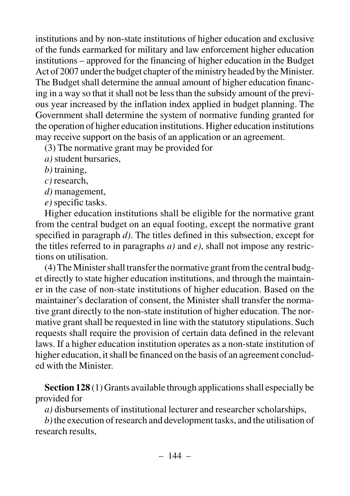institutions and by non-state institutions of higher education and exclusive of the funds earmarked for military and law enforcement higher education institutions – approved for the financing of higher education in the Budget Act of 2007 under the budget chapter of the ministry headed by the Minister. The Budget shall determine the annual amount of higher education financing in a way so that it shall not be less than the subsidy amount of the previous year increased by the inflation index applied in budget planning. The Government shall determine the system of normative funding granted for the operation of higher education institutions. Higher education institutions may receive support on the basis of an application or an agreement.

(3) The normative grant may be provided for

- *a)* student bursaries,
- *b)* training,
- *c)* research,
- *d)* management,
- *e)* specific tasks.

Higher education institutions shall be eligible for the normative grant from the central budget on an equal footing, except the normative grant specified in paragraph *d)*. The titles defined in this subsection, except for the titles referred to in paragraphs  $a$ ) and  $e$ ), shall not impose any restrictions on utilisation.

(4) The Minister shall transfer the normative grant from the central budget directly to state higher education institutions, and through the maintainer in the case of non-state institutions of higher education. Based on the maintainer's declaration of consent, the Minister shall transfer the normative grant directly to the non-state institution of higher education. The normative grant shall be requested in line with the statutory stipulations. Such requests shall require the provision of certain data defined in the relevant laws. If a higher education institution operates as a non-state institution of higher education, it shall be financed on the basis of an agreement concluded with the Minister.

**Section 128** (1) Grants available through applications shall especially be provided for

*a)* disbursements of institutional lecturer and researcher scholarships,

*b)*the execution of research and development tasks, and the utilisation of research results,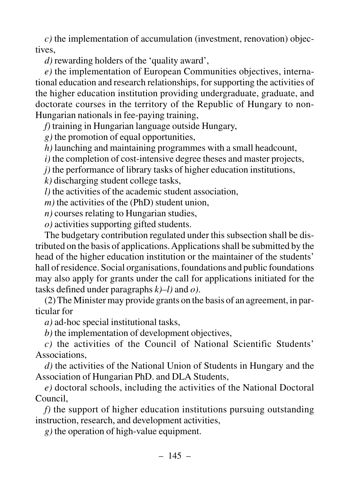*c)* the implementation of accumulation (investment, renovation) objectives,

*d)* rewarding holders of the 'quality award',

*e)* the implementation of European Communities objectives, international education and research relationships, for supporting the activities of the higher education institution providing undergraduate, graduate, and doctorate courses in the territory of the Republic of Hungary to non-Hungarian nationals in fee-paying training,

*f)* training in Hungarian language outside Hungary,

*g)* the promotion of equal opportunities,

*h)* launching and maintaining programmes with a small headcount,

*i)* the completion of cost-intensive degree theses and master projects,

*j)* the performance of library tasks of higher education institutions,

*k)* discharging student college tasks,

*l)* the activities of the academic student association,

*m*) the activities of the (PhD) student union,

*n)* courses relating to Hungarian studies,

*o)* activities supporting gifted students.

The budgetary contribution regulated under this subsection shall be distributed on the basis of applications. Applications shall be submitted by the head of the higher education institution or the maintainer of the students' hall of residence. Social organisations, foundations and public foundations may also apply for grants under the call for applications initiated for the tasks defined under paragraphs *k)–l)* and *o)*.

(2) The Minister may provide grants on the basis of an agreement, in particular for

*a)* ad-hoc special institutional tasks,

*b)* the implementation of development objectives,

*c)* the activities of the Council of National Scientific Students' Associations,

*d)* the activities of the National Union of Students in Hungary and the Association of Hungarian PhD. and DLA Students,

*e)* doctoral schools, including the activities of the National Doctoral Council,

*f)* the support of higher education institutions pursuing outstanding instruction, research, and development activities,

*g)* the operation of high-value equipment.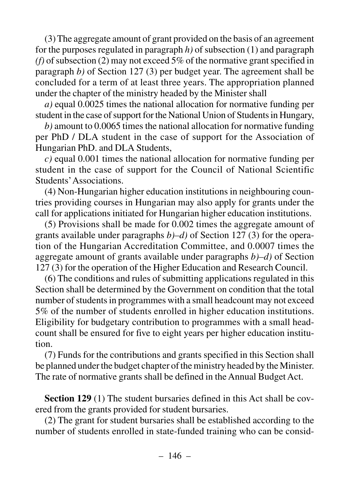(3) The aggregate amount of grant provided on the basis of an agreement for the purposes regulated in paragraph *h)* of subsection (1) and paragraph *(f)* of subsection (2) may not exceed 5% of the normative grant specified in paragraph *b)* of Section 127 (3) per budget year. The agreement shall be concluded for a term of at least three years. The appropriation planned under the chapter of the ministry headed by the Minister shall

*a)* equal 0.0025 times the national allocation for normative funding per student in the case of support for the National Union of Students in Hungary,

*b)* amount to 0.0065 times the national allocation for normative funding per PhD / DLA student in the case of support for the Association of Hungarian PhD. and DLA Students,

*c)* equal 0.001 times the national allocation for normative funding per student in the case of support for the Council of National Scientific Students'Associations.

(4) Non-Hungarian higher education institutions in neighbouring countries providing courses in Hungarian may also apply for grants under the call for applications initiated for Hungarian higher education institutions.

(5) Provisions shall be made for 0.002 times the aggregate amount of grants available under paragraphs *b)–d)* of Section 127 (3) for the operation of the Hungarian Accreditation Committee, and 0.0007 times the aggregate amount of grants available under paragraphs *b)–d)* of Section 127 (3) for the operation of the Higher Education and Research Council.

(6) The conditions and rules of submitting applications regulated in this Section shall be determined by the Government on condition that the total number of students in programmes with a small headcount may not exceed 5% of the number of students enrolled in higher education institutions. Eligibility for budgetary contribution to programmes with a small headcount shall be ensured for five to eight years per higher education institution.

(7) Funds for the contributions and grants specified in this Section shall be planned under the budget chapter of the ministry headed by the Minister. The rate of normative grants shall be defined in the Annual Budget Act.

**Section 129** (1) The student bursaries defined in this Act shall be covered from the grants provided for student bursaries.

(2) The grant for student bursaries shall be established according to the number of students enrolled in state-funded training who can be consid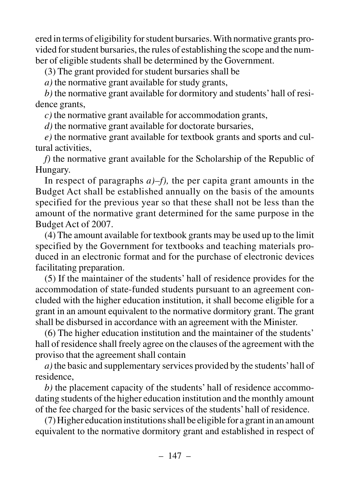ered in terms of eligibility for student bursaries. With normative grants provided for student bursaries, the rules of establishing the scope and the number of eligible students shall be determined by the Government.

(3) The grant provided for student bursaries shall be

*a)* the normative grant available for study grants,

*b)* the normative grant available for dormitory and students' hall of residence grants,

*c)* the normative grant available for accommodation grants,

*d)* the normative grant available for doctorate bursaries,

*e)* the normative grant available for textbook grants and sports and cultural activities,

*f)* the normative grant available for the Scholarship of the Republic of Hungary.

In respect of paragraphs  $a$ –f), the per capita grant amounts in the Budget Act shall be established annually on the basis of the amounts specified for the previous year so that these shall not be less than the amount of the normative grant determined for the same purpose in the Budget Act of 2007.

(4) The amount available for textbook grants may be used up to the limit specified by the Government for textbooks and teaching materials produced in an electronic format and for the purchase of electronic devices facilitating preparation.

(5) If the maintainer of the students' hall of residence provides for the accommodation of state-funded students pursuant to an agreement concluded with the higher education institution, it shall become eligible for a grant in an amount equivalent to the normative dormitory grant. The grant shall be disbursed in accordance with an agreement with the Minister.

(6) The higher education institution and the maintainer of the students' hall of residence shall freely agree on the clauses of the agreement with the proviso that the agreement shall contain

*a)* the basic and supplementary services provided by the students'hall of residence,

*b)* the placement capacity of the students' hall of residence accommodating students of the higher education institution and the monthly amount of the fee charged for the basic services of the students' hall of residence.

(7) Higher education institutions shall be eligible for a grant in an amount equivalent to the normative dormitory grant and established in respect of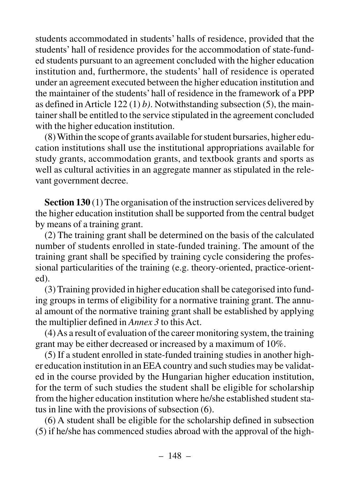students accommodated in students' halls of residence, provided that the students' hall of residence provides for the accommodation of state-funded students pursuant to an agreement concluded with the higher education institution and, furthermore, the students' hall of residence is operated under an agreement executed between the higher education institution and the maintainer of the students' hall of residence in the framework of a PPP as defined in Article 122 (1) *b)*. Notwithstanding subsection (5), the maintainer shall be entitled to the service stipulated in the agreement concluded with the higher education institution.

(8) Within the scope of grants available for student bursaries, higher education institutions shall use the institutional appropriations available for study grants, accommodation grants, and textbook grants and sports as well as cultural activities in an aggregate manner as stipulated in the relevant government decree.

**Section 130** (1) The organisation of the instruction services delivered by the higher education institution shall be supported from the central budget by means of a training grant.

(2) The training grant shall be determined on the basis of the calculated number of students enrolled in state-funded training. The amount of the training grant shall be specified by training cycle considering the professional particularities of the training (e.g. theory-oriented, practice-oriented).

(3) Training provided in higher education shall be categorised into funding groups in terms of eligibility for a normative training grant. The annual amount of the normative training grant shall be established by applying the multiplier defined in *Annex 3* to this Act.

(4) As a result of evaluation of the career monitoring system, the training grant may be either decreased or increased by a maximum of 10%.

(5) If a student enrolled in state-funded training studies in another higher education institution in an EEA country and such studies may be validated in the course provided by the Hungarian higher education institution, for the term of such studies the student shall be eligible for scholarship from the higher education institution where he/she established student status in line with the provisions of subsection (6).

(6) A student shall be eligible for the scholarship defined in subsection (5) if he/she has commenced studies abroad with the approval of the high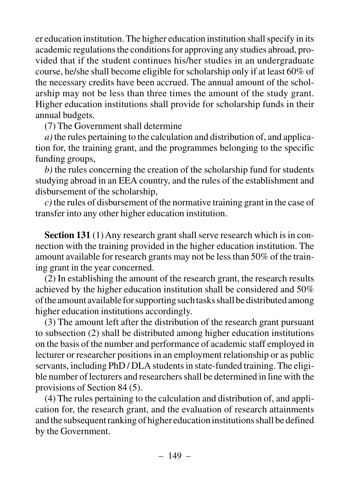er education institution. The higher education institution shall specify in its academic regulations the conditions for approving any studies abroad, provided that if the student continues his/her studies in an undergraduate course, he/she shall become eligible for scholarship only if at least 60% of the necessary credits have been accrued. The annual amount of the scholarship may not be less than three times the amount of the study grant. Higher education institutions shall provide for scholarship funds in their annual budgets.

(7) The Government shall determine

*a)* the rules pertaining to the calculation and distribution of, and application for, the training grant, and the programmes belonging to the specific funding groups,

*b)* the rules concerning the creation of the scholarship fund for students studying abroad in an EEA country, and the rules of the establishment and disbursement of the scholarship,

*c)* the rules of disbursement of the normative training grant in the case of transfer into any other higher education institution.

**Section 131** (1) Any research grant shall serve research which is in connection with the training provided in the higher education institution. The amount available for research grants may not be less than 50% of the training grant in the year concerned.

(2) In establishing the amount of the research grant, the research results achieved by the higher education institution shall be considered and 50% of the amount available for supporting such tasks shall be distributed among higher education institutions accordingly.

(3) The amount left after the distribution of the research grant pursuant to subsection (2) shall be distributed among higher education institutions on the basis of the number and performance of academic staff employed in lecturer or researcher positions in an employment relationship or as public servants, including PhD / DLA students in state-funded training. The eligible number of lecturers and researchers shall be determined in line with the provisions of Section 84 (5).

(4) The rules pertaining to the calculation and distribution of, and application for, the research grant, and the evaluation of research attainments and the subsequent ranking of higher education institutions shall be defined by the Government.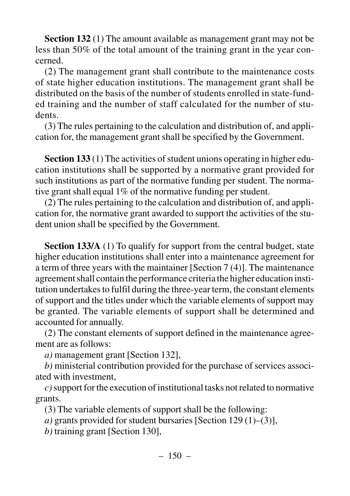**Section 132** (1) The amount available as management grant may not be less than 50% of the total amount of the training grant in the year concerned.

(2) The management grant shall contribute to the maintenance costs of state higher education institutions. The management grant shall be distributed on the basis of the number of students enrolled in state-funded training and the number of staff calculated for the number of students.

(3) The rules pertaining to the calculation and distribution of, and application for, the management grant shall be specified by the Government.

**Section 133** (1) The activities of student unions operating in higher education institutions shall be supported by a normative grant provided for such institutions as part of the normative funding per student. The normative grant shall equal 1% of the normative funding per student.

(2) The rules pertaining to the calculation and distribution of, and application for, the normative grant awarded to support the activities of the student union shall be specified by the Government.

**Section 133/A** (1) To qualify for support from the central budget, state higher education institutions shall enter into a maintenance agreement for a term of three years with the maintainer [Section 7 (4)]. The maintenance agreement shall contain the performance criteria the higher education institution undertakes to fulfil during the three-year term, the constant elements of support and the titles under which the variable elements of support may be granted. The variable elements of support shall be determined and accounted for annually.

(2) The constant elements of support defined in the maintenance agreement are as follows:

*a)* management grant [Section 132],

*b)* ministerial contribution provided for the purchase of services associated with investment,

*c)*support for the execution of institutional tasks not related to normative grants.

(3) The variable elements of support shall be the following:

*a)* grants provided for student bursaries [Section 129 (1)–(3)],

*b)* training grant [Section 130],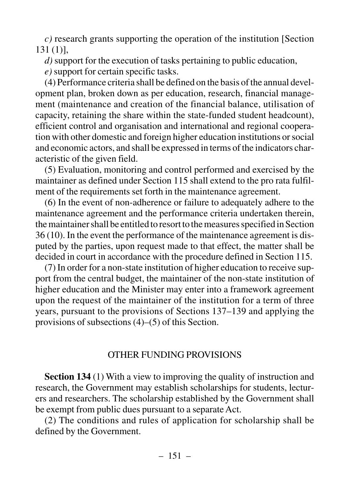*c)* research grants supporting the operation of the institution [Section 131 (1)],

*d)* support for the execution of tasks pertaining to public education,

*e)* support for certain specific tasks.

(4) Performance criteria shall be defined on the basis of the annual development plan, broken down as per education, research, financial management (maintenance and creation of the financial balance, utilisation of capacity, retaining the share within the state-funded student headcount), efficient control and organisation and international and regional cooperation with other domestic and foreign higher education institutions or social and economic actors, and shall be expressed in terms of the indicators characteristic of the given field.

(5) Evaluation, monitoring and control performed and exercised by the maintainer as defined under Section 115 shall extend to the pro rata fulfilment of the requirements set forth in the maintenance agreement.

(6) In the event of non-adherence or failure to adequately adhere to the maintenance agreement and the performance criteria undertaken therein, the maintainer shall be entitled to resort to the measures specified in Section 36 (10). In the event the performance of the maintenance agreement is disputed by the parties, upon request made to that effect, the matter shall be decided in court in accordance with the procedure defined in Section 115.

(7) In order for a non-state institution of higher education to receive support from the central budget, the maintainer of the non-state institution of higher education and the Minister may enter into a framework agreement upon the request of the maintainer of the institution for a term of three years, pursuant to the provisions of Sections 137–139 and applying the provisions of subsections (4)–(5) of this Section.

### OTHER FUNDING PROVISIONS

**Section 134** (1) With a view to improving the quality of instruction and research, the Government may establish scholarships for students, lecturers and researchers. The scholarship established by the Government shall be exempt from public dues pursuant to a separate Act.

(2) The conditions and rules of application for scholarship shall be defined by the Government.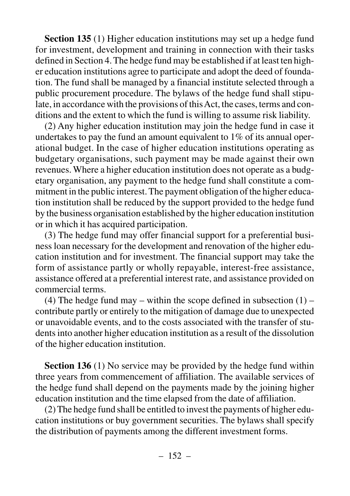**Section 135** (1) Higher education institutions may set up a hedge fund for investment, development and training in connection with their tasks defined in Section 4. The hedge fund may be established if at least ten higher education institutions agree to participate and adopt the deed of foundation. The fund shall be managed by a financial institute selected through a public procurement procedure. The bylaws of the hedge fund shall stipulate, in accordance with the provisions of this Act, the cases, terms and conditions and the extent to which the fund is willing to assume risk liability.

(2) Any higher education institution may join the hedge fund in case it undertakes to pay the fund an amount equivalent to 1% of its annual operational budget. In the case of higher education institutions operating as budgetary organisations, such payment may be made against their own revenues. Where a higher education institution does not operate as a budgetary organisation, any payment to the hedge fund shall constitute a commitment in the public interest. The payment obligation of the higher education institution shall be reduced by the support provided to the hedge fund by the business organisation established by the higher education institution or in which it has acquired participation.

(3) The hedge fund may offer financial support for a preferential business loan necessary for the development and renovation of the higher education institution and for investment. The financial support may take the form of assistance partly or wholly repayable, interest-free assistance, assistance offered at a preferential interest rate, and assistance provided on commercial terms.

(4) The hedge fund may – within the scope defined in subsection  $(1)$  – contribute partly or entirely to the mitigation of damage due to unexpected or unavoidable events, and to the costs associated with the transfer of students into another higher education institution as a result of the dissolution of the higher education institution.

**Section 136** (1) No service may be provided by the hedge fund within three years from commencement of affiliation. The available services of the hedge fund shall depend on the payments made by the joining higher education institution and the time elapsed from the date of affiliation.

(2) The hedge fund shall be entitled to invest the payments of higher education institutions or buy government securities. The bylaws shall specify the distribution of payments among the different investment forms.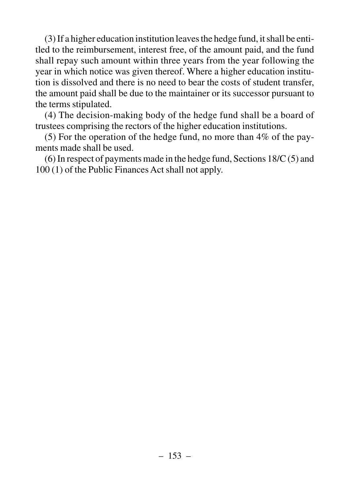(3) If a higher education institution leaves the hedge fund, it shall be entitled to the reimbursement, interest free, of the amount paid, and the fund shall repay such amount within three years from the year following the year in which notice was given thereof. Where a higher education institution is dissolved and there is no need to bear the costs of student transfer, the amount paid shall be due to the maintainer or its successor pursuant to the terms stipulated.

(4) The decision-making body of the hedge fund shall be a board of trustees comprising the rectors of the higher education institutions.

(5) For the operation of the hedge fund, no more than 4% of the payments made shall be used.

(6) In respect of payments made in the hedge fund, Sections 18/C (5) and 100 (1) of the Public Finances Act shall not apply.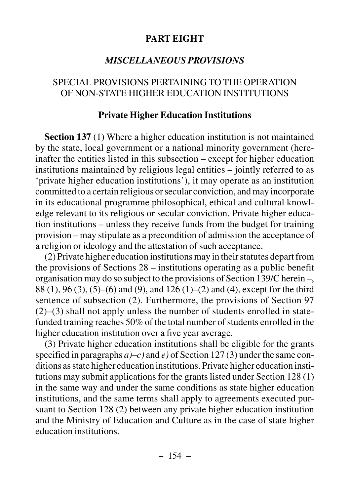### **PART EIGHT**

#### *MISCELLANEOUS PROVISIONS*

#### SPECIAL PROVISIONS PERTAINING TO THE OPERATION OF NON-STATE HIGHER EDUCATION INSTITUTIONS

#### **Private Higher Education Institutions**

**Section 137** (1) Where a higher education institution is not maintained by the state, local government or a national minority government (hereinafter the entities listed in this subsection – except for higher education institutions maintained by religious legal entities – jointly referred to as 'private higher education institutions'), it may operate as an institution committed to a certain religious or secular conviction, and may incorporate in its educational programme philosophical, ethical and cultural knowledge relevant to its religious or secular conviction. Private higher education institutions – unless they receive funds from the budget for training provision – may stipulate as a precondition of admission the acceptance of a religion or ideology and the attestation of such acceptance.

(2) Private higher education institutions may in their statutes depart from the provisions of Sections 28 – institutions operating as a public benefit organisation may do so subject to the provisions of Section 139/C herein –, 88 (1), 96 (3), (5)–(6) and (9), and 126 (1)–(2) and (4), except for the third sentence of subsection (2). Furthermore, the provisions of Section 97 (2)–(3) shall not apply unless the number of students enrolled in statefunded training reaches 50% of the total number of students enrolled in the higher education institution over a five year average.

(3) Private higher education institutions shall be eligible for the grants specified in paragraphs *a)–c)* and *e)* of Section 127 (3) under the same conditions as state higher education institutions. Private higher education institutions may submit applications for the grants listed under Section 128 (1) in the same way and under the same conditions as state higher education institutions, and the same terms shall apply to agreements executed pursuant to Section 128 (2) between any private higher education institution and the Ministry of Education and Culture as in the case of state higher education institutions.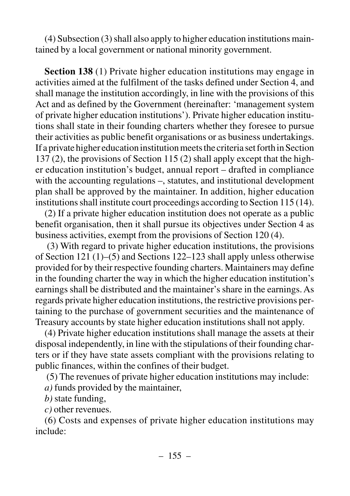(4) Subsection (3) shall also apply to higher education institutions maintained by a local government or national minority government.

**Section 138** (1) Private higher education institutions may engage in activities aimed at the fulfilment of the tasks defined under Section 4, and shall manage the institution accordingly, in line with the provisions of this Act and as defined by the Government (hereinafter: 'management system of private higher education institutions'). Private higher education institutions shall state in their founding charters whether they foresee to pursue their activities as public benefit organisations or as business undertakings. If a private higher education institution meets the criteria set forth in Section 137 (2), the provisions of Section 115 (2) shall apply except that the higher education institution's budget, annual report – drafted in compliance with the accounting regulations –, statutes, and institutional development plan shall be approved by the maintainer. In addition, higher education institutions shall institute court proceedings according to Section 115 (14).

(2) If a private higher education institution does not operate as a public benefit organisation, then it shall pursue its objectives under Section 4 as business activities, exempt from the provisions of Section 120 (4).

(3) With regard to private higher education institutions, the provisions of Section 121 (1)–(5) and Sections 122–123 shall apply unless otherwise provided for by their respective founding charters. Maintainers may define in the founding charter the way in which the higher education institution's earnings shall be distributed and the maintainer's share in the earnings. As regards private higher education institutions, the restrictive provisions pertaining to the purchase of government securities and the maintenance of Treasury accounts by state higher education institutions shall not apply.

(4) Private higher education institutions shall manage the assets at their disposal independently, in line with the stipulations of their founding charters or if they have state assets compliant with the provisions relating to public finances, within the confines of their budget.

(5) The revenues of private higher education institutions may include:

*a)* funds provided by the maintainer,

*b)* state funding,

*c)* other revenues.

(6) Costs and expenses of private higher education institutions may include: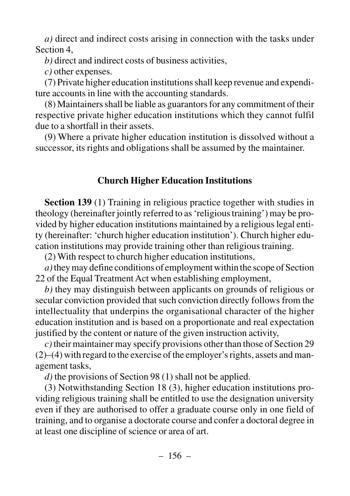*a)* direct and indirect costs arising in connection with the tasks under Section 4,

*b)* direct and indirect costs of business activities,

*c)* other expenses.

(7) Private higher education institutions shall keep revenue and expenditure accounts in line with the accounting standards.

(8) Maintainers shall be liable as guarantors for any commitment of their respective private higher education institutions which they cannot fulfil due to a shortfall in their assets.

(9) Where a private higher education institution is dissolved without a successor, its rights and obligations shall be assumed by the maintainer.

# **Church Higher Education Institutions**

**Section 139** (1) Training in religious practice together with studies in theology (hereinafter jointly referred to as 'religious training') may be provided by higher education institutions maintained by a religious legal entity (hereinafter: 'church higher education institution'). Church higher education institutions may provide training other than religious training.

(2) With respect to church higher education institutions,

*a)*they may define conditions of employment within the scope of Section 22 of the Equal Treatment Act when establishing employment,

*b)* they may distinguish between applicants on grounds of religious or secular conviction provided that such conviction directly follows from the intellectuality that underpins the organisational character of the higher education institution and is based on a proportionate and real expectation justified by the content or nature of the given instruction activity,

*c)*their maintainer may specify provisions other than those of Section 29 (2)–(4) with regard to the exercise of the employer's rights, assets and management tasks,

*d)* the provisions of Section 98 (1) shall not be applied.

(3) Notwithstanding Section 18 (3), higher education institutions providing religious training shall be entitled to use the designation university even if they are authorised to offer a graduate course only in one field of training, and to organise a doctorate course and confer a doctoral degree in at least one discipline of science or area of art.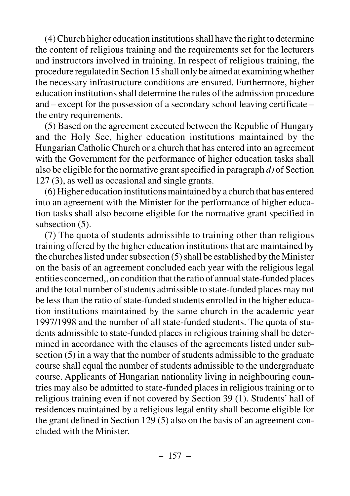(4) Church higher education institutions shall have the right to determine the content of religious training and the requirements set for the lecturers and instructors involved in training. In respect of religious training, the procedure regulated in Section 15 shall only be aimed at examining whether the necessary infrastructure conditions are ensured. Furthermore, higher education institutions shall determine the rules of the admission procedure and – except for the possession of a secondary school leaving certificate – the entry requirements.

(5) Based on the agreement executed between the Republic of Hungary and the Holy See, higher education institutions maintained by the Hungarian Catholic Church or a church that has entered into an agreement with the Government for the performance of higher education tasks shall also be eligible for the normative grant specified in paragraph *d)* of Section 127 (3), as well as occasional and single grants.

(6) Higher education institutions maintained by a church that has entered into an agreement with the Minister for the performance of higher education tasks shall also become eligible for the normative grant specified in subsection  $(5)$ .

(7) The quota of students admissible to training other than religious training offered by the higher education institutions that are maintained by the churches listed under subsection (5) shall be established by the Minister on the basis of an agreement concluded each year with the religious legal entities concerned,, on condition that the ratio of annual state-funded places and the total number of students admissible to state-funded places may not be less than the ratio of state-funded students enrolled in the higher education institutions maintained by the same church in the academic year 1997/1998 and the number of all state-funded students. The quota of students admissible to state-funded places in religious training shall be determined in accordance with the clauses of the agreements listed under subsection (5) in a way that the number of students admissible to the graduate course shall equal the number of students admissible to the undergraduate course. Applicants of Hungarian nationality living in neighbouring countries may also be admitted to state-funded places in religious training or to religious training even if not covered by Section 39 (1). Students' hall of residences maintained by a religious legal entity shall become eligible for the grant defined in Section 129 (5) also on the basis of an agreement concluded with the Minister.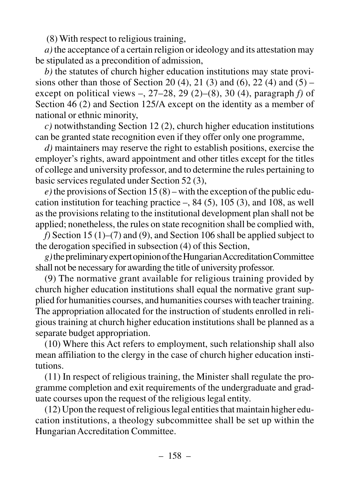(8) With respect to religious training,

*a)* the acceptance of a certain religion or ideology and its attestation may be stipulated as a precondition of admission,

*b)* the statutes of church higher education institutions may state provisions other than those of Section 20 (4), 21 (3) and (6), 22 (4) and (5) – except on political views –, 27–28, 29 (2)–(8), 30 (4), paragraph *f)* of Section 46 (2) and Section 125/A except on the identity as a member of national or ethnic minority,

*c)* notwithstanding Section 12 (2), church higher education institutions can be granted state recognition even if they offer only one programme,

*d)* maintainers may reserve the right to establish positions, exercise the employer's rights, award appointment and other titles except for the titles of college and university professor, and to determine the rules pertaining to basic services regulated under Section 52 (3),

 $e)$  the provisions of Section 15 (8) – with the exception of the public education institution for teaching practice  $-$ , 84 (5), 105 (3), and 108, as well as the provisions relating to the institutional development plan shall not be applied; nonetheless, the rules on state recognition shall be complied with,

*f)* Section 15 (1)–(7) and (9), and Section 106 shall be applied subject to the derogation specified in subsection (4) of this Section,

*g)*the preliminary expert opinion of the Hungarian Accreditation Committee shall not be necessary for awarding the title of university professor.

(9) The normative grant available for religious training provided by church higher education institutions shall equal the normative grant supplied for humanities courses, and humanities courses with teacher training. The appropriation allocated for the instruction of students enrolled in religious training at church higher education institutions shall be planned as a separate budget appropriation.

(10) Where this Act refers to employment, such relationship shall also mean affiliation to the clergy in the case of church higher education institutions.

(11) In respect of religious training, the Minister shall regulate the programme completion and exit requirements of the undergraduate and graduate courses upon the request of the religious legal entity.

(12) Upon the request of religious legal entities that maintain higher education institutions, a theology subcommittee shall be set up within the Hungarian Accreditation Committee.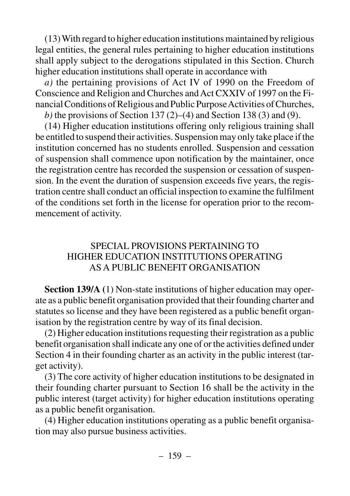(13) With regard to higher education institutions maintained by religious legal entities, the general rules pertaining to higher education institutions shall apply subject to the derogations stipulated in this Section. Church higher education institutions shall operate in accordance with

*a)* the pertaining provisions of Act IV of 1990 on the Freedom of Conscience and Religion and Churches and Act CXXIV of 1997 on the Financial Conditions of Religious and Public Purpose Activities of Churches, *b)* the provisions of Section 137 (2)–(4) and Section 138 (3) and (9).

(14) Higher education institutions offering only religious training shall be entitled to suspend their activities. Suspension may only take place if the institution concerned has no students enrolled. Suspension and cessation of suspension shall commence upon notification by the maintainer, once the registration centre has recorded the suspension or cessation of suspension. In the event the duration of suspension exceeds five years, the registration centre shall conduct an official inspection to examine the fulfilment of the conditions set forth in the license for operation prior to the recommencement of activity.

### SPECIAL PROVISIONS PERTAINING TO HIGHER EDUCATION INSTITUTIONS OPERATING AS A PUBLIC BENEFIT ORGANISATION

**Section 139/A (**1) Non-state institutions of higher education may operate as a public benefit organisation provided that their founding charter and statutes so license and they have been registered as a public benefit organisation by the registration centre by way of its final decision.

(2) Higher education institutions requesting their registration as a public benefit organisation shall indicate any one of or the activities defined under Section 4 in their founding charter as an activity in the public interest (target activity).

(3) The core activity of higher education institutions to be designated in their founding charter pursuant to Section 16 shall be the activity in the public interest (target activity) for higher education institutions operating as a public benefit organisation.

(4) Higher education institutions operating as a public benefit organisation may also pursue business activities.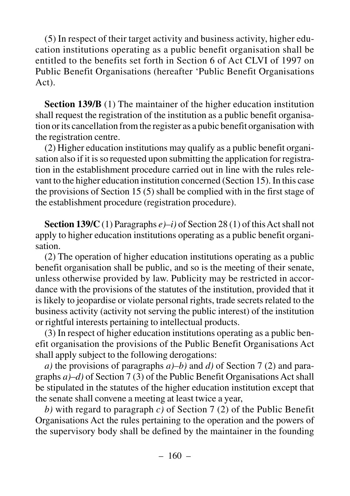(5) In respect of their target activity and business activity, higher education institutions operating as a public benefit organisation shall be entitled to the benefits set forth in Section 6 of Act CLVI of 1997 on Public Benefit Organisations (hereafter 'Public Benefit Organisations Act).

**Section 139/B** (1) The maintainer of the higher education institution shall request the registration of the institution as a public benefit organisation or its cancellation from the register as a pubic benefit organisation with the registration centre.

(2) Higher education institutions may qualify as a public benefit organisation also if it is so requested upon submitting the application for registration in the establishment procedure carried out in line with the rules relevant to the higher education institution concerned (Section 15). In this case the provisions of Section 15 (5) shall be complied with in the first stage of the establishment procedure (registration procedure).

**Section 139/C** (1) Paragraphs *e)–i)* of Section 28 (1) of this Act shall not apply to higher education institutions operating as a public benefit organisation.

(2) The operation of higher education institutions operating as a public benefit organisation shall be public, and so is the meeting of their senate, unless otherwise provided by law. Publicity may be restricted in accordance with the provisions of the statutes of the institution, provided that it is likely to jeopardise or violate personal rights, trade secrets related to the business activity (activity not serving the public interest) of the institution or rightful interests pertaining to intellectual products.

(3) In respect of higher education institutions operating as a public benefit organisation the provisions of the Public Benefit Organisations Act shall apply subject to the following derogations:

*a)* the provisions of paragraphs *a)–b)* and *d)* of Section 7 (2) and paragraphs *a)*–*d)* of Section 7 (3) of the Public Benefit Organisations Act shall be stipulated in the statutes of the higher education institution except that the senate shall convene a meeting at least twice a year,

*b)* with regard to paragraph *c)* of Section 7 (2) of the Public Benefit Organisations Act the rules pertaining to the operation and the powers of the supervisory body shall be defined by the maintainer in the founding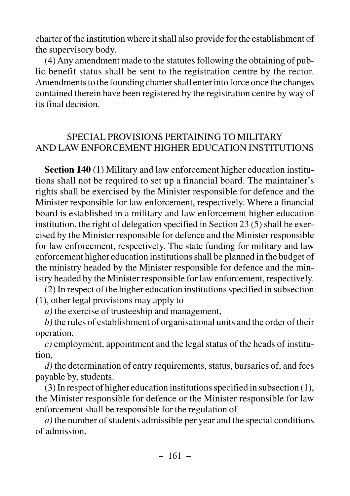charter of the institution where it shall also provide for the establishment of the supervisory body.

(4) Any amendment made to the statutes following the obtaining of public benefit status shall be sent to the registration centre by the rector. Amendments to the founding charter shall enter into force once the changes contained therein have been registered by the registration centre by way of its final decision.

# SPECIAL PROVISIONS PERTAINING TO MILITARY AND LAW ENFORCEMENT HIGHER EDUCATION INSTITUTIONS

**Section 140** (1) Military and law enforcement higher education institutions shall not be required to set up a financial board. The maintainer's rights shall be exercised by the Minister responsible for defence and the Minister responsible for law enforcement, respectively. Where a financial board is established in a military and law enforcement higher education institution, the right of delegation specified in Section 23 (5) shall be exercised by the Minister responsible for defence and the Minister responsible for law enforcement, respectively. The state funding for military and law enforcement higher education institutions shall be planned in the budget of the ministry headed by the Minister responsible for defence and the ministry headed by the Minister responsible for law enforcement, respectively.

(2) In respect of the higher education institutions specified in subsection (1), other legal provisions may apply to

*a)* the exercise of trusteeship and management,

*b)*the rules of establishment of organisational units and the order of their operation,

*c)* employment, appointment and the legal status of the heads of institution,

*d)* the determination of entry requirements, status, bursaries of, and fees payable by, students.

(3) In respect of higher education institutions specified in subsection (1), the Minister responsible for defence or the Minister responsible for law enforcement shall be responsible for the regulation of

*a)* the number of students admissible per year and the special conditions of admission,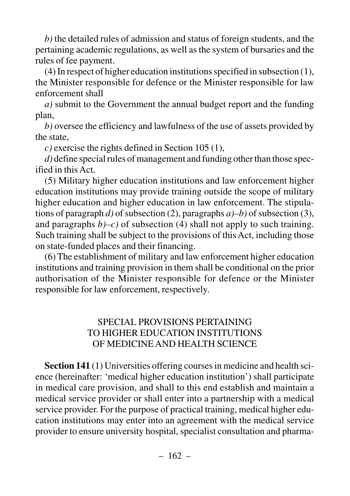*b)* the detailed rules of admission and status of foreign students, and the pertaining academic regulations, as well as the system of bursaries and the rules of fee payment.

(4) In respect of higher education institutions specified in subsection (1), the Minister responsible for defence or the Minister responsible for law enforcement shall

*a)* submit to the Government the annual budget report and the funding plan,

*b)* oversee the efficiency and lawfulness of the use of assets provided by the state,

*c)* exercise the rights defined in Section 105 (1),

*d)* define special rules of management and funding other than those specified in this Act.

(5) Military higher education institutions and law enforcement higher education institutions may provide training outside the scope of military higher education and higher education in law enforcement. The stipulations of paragraph *d)* of subsection (2), paragraphs *a)–b)* of subsection (3), and paragraphs  $b$ )–c) of subsection (4) shall not apply to such training. Such training shall be subject to the provisions of this Act, including those on state-funded places and their financing.

(6) The establishment of military and law enforcement higher education institutions and training provision in them shall be conditional on the prior authorisation of the Minister responsible for defence or the Minister responsible for law enforcement, respectively.

# SPECIAL PROVISIONS PERTAINING TO HIGHER EDUCATION INSTITUTIONS OF MEDICINE AND HEALTH SCIENCE

**Section 141** (1) Universities offering courses in medicine and health science (hereinafter: 'medical higher education institution') shall participate in medical care provision, and shall to this end establish and maintain a medical service provider or shall enter into a partnership with a medical service provider. For the purpose of practical training, medical higher education institutions may enter into an agreement with the medical service provider to ensure university hospital, specialist consultation and pharma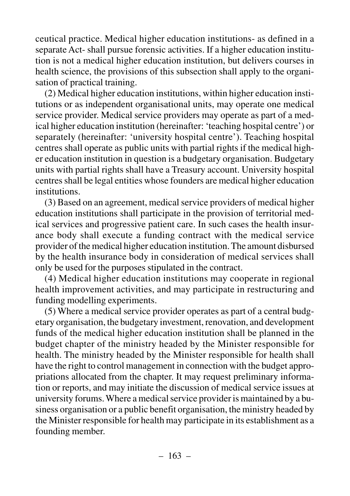ceutical practice. Medical higher education institutions- as defined in a separate Act- shall pursue forensic activities. If a higher education institution is not a medical higher education institution, but delivers courses in health science, the provisions of this subsection shall apply to the organisation of practical training.

(2) Medical higher education institutions, within higher education institutions or as independent organisational units, may operate one medical service provider. Medical service providers may operate as part of a medical higher education institution (hereinafter: 'teaching hospital centre') or separately (hereinafter: 'university hospital centre'). Teaching hospital centres shall operate as public units with partial rights if the medical higher education institution in question is a budgetary organisation. Budgetary units with partial rights shall have a Treasury account. University hospital centres shall be legal entities whose founders are medical higher education institutions.

(3) Based on an agreement, medical service providers of medical higher education institutions shall participate in the provision of territorial medical services and progressive patient care. In such cases the health insurance body shall execute a funding contract with the medical service provider of the medical higher education institution. The amount disbursed by the health insurance body in consideration of medical services shall only be used for the purposes stipulated in the contract.

(4) Medical higher education institutions may cooperate in regional health improvement activities, and may participate in restructuring and funding modelling experiments.

(5) Where a medical service provider operates as part of a central budgetary organisation, the budgetary investment, renovation, and development funds of the medical higher education institution shall be planned in the budget chapter of the ministry headed by the Minister responsible for health. The ministry headed by the Minister responsible for health shall have the right to control management in connection with the budget appropriations allocated from the chapter. It may request preliminary information or reports, and may initiate the discussion of medical service issues at university forums. Where a medical service provider is maintained by a business organisation or a public benefit organisation, the ministry headed by the Minister responsible for health may participate in its establishment as a founding member.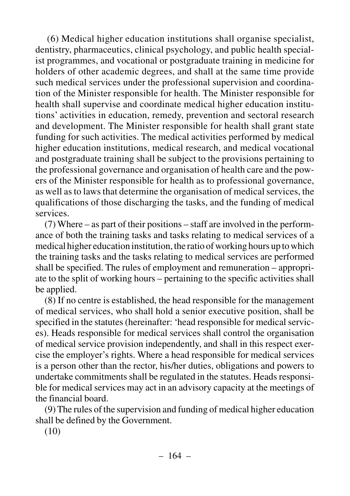(6) Medical higher education institutions shall organise specialist, dentistry, pharmaceutics, clinical psychology, and public health specialist programmes, and vocational or postgraduate training in medicine for holders of other academic degrees, and shall at the same time provide such medical services under the professional supervision and coordination of the Minister responsible for health. The Minister responsible for health shall supervise and coordinate medical higher education institutions' activities in education, remedy, prevention and sectoral research and development. The Minister responsible for health shall grant state funding for such activities. The medical activities performed by medical higher education institutions, medical research, and medical vocational and postgraduate training shall be subject to the provisions pertaining to the professional governance and organisation of health care and the powers of the Minister responsible for health as to professional governance, as well as to laws that determine the organisation of medical services, the qualifications of those discharging the tasks, and the funding of medical services.

(7) Where – as part of their positions – staff are involved in the performance of both the training tasks and tasks relating to medical services of a medical higher education institution, the ratio of working hours up to which the training tasks and the tasks relating to medical services are performed shall be specified. The rules of employment and remuneration – appropriate to the split of working hours – pertaining to the specific activities shall be applied.

(8) If no centre is established, the head responsible for the management of medical services, who shall hold a senior executive position, shall be specified in the statutes (hereinafter: 'head responsible for medical services). Heads responsible for medical services shall control the organisation of medical service provision independently, and shall in this respect exercise the employer's rights. Where a head responsible for medical services is a person other than the rector, his/her duties, obligations and powers to undertake commitments shall be regulated in the statutes. Heads responsible for medical services may act in an advisory capacity at the meetings of the financial board.

(9) The rules of the supervision and funding of medical higher education shall be defined by the Government.

(10)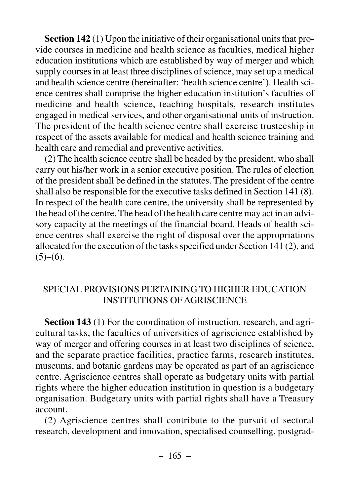**Section 142** (1) Upon the initiative of their organisational units that provide courses in medicine and health science as faculties, medical higher education institutions which are established by way of merger and which supply courses in at least three disciplines of science, may set up a medical and health science centre (hereinafter: 'health science centre'). Health science centres shall comprise the higher education institution's faculties of medicine and health science, teaching hospitals, research institutes engaged in medical services, and other organisational units of instruction. The president of the health science centre shall exercise trusteeship in respect of the assets available for medical and health science training and health care and remedial and preventive activities.

(2) The health science centre shall be headed by the president, who shall carry out his/her work in a senior executive position. The rules of election of the president shall be defined in the statutes. The president of the centre shall also be responsible for the executive tasks defined in Section 141 (8). In respect of the health care centre, the university shall be represented by the head of the centre. The head of the health care centre may act in an advisory capacity at the meetings of the financial board. Heads of health science centres shall exercise the right of disposal over the appropriations allocated for the execution of the tasks specified under Section 141 (2), and  $(5)-(6)$ .

## SPECIAL PROVISIONS PERTAINING TO HIGHER EDUCATION INSTITUTIONS OF AGRISCIENCE

**Section 143** (1) For the coordination of instruction, research, and agricultural tasks, the faculties of universities of agriscience established by way of merger and offering courses in at least two disciplines of science, and the separate practice facilities, practice farms, research institutes, museums, and botanic gardens may be operated as part of an agriscience centre. Agriscience centres shall operate as budgetary units with partial rights where the higher education institution in question is a budgetary organisation. Budgetary units with partial rights shall have a Treasury account.

(2) Agriscience centres shall contribute to the pursuit of sectoral research, development and innovation, specialised counselling, postgrad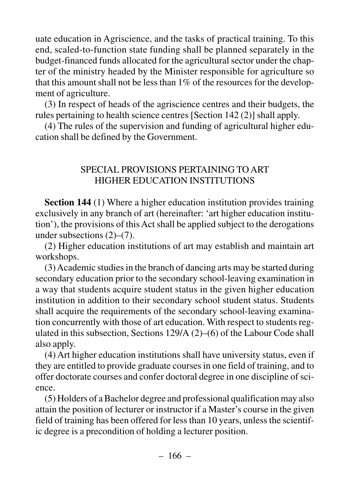uate education in Agriscience, and the tasks of practical training. To this end, scaled-to-function state funding shall be planned separately in the budget-financed funds allocated for the agricultural sector under the chapter of the ministry headed by the Minister responsible for agriculture so that this amount shall not be less than 1% of the resources for the development of agriculture.

(3) In respect of heads of the agriscience centres and their budgets, the rules pertaining to health science centres [Section 142 (2)] shall apply.

(4) The rules of the supervision and funding of agricultural higher education shall be defined by the Government.

## SPECIAL PROVISIONS PERTAINING TO ART HIGHER EDUCATION INSTITUTIONS

**Section 144** (1) Where a higher education institution provides training exclusively in any branch of art (hereinafter: 'art higher education institution'), the provisions of this Act shall be applied subject to the derogations under subsections (2)–(7).

(2) Higher education institutions of art may establish and maintain art workshops.

(3) Academic studies in the branch of dancing arts may be started during secondary education prior to the secondary school-leaving examination in a way that students acquire student status in the given higher education institution in addition to their secondary school student status. Students shall acquire the requirements of the secondary school-leaving examination concurrently with those of art education. With respect to students regulated in this subsection, Sections 129/A (2)–(6) of the Labour Code shall also apply.

(4) Art higher education institutions shall have university status, even if they are entitled to provide graduate courses in one field of training, and to offer doctorate courses and confer doctoral degree in one discipline of science.

(5) Holders of a Bachelor degree and professional qualification may also attain the position of lecturer or instructor if a Master's course in the given field of training has been offered for less than 10 years, unless the scientific degree is a precondition of holding a lecturer position.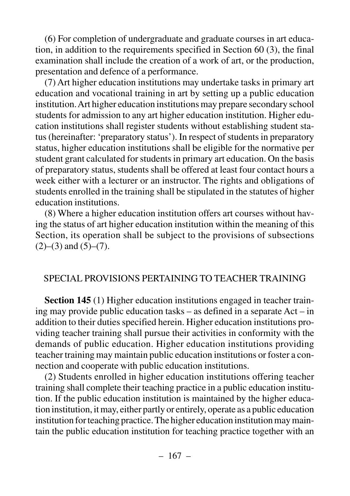(6) For completion of undergraduate and graduate courses in art education, in addition to the requirements specified in Section 60 (3), the final examination shall include the creation of a work of art, or the production, presentation and defence of a performance.

(7) Art higher education institutions may undertake tasks in primary art education and vocational training in art by setting up a public education institution. Art higher education institutions may prepare secondary school students for admission to any art higher education institution. Higher education institutions shall register students without establishing student status (hereinafter: 'preparatory status'). In respect of students in preparatory status, higher education institutions shall be eligible for the normative per student grant calculated for students in primary art education. On the basis of preparatory status, students shall be offered at least four contact hours a week either with a lecturer or an instructor. The rights and obligations of students enrolled in the training shall be stipulated in the statutes of higher education institutions.

(8) Where a higher education institution offers art courses without having the status of art higher education institution within the meaning of this Section, its operation shall be subject to the provisions of subsections  $(2)$ – $(3)$  and  $(5)$ – $(7)$ .

#### SPECIAL PROVISIONS PERTAINING TO TEACHER TRAINING

**Section 145** (1) Higher education institutions engaged in teacher training may provide public education tasks – as defined in a separate Act – in addition to their duties specified herein. Higher education institutions providing teacher training shall pursue their activities in conformity with the demands of public education. Higher education institutions providing teacher training may maintain public education institutions or foster a connection and cooperate with public education institutions.

(2) Students enrolled in higher education institutions offering teacher training shall complete their teaching practice in a public education institution. If the public education institution is maintained by the higher education institution, it may, either partly or entirely, operate as a public education institution for teaching practice. The higher education institution may maintain the public education institution for teaching practice together with an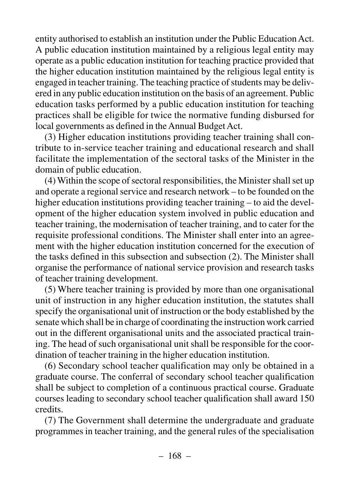entity authorised to establish an institution under the Public Education Act. A public education institution maintained by a religious legal entity may operate as a public education institution for teaching practice provided that the higher education institution maintained by the religious legal entity is engaged in teacher training. The teaching practice of students may be delivered in any public education institution on the basis of an agreement. Public education tasks performed by a public education institution for teaching practices shall be eligible for twice the normative funding disbursed for local governments as defined in the Annual Budget Act.

(3) Higher education institutions providing teacher training shall contribute to in-service teacher training and educational research and shall facilitate the implementation of the sectoral tasks of the Minister in the domain of public education.

(4) Within the scope of sectoral responsibilities, the Minister shall set up and operate a regional service and research network – to be founded on the higher education institutions providing teacher training – to aid the development of the higher education system involved in public education and teacher training, the modernisation of teacher training, and to cater for the requisite professional conditions. The Minister shall enter into an agreement with the higher education institution concerned for the execution of the tasks defined in this subsection and subsection (2). The Minister shall organise the performance of national service provision and research tasks of teacher training development.

(5) Where teacher training is provided by more than one organisational unit of instruction in any higher education institution, the statutes shall specify the organisational unit of instruction or the body established by the senate which shall be in charge of coordinating the instruction work carried out in the different organisational units and the associated practical training. The head of such organisational unit shall be responsible for the coordination of teacher training in the higher education institution.

(6) Secondary school teacher qualification may only be obtained in a graduate course. The conferral of secondary school teacher qualification shall be subject to completion of a continuous practical course. Graduate courses leading to secondary school teacher qualification shall award 150 credits.

(7) The Government shall determine the undergraduate and graduate programmes in teacher training, and the general rules of the specialisation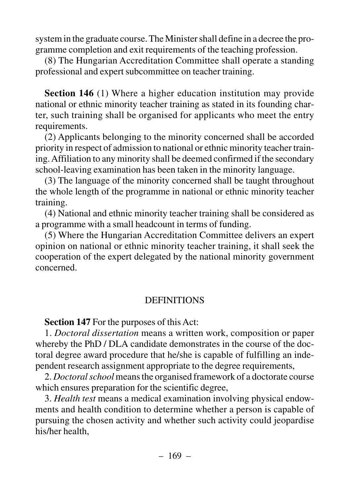system in the graduate course. The Minister shall define in a decree the programme completion and exit requirements of the teaching profession.

(8) The Hungarian Accreditation Committee shall operate a standing professional and expert subcommittee on teacher training.

**Section 146** (1) Where a higher education institution may provide national or ethnic minority teacher training as stated in its founding charter, such training shall be organised for applicants who meet the entry requirements.

(2) Applicants belonging to the minority concerned shall be accorded priority in respect of admission to national or ethnic minority teacher training. Affiliation to any minority shall be deemed confirmed if the secondary school-leaving examination has been taken in the minority language.

(3) The language of the minority concerned shall be taught throughout the whole length of the programme in national or ethnic minority teacher training.

(4) National and ethnic minority teacher training shall be considered as a programme with a small headcount in terms of funding.

(5) Where the Hungarian Accreditation Committee delivers an expert opinion on national or ethnic minority teacher training, it shall seek the cooperation of the expert delegated by the national minority government concerned.

### **DEFINITIONS**

**Section 147** For the purposes of this Act:

1. *Doctoral dissertation* means a written work, composition or paper whereby the PhD / DLA candidate demonstrates in the course of the doctoral degree award procedure that he/she is capable of fulfilling an independent research assignment appropriate to the degree requirements,

2. *Doctoral school* means the organised framework of a doctorate course which ensures preparation for the scientific degree,

3. *Health test* means a medical examination involving physical endowments and health condition to determine whether a person is capable of pursuing the chosen activity and whether such activity could jeopardise his/her health,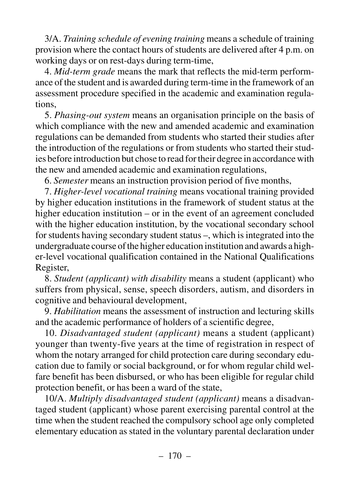3/A. *Training schedule of evening training* means a schedule of training provision where the contact hours of students are delivered after 4 p.m. on working days or on rest-days during term-time,

4. *Mid-term grade* means the mark that reflects the mid-term performance of the student and is awarded during term-time in the framework of an assessment procedure specified in the academic and examination regulations,

5. *Phasing-out system* means an organisation principle on the basis of which compliance with the new and amended academic and examination regulations can be demanded from students who started their studies after the introduction of the regulations or from students who started their studies before introduction but chose to read for their degree in accordance with the new and amended academic and examination regulations,

6. *Semester* means an instruction provision period of five months,

7. *Higher-level vocational training* means vocational training provided by higher education institutions in the framework of student status at the higher education institution – or in the event of an agreement concluded with the higher education institution, by the vocational secondary school for students having secondary student status –, which is integrated into the undergraduate course of the higher education institution and awards a higher-level vocational qualification contained in the National Qualifications Register,

8. *Student (applicant) with disability* means a student (applicant) who suffers from physical, sense, speech disorders, autism, and disorders in cognitive and behavioural development,

9. *Habilitation* means the assessment of instruction and lecturing skills and the academic performance of holders of a scientific degree,

10. *Disadvantaged student (applicant)* means a student (applicant) younger than twenty-five years at the time of registration in respect of whom the notary arranged for child protection care during secondary education due to family or social background, or for whom regular child welfare benefit has been disbursed, or who has been eligible for regular child protection benefit, or has been a ward of the state,

10/A. *Multiply disadvantaged student (applicant)* means a disadvantaged student (applicant) whose parent exercising parental control at the time when the student reached the compulsory school age only completed elementary education as stated in the voluntary parental declaration under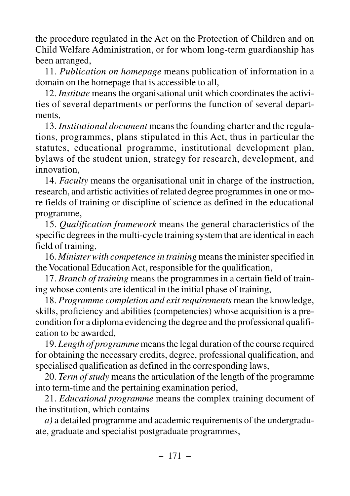the procedure regulated in the Act on the Protection of Children and on Child Welfare Administration, or for whom long-term guardianship has been arranged,

11. *Publication on homepage* means publication of information in a domain on the homepage that is accessible to all,

12. *Institute* means the organisational unit which coordinates the activities of several departments or performs the function of several departments,

13. *Institutional document* means the founding charter and the regulations, programmes, plans stipulated in this Act, thus in particular the statutes, educational programme, institutional development plan, bylaws of the student union, strategy for research, development, and innovation,

14. *Faculty* means the organisational unit in charge of the instruction, research, and artistic activities of related degree programmes in one or more fields of training or discipline of science as defined in the educational programme,

15. *Qualification framework* means the general characteristics of the specific degrees in the multi-cycle training system that are identical in each field of training,

16. *Minister with competence in training* means the minister specified in the Vocational Education Act, responsible for the qualification,

17. *Branch of training* means the programmes in a certain field of training whose contents are identical in the initial phase of training,

18. *Programme completion and exit requirements* mean the knowledge, skills, proficiency and abilities (competencies) whose acquisition is a precondition for a diploma evidencing the degree and the professional qualification to be awarded,

19. *Length of programme*means the legal duration of the course required for obtaining the necessary credits, degree, professional qualification, and specialised qualification as defined in the corresponding laws,

20. *Term of study* means the articulation of the length of the programme into term-time and the pertaining examination period,

21. *Educational programme* means the complex training document of the institution, which contains

*a)* a detailed programme and academic requirements of the undergraduate, graduate and specialist postgraduate programmes,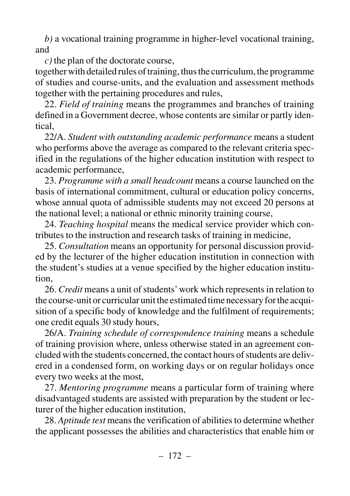*b)* a vocational training programme in higher-level vocational training, and

*c)* the plan of the doctorate course,

together with detailed rules of training, thus the curriculum, the programme of studies and course-units, and the evaluation and assessment methods together with the pertaining procedures and rules,

22. *Field of training* means the programmes and branches of training defined in a Government decree, whose contents are similar or partly identical,

22/A. *Student with outstanding academic performance* means a student who performs above the average as compared to the relevant criteria specified in the regulations of the higher education institution with respect to academic performance,

23. *Programme with a small headcount* means a course launched on the basis of international commitment, cultural or education policy concerns, whose annual quota of admissible students may not exceed 20 persons at the national level; a national or ethnic minority training course,

24. *Teaching hospital* means the medical service provider which contributes to the instruction and research tasks of training in medicine,

25. *Consultation* means an opportunity for personal discussion provided by the lecturer of the higher education institution in connection with the student's studies at a venue specified by the higher education institution,

26. *Credit* means a unit of students'work which represents in relation to the course-unit or curricular unit the estimated time necessary for the acquisition of a specific body of knowledge and the fulfilment of requirements; one credit equals 30 study hours,

26/A. *Training schedule of correspondence training* means a schedule of training provision where, unless otherwise stated in an agreement concluded with the students concerned, the contact hours of students are delivered in a condensed form, on working days or on regular holidays once every two weeks at the most,

27. *Mentoring programme* means a particular form of training where disadvantaged students are assisted with preparation by the student or lecturer of the higher education institution,

28. *Aptitude test* means the verification of abilities to determine whether the applicant possesses the abilities and characteristics that enable him or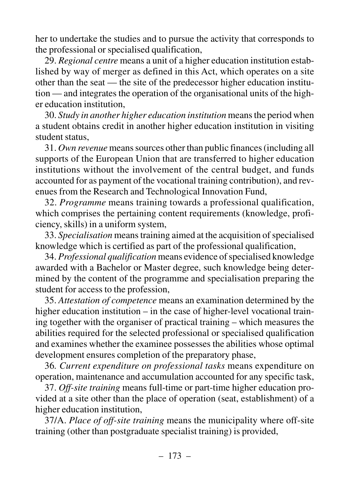her to undertake the studies and to pursue the activity that corresponds to the professional or specialised qualification,

29. *Regional centre* means a unit of a higher education institution established by way of merger as defined in this Act, which operates on a site other than the seat — the site of the predecessor higher education institution — and integrates the operation of the organisational units of the higher education institution,

30. *Study in another higher education institution* means the period when a student obtains credit in another higher education institution in visiting student status,

31. *Own revenue* means sources other than public finances (including all supports of the European Union that are transferred to higher education institutions without the involvement of the central budget, and funds accounted for as payment of the vocational training contribution), and revenues from the Research and Technological Innovation Fund,

32. *Programme* means training towards a professional qualification, which comprises the pertaining content requirements (knowledge, proficiency, skills) in a uniform system,

33. *Specialisation* means training aimed at the acquisition of specialised knowledge which is certified as part of the professional qualification,

34. *Professional qualification* means evidence of specialised knowledge awarded with a Bachelor or Master degree, such knowledge being determined by the content of the programme and specialisation preparing the student for access to the profession,

35. *Attestation of competence* means an examination determined by the higher education institution – in the case of higher-level vocational training together with the organiser of practical training – which measures the abilities required for the selected professional or specialised qualification and examines whether the examinee possesses the abilities whose optimal development ensures completion of the preparatory phase,

36*. Current expenditure on professional tasks* means expenditure on operation, maintenance and accumulation accounted for any specific task,

37. *Off-site training* means full-time or part-time higher education provided at a site other than the place of operation (seat, establishment) of a higher education institution,

37/A. *Place of off-site training* means the municipality where off-site training (other than postgraduate specialist training) is provided,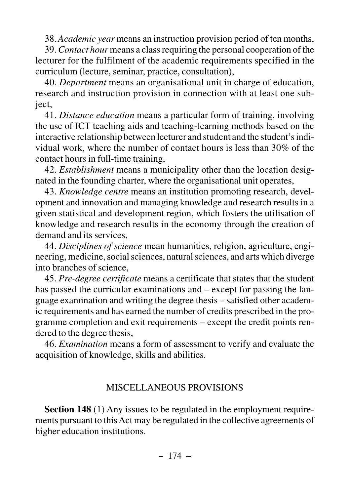38. *Academic year* means an instruction provision period of ten months,

39.*Contact hour* means a class requiring the personal cooperation of the lecturer for the fulfilment of the academic requirements specified in the curriculum (lecture, seminar, practice, consultation),

40. *Department* means an organisational unit in charge of education, research and instruction provision in connection with at least one subject,

41. *Distance education* means a particular form of training, involving the use of ICT teaching aids and teaching-learning methods based on the interactive relationship between lecturer and student and the student's individual work, where the number of contact hours is less than 30% of the contact hours in full-time training,

42. *Establishment* means a municipality other than the location designated in the founding charter, where the organisational unit operates,

43. *Knowledge centre* means an institution promoting research, development and innovation and managing knowledge and research results in a given statistical and development region, which fosters the utilisation of knowledge and research results in the economy through the creation of demand and its services,

44. *Disciplines of science* mean humanities, religion, agriculture, engineering, medicine, social sciences, natural sciences, and arts which diverge into branches of science,

45. *Pre-degree certificate* means a certificate that states that the student has passed the curricular examinations and – except for passing the language examination and writing the degree thesis – satisfied other academic requirements and has earned the number of credits prescribed in the programme completion and exit requirements – except the credit points rendered to the degree thesis,

46. *Examination* means a form of assessment to verify and evaluate the acquisition of knowledge, skills and abilities.

#### MISCELLANEOUS PROVISIONS

**Section 148** (1) Any issues to be regulated in the employment requirements pursuant to this Act may be regulated in the collective agreements of higher education institutions.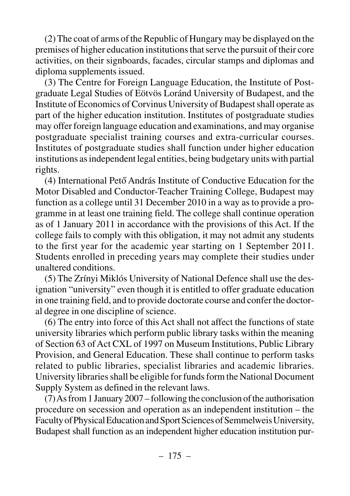(2) The coat of arms of the Republic of Hungary may be displayed on the premises of higher education institutions that serve the pursuit of their core activities, on their signboards, facades, circular stamps and diplomas and diploma supplements issued.

(3) The Centre for Foreign Language Education, the Institute of Postgraduate Legal Studies of Eötvös Loránd University of Budapest, and the Institute of Economics of Corvinus University of Budapest shall operate as part of the higher education institution. Institutes of postgraduate studies may offer foreign language education and examinations, and may organise postgraduate specialist training courses and extra-curricular courses. Institutes of postgraduate studies shall function under higher education institutions as independent legal entities, being budgetary units with partial rights.

(4) International Petõ András Institute of Conductive Education for the Motor Disabled and Conductor-Teacher Training College, Budapest may function as a college until 31 December 2010 in a way as to provide a programme in at least one training field. The college shall continue operation as of 1 January 2011 in accordance with the provisions of this Act. If the college fails to comply with this obligation, it may not admit any students to the first year for the academic year starting on 1 September 2011. Students enrolled in preceding years may complete their studies under unaltered conditions.

(5) The Zrínyi Miklós University of National Defence shall use the designation "university" even though it is entitled to offer graduate education in one training field, and to provide doctorate course and confer the doctoral degree in one discipline of science.

(6) The entry into force of this Act shall not affect the functions of state university libraries which perform public library tasks within the meaning of Section 63 of Act CXL of 1997 on Museum Institutions, Public Library Provision, and General Education. These shall continue to perform tasks related to public libraries, specialist libraries and academic libraries. University libraries shall be eligible for funds form the National Document Supply System as defined in the relevant laws.

(7) As from 1 January 2007 – following the conclusion of the authorisation procedure on secession and operation as an independent institution – the Faculty of Physical Education and Sport Sciences of Semmelweis University, Budapest shall function as an independent higher education institution pur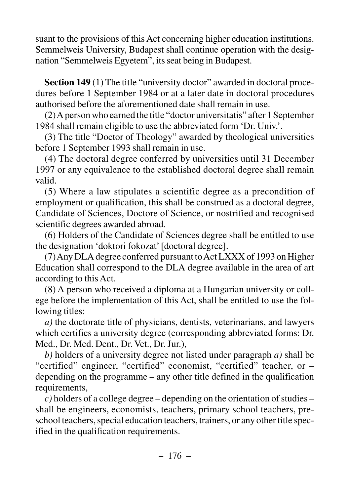suant to the provisions of this Act concerning higher education institutions. Semmelweis University, Budapest shall continue operation with the designation "Semmelweis Egyetem", its seat being in Budapest.

**Section 149** (1) The title "university doctor" awarded in doctoral procedures before 1 September 1984 or at a later date in doctoral procedures authorised before the aforementioned date shall remain in use.

(2) A person who earned the title "doctor universitatis" after 1 September 1984 shall remain eligible to use the abbreviated form 'Dr. Univ.'.

(3) The title "Doctor of Theology" awarded by theological universities before 1 September 1993 shall remain in use.

(4) The doctoral degree conferred by universities until 31 December 1997 or any equivalence to the established doctoral degree shall remain valid.

(5) Where a law stipulates a scientific degree as a precondition of employment or qualification, this shall be construed as a doctoral degree, Candidate of Sciences, Doctore of Science, or nostrified and recognised scientific degrees awarded abroad.

(6) Holders of the Candidate of Sciences degree shall be entitled to use the designation 'doktori fokozat' [doctoral degree].

(7) Any DLA degree conferred pursuant to Act LXXX of 1993 on Higher Education shall correspond to the DLA degree available in the area of art according to this Act.

(8) A person who received a diploma at a Hungarian university or college before the implementation of this Act, shall be entitled to use the following titles:

*a)* the doctorate title of physicians, dentists, veterinarians, and lawyers which certifies a university degree (corresponding abbreviated forms: Dr. Med., Dr. Med. Dent., Dr. Vet., Dr. Jur.),

*b)* holders of a university degree not listed under paragraph *a)* shall be "certified" engineer, "certified" economist, "certified" teacher, or – depending on the programme – any other title defined in the qualification requirements,

*c)* holders of a college degree – depending on the orientation of studies – shall be engineers, economists, teachers, primary school teachers, preschool teachers, special education teachers, trainers, or any other title specified in the qualification requirements.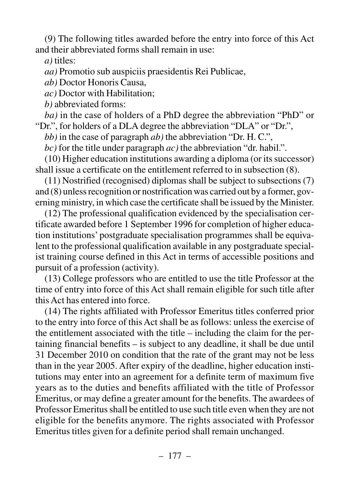(9) The following titles awarded before the entry into force of this Act and their abbreviated forms shall remain in use:

*a)* titles:

*aa)* Promotio sub auspiciis praesidentis Rei Publicae,

*ab)* Doctor Honoris Causa,

*ac)* Doctor with Habilitation;

*b)* abbreviated forms:

*ba)* in the case of holders of a PhD degree the abbreviation "PhD" or "Dr.", for holders of a DLA degree the abbreviation "DLA" or "Dr.",

*bb)* in the case of paragraph *ab)* the abbreviation "Dr. H. C.",

*bc)* for the title under paragraph *ac)* the abbreviation "dr. habil.".

(10) Higher education institutions awarding a diploma (or its successor) shall issue a certificate on the entitlement referred to in subsection (8).

(11) Nostrified (recognised) diplomas shall be subject to subsections (7) and (8) unless recognition or nostrification was carried out by a former, governing ministry, in which case the certificate shall be issued by the Minister.

(12) The professional qualification evidenced by the specialisation certificate awarded before 1 September 1996 for completion of higher education institutions' postgraduate specialisation programmes shall be equivalent to the professional qualification available in any postgraduate specialist training course defined in this Act in terms of accessible positions and pursuit of a profession (activity).

(13) College professors who are entitled to use the title Professor at the time of entry into force of this Act shall remain eligible for such title after this Act has entered into force.

(14) The rights affiliated with Professor Emeritus titles conferred prior to the entry into force of this Act shall be as follows: unless the exercise of the entitlement associated with the title – including the claim for the pertaining financial benefits – is subject to any deadline, it shall be due until 31 December 2010 on condition that the rate of the grant may not be less than in the year 2005. After expiry of the deadline, higher education institutions may enter into an agreement for a definite term of maximum five years as to the duties and benefits affiliated with the title of Professor Emeritus, or may define a greater amount for the benefits. The awardees of Professor Emeritus shall be entitled to use such title even when they are not eligible for the benefits anymore. The rights associated with Professor Emeritus titles given for a definite period shall remain unchanged.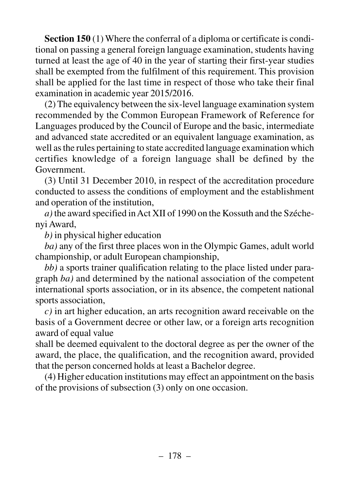**Section 150** (1) Where the conferral of a diploma or certificate is conditional on passing a general foreign language examination, students having turned at least the age of 40 in the year of starting their first-year studies shall be exempted from the fulfilment of this requirement. This provision shall be applied for the last time in respect of those who take their final examination in academic year 2015/2016.

(2) The equivalency between the six-level language examination system recommended by the Common European Framework of Reference for Languages produced by the Council of Europe and the basic, intermediate and advanced state accredited or an equivalent language examination, as well as the rules pertaining to state accredited language examination which certifies knowledge of a foreign language shall be defined by the Government.

(3) Until 31 December 2010, in respect of the accreditation procedure conducted to assess the conditions of employment and the establishment and operation of the institution,

*a)* the award specified in Act XII of 1990 on the Kossuth and the Széchenyi Award,

*b)* in physical higher education

*ba)* any of the first three places won in the Olympic Games, adult world championship, or adult European championship,

*bb)* a sports trainer qualification relating to the place listed under paragraph *ba)* and determined by the national association of the competent international sports association, or in its absence, the competent national sports association,

*c)* in art higher education, an arts recognition award receivable on the basis of a Government decree or other law, or a foreign arts recognition award of equal value

shall be deemed equivalent to the doctoral degree as per the owner of the award, the place, the qualification, and the recognition award, provided that the person concerned holds at least a Bachelor degree.

(4) Higher education institutions may effect an appointment on the basis of the provisions of subsection (3) only on one occasion.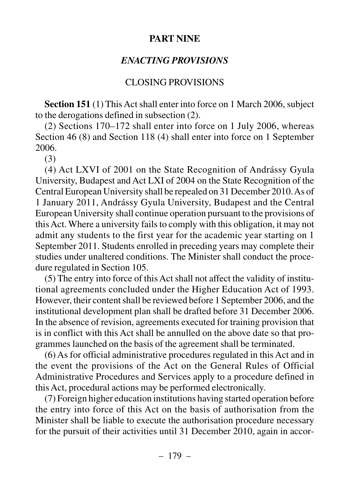### **PART NINE**

# *ENACTING PROVISIONS*

# CLOSING PROVISIONS

**Section 151** (1) This Act shall enter into force on 1 March 2006, subject to the derogations defined in subsection (2).

(2) Sections 170–172 shall enter into force on 1 July 2006, whereas Section 46 (8) and Section 118 (4) shall enter into force on 1 September 2006.

(3)

(4) Act LXVI of 2001 on the State Recognition of Andrássy Gyula University, Budapest and Act LXI of 2004 on the State Recognition of the Central European University shall be repealed on 31 December 2010. As of 1 January 2011, Andrássy Gyula University, Budapest and the Central European University shall continue operation pursuant to the provisions of this Act. Where a university fails to comply with this obligation, it may not admit any students to the first year for the academic year starting on 1 September 2011. Students enrolled in preceding years may complete their studies under unaltered conditions. The Minister shall conduct the procedure regulated in Section 105.

(5) The entry into force of this Act shall not affect the validity of institutional agreements concluded under the Higher Education Act of 1993. However, their content shall be reviewed before 1 September 2006, and the institutional development plan shall be drafted before 31 December 2006. In the absence of revision, agreements executed for training provision that is in conflict with this Act shall be annulled on the above date so that programmes launched on the basis of the agreement shall be terminated.

(6) As for official administrative procedures regulated in this Act and in the event the provisions of the Act on the General Rules of Official Administrative Procedures and Services apply to a procedure defined in this Act, procedural actions may be performed electronically.

(7) Foreign higher education institutions having started operation before the entry into force of this Act on the basis of authorisation from the Minister shall be liable to execute the authorisation procedure necessary for the pursuit of their activities until 31 December 2010, again in accor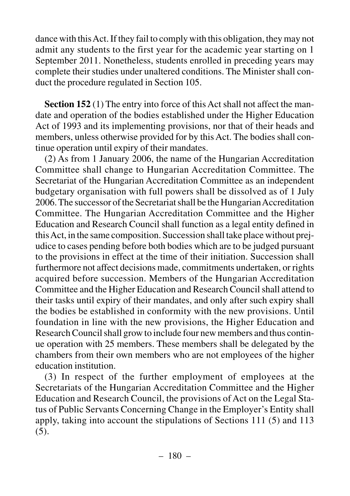dance with this Act. If they fail to comply with this obligation, they may not admit any students to the first year for the academic year starting on 1 September 2011. Nonetheless, students enrolled in preceding years may complete their studies under unaltered conditions. The Minister shall conduct the procedure regulated in Section 105.

**Section 152** (1) The entry into force of this Act shall not affect the mandate and operation of the bodies established under the Higher Education Act of 1993 and its implementing provisions, nor that of their heads and members, unless otherwise provided for by this Act. The bodies shall continue operation until expiry of their mandates.

(2) As from 1 January 2006, the name of the Hungarian Accreditation Committee shall change to Hungarian Accreditation Committee. The Secretariat of the Hungarian Accreditation Committee as an independent budgetary organisation with full powers shall be dissolved as of 1 July 2006. The successor of the Secretariat shall be the Hungarian Accreditation Committee. The Hungarian Accreditation Committee and the Higher Education and Research Council shall function as a legal entity defined in this Act, in the same composition. Succession shall take place without prejudice to cases pending before both bodies which are to be judged pursuant to the provisions in effect at the time of their initiation. Succession shall furthermore not affect decisions made, commitments undertaken, or rights acquired before succession. Members of the Hungarian Accreditation Committee and the Higher Education and Research Council shall attend to their tasks until expiry of their mandates, and only after such expiry shall the bodies be established in conformity with the new provisions. Until foundation in line with the new provisions, the Higher Education and Research Council shall grow to include four new members and thus continue operation with 25 members. These members shall be delegated by the chambers from their own members who are not employees of the higher education institution.

(3) In respect of the further employment of employees at the Secretariats of the Hungarian Accreditation Committee and the Higher Education and Research Council, the provisions of Act on the Legal Status of Public Servants Concerning Change in the Employer's Entity shall apply, taking into account the stipulations of Sections 111 (5) and 113 (5).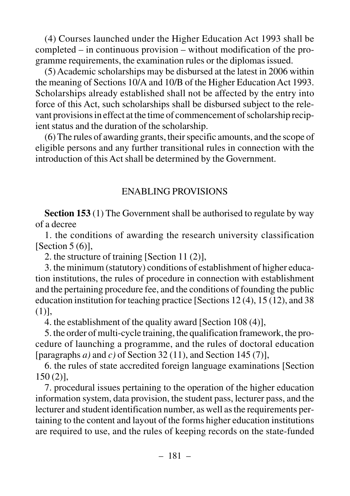(4) Courses launched under the Higher Education Act 1993 shall be completed – in continuous provision – without modification of the programme requirements, the examination rules or the diplomas issued.

(5) Academic scholarships may be disbursed at the latest in 2006 within the meaning of Sections 10/A and 10/B of the Higher Education Act 1993. Scholarships already established shall not be affected by the entry into force of this Act, such scholarships shall be disbursed subject to the relevant provisions in effect at the time of commencement of scholarship recipient status and the duration of the scholarship.

(6) The rules of awarding grants, their specific amounts, and the scope of eligible persons and any further transitional rules in connection with the introduction of this Act shall be determined by the Government.

## ENABLING PROVISIONS

**Section 153** (1) The Government shall be authorised to regulate by way of a decree

1. the conditions of awarding the research university classification [Section  $5(6)$ ],

2. the structure of training [Section 11 (2)],

3. the minimum (statutory) conditions of establishment of higher education institutions, the rules of procedure in connection with establishment and the pertaining procedure fee, and the conditions of founding the public education institution for teaching practice [Sections 12 (4), 15 (12), and 38 (1)],

4. the establishment of the quality award [Section 108 (4)],

5. the order of multi-cycle training, the qualification framework, the procedure of launching a programme, and the rules of doctoral education [paragraphs *a)* and *c)* of Section 32 (11), and Section 145 (7)],

6. the rules of state accredited foreign language examinations [Section 150 (2)],

7. procedural issues pertaining to the operation of the higher education information system, data provision, the student pass, lecturer pass, and the lecturer and student identification number, as well as the requirements pertaining to the content and layout of the forms higher education institutions are required to use, and the rules of keeping records on the state-funded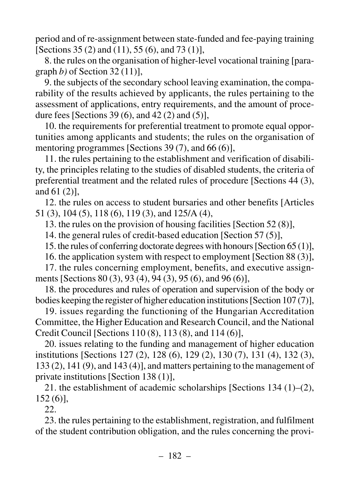period and of re-assignment between state-funded and fee-paying training [Sections 35 (2) and (11), 55 (6), and 73 (1)],

8. the rules on the organisation of higher-level vocational training [paragraph *b)* of Section 32 (11)],

9. the subjects of the secondary school leaving examination, the comparability of the results achieved by applicants, the rules pertaining to the assessment of applications, entry requirements, and the amount of procedure fees [Sections 39 (6), and 42 (2) and (5)],

10. the requirements for preferential treatment to promote equal opportunities among applicants and students; the rules on the organisation of mentoring programmes [Sections 39 (7), and 66 (6)],

11. the rules pertaining to the establishment and verification of disability, the principles relating to the studies of disabled students, the criteria of preferential treatment and the related rules of procedure [Sections 44 (3), and 61 (2)],

12. the rules on access to student bursaries and other benefits [Articles 51 (3), 104 (5), 118 (6), 119 (3), and 125/A (4),

13. the rules on the provision of housing facilities [Section 52 (8)],

14. the general rules of credit-based education [Section 57 (5)],

15. the rules of conferring doctorate degrees with honours [Section 65 (1)],

16. the application system with respect to employment [Section 88 (3)],

17. the rules concerning employment, benefits, and executive assignments [Sections 80 (3), 93 (4), 94 (3), 95 (6), and 96 (6)],

18. the procedures and rules of operation and supervision of the body or bodies keeping the register of higher education institutions [Section 107 (7)],

19. issues regarding the functioning of the Hungarian Accreditation Committee, the Higher Education and Research Council, and the National Credit Council [Sections 110 (8), 113 (8), and 114 (6)],

20. issues relating to the funding and management of higher education institutions [Sections 127 (2), 128 (6), 129 (2), 130 (7), 131 (4), 132 (3), 133 (2), 141 (9), and 143 (4)], and matters pertaining to the management of private institutions [Section 138 (1)],

21. the establishment of academic scholarships [Sections 134 (1)–(2), 152 (6)],

22.

23. the rules pertaining to the establishment, registration, and fulfilment of the student contribution obligation, and the rules concerning the provi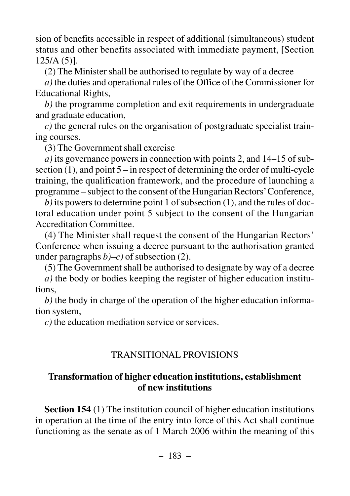sion of benefits accessible in respect of additional (simultaneous) student status and other benefits associated with immediate payment, [Section  $125/A (5)$ ].

(2) The Minister shall be authorised to regulate by way of a decree

*a)* the duties and operational rules of the Office of the Commissioner for Educational Rights,

*b)* the programme completion and exit requirements in undergraduate and graduate education,

*c)* the general rules on the organisation of postgraduate specialist training courses.

(3) The Government shall exercise

*a)* its governance powers in connection with points 2, and 14–15 of subsection  $(1)$ , and point  $5 -$  in respect of determining the order of multi-cycle training, the qualification framework, and the procedure of launching a programme – subject to the consent of the Hungarian Rectors'Conference,

*b)* its powers to determine point 1 of subsection (1), and the rules of doctoral education under point 5 subject to the consent of the Hungarian Accreditation Committee.

(4) The Minister shall request the consent of the Hungarian Rectors' Conference when issuing a decree pursuant to the authorisation granted under paragraphs  $b$ )–c) of subsection (2).

(5) The Government shall be authorised to designate by way of a decree

*a)* the body or bodies keeping the register of higher education institutions,

*b)* the body in charge of the operation of the higher education information system,

*c*) the education mediation service or services.

## TRANSITIONAL PROVISIONS

### **Transformation of higher education institutions, establishment of new institutions**

**Section 154** (1) The institution council of higher education institutions in operation at the time of the entry into force of this Act shall continue functioning as the senate as of 1 March 2006 within the meaning of this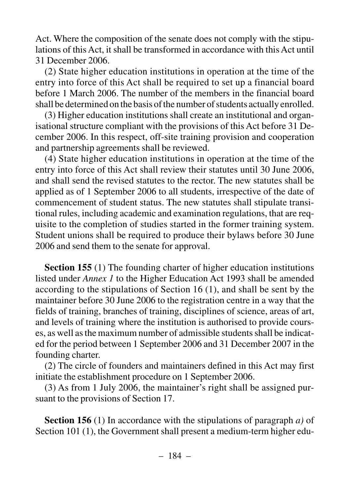Act. Where the composition of the senate does not comply with the stipulations of this Act, it shall be transformed in accordance with this Act until 31 December 2006.

(2) State higher education institutions in operation at the time of the entry into force of this Act shall be required to set up a financial board before 1 March 2006. The number of the members in the financial board shall be determined on the basis of the number of students actually enrolled.

(3) Higher education institutions shall create an institutional and organisational structure compliant with the provisions of this Act before 31 December 2006. In this respect, off-site training provision and cooperation and partnership agreements shall be reviewed.

(4) State higher education institutions in operation at the time of the entry into force of this Act shall review their statutes until 30 June 2006, and shall send the revised statutes to the rector. The new statutes shall be applied as of 1 September 2006 to all students, irrespective of the date of commencement of student status. The new statutes shall stipulate transitional rules, including academic and examination regulations, that are requisite to the completion of studies started in the former training system. Student unions shall be required to produce their bylaws before 30 June 2006 and send them to the senate for approval.

**Section 155** (1) The founding charter of higher education institutions listed under *Annex 1* to the Higher Education Act 1993 shall be amended according to the stipulations of Section 16 (1), and shall be sent by the maintainer before 30 June 2006 to the registration centre in a way that the fields of training, branches of training, disciplines of science, areas of art, and levels of training where the institution is authorised to provide courses, as well as the maximum number of admissible students shall be indicated for the period between 1 September 2006 and 31 December 2007 in the founding charter.

(2) The circle of founders and maintainers defined in this Act may first initiate the establishment procedure on 1 September 2006.

(3) As from 1 July 2006, the maintainer's right shall be assigned pursuant to the provisions of Section 17.

**Section 156** (1) In accordance with the stipulations of paragraph *a)* of Section 101 (1), the Government shall present a medium-term higher edu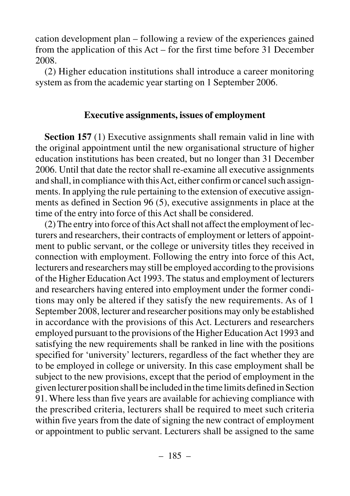cation development plan – following a review of the experiences gained from the application of this Act – for the first time before 31 December 2008.

(2) Higher education institutions shall introduce a career monitoring system as from the academic year starting on 1 September 2006.

### **Executive assignments, issues of employment**

**Section 157** (1) Executive assignments shall remain valid in line with the original appointment until the new organisational structure of higher education institutions has been created, but no longer than 31 December 2006. Until that date the rector shall re-examine all executive assignments and shall, in compliance with this Act, either confirm or cancel such assignments. In applying the rule pertaining to the extension of executive assignments as defined in Section 96 (5), executive assignments in place at the time of the entry into force of this Act shall be considered.

(2) The entry into force of this Act shall not affect the employment of lecturers and researchers, their contracts of employment or letters of appointment to public servant, or the college or university titles they received in connection with employment. Following the entry into force of this Act, lecturers and researchers may still be employed according to the provisions of the Higher Education Act 1993. The status and employment of lecturers and researchers having entered into employment under the former conditions may only be altered if they satisfy the new requirements. As of 1 September 2008, lecturer and researcher positions may only be established in accordance with the provisions of this Act. Lecturers and researchers employed pursuant to the provisions of the Higher Education Act 1993 and satisfying the new requirements shall be ranked in line with the positions specified for 'university' lecturers, regardless of the fact whether they are to be employed in college or university. In this case employment shall be subject to the new provisions, except that the period of employment in the given lecturer position shall be included in the time limits defined in Section 91. Where less than five years are available for achieving compliance with the prescribed criteria, lecturers shall be required to meet such criteria within five years from the date of signing the new contract of employment or appointment to public servant. Lecturers shall be assigned to the same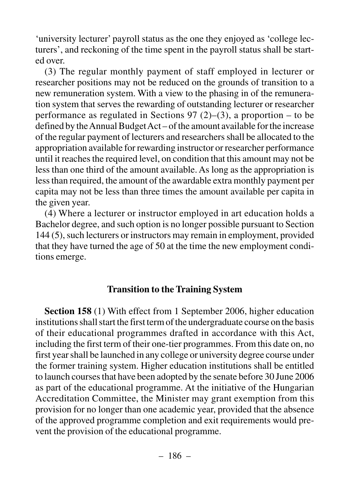'university lecturer' payroll status as the one they enjoyed as 'college lecturers', and reckoning of the time spent in the payroll status shall be started over.

(3) The regular monthly payment of staff employed in lecturer or researcher positions may not be reduced on the grounds of transition to a new remuneration system. With a view to the phasing in of the remuneration system that serves the rewarding of outstanding lecturer or researcher performance as regulated in Sections 97 (2)–(3), a proportion – to be defined by the Annual Budget Act – of the amount available for the increase of the regular payment of lecturers and researchers shall be allocated to the appropriation available for rewarding instructor or researcher performance until it reaches the required level, on condition that this amount may not be less than one third of the amount available. As long as the appropriation is less than required, the amount of the awardable extra monthly payment per capita may not be less than three times the amount available per capita in the given year.

(4) Where a lecturer or instructor employed in art education holds a Bachelor degree, and such option is no longer possible pursuant to Section 144 (5), such lecturers or instructors may remain in employment, provided that they have turned the age of 50 at the time the new employment conditions emerge.

### **Transition to the Training System**

**Section 158** (1) With effect from 1 September 2006, higher education institutions shall start the first term of the undergraduate course on the basis of their educational programmes drafted in accordance with this Act, including the first term of their one-tier programmes. From this date on, no first year shall be launched in any college or university degree course under the former training system. Higher education institutions shall be entitled to launch courses that have been adopted by the senate before 30 June 2006 as part of the educational programme. At the initiative of the Hungarian Accreditation Committee, the Minister may grant exemption from this provision for no longer than one academic year, provided that the absence of the approved programme completion and exit requirements would prevent the provision of the educational programme.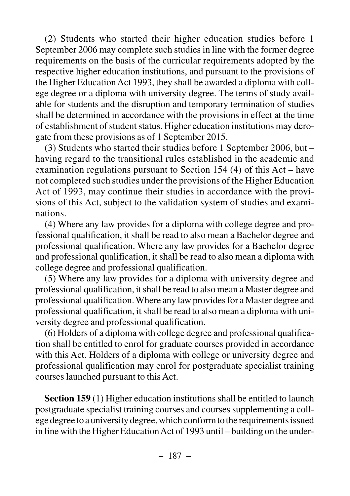(2) Students who started their higher education studies before 1 September 2006 may complete such studies in line with the former degree requirements on the basis of the curricular requirements adopted by the respective higher education institutions, and pursuant to the provisions of the Higher Education Act 1993, they shall be awarded a diploma with college degree or a diploma with university degree. The terms of study available for students and the disruption and temporary termination of studies shall be determined in accordance with the provisions in effect at the time of establishment of student status. Higher education institutions may derogate from these provisions as of 1 September 2015.

(3) Students who started their studies before 1 September 2006, but – having regard to the transitional rules established in the academic and examination regulations pursuant to Section 154 (4) of this Act – have not completed such studies under the provisions of the Higher Education Act of 1993, may continue their studies in accordance with the provisions of this Act, subject to the validation system of studies and examinations.

(4) Where any law provides for a diploma with college degree and professional qualification, it shall be read to also mean a Bachelor degree and professional qualification. Where any law provides for a Bachelor degree and professional qualification, it shall be read to also mean a diploma with college degree and professional qualification.

(5) Where any law provides for a diploma with university degree and professional qualification, it shall be read to also mean a Master degree and professional qualification. Where any law provides for a Master degree and professional qualification, it shall be read to also mean a diploma with university degree and professional qualification.

(6) Holders of a diploma with college degree and professional qualification shall be entitled to enrol for graduate courses provided in accordance with this Act. Holders of a diploma with college or university degree and professional qualification may enrol for postgraduate specialist training courses launched pursuant to this Act.

**Section 159** (1) Higher education institutions shall be entitled to launch postgraduate specialist training courses and courses supplementing a college degree to a university degree, which conform to the requirements issued in line with the Higher Education Act of 1993 until – building on the under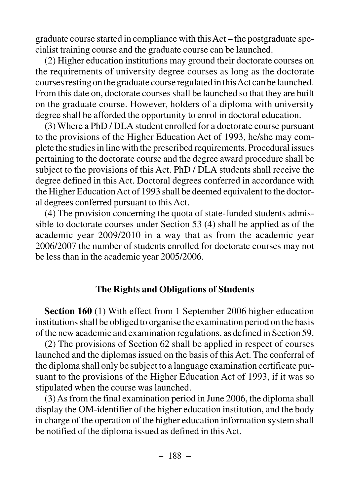graduate course started in compliance with this Act – the postgraduate specialist training course and the graduate course can be launched.

(2) Higher education institutions may ground their doctorate courses on the requirements of university degree courses as long as the doctorate courses resting on the graduate course regulated in this Act can be launched. From this date on, doctorate courses shall be launched so that they are built on the graduate course. However, holders of a diploma with university degree shall be afforded the opportunity to enrol in doctoral education.

(3) Where a PhD / DLA student enrolled for a doctorate course pursuant to the provisions of the Higher Education Act of 1993, he/she may complete the studies in line with the prescribed requirements. Procedural issues pertaining to the doctorate course and the degree award procedure shall be subject to the provisions of this Act. PhD / DLA students shall receive the degree defined in this Act. Doctoral degrees conferred in accordance with the Higher Education Act of 1993 shall be deemed equivalent to the doctoral degrees conferred pursuant to this Act.

(4) The provision concerning the quota of state-funded students admissible to doctorate courses under Section 53 (4) shall be applied as of the academic year 2009/2010 in a way that as from the academic year 2006/2007 the number of students enrolled for doctorate courses may not be less than in the academic year 2005/2006.

### **The Rights and Obligations of Students**

**Section 160** (1) With effect from 1 September 2006 higher education institutions shall be obliged to organise the examination period on the basis of the new academic and examination regulations, as defined in Section 59.

(2) The provisions of Section 62 shall be applied in respect of courses launched and the diplomas issued on the basis of this Act. The conferral of the diploma shall only be subject to a language examination certificate pursuant to the provisions of the Higher Education Act of 1993, if it was so stipulated when the course was launched.

(3) As from the final examination period in June 2006, the diploma shall display the OM-identifier of the higher education institution, and the body in charge of the operation of the higher education information system shall be notified of the diploma issued as defined in this Act.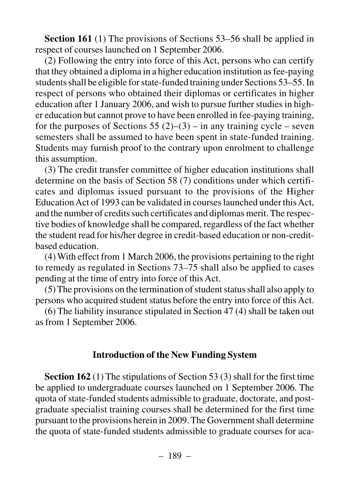**Section 161** (1) The provisions of Sections 53*–*56 shall be applied in respect of courses launched on 1 September 2006.

(2) Following the entry into force of this Act, persons who can certify that they obtained a diploma in a higher education institution as fee-paying students shall be eligible for state-funded training under Sections 53–55. In respect of persons who obtained their diplomas or certificates in higher education after 1 January 2006, and wish to pursue further studies in higher education but cannot prove to have been enrolled in fee-paying training, for the purposes of Sections 55 (2)–(3) – in any training cycle – seven semesters shall be assumed to have been spent in state-funded training. Students may furnish proof to the contrary upon enrolment to challenge this assumption.

(3) The credit transfer committee of higher education institutions shall determine on the basis of Section 58 (7) conditions under which certificates and diplomas issued pursuant to the provisions of the Higher Education Act of 1993 can be validated in courses launched under this Act, and the number of credits such certificates and diplomas merit. The respective bodies of knowledge shall be compared, regardless of the fact whether the student read for his/her degree in credit-based education or non-creditbased education.

(4) With effect from 1 March 2006, the provisions pertaining to the right to remedy as regulated in Sections 73*–*75 shall also be applied to cases pending at the time of entry into force of this Act.

(5) The provisions on the termination of student status shall also apply to persons who acquired student status before the entry into force of this Act.

(6) The liability insurance stipulated in Section 47 (4) shall be taken out as from 1 September 2006.

### **Introduction of the New Funding System**

**Section 162** (1) The stipulations of Section 53 (3) shall for the first time be applied to undergraduate courses launched on 1 September 2006. The quota of state-funded students admissible to graduate, doctorate, and postgraduate specialist training courses shall be determined for the first time pursuant to the provisions herein in 2009. The Government shall determine the quota of state-funded students admissible to graduate courses for aca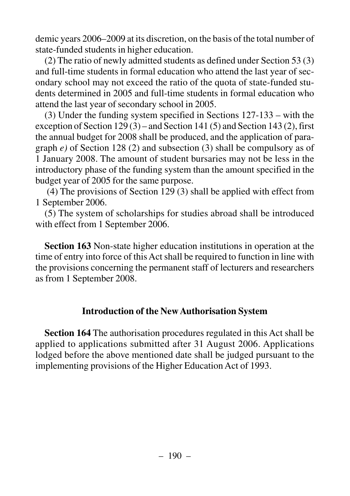demic years 2006–2009 at its discretion, on the basis of the total number of state-funded students in higher education.

(2) The ratio of newly admitted students as defined under Section 53 (3) and full-time students in formal education who attend the last year of secondary school may not exceed the ratio of the quota of state-funded students determined in 2005 and full-time students in formal education who attend the last year of secondary school in 2005.

(3) Under the funding system specified in Sections 127-133 – with the exception of Section 129 (3) – and Section 141 (5) and Section 143 (2), first the annual budget for 2008 shall be produced, and the application of paragraph *e)* of Section 128 (2) and subsection (3) shall be compulsory as of 1 January 2008. The amount of student bursaries may not be less in the introductory phase of the funding system than the amount specified in the budget year of 2005 for the same purpose.

(4) The provisions of Section 129 (3) shall be applied with effect from 1 September 2006.

(5) The system of scholarships for studies abroad shall be introduced with effect from 1 September 2006.

**Section 163** Non-state higher education institutions in operation at the time of entry into force of this Act shall be required to function in line with the provisions concerning the permanent staff of lecturers and researchers as from 1 September 2008.

### **Introduction of the New Authorisation System**

**Section 164** The authorisation procedures regulated in this Act shall be applied to applications submitted after 31 August 2006. Applications lodged before the above mentioned date shall be judged pursuant to the implementing provisions of the Higher Education Act of 1993.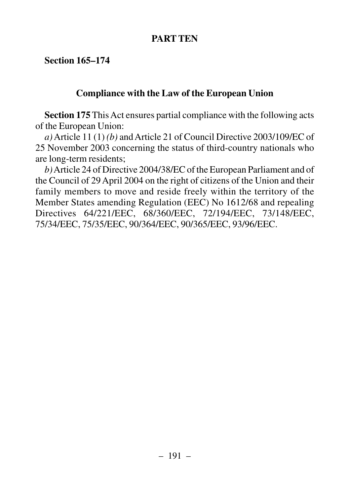## **PART TEN**

**Section 165–174** 

# **Compliance with the Law of the European Union**

**Section 175** This Act ensures partial compliance with the following acts of the European Union:

*a)*Article 11 (1) *(b)* and Article 21 of Council Directive 2003/109/EC of 25 November 2003 concerning the status of third-country nationals who are long-term residents;

*b)*Article 24 of Directive 2004/38/EC of the European Parliament and of the Council of 29 April 2004 on the right of citizens of the Union and their family members to move and reside freely within the territory of the Member States amending Regulation (EEC) No 1612/68 and repealing Directives 64/221/EEC, 68/360/EEC, 72/194/EEC, 73/148/EEC, 75/34/EEC, 75/35/EEC, 90/364/EEC, 90/365/EEC, 93/96/EEC.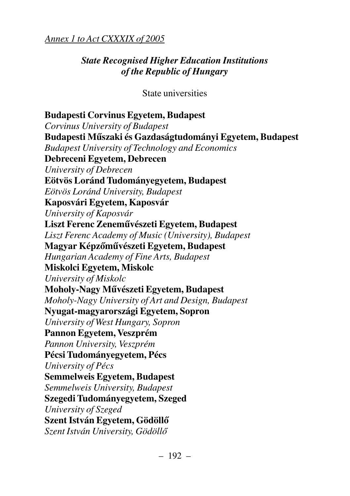# *Annex 1 to Act CXXXIX of 2005*

# *State Recognised Higher Education Institutions of the Republic of Hungary*

State universities

**Budapesti Corvinus Egyetem, Budapest** *Corvinus University of Budapest* **Budapesti Mûszaki és Gazdaságtudományi Egyetem, Budapest** *Budapest University of Technology and Economics* **Debreceni Egyetem, Debrecen** *University of Debrecen* **Eötvös Loránd Tudományegyetem, Budapest** *Eötvös Loránd University, Budapest* **Kaposvári Egyetem, Kaposvár** *University of Kaposvár* **Liszt Ferenc Zenemûvészeti Egyetem, Budapest** *Liszt Ferenc Academy of Music (University), Budapest* **Magyar Képzõmûvészeti Egyetem, Budapest** *Hungarian Academy of Fine Arts, Budapest* **Miskolci Egyetem, Miskolc** *University of Miskolc* **Moholy-Nagy Mûvészeti Egyetem, Budapest** *Moholy-Nagy University of Art and Design, Budapest* **Nyugat-magyarországi Egyetem, Sopron** *University of West Hungary, Sopron* **Pannon Egyetem, Veszprém**  *Pannon University, Veszprém* **Pécsi Tudományegyetem, Pécs** *University of Pécs* **Semmelweis Egyetem, Budapest** *Semmelweis University, Budapest* **Szegedi Tudományegyetem, Szeged** *University of Szeged* **Szent István Egyetem, Gödöllõ** *Szent István University, Gödöllõ*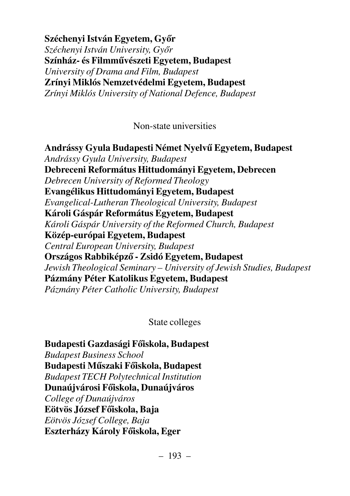**Széchenyi István Egyetem, Gyõr** *Széchenyi István University, Gyõr* **Színház- és Filmmûvészeti Egyetem, Budapest** *University of Drama and Film, Budapest* **Zrínyi Miklós Nemzetvédelmi Egyetem, Budapest** *Zrínyi Miklós University of National Defence, Budapest*

Non-state universities

**Andrássy Gyula Budapesti Német Nyelvû Egyetem, Budapest** *Andrássy Gyula University, Budapest* **Debreceni Református Hittudományi Egyetem, Debrecen** *Debrecen University of Reformed Theology* **Evangélikus Hittudományi Egyetem, Budapest** *Evangelical-Lutheran Theological University, Budapest* **Károli Gáspár Református Egyetem, Budapest** *Károli Gáspár University of the Reformed Church, Budapest* **Közép-európai Egyetem, Budapest** *Central European University, Budapest* **Országos Rabbiképzõ - Zsidó Egyetem, Budapest** *Jewish Theological Seminary – University of Jewish Studies, Budapest* **Pázmány Péter Katolikus Egyetem, Budapest** *Pázmány Péter Catholic University, Budapest*

State colleges

**Budapesti Gazdasági Fõiskola, Budapest** *Budapest Business School* **Budapesti Mûszaki Fõiskola, Budapest** *Budapest TECH Polytechnical Institution* **Dunaújvárosi Fõiskola, Dunaújváros** *College of Dunaújváros* **Eötvös József Fõiskola, Baja** *Eötvös József College, Baja* **Eszterházy Károly Fõiskola, Eger**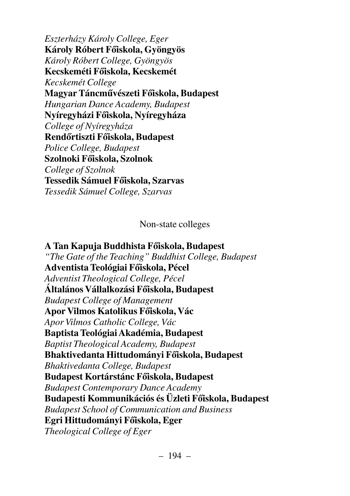*Eszterházy Károly College, Eger* **Károly Róbert Fõiskola, Gyöngyös** *Károly Róbert College, Gyöngyös* **Kecskeméti Fõiskola, Kecskemét** *Kecskemét College* **Magyar Táncmûvészeti Fõiskola, Budapest** *Hungarian Dance Academy, Budapest* **Nyíregyházi Fõiskola, Nyíregyháza** *College of Nyíregyháza* **Rendõrtiszti Fõiskola, Budapest** *Police College, Budapest* **Szolnoki Fõiskola, Szolnok** *College of Szolnok* **Tessedik Sámuel Fõiskola, Szarvas** *Tessedik Sámuel College, Szarvas*

Non-state colleges

**A Tan Kapuja Buddhista Fõiskola, Budapest** *"The Gate of the Teaching" Buddhist College, Budapest* **Adventista Teológiai Fõiskola, Pécel** *Adventist Theological College, Pécel* **Általános Vállalkozási Fõiskola, Budapest** *Budapest College of Management* **Apor Vilmos Katolikus Fõiskola, Vác** *Apor Vilmos Catholic College, Vác* **Baptista Teológiai Akadémia, Budapest** *Baptist Theological Academy, Budapest* **Bhaktivedanta Hittudományi Fõiskola, Budapest** *Bhaktivedanta College, Budapest* **Budapest Kortárstánc Fõiskola, Budapest** *Budapest Contemporary Dance Academy* **Budapesti Kommunikációs és Üzleti Fõiskola, Budapest** *Budapest School of Communication and Business* **Egri Hittudományi Fõiskola, Eger** *Theological College of Eger*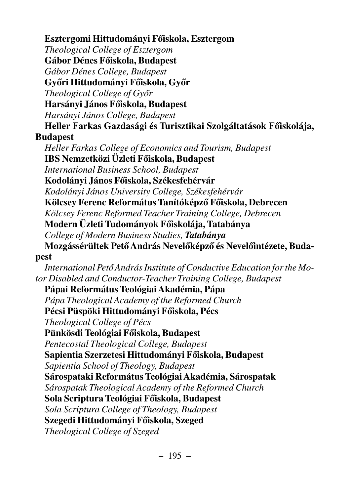**Esztergomi Hittudományi Fõiskola, Esztergom** *Theological College of Esztergom* **Gábor Dénes Fõiskola, Budapest** *Gábor Dénes College, Budapest* **Gyõri Hittudományi Fõiskola, Gyõr** *Theological College of Gyõr* **Harsányi János Fõiskola, Budapest** *Harsányi János College, Budapest* **Heller Farkas Gazdasági és Turisztikai Szolgáltatások Fõiskolája, Budapest** *Heller Farkas College of Economics and Tourism, Budapest* **IBS Nemzetközi Üzleti Fõiskola, Budapest** *International Business School, Budapest* **Kodolányi János Fõiskola, Székesfehérvár** *Kodolányi János University College, Székesfehérvár* **Kölcsey Ferenc Református Tanítóképzõ Fõiskola, Debrecen** *Kölcsey Ferenc Reformed Teacher Training College, Debrecen*  **Modern Üzleti Tudományok Fõiskolája, Tatabánya** *College of Modern Business Studies, Tatabánya* **Mozgássérültek Petõ András Nevelõképzõ és Nevelõintézete, Budapest** *International Petõ András Institute of Conductive Education for the Motor Disabled and Conductor-Teacher Training College, Budapest* **Pápai Református Teológiai Akadémia, Pápa** *Pápa Theological Academy of the Reformed Church* **Pécsi Püspöki Hittudományi Fõiskola, Pécs** *Theological College of Pécs* **Pünkösdi Teológiai Fõiskola, Budapest** *Pentecostal Theological College, Budapest* **Sapientia Szerzetesi Hittudományi Fõiskola, Budapest** *Sapientia School of Theology, Budapest* **Sárospataki Református Teológiai Akadémia, Sárospatak** *Sárospatak Theological Academy of the Reformed Church* **Sola Scriptura Teológiai Fõiskola, Budapest** *Sola Scriptura College of Theology, Budapest* **Szegedi Hittudományi Fõiskola, Szeged** *Theological College of Szeged*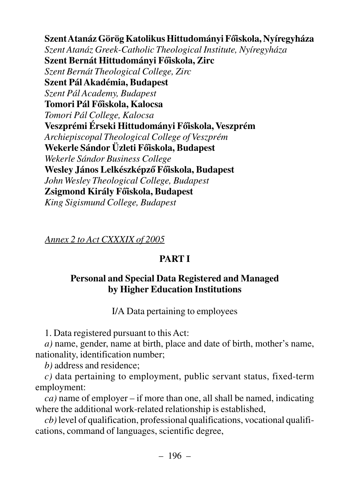**Szent Atanáz Görög Katolikus Hittudományi Fõiskola, Nyíregyháza** *Szent Atanáz Greek-Catholic Theological Institute, Nyíregyháza* **Szent Bernát Hittudományi Fõiskola, Zirc** *Szent Bernát Theological College, Zirc* **Szent Pál Akadémia, Budapest** *Szent Pál Academy, Budapest* **Tomori Pál Fõiskola, Kalocsa** *Tomori Pál College, Kalocsa* **Veszprémi Érseki Hittudományi Fõiskola, Veszprém** *Archiepiscopal Theological College of Veszprém* **Wekerle Sándor Üzleti Fõiskola, Budapest** *Wekerle Sándor Business College* **Wesley János Lelkészképzõ Fõiskola, Budapest** *John Wesley Theological College, Budapest* **Zsigmond Király Fõiskola, Budapest** *King Sigismund College, Budapest*

*Annex 2 to Act CXXXIX of 2005*

# **PART I**

# **Personal and Special Data Registered and Managed by Higher Education Institutions**

I/A Data pertaining to employees

1. Data registered pursuant to this Act:

*a)* name, gender, name at birth, place and date of birth, mother's name, nationality, identification number;

*b)* address and residence;

*c)* data pertaining to employment, public servant status, fixed-term employment:

*ca)* name of employer – if more than one, all shall be named, indicating where the additional work-related relationship is established,

*cb)* level of qualification, professional qualifications, vocational qualifications, command of languages, scientific degree,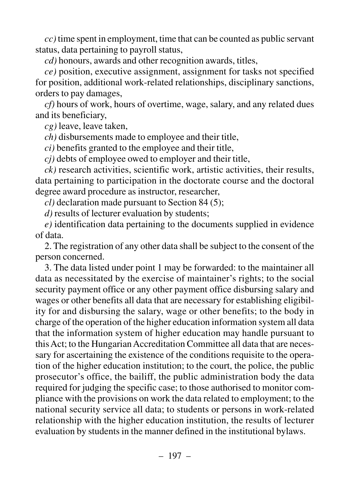*cc)* time spent in employment, time that can be counted as public servant status, data pertaining to payroll status,

*cd)* honours, awards and other recognition awards, titles,

*ce)* position, executive assignment, assignment for tasks not specified for position, additional work-related relationships, disciplinary sanctions, orders to pay damages,

*cf)* hours of work, hours of overtime, wage, salary, and any related dues and its beneficiary,

*cg)* leave, leave taken,

*ch)* disbursements made to employee and their title,

*ci)* benefits granted to the employee and their title,

*cj)* debts of employee owed to employer and their title,

*ck)* research activities, scientific work, artistic activities, their results, data pertaining to participation in the doctorate course and the doctoral degree award procedure as instructor, researcher,

*cl)* declaration made pursuant to Section 84 (5);

*d)* results of lecturer evaluation by students;

*e)* identification data pertaining to the documents supplied in evidence of data.

2. The registration of any other data shall be subject to the consent of the person concerned.

3. The data listed under point 1 may be forwarded: to the maintainer all data as necessitated by the exercise of maintainer's rights; to the social security payment office or any other payment office disbursing salary and wages or other benefits all data that are necessary for establishing eligibility for and disbursing the salary, wage or other benefits; to the body in charge of the operation of the higher education information system all data that the information system of higher education may handle pursuant to this Act; to the Hungarian Accreditation Committee all data that are necessary for ascertaining the existence of the conditions requisite to the operation of the higher education institution; to the court, the police, the public prosecutor's office, the bailiff, the public administration body the data required for judging the specific case; to those authorised to monitor compliance with the provisions on work the data related to employment; to the national security service all data; to students or persons in work-related relationship with the higher education institution, the results of lecturer evaluation by students in the manner defined in the institutional bylaws.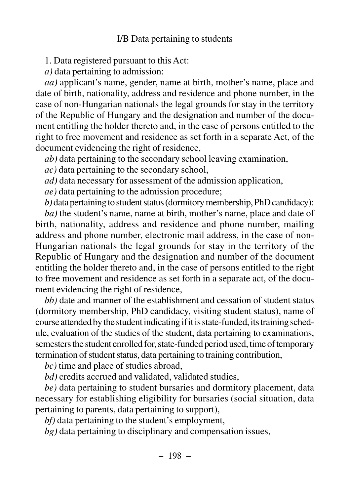### I/B Data pertaining to students

1. Data registered pursuant to this Act:

*a)* data pertaining to admission:

*aa)* applicant's name, gender, name at birth, mother's name, place and date of birth, nationality, address and residence and phone number, in the case of non-Hungarian nationals the legal grounds for stay in the territory of the Republic of Hungary and the designation and number of the document entitling the holder thereto and, in the case of persons entitled to the right to free movement and residence as set forth in a separate Act, of the document evidencing the right of residence,

*ab)* data pertaining to the secondary school leaving examination,

*ac)* data pertaining to the secondary school,

*ad)* data necessary for assessment of the admission application,

*ae)* data pertaining to the admission procedure;

*b)*data pertaining to student status (dormitory membership, PhD candidacy):

*ba)* the student's name, name at birth, mother's name, place and date of birth, nationality, address and residence and phone number, mailing address and phone number, electronic mail address, in the case of non-Hungarian nationals the legal grounds for stay in the territory of the Republic of Hungary and the designation and number of the document entitling the holder thereto and, in the case of persons entitled to the right to free movement and residence as set forth in a separate act, of the document evidencing the right of residence,

*bb)* date and manner of the establishment and cessation of student status (dormitory membership, PhD candidacy, visiting student status), name of course attended by the student indicating if it is state-funded, its training schedule, evaluation of the studies of the student, data pertaining to examinations, semesters the student enrolled for, state-funded period used, time of temporary termination of student status, data pertaining to training contribution,

*bc)* time and place of studies abroad,

*bd)* credits accrued and validated, validated studies,

*be)* data pertaining to student bursaries and dormitory placement, data necessary for establishing eligibility for bursaries (social situation, data pertaining to parents, data pertaining to support),

*bf)* data pertaining to the student's employment,

*bg)* data pertaining to disciplinary and compensation issues,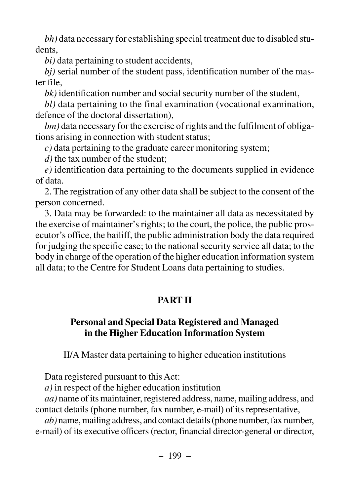*bh)* data necessary for establishing special treatment due to disabled students,

*bi)* data pertaining to student accidents,

*bj)* serial number of the student pass, identification number of the master file,

*bk)* identification number and social security number of the student,

*bl)* data pertaining to the final examination (vocational examination, defence of the doctoral dissertation),

*bm)* data necessary for the exercise of rights and the fulfilment of obligations arising in connection with student status;

*c)* data pertaining to the graduate career monitoring system;

*d)* the tax number of the student;

*e)* identification data pertaining to the documents supplied in evidence of data.

2. The registration of any other data shall be subject to the consent of the person concerned.

3. Data may be forwarded: to the maintainer all data as necessitated by the exercise of maintainer's rights; to the court, the police, the public prosecutor's office, the bailiff, the public administration body the data required for judging the specific case; to the national security service all data; to the body in charge of the operation of the higher education information system all data; to the Centre for Student Loans data pertaining to studies.

# **PART II**

## **Personal and Special Data Registered and Managed in the Higher Education Information System**

II/A Master data pertaining to higher education institutions

Data registered pursuant to this Act:

*a)* in respect of the higher education institution

*aa)* name of its maintainer, registered address, name, mailing address, and contact details (phone number, fax number, e-mail) of its representative,

*ab)* name, mailing address, and contact details (phone number, fax number, e-mail) of its executive officers (rector, financial director-general or director,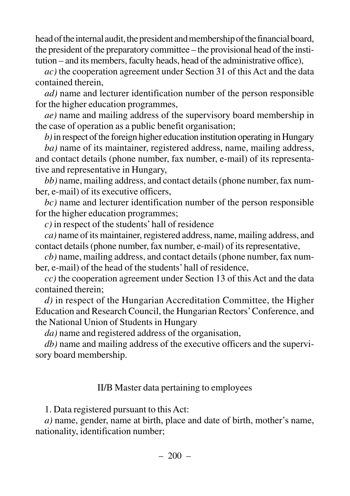head of the internal audit, the president and membership of the financial board, the president of the preparatory committee – the provisional head of the institution – and its members, faculty heads, head of the administrative office),

*ac)* the cooperation agreement under Section 31 of this Act and the data contained therein,

*ad)* name and lecturer identification number of the person responsible for the higher education programmes,

*ae)* name and mailing address of the supervisory board membership in the case of operation as a public benefit organisation;

*b)*in respect of the foreign higher education institution operating in Hungary

*ba)* name of its maintainer, registered address, name, mailing address, and contact details (phone number, fax number, e-mail) of its representative and representative in Hungary,

*bb)* name, mailing address, and contact details (phone number, fax number, e-mail) of its executive officers,

*bc)* name and lecturer identification number of the person responsible for the higher education programmes;

*c)* in respect of the students' hall of residence

*ca)* name of its maintainer, registered address, name, mailing address, and contact details (phone number, fax number, e-mail) of its representative,

*cb)* name, mailing address, and contact details (phone number, fax number, e-mail) of the head of the students' hall of residence,

*cc)* the cooperation agreement under Section 13 of this Act and the data contained therein;

*d)* in respect of the Hungarian Accreditation Committee, the Higher Education and Research Council, the Hungarian Rectors'Conference, and the National Union of Students in Hungary

*da)* name and registered address of the organisation,

*db)* name and mailing address of the executive officers and the supervisory board membership.

### II/B Master data pertaining to employees

1. Data registered pursuant to this Act:

*a)* name, gender, name at birth, place and date of birth, mother's name, nationality, identification number;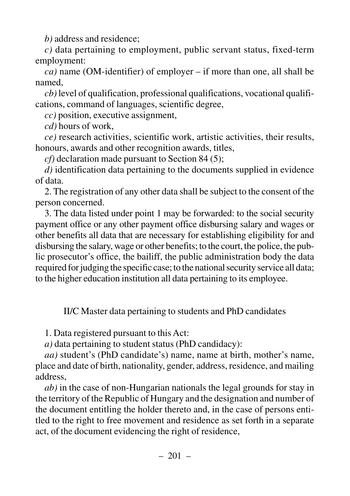*b)* address and residence;

*c)* data pertaining to employment, public servant status, fixed-term employment:

*ca)* name (OM-identifier) of employer – if more than one, all shall be named,

*cb)* level of qualification, professional qualifications, vocational qualifications, command of languages, scientific degree,

*cc)* position, executive assignment,

*cd)* hours of work,

*ce)* research activities, scientific work, artistic activities, their results, honours, awards and other recognition awards, titles,

*cf)* declaration made pursuant to Section 84 (5);

*d)* identification data pertaining to the documents supplied in evidence of data.

2. The registration of any other data shall be subject to the consent of the person concerned.

3. The data listed under point 1 may be forwarded: to the social security payment office or any other payment office disbursing salary and wages or other benefits all data that are necessary for establishing eligibility for and disbursing the salary, wage or other benefits; to the court, the police, the public prosecutor's office, the bailiff, the public administration body the data required for judging the specific case; to the national security service all data; to the higher education institution all data pertaining to its employee.

II/C Master data pertaining to students and PhD candidates

1. Data registered pursuant to this Act:

*a)* data pertaining to student status (PhD candidacy):

*aa)* student's (PhD candidate's) name, name at birth, mother's name, place and date of birth, nationality, gender, address, residence, and mailing address,

*ab)* in the case of non-Hungarian nationals the legal grounds for stay in the territory of the Republic of Hungary and the designation and number of the document entitling the holder thereto and, in the case of persons entitled to the right to free movement and residence as set forth in a separate act, of the document evidencing the right of residence,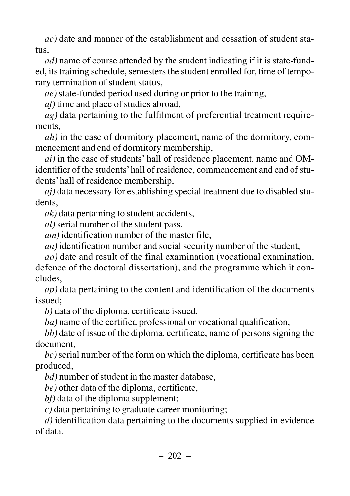*ac)* date and manner of the establishment and cessation of student status,

*ad)* name of course attended by the student indicating if it is state-funded, its training schedule, semesters the student enrolled for, time of temporary termination of student status,

*ae)* state-funded period used during or prior to the training,

*af)* time and place of studies abroad,

*ag)* data pertaining to the fulfilment of preferential treatment requirements,

*ah)* in the case of dormitory placement, name of the dormitory, commencement and end of dormitory membership,

*ai)* in the case of students' hall of residence placement, name and OMidentifier of the students'hall of residence, commencement and end of students' hall of residence membership,

*aj)* data necessary for establishing special treatment due to disabled students,

*ak)* data pertaining to student accidents,

*al)* serial number of the student pass,

*am)* identification number of the master file,

*an)* identification number and social security number of the student,

*ao)* date and result of the final examination (vocational examination, defence of the doctoral dissertation), and the programme which it concludes,

*ap)* data pertaining to the content and identification of the documents issued;

*b)* data of the diploma, certificate issued,

*ba)* name of the certified professional or vocational qualification,

*bb)* date of issue of the diploma, certificate, name of persons signing the document,

*bc)*serial number of the form on which the diploma, certificate has been produced,

*bd)* number of student in the master database,

*be)* other data of the diploma, certificate,

*bf)* data of the diploma supplement;

*c)* data pertaining to graduate career monitoring;

*d)* identification data pertaining to the documents supplied in evidence of data.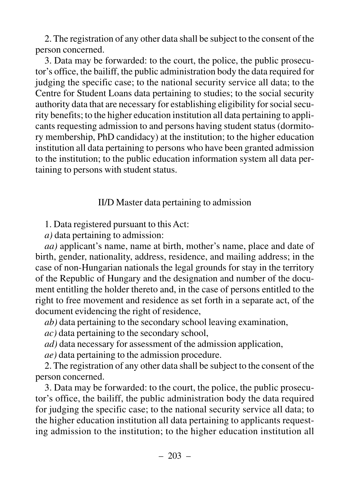2. The registration of any other data shall be subject to the consent of the person concerned.

3. Data may be forwarded: to the court, the police, the public prosecutor's office, the bailiff, the public administration body the data required for judging the specific case; to the national security service all data; to the Centre for Student Loans data pertaining to studies; to the social security authority data that are necessary for establishing eligibility for social security benefits; to the higher education institution all data pertaining to applicants requesting admission to and persons having student status (dormitory membership, PhD candidacy) at the institution; to the higher education institution all data pertaining to persons who have been granted admission to the institution; to the public education information system all data pertaining to persons with student status.

### II/D Master data pertaining to admission

1. Data registered pursuant to this Act:

*a)* data pertaining to admission:

*aa)* applicant's name, name at birth, mother's name, place and date of birth, gender, nationality, address, residence, and mailing address; in the case of non-Hungarian nationals the legal grounds for stay in the territory of the Republic of Hungary and the designation and number of the document entitling the holder thereto and, in the case of persons entitled to the right to free movement and residence as set forth in a separate act, of the document evidencing the right of residence,

*ab)* data pertaining to the secondary school leaving examination,

*ac)* data pertaining to the secondary school,

*ad)* data necessary for assessment of the admission application,

*ae)* data pertaining to the admission procedure.

2. The registration of any other data shall be subject to the consent of the person concerned.

3. Data may be forwarded: to the court, the police, the public prosecutor's office, the bailiff, the public administration body the data required for judging the specific case; to the national security service all data; to the higher education institution all data pertaining to applicants requesting admission to the institution; to the higher education institution all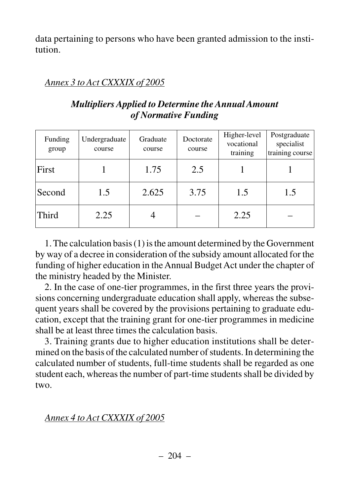data pertaining to persons who have been granted admission to the institution.

## *Annex 3 to Act CXXXIX of 2005*

| Funding<br>group | Undergraduate<br>course | Graduate<br>course | Doctorate<br>course | Higher-level<br>vocational<br>training | Postgraduate<br>specialist<br>training course |
|------------------|-------------------------|--------------------|---------------------|----------------------------------------|-----------------------------------------------|
| First            |                         | 1.75               | 2.5                 |                                        |                                               |
| Second           | 1.5                     | 2.625              | 3.75                | 1.5                                    | 1.5                                           |
| <b>Third</b>     | 2.25                    |                    |                     | 2.25                                   |                                               |

## *Multipliers Applied to Determine the Annual Amount of Normative Funding*

1. The calculation basis (1) is the amount determined by the Government by way of a decree in consideration of the subsidy amount allocated for the funding of higher education in the Annual Budget Act under the chapter of the ministry headed by the Minister.

2. In the case of one-tier programmes, in the first three years the provisions concerning undergraduate education shall apply, whereas the subsequent years shall be covered by the provisions pertaining to graduate education, except that the training grant for one-tier programmes in medicine shall be at least three times the calculation basis.

3. Training grants due to higher education institutions shall be determined on the basis of the calculated number of students. In determining the calculated number of students, full-time students shall be regarded as one student each, whereas the number of part-time students shall be divided by two.

## *Annex 4 to Act CXXXIX of 2005*